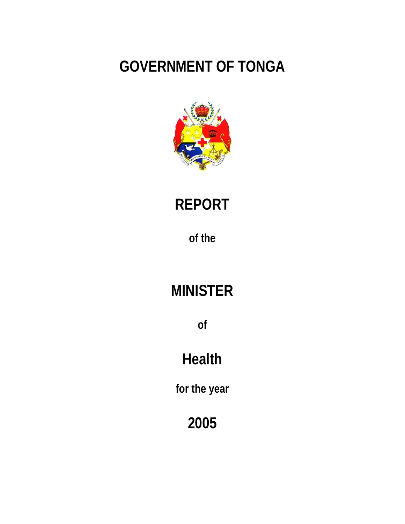## **GOVERNMENT OF TONGA**



# **REPORT**

**of the** 

## **MINISTER**

**of**

## **Health**

**for the year** 

**2005**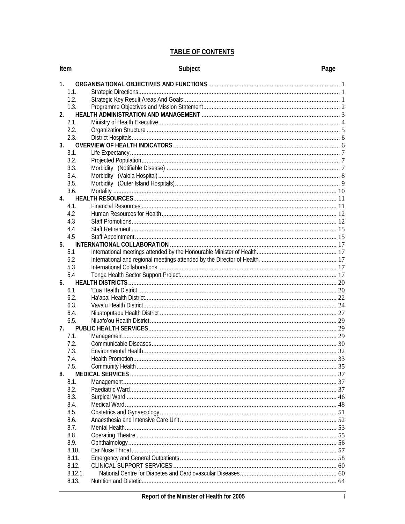## **TABLE OF CONTENTS**

| Item             | Subject           | Page |
|------------------|-------------------|------|
| 1.               |                   |      |
| 1.1.             |                   |      |
| 1.2.             |                   |      |
| 1.3.             |                   |      |
| 2.               |                   |      |
| 2.1.             |                   |      |
| 2.2.             |                   |      |
| 2.3.             |                   |      |
| 3.               |                   |      |
| 3.1.             |                   |      |
| 3.2.             |                   |      |
| 3.3.             |                   |      |
| 3.4.             |                   |      |
| 3.5.             |                   |      |
| 3.6.             |                   |      |
| 4.               |                   |      |
| 4.1.             |                   |      |
| 4.2              |                   |      |
| 4.3              |                   |      |
| 4.4              |                   |      |
| 4.5              |                   |      |
| 5.               |                   |      |
| 5.1              |                   |      |
| 5.2              |                   |      |
| 5.3              |                   |      |
| 5.4              |                   |      |
| 6.               |                   |      |
| 6.1              |                   |      |
| 6.2.             |                   |      |
| 6.3.             |                   |      |
| 6.4.             |                   |      |
| 6.5.             |                   |      |
| 7.               |                   |      |
| 7.1.             |                   |      |
| 7.2.             |                   |      |
| 7.3.             |                   |      |
| 7.4              | Health Promotion. | . 33 |
| 7.5.             |                   |      |
| 8.               |                   |      |
| 8.1.             |                   |      |
| 8.2.             |                   |      |
| 8.3.             |                   |      |
| 8.4.             |                   |      |
| 8.5.             |                   |      |
| 8.6.             |                   |      |
| 8.7.             |                   |      |
| 8.8.             |                   |      |
| 8.9.             |                   |      |
| 8.10.            |                   |      |
| 8.11.            |                   |      |
| 8.12.            |                   |      |
| 8.12.1.<br>8.13. |                   |      |
|                  |                   |      |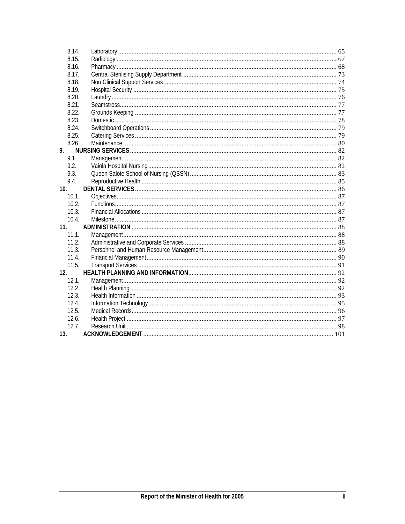| 8.14.           |  |
|-----------------|--|
| 8.15.           |  |
| 8.16.           |  |
| 8.17.           |  |
| 8.18.           |  |
| 8.19.           |  |
| 8.20.           |  |
| 8.21.           |  |
| 8.22.           |  |
| 8.23.           |  |
| 8.24.           |  |
| 8.25.           |  |
| 8.26.           |  |
| 9.              |  |
| 9.1.            |  |
| 9.2.            |  |
| 9.3.            |  |
| 9.4.            |  |
| 10.             |  |
| 10.1.           |  |
| 10.2.           |  |
| 10.3.           |  |
| 10.4.           |  |
| 11.             |  |
| 11.1.           |  |
| 11.2.           |  |
| 11.3.           |  |
| 11.4.           |  |
| 11.5.           |  |
| 12.             |  |
| 12.1.           |  |
| 12.2.           |  |
| 12.3.           |  |
| 12.4.           |  |
| 12.5.           |  |
| 12.6.           |  |
| 12.7.           |  |
| 13 <sub>1</sub> |  |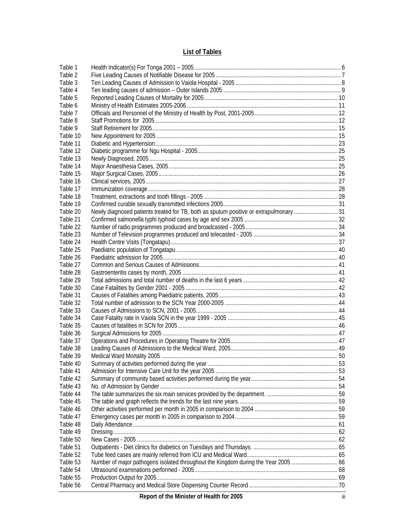## **List of Tables**

| Table 1  |                                                                                        |  |
|----------|----------------------------------------------------------------------------------------|--|
| Table 2  |                                                                                        |  |
| Table 3  |                                                                                        |  |
| Table 4  |                                                                                        |  |
| Table 5  |                                                                                        |  |
| Table 6  |                                                                                        |  |
| Table 7  |                                                                                        |  |
| Table 8  |                                                                                        |  |
| Table 9  |                                                                                        |  |
| Table 10 |                                                                                        |  |
| Table 11 |                                                                                        |  |
| Table 12 |                                                                                        |  |
| Table 13 |                                                                                        |  |
| Table 14 |                                                                                        |  |
| Table 15 |                                                                                        |  |
| Table 16 |                                                                                        |  |
| Table 17 |                                                                                        |  |
| Table 18 |                                                                                        |  |
| Table 19 |                                                                                        |  |
| Table 20 | Newly diagnosed patients treated for TB, both as sputum positive or extrapulmonary  31 |  |
| Table 21 |                                                                                        |  |
| Table 22 |                                                                                        |  |
| Table 23 |                                                                                        |  |
| Table 24 |                                                                                        |  |
| Table 25 |                                                                                        |  |
| Table 26 |                                                                                        |  |
| Table 27 |                                                                                        |  |
| Table 28 |                                                                                        |  |
| Table 29 |                                                                                        |  |
| Table 30 |                                                                                        |  |
| Table 31 |                                                                                        |  |
| Table 32 |                                                                                        |  |
| Table 33 |                                                                                        |  |
| Table 34 |                                                                                        |  |
| Table 35 |                                                                                        |  |
| Table 36 |                                                                                        |  |
| Table 37 |                                                                                        |  |
| Table 38 |                                                                                        |  |
| Table 39 |                                                                                        |  |
| Table 40 |                                                                                        |  |
| Table 41 |                                                                                        |  |
| Table 42 |                                                                                        |  |
| Table 43 |                                                                                        |  |
| Table 44 |                                                                                        |  |
| Table 45 |                                                                                        |  |
| Table 46 |                                                                                        |  |
| Table 47 |                                                                                        |  |
| Table 48 |                                                                                        |  |
| Table 49 |                                                                                        |  |
| Table 50 |                                                                                        |  |
| Table 51 |                                                                                        |  |
| Table 52 |                                                                                        |  |
| Table 53 | Number of major pathogens isolated throughout the Kingdom during the Year 2005 66      |  |
| Table 54 |                                                                                        |  |
| Table 55 |                                                                                        |  |
| Table 56 |                                                                                        |  |
|          |                                                                                        |  |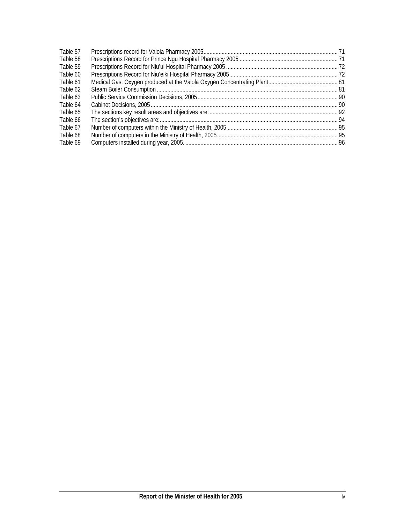| Table 57 |  |
|----------|--|
| Table 58 |  |
| Table 59 |  |
| Table 60 |  |
| Table 61 |  |
| Table 62 |  |
| Table 63 |  |
| Table 64 |  |
| Table 65 |  |
| Table 66 |  |
| Table 67 |  |
| Table 68 |  |
| Table 69 |  |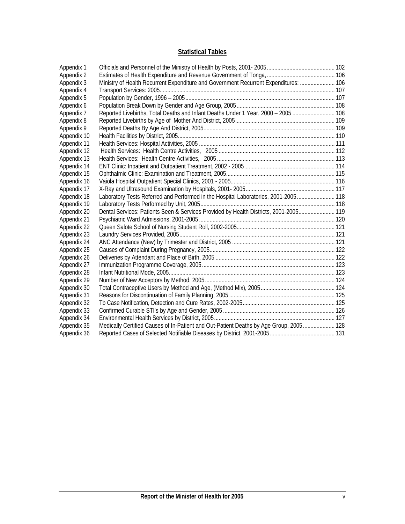## **Statistical Tables**

| Appendix 1  |                                                                                        |  |
|-------------|----------------------------------------------------------------------------------------|--|
| Appendix 2  |                                                                                        |  |
| Appendix 3  | Ministry of Health Recurrent Expenditure and Government Recurrent Expenditures:  106   |  |
| Appendix 4  |                                                                                        |  |
| Appendix 5  |                                                                                        |  |
| Appendix 6  |                                                                                        |  |
| Appendix 7  | Reported Livebirths, Total Deaths and Infant Deaths Under 1 Year, 2000 - 2005  108     |  |
| Appendix 8  |                                                                                        |  |
| Appendix 9  |                                                                                        |  |
| Appendix 10 |                                                                                        |  |
| Appendix 11 |                                                                                        |  |
| Appendix 12 |                                                                                        |  |
| Appendix 13 |                                                                                        |  |
| Appendix 14 |                                                                                        |  |
| Appendix 15 |                                                                                        |  |
| Appendix 16 |                                                                                        |  |
| Appendix 17 |                                                                                        |  |
| Appendix 18 | Laboratory Tests Referred and Performed in the Hospital Laboratories, 2001-2005 118    |  |
| Appendix 19 |                                                                                        |  |
| Appendix 20 | Dental Services: Patients Seen & Services Provided by Health Districts, 2001-2005 119  |  |
| Appendix 21 |                                                                                        |  |
| Appendix 22 |                                                                                        |  |
| Appendix 23 |                                                                                        |  |
| Appendix 24 |                                                                                        |  |
| Appendix 25 |                                                                                        |  |
| Appendix 26 |                                                                                        |  |
| Appendix 27 |                                                                                        |  |
| Appendix 28 |                                                                                        |  |
| Appendix 29 |                                                                                        |  |
| Appendix 30 |                                                                                        |  |
| Appendix 31 |                                                                                        |  |
| Appendix 32 |                                                                                        |  |
| Appendix 33 |                                                                                        |  |
| Appendix 34 |                                                                                        |  |
| Appendix 35 | Medically Certified Causes of In-Patient and Out-Patient Deaths by Age Group, 2005 128 |  |
| Appendix 36 |                                                                                        |  |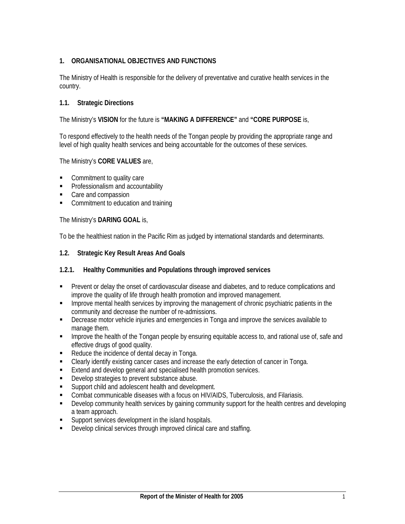## **1. ORGANISATIONAL OBJECTIVES AND FUNCTIONS**

The Ministry of Health is responsible for the delivery of preventative and curative health services in the country.

#### **1.1. Strategic Directions**

The Ministry's **VISION** for the future is **"MAKING A DIFFERENCE"** and **"CORE PURPOSE** is,

To respond effectively to the health needs of the Tongan people by providing the appropriate range and level of high quality health services and being accountable for the outcomes of these services.

#### The Ministry's **CORE VALUES** are,

- Commitment to quality care
- **Professionalism and accountability**
- Care and compassion
- Commitment to education and training

The Ministry's **DARING GOAL** is,

To be the healthiest nation in the Pacific Rim as judged by international standards and determinants.

#### **1.2. Strategic Key Result Areas And Goals**

#### **1.2.1. Healthy Communities and Populations through improved services**

- Prevent or delay the onset of cardiovascular disease and diabetes, and to reduce complications and improve the quality of life through health promotion and improved management.
- **IMPROVERGENT MENUTION SETTLE SETTLE IN SETTLE INCOCONT INCOCONTRATE IN SETTLE INCOCONTRATE:** In the stratents in the community and decrease the number of re-admissions.
- **EXECT** Decrease motor vehicle injuries and emergencies in Tonga and improve the services available to manage them.
- **IMPROVE THE HEALT OF THE TONGAN PEOPLE BY ENSURIE ACCESS 10. 4** and rational use of, safe and rational use of, safe and effective drugs of good quality.
- Reduce the incidence of dental decay in Tonga.
- Clearly identify existing cancer cases and increase the early detection of cancer in Tonga.
- **Extend and develop general and specialised health promotion services.**
- **•** Develop strategies to prevent substance abuse.
- Support child and adolescent health and development.
- Combat communicable diseases with a focus on HIV/AIDS, Tuberculosis, and Filariasis.
- Develop community health services by gaining community support for the health centres and developing a team approach.
- **Support services development in the island hospitals.**
- **Develop clinical services through improved clinical care and staffing.**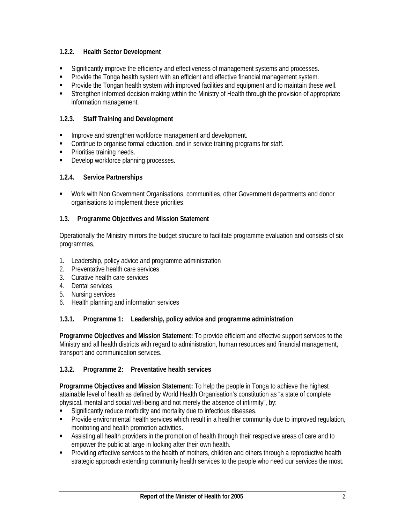## **1.2.2. Health Sector Development**

- Significantly improve the efficiency and effectiveness of management systems and processes.
- Provide the Tonga health system with an efficient and effective financial management system.
- **Provide the Tongan health system with improved facilities and equipment and to maintain these well.**
- Strengthen informed decision making within the Ministry of Health through the provision of appropriate information management.

## **1.2.3. Staff Training and Development**

- **Improve and strengthen workforce management and development.**
- Continue to organise formal education, and in service training programs for staff.
- Prioritise training needs.
- Develop workforce planning processes.

## **1.2.4. Service Partnerships**

 Work with Non Government Organisations, communities, other Government departments and donor organisations to implement these priorities.

## **1.3. Programme Objectives and Mission Statement**

Operationally the Ministry mirrors the budget structure to facilitate programme evaluation and consists of six programmes,

- 1. Leadership, policy advice and programme administration
- 2. Preventative health care services
- 3. Curative health care services
- 4. Dental services
- 5. Nursing services
- 6. Health planning and information services

## **1.3.1. Programme 1: Leadership, policy advice and programme administration**

**Programme Objectives and Mission Statement:** To provide efficient and effective support services to the Ministry and all health districts with regard to administration, human resources and financial management, transport and communication services.

## **1.3.2. Programme 2: Preventative health services**

**Programme Objectives and Mission Statement:** To help the people in Tonga to achieve the highest attainable level of health as defined by World Health Organisation's constitution as "a state of complete physical, mental and social well-being and not merely the absence of infirmity", by:

- Significantly reduce morbidity and mortality due to infectious diseases.
- Provide environmental health services which result in a healthier community due to improved regulation, monitoring and health promotion activities.
- Assisting all health providers in the promotion of health through their respective areas of care and to empower the public at large in looking after their own health.
- **Providing effective services to the health of mothers, children and others through a reproductive health** strategic approach extending community health services to the people who need our services the most.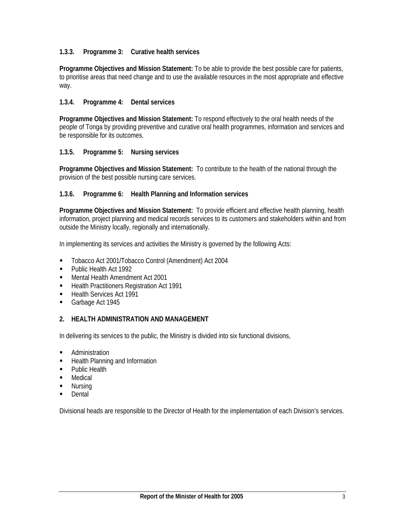## **1.3.3. Programme 3: Curative health services**

**Programme Objectives and Mission Statement:** To be able to provide the best possible care for patients, to prioritise areas that need change and to use the available resources in the most appropriate and effective way.

## **1.3.4. Programme 4: Dental services**

**Programme Objectives and Mission Statement:** To respond effectively to the oral health needs of the people of Tonga by providing preventive and curative oral health programmes, information and services and be responsible for its outcomes.

#### **1.3.5. Programme 5: Nursing services**

**Programme Objectives and Mission Statement:** To contribute to the health of the national through the provision of the best possible nursing care services.

#### **1.3.6. Programme 6: Health Planning and Information services**

**Programme Objectives and Mission Statement:** To provide efficient and effective health planning, health information, project planning and medical records services to its customers and stakeholders within and from outside the Ministry locally, regionally and internationally.

In implementing its services and activities the Ministry is governed by the following Acts:

- Tobacco Act 2001/Tobacco Control (Amendment) Act 2004
- **Public Health Act 1992**
- **Mental Health Amendment Act 2001**
- **Health Practitioners Registration Act 1991**
- Health Services Act 1991
- Garbage Act 1945

#### **2. HEALTH ADMINISTRATION AND MANAGEMENT**

In delivering its services to the public, the Ministry is divided into six functional divisions,

- **Administration**
- **Health Planning and Information**
- **Public Health**
- Medical
- Nursing
- **Dental**

Divisional heads are responsible to the Director of Health for the implementation of each Division's services.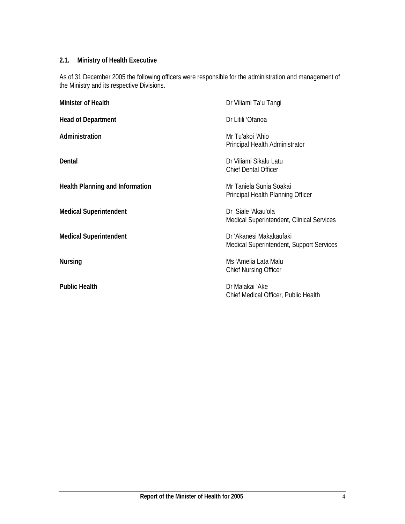## **2.1. Ministry of Health Executive**

As of 31 December 2005 the following officers were responsible for the administration and management of the Ministry and its respective Divisions.

| <b>Minister of Health</b>              | Dr Viliami Ta'u Tangi                                                   |
|----------------------------------------|-------------------------------------------------------------------------|
| <b>Head of Department</b>              | Dr Litili 'Ofanoa                                                       |
| Administration                         | Mr Tu'akoi 'Ahio<br>Principal Health Administrator                      |
| Dental                                 | Dr Viliami Sikalu Latu<br><b>Chief Dental Officer</b>                   |
| <b>Health Planning and Information</b> | Mr Taniela Sunia Soakai<br>Principal Health Planning Officer            |
| <b>Medical Superintendent</b>          | Dr. Siale 'Akau'ola<br><b>Medical Superintendent, Clinical Services</b> |
| <b>Medical Superintendent</b>          | Dr 'Akanesi Makakaufaki<br>Medical Superintendent, Support Services     |
| <b>Nursing</b>                         | Ms 'Amelia Lata Malu<br><b>Chief Nursing Officer</b>                    |
| <b>Public Health</b>                   | Dr Malakai 'Ake<br>Chief Medical Officer, Public Health                 |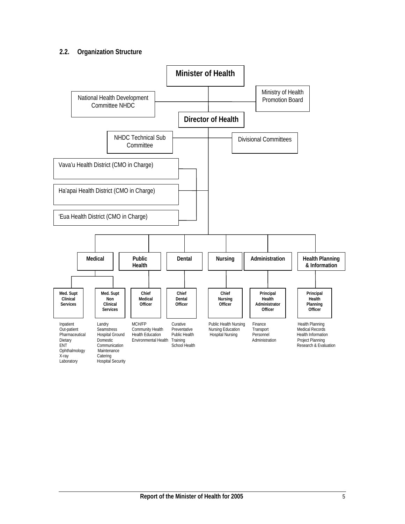## **2.2. Organization Structure**

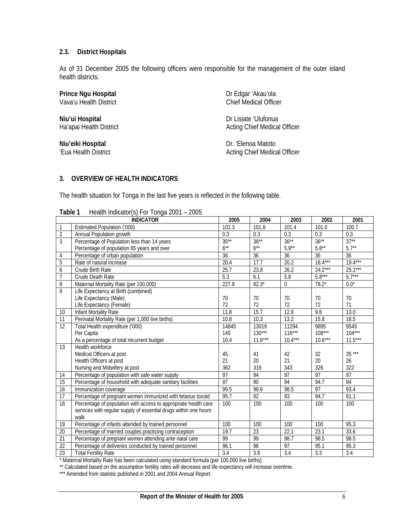#### **2.3. District Hospitals**

As of 31 December 2005 the following officers were responsible for the management of the outer island health districts.

## **Prince Ngu Hospital** Dr Edgar 'Akau'ola

**Niu'ui Hospital** Dr Lisiate 'Ulufonua

Vava'u Health District Chief Medical Officer

Ha'apai Health District **Acting Chief Medical Officer** Acting Chief Medical Officer

**Niu'eiki Hospital** Dr. 'Elenoa Matoto 'Eua Health District **Acting Chief Medical Officer** Acting Chief Medical Officer

## **3. OVERVIEW OF HEALTH INDICATORS**

The health situation for Tonga in the last five years is reflected in the following table.

| <b>LANIC L</b>  |                                                                  |                 |                 |                  |                  |           |
|-----------------|------------------------------------------------------------------|-----------------|-----------------|------------------|------------------|-----------|
|                 | <b>INDICATOR</b>                                                 | 2005            | 2004            | 2003             | 2002             | 2001      |
| $\mathbf{1}$    | Estimated Population ('000)                                      | 102.3           | 101.8           | 101.4            | 101.0            | 100.7     |
| $\overline{2}$  | Annual Population growth                                         | 0.3             | 0.3             | 0.3              | 0.3              | 0.3       |
| 3               | Percentage of Population less than 14 years                      | $35***$         | $36***$         | $36***$          | $36***$          | $37**$    |
|                 | Percentage of population 65 years and over                       | $6***$          | $6***$          | $5.9**$          | $5.8^{\ast\ast}$ | $5.7**$   |
| 4               | Percentage of urban population                                   | 36              | $\overline{36}$ | 36               | 36               | 36        |
| $\overline{5}$  | Rate of natural increase                                         | 20.4            | 17.7            | 20.2             | $18.4***$        | $19.4***$ |
| $\overline{6}$  | Crude Birth Rate                                                 | 25.7            | 23.8            | 26.2             | $24.2***$        | $25.1***$ |
| $\overline{7}$  | Crude Death Rate                                                 | 5.3             | 6.1             | 5.8              | $5.8***$         | $5.7***$  |
| 8               | Maternal Mortality Rate (per 100,000)                            | 227.8           | $82.3*$         | $\boldsymbol{0}$ | $78.2*$          | $0.0^*$   |
| 9               | Life Expectancy at Birth (combined)                              |                 |                 |                  |                  |           |
|                 | Life Expectancy (Male)                                           | 70              | 70              | 70               | 70               | 70        |
|                 | Life Expectancy (Female)                                         | 72              | 72              | 72               | 72               | 71        |
| 10              | Infant Mortality Rate                                            | 11.8            | 15.7            | 12.8             | 9.8              | 13.0      |
| $\overline{11}$ | Perinatal Mortality Rate (per 1,000 live births)                 | 10.8            | 10.3            | 13.2             | 15.8             | 18.5      |
| 12              | Total Health expenditure ('000)                                  | 14845           | 13019           | 11294            | 9895             | 9545      |
|                 | Per Capita                                                       | 145             | $130***$        | $116***$         | $108***$         | $104***$  |
|                 | As a percentage of total recurrent budget                        | 10.4            | $11.6***$       | $10.4***$        | $10.6***$        | $11.5***$ |
| 13              | Health workforce                                                 |                 |                 |                  |                  |           |
|                 | Medical Officers at post                                         | 45              | 41              | 42               | 32               | $35***$   |
|                 | Health Officers at post                                          | 21              | 20              | 21               | 20               | 26        |
|                 | Nursing and Midwifery at post                                    | 362             | 316             | 343              | 326              | 322       |
| 14              | Percentage of population with safe water supply                  | $\overline{97}$ | 94              | 97               | $\overline{97}$  | 97        |
| 15              | Percentage of household with adequate sanitary facilities        | 97              | 90              | 94               | 94.7             | 94        |
| $\overline{16}$ | Immunization coverage                                            | 99.5            | 99.6            | 98.5             | $\overline{97}$  | 93.4      |
| 17              | Percentage of pregnant women immunized with tetanus toxoid       | 95.7            | 92              | 93               | 94.7             | 81.1      |
| 18              | Percentage of population with access to appropriate health care  | 100             | 100             | 100              | 100              | 100       |
|                 | services with regular supply of essential drugs within one hours |                 |                 |                  |                  |           |
|                 | walk                                                             |                 |                 |                  |                  |           |
| 19              | Percentage of infants attended by trained personnel              | 100             | 100             | 100              | 100              | 95.3      |
| 20              | Percentage of married couples practicing contraception           | 19.7            | $\overline{23}$ | 22.1             | 23.1             | 33.6      |
| 21              | Percentage of pregnant women attending ante natal care           | 99              | 99              | 98.7             | 98.5             | 98.5      |
| 22              | Percentage of deliveries conducted by trained personnel          | 96.1            | 98              | 97               | 95.1             | 95.3      |
| $\overline{23}$ | <b>Total Fertility Rate</b>                                      | 3.4             | 3.8             | $\overline{3.4}$ | 3.3              | 3.4       |

#### **Table 1** Health Indicator(s) For Tonga 2001 – 2005

\* Maternal Mortality Rate has been calculated using standard formula (per 100,000 live births).

\*\* Calculated based on the assumption fertility rates will decrease and life expectancy will increase overtime.

\*\*\* Amended from statistic published in 2001 and 2004 Annual Report.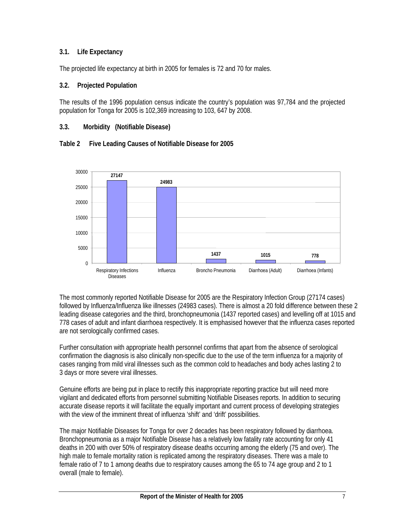## **3.1. Life Expectancy**

The projected life expectancy at birth in 2005 for females is 72 and 70 for males.

## **3.2. Projected Population**

The results of the 1996 population census indicate the country's population was 97,784 and the projected population for Tonga for 2005 is 102,369 increasing to 103, 647 by 2008.

## **3.3. Morbidity (Notifiable Disease)**





The most commonly reported Notifiable Disease for 2005 are the Respiratory Infection Group (27174 cases) followed by Influenza/Influenza like illnesses (24983 cases). There is almost a 20 fold difference between these 2 leading disease categories and the third, bronchopneumonia (1437 reported cases) and levelling off at 1015 and 778 cases of adult and infant diarrhoea respectively. It is emphasised however that the influenza cases reported are not serologically confirmed cases.

Further consultation with appropriate health personnel confirms that apart from the absence of serological confirmation the diagnosis is also clinically non-specific due to the use of the term influenza for a majority of cases ranging from mild viral illnesses such as the common cold to headaches and body aches lasting 2 to 3 days or more severe viral illnesses.

Genuine efforts are being put in place to rectify this inappropriate reporting practice but will need more vigilant and dedicated efforts from personnel submitting Notifiable Diseases reports. In addition to securing accurate disease reports it will facilitate the equally important and current process of developing strategies with the view of the imminent threat of influenza 'shift' and 'drift' possibilities.

The major Notifiable Diseases for Tonga for over 2 decades has been respiratory followed by diarrhoea. Bronchopneumonia as a major Notifiable Disease has a relatively low fatality rate accounting for only 41 deaths in 200 with over 50% of respiratory disease deaths occurring among the elderly (75 and over). The high male to female mortality ration is replicated among the respiratory diseases. There was a male to female ratio of 7 to 1 among deaths due to respiratory causes among the 65 to 74 age group and 2 to 1 overall (male to female).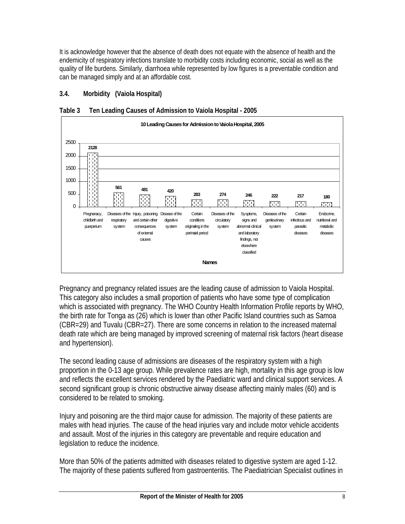It is acknowledge however that the absence of death does not equate with the absence of health and the endemicity of respiratory infections translate to morbidity costs including economic, social as well as the quality of life burdens. Similarly, diarrhoea while represented by low figures is a preventable condition and can be managed simply and at an affordable cost.

## **3.4. Morbidity (Vaiola Hospital)**



**Table 3 Ten Leading Causes of Admission to Vaiola Hospital - 2005** 

Pregnancy and pregnancy related issues are the leading cause of admission to Vaiola Hospital. This category also includes a small proportion of patients who have some type of complication which is associated with pregnancy. The WHO Country Health Information Profile reports by WHO, the birth rate for Tonga as (26) which is lower than other Pacific Island countries such as Samoa (CBR=29) and Tuvalu (CBR=27). There are some concerns in relation to the increased maternal death rate which are being managed by improved screening of maternal risk factors (heart disease and hypertension).

The second leading cause of admissions are diseases of the respiratory system with a high proportion in the 0-13 age group. While prevalence rates are high, mortality in this age group is low and reflects the excellent services rendered by the Paediatric ward and clinical support services. A second significant group is chronic obstructive airway disease affecting mainly males (60) and is considered to be related to smoking.

Injury and poisoning are the third major cause for admission. The majority of these patients are males with head injuries. The cause of the head injuries vary and include motor vehicle accidents and assault. Most of the injuries in this category are preventable and require education and legislation to reduce the incidence.

More than 50% of the patients admitted with diseases related to digestive system are aged 1-12. The majority of these patients suffered from gastroenteritis. The Paediatrician Specialist outlines in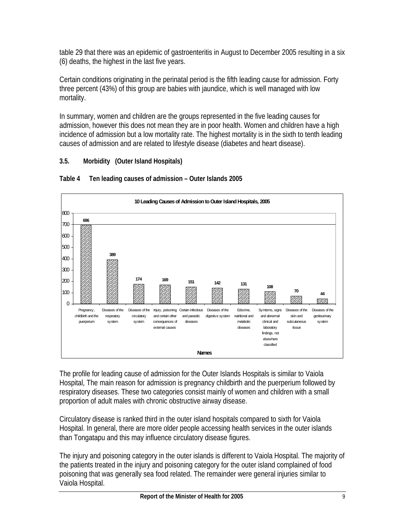table 29 that there was an epidemic of gastroenteritis in August to December 2005 resulting in a six (6) deaths, the highest in the last five years.

Certain conditions originating in the perinatal period is the fifth leading cause for admission. Forty three percent (43%) of this group are babies with jaundice, which is well managed with low mortality.

In summary, women and children are the groups represented in the five leading causes for admission, however this does not mean they are in poor health. Women and children have a high incidence of admission but a low mortality rate. The highest mortality is in the sixth to tenth leading causes of admission and are related to lifestyle disease (diabetes and heart disease).

## **3.5. Morbidity (Outer Island Hospitals)**



## **Table 4 Ten leading causes of admission – Outer Islands 2005**

The profile for leading cause of admission for the Outer Islands Hospitals is similar to Vaiola Hospital, The main reason for admission is pregnancy childbirth and the puerperium followed by respiratory diseases. These two categories consist mainly of women and children with a small proportion of adult males with chronic obstructive airway disease.

Circulatory disease is ranked third in the outer island hospitals compared to sixth for Vaiola Hospital. In general, there are more older people accessing health services in the outer islands than Tongatapu and this may influence circulatory disease figures.

The injury and poisoning category in the outer islands is different to Vaiola Hospital. The majority of the patients treated in the injury and poisoning category for the outer island complained of food poisoning that was generally sea food related. The remainder were general injuries similar to Vaiola Hospital.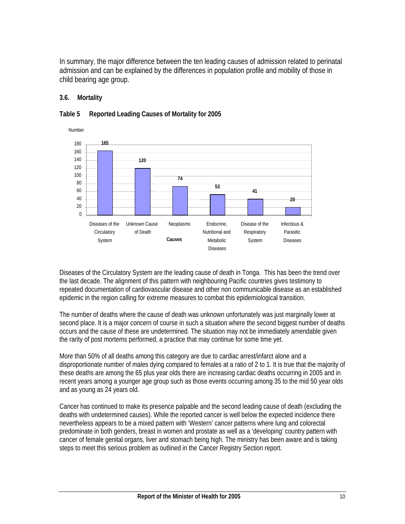In summary, the major difference between the ten leading causes of admission related to perinatal admission and can be explained by the differences in population profile and mobility of those in child bearing age group.

## **3.6. Mortality**



## **Table 5 Reported Leading Causes of Mortality for 2005**

Diseases of the Circulatory System are the leading cause of death in Tonga. This has been the trend over the last decade. The alignment of this pattern with neighbouring Pacific countries gives testimony to repeated documentation of cardiovascular disease and other non communicable disease as an established epidemic in the region calling for extreme measures to combat this epidemiological transition.

The number of deaths where the cause of death was unknown unfortunately was just marginally lower at second place. It is a major concern of course in such a situation where the second biggest number of deaths occurs and the cause of these are undetermined. The situation may not be immediately amendable given the rarity of post mortems performed, a practice that may continue for some time yet.

More than 50% of all deaths among this category are due to cardiac arrest/infarct alone and a disproportionate number of males dying compared to females at a ratio of 2 to 1. It is true that the majority of these deaths are among the 65 plus year olds there are increasing cardiac deaths occurring in 2005 and in recent years among a younger age group such as those events occurring among 35 to the mid 50 year olds and as young as 24 years old.

Cancer has continued to make its presence palpable and the second leading cause of death (excluding the deaths with undetermined causes). While the reported cancer is well below the expected incidence there nevertheless appears to be a mixed pattern with 'Western' cancer patterns where lung and colorectal predominate in both genders, breast in women and prostate as well as a 'developing' country pattern with cancer of female genital organs, liver and stomach being high. The ministry has been aware and is taking steps to meet this serious problem as outlined in the Cancer Registry Section report.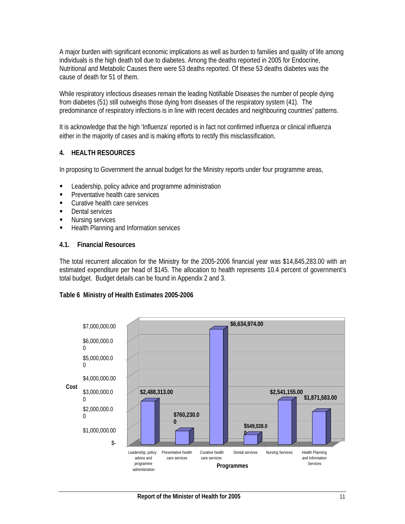A major burden with significant economic implications as well as burden to families and quality of life among individuals is the high death toll due to diabetes. Among the deaths reported in 2005 for Endocrine, Nutritional and Metabolic Causes there were 53 deaths reported. Of these 53 deaths diabetes was the cause of death for 51 of them.

While respiratory infectious diseases remain the leading Notifiable Diseases the number of people dying from diabetes (51) still outweighs those dying from diseases of the respiratory system (41). The predominance of respiratory infections is in line with recent decades and neighbouring countries' patterns.

It is acknowledge that the high 'Influenza' reported is in fact not confirmed influenza or clinical influenza either in the majority of cases and is making efforts to rectify this misclassification.

## **4. HEALTH RESOURCES**

In proposing to Government the annual budget for the Ministry reports under four programme areas,

- **EXECTE:** Leadership, policy advice and programme administration
- **Preventative health care services**
- **Curative health care services**
- **Dental services**
- **Nursing services**
- **Health Planning and Information services**

#### **4.1. Financial Resources**

The total recurrent allocation for the Ministry for the 2005-2006 financial year was \$14,845,283.00 with an estimated expenditure per head of \$145. The allocation to health represents 10.4 percent of government's total budget. Budget details can be found in Appendix 2 and 3.

## **Table 6 Ministry of Health Estimates 2005-2006**

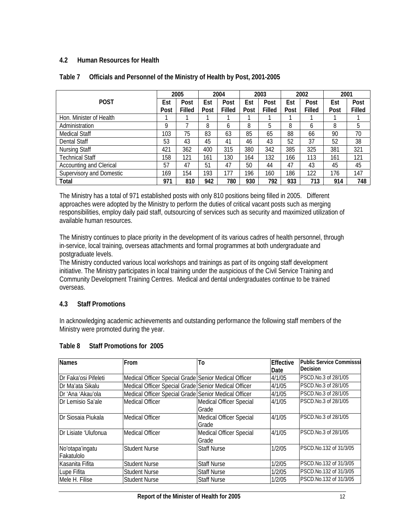## **4.2 Human Resources for Health**

|                                 |      | 2005   |      | 2004   |      | 2003   |      | 2002   | 2001 |        |
|---------------------------------|------|--------|------|--------|------|--------|------|--------|------|--------|
| <b>POST</b>                     | Est  | Post   | Est  | Post   | Est  | Post   | Est  | Post   | Est  | Post   |
|                                 | Post | Filled | Post | Filled | Post | Filled | Post | Filled | Post | Filled |
| Hon. Minister of Health         |      |        |      |        |      |        |      |        |      |        |
| Administration                  | 9    |        | 8    | b      | 8    | 5      | 8    | b      | 8    | 5      |
| <b>Medical Staff</b>            | 103  | 75     | 83   | 63     | 85   | 65     | 88   | 66     | 90   | 70     |
| Dental Staff                    | 53   | 43     | 45   | 41     | 46   | 43     | 52   | 37     | 52   | 38     |
| <b>Nursing Staff</b>            | 421  | 362    | 400  | 315    | 380  | 342    | 385  | 325    | 381  | 321    |
| <b>Technical Staff</b>          | 158  | 121    | 161  | 130    | 164  | 132    | 166  | 113    | 161  | 121    |
| <b>Accounting and Clerical</b>  | 57   | 47     | 51   | 47     | 50   | 44     | 47   | 43     | 45   | 45     |
| <b>Supervisory and Domestic</b> | 169  | 154    | 193  | 177    | 196  | 160    | 186  | 122    | 176  | 147    |
| Total                           | 971  | 810    | 942  | 780    | 930  | 792    | 933  | 713    | 914  | 748    |

## **Table 7 Officials and Personnel of the Ministry of Health by Post, 2001-2005**

The Ministry has a total of 971 established posts with only 810 positions being filled in 2005. Different approaches were adopted by the Ministry to perform the duties of critical vacant posts such as merging responsibilities, employ daily paid staff, outsourcing of services such as security and maximized utilization of available human resources.

The Ministry continues to place priority in the development of its various cadres of health personnel, through in-service, local training, overseas attachments and formal programmes at both undergraduate and postgraduate levels.

The Ministry conducted various local workshops and trainings as part of its ongoing staff development initiative. The Ministry participates in local training under the auspicious of the Civil Service Training and Community Development Training Centres. Medical and dental undergraduates continue to be trained overseas.

## **4.3 Staff Promotions**

In acknowledging academic achievements and outstanding performance the following staff members of the Ministry were promoted during the year.

| <b>Names</b>                  | From                                                 | To                                      | Effective<br>Date | <b>Public Service Commisssi</b><br><b>Decision</b> |
|-------------------------------|------------------------------------------------------|-----------------------------------------|-------------------|----------------------------------------------------|
| Dr Faka'osi Pifeleti          | Medical Officer Special Grade Senior Medical Officer |                                         | 4/1/05            | PSCD.No.3 of 28/1/05                               |
| Dr Ma'ata Sikalu              | Medical Officer Special Grade Senior Medical Officer |                                         | 4/1/05            | PSCD.No.3 of 28/1/05                               |
| Dr 'Ana 'Akau'ola             | Medical Officer Special Grade Senior Medical Officer |                                         | 4/1/05            | PSCD.No.3 of 28/1/05                               |
| Dr Lemisio Sa'ale             | Medical Officer                                      | <b>Medical Officer Special</b><br>Grade | 4/1/05            | <b>IPSCD.No.3 of 28/1/05</b>                       |
| IDr Siosaia Piukala           | <b>Medical Officer</b>                               | <b>Medical Officer Special</b><br>Grade | 4/1/05            | PSCD.No.3 of 28/1/05                               |
| IDr Lisiate 'Ulufonua         | Medical Officer                                      | <b>Medical Officer Special</b><br>Grade | 4/1/05            | PSCD.No.3 of 28/1/05                               |
| No'otapa'ingatu<br>Fakatulolo | Student Nurse                                        | <b>Staff Nurse</b>                      | 1/2/05            | PSCD.No.132 of 31/3/05                             |
| Kasanita Fifita               | Student Nurse                                        | <b>Staff Nurse</b>                      | 1/2/05            | PSCD.No.132 of 31/3/05                             |
| Lupe Fifita                   | <b>Student Nurse</b>                                 | <b>Staff Nurse</b>                      | 1/2/05            | PSCD.No.132 of 31/3/05                             |
| Mele H. Filise                | <b>Student Nurse</b>                                 | <b>Staff Nurse</b>                      | 1/2/05            | PSCD.No.132 of 31/3/05                             |

## **Table 8 Staff Promotions for 2005**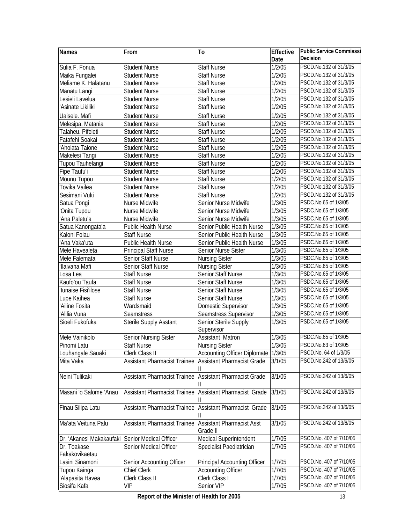| Names                    | From                                | To                                           | Effective | <b>Public Service Commisssi</b> |
|--------------------------|-------------------------------------|----------------------------------------------|-----------|---------------------------------|
|                          |                                     |                                              | Date      | Decision                        |
| Sulia F. Fonua           | <b>Student Nurse</b>                | Staff Nurse                                  | 1/2/05    | PSCD.No.132 of 31/3/05          |
| Maika Fungalei           | <b>Student Nurse</b>                | <b>Staff Nurse</b>                           | 1/2/05    | PSCD.No.132 of 31/3/05          |
| Meliame K. Halatanu      | <b>Student Nurse</b>                | Staff Nurse                                  | 1/2/05    | PSCD.No.132 of 31/3/05          |
| Manatu Langi             | <b>Student Nurse</b>                | Staff Nurse                                  | 1/2/05    | PSCD.No.132 of 31/3/05          |
| Lesieli Lavelua          | <b>Student Nurse</b>                | <b>Staff Nurse</b>                           | 1/2/05    | PSCD.No.132 of 31/3/05          |
| Asinate Likiliki         | <b>Student Nurse</b>                | Staff Nurse                                  | 1/2/05    | PSCD.No.132 of 31/3/05          |
| Uaisele. Mafi            | <b>Student Nurse</b>                | <b>Staff Nurse</b>                           | 1/2/05    | PSCD.No.132 of 31/3/05          |
| Melesipa. Matania        | <b>Student Nurse</b>                | <b>Staff Nurse</b>                           | 1/2/05    | PSCD.No.132 of 31/3/05          |
| Talaheu. Pifeleti        | <b>Student Nurse</b>                | <b>Staff Nurse</b>                           | 1/2/05    | PSCD.No.132 of 31/3/05          |
| Fatafehi Soakai          | <b>Student Nurse</b>                | <b>Staff Nurse</b>                           | 1/2/05    | PSCD.No.132 of 31/3/05          |
| 'Aholata Taione          | <b>Student Nurse</b>                | <b>Staff Nurse</b>                           | 1/2/05    | PSCD.No.132 of 31/3/05          |
| Makelesi Tangi           | <b>Student Nurse</b>                | <b>Staff Nurse</b>                           | 1/2/05    | PSCD.No.132 of 31/3/05          |
| Tupou Tauhelangi         | <b>Student Nurse</b>                | <b>Staff Nurse</b>                           | 1/2/05    | PSCD.No.132 of 31/3/05          |
| Fipe Taufu'i             | <b>Student Nurse</b>                | <b>Staff Nurse</b>                           | 1/2/05    | PSCD.No.132 of 31/3/05          |
| Mounu Tupou              | <b>Student Nurse</b>                | <b>Staff Nurse</b>                           | 1/2/05    | PSCD.No.132 of 31/3/05          |
| Tovika Vailea            | <b>Student Nurse</b>                | <b>Staff Nurse</b>                           | 1/2/05    | PSCD.No.132 of 31/3/05          |
| Sesimani Vuki            | <b>Student Nurse</b>                | <b>Staff Nurse</b>                           | 1/2/05    | PSCD.No.132 of 31/3/05          |
| Satua Pongi              | Nurse Midwife                       | Senior Nurse Midwife                         | 1/3/05    | PSDC.No.65 of 1/3/05            |
| Onita Tupou              | Nurse Midwife                       | Senior Nurse Midwife                         | 1/3/05    | PSDC.No.65 of 1/3/05            |
| 'Ana Paletu'a            | Nurse Midwife                       | Senior Nurse Midwife                         | 1/3/05    | PSDC.No.65 of 1/3/05            |
| Satua Kanongata'a        | Public Health Nurse                 | Senior Public Health Nurse                   | 1/3/05    | PSDC.No.65 of 1/3/05            |
| Kaloni Folau             | <b>Staff Nurse</b>                  | Senior Public Health Nurse                   | 1/3/05    | PSDC.No.65 of 1/3/05            |
| 'Ana Vaka'uta            | Public Health Nurse                 | Senior Public Health Nurse                   | 1/3/05    | PSDC.No.65 of 1/3/05            |
| Mele Havealeta           | <b>Principal Staff Nurse</b>        | Senior Nurse Sister                          | 1/3/05    | PSDC.No.65 of 1/3/05            |
| Mele Falemata            | Senior Staff Nurse                  | <b>Nursing Sister</b>                        | 1/3/05    | PSDC.No.65 of 1/3/05            |
| 'Ilaivaha Mafi           | Senior Staff Nurse                  | <b>Nursing Sister</b>                        | 1/3/05    | PSDC.No.65 of 1/3/05            |
| Losa Lea                 | <b>Staff Nurse</b>                  | Senior Staff Nurse                           | 1/3/05    | PSDC.No.65 of 1/3/05            |
| Kaufo'ou Taufa           | <b>Staff Nurse</b>                  | Senior Staff Nurse                           | 1/3/05    | PSDC.No.65 of 1/3/05            |
| 'Iunaise Fisi'ilose      | <b>Staff Nurse</b>                  | Senior Staff Nurse                           | 1/3/05    | PSDC.No.65 of 1/3/05            |
| Lupe Kaihea              | <b>Staff Nurse</b>                  | Senior Staff Nurse                           | 1/3/05    | PSDC.No.65 of 1/3/05            |
| Ailine Fosita            | Wardsmaid                           | Domestic Supervisor                          | 1/3/05    | PSDC.No.65 of 1/3/05            |
| 'Alilia Vuna             | Seamstress                          | Seamstress Supervisor                        | 1/3/05    | PSDC.No.65 of 1/3/05            |
| Sioeli Fukofuka          | Sterile Supply Asstant              | Senior Sterile Supply<br>Supervisor          | 1/3/05    | PSDC.No.65 of 1/3/05            |
| Mele Vainikolo           | Senior Nursing Sister               | Assistant Matron                             | 1/3/05    | PSDC.No.65 of 1/3/05            |
| Pinomi Latu              | <b>Staff Nurse</b>                  | <b>Nursing Sister</b>                        | 1/3/05    | PSCD.No.63 of 1/3/05            |
| Louhangale Sauaki        | Clerk Class II                      | <b>Accounting Officer Diplomate</b>          | 1/3/05    | PSCD.No. 64 of 1/3/05           |
| Mita Vaka                | <b>Assistant Pharmacist Trainee</b> | <b>Assistant Pharmacist Grade</b>            | 3/1/05    | PSCD.No.242 of 13/6/05          |
| Neini Tulikaki           | <b>Assistant Pharmacist Trainee</b> | <b>Assistant Pharmacist Grade</b>            | 3/1/05    | PSCD.No.242 of 13/6/05          |
| Masani 'o Salome 'Anau   | <b>Assistant Pharmacist Trainee</b> | <b>Assistant Pharmacist Grade</b>            | 3/1/05    | PSCD.No.242 of 13/6/05          |
| Finau Silipa Latu        | <b>Assistant Pharmacist Trainee</b> | Assistant Pharmacist Grade                   | 3/1/05    | PSCD.No.242 of 13/6/05          |
| Ma'ata Veituna Palu      | <b>Assistant Pharmacist Trainee</b> | <b>Assistant Pharmacist Asst</b><br>Grade II | 3/1/05    | PSCD.No.242 of 13/6/05          |
| Dr. 'Akanesi Makakaufaki | Senior Medical Officer              | Medical Superintendent                       | 1/7/05    | PSCD.No. 407 of 7/10/05         |
| Dr. Toakase              | Senior Medical Officer              | Specialist Paediatrician                     | 1/7/05    | PSCD.No. 407 of 7/10/05         |
| Fakakovikaetau           |                                     |                                              |           |                                 |
| Lasini Sinamoni          | Senior Accounting Officer           | <b>Principal Accounting Officer</b>          | 1/7/05    | PSCD.No. 407 of 7/10/05         |
| Tupou Kainga             | Chief Clerk                         | <b>Accounting Officer</b>                    | 1/7/05    | PSCD.No. 407 of 7/10/05         |
| 'Alapasita Havea         | Clerk Class II                      | Clerk Class I                                | 1/7/05    | PSCD.No. 407 of 7/10/05         |
| Siosifa Kafa             | <b>VIP</b>                          | Senior VIP                                   | 1/7/05    | PSCD.No. 407 of 7/10/05         |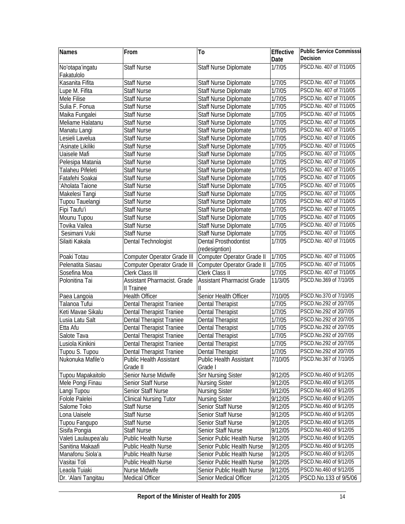| Names                         | From                                | To                                        | Effective | <b>Public Service Commisssi</b> |
|-------------------------------|-------------------------------------|-------------------------------------------|-----------|---------------------------------|
|                               |                                     |                                           | Date      | Decision                        |
| No'otapa'ingatu<br>Fakatulolo | <b>Staff Nurse</b>                  | Staff Nurse Diplomate                     | 1/7/05    | PSCD.No. 407 of 7/10/05         |
| Kasanita Fifita               | <b>Staff Nurse</b>                  | Staff Nurse Diplomate                     | 1/7/05    | PSCD.No. 407 of 7/10/05         |
| Lupe M. Fifita                | <b>Staff Nurse</b>                  | Staff Nurse Diplomate                     | 1/7/05    | PSCD.No. 407 of 7/10/05         |
| Mele Filise                   | <b>Staff Nurse</b>                  | Staff Nurse Diplomate                     | 1/7/05    | PSCD.No. 407 of 7/10/05         |
| Sulia F. Fonua                | <b>Staff Nurse</b>                  | Staff Nurse Diplomate                     | 1/7/05    | PSCD.No. 407 of 7/10/05         |
| Maika Fungalei                | <b>Staff Nurse</b>                  | Staff Nurse Diplomate                     | 1/7/05    | PSCD.No. 407 of 7/10/05         |
| Meliame Halatanu              | <b>Staff Nurse</b>                  | Staff Nurse Diplomate                     | 1/7/05    | PSCD.No. 407 of 7/10/05         |
| Manatu Langi                  | <b>Staff Nurse</b>                  | Staff Nurse Diplomate                     | 1/7/05    | PSCD.No. 407 of 7/10/05         |
| Lesieli Lavelua               | <b>Staff Nurse</b>                  | Staff Nurse Diplomate                     | 1/7/05    | PSCD.No. 407 of 7/10/05         |
| 'Asinate Likiliki             | <b>Staff Nurse</b>                  | Staff Nurse Diplomate                     | 1/7/05    | PSCD.No. 407 of 7/10/05         |
| Uaisele Mafi                  | <b>Staff Nurse</b>                  | Staff Nurse Diplomate                     | 1/7/05    | PSCD.No. 407 of 7/10/05         |
| Pelesipa Matania              | <b>Staff Nurse</b>                  | Staff Nurse Diplomate                     | 1/7/05    | PSCD.No. 407 of 7/10/05         |
| Talaheu Pifeleti              | <b>Staff Nurse</b>                  | Staff Nurse Diplomate                     | 1/7/05    | PSCD.No. 407 of 7/10/05         |
| Fatafehi Soakai               | <b>Staff Nurse</b>                  | Staff Nurse Diplomate                     | 1/7/05    | PSCD.No. 407 of 7/10/05         |
| 'Aholata Taione               | Staff Nurse                         | Staff Nurse Diplomate                     | 1/7/05    | PSCD.No. 407 of 7/10/05         |
| Makelesi Tangi                | Staff Nurse                         | Staff Nurse Diplomate                     | 1/7/05    | PSCD.No. 407 of 7/10/05         |
| Tupou Tauelangi               | <b>Staff Nurse</b>                  | Staff Nurse Diplomate                     | 1/7/05    | PSCD.No. 407 of 7/10/05         |
| Fipi Taufu'i                  | <b>Staff Nurse</b>                  | Staff Nurse Diplomate                     | 1/7/05    | PSCD.No. 407 of 7/10/05         |
| Mounu Tupou                   | <b>Staff Nurse</b>                  | Staff Nurse Diplomate                     | 1/7/05    | PSCD.No. 407 of 7/10/05         |
| Tovika Vailea                 | <b>Staff Nurse</b>                  | Staff Nurse Diplomate                     | 1/7/05    | PSCD.No. 407 of 7/10/05         |
| Sesimani Vuki                 | <b>Staff Nurse</b>                  | <b>Staff Nurse Diplomate</b>              | 1/7/05    | PSCD.No. 407 of 7/10/05         |
| Silaiti Kakala                | Dental Technologist                 | Dental Prosthodontist<br>(redesigntion)   | 1/7/05    | PSCD.No. 407 of 7/10/05         |
| Poaki Totau                   | Computer Operator Grade III         | Computer Operator Grade II                | 1/7/05    | PSCD.No. 407 of 7/10/05         |
| Pelenatita Siasau             | Computer Operator Grade III         | Computer Operator Grade II                | 1/7/05    | PSCD.No. 407 of 7/10/05         |
| Sosefina Moa                  | <b>Clerk Class III</b>              | Clerk Class II                            | 1/7/05    | PSCD.No. 407 of 7/10/05         |
| Polonitina Tai                | Assistant Pharmacist. Grade         | <b>Assistant Pharmacist Grade</b>         | 11/3/05   | PSCD.No.369 of 7/10/05          |
|                               | Il Trainee                          |                                           |           |                                 |
| Paea Langoia                  | <b>Health Officer</b>               | Senior Health Officer                     | 7/10/05   | PSCD.No.370 of 7/10/05          |
| Talanoa Tufui                 | Dental Therapist Traniee            | Dental Therapist                          | 1/7/05    | PSCD.No.292 of 20/7/05          |
| Keti Mavae Sikalu             | Dental Therapist Traniee            | Dental Therapist                          | 1/7/05    | PSCD.No.292 of 20/7/05          |
| Lusia Latu Salt               | Dental Therapist Traniee            | Dental Therapist                          | 1/7/05    | PSCD.No.292 of 20/7/05          |
| Etta Afu                      | Dental Therapist Traniee            | Dental Therapist                          | 1/7/05    | PSCD.No.292 of 20/7/05          |
| Salote Tava                   | <b>Dental Therapist Traniee</b>     | Dental Therapist                          | 1/7/05    | PSCD.No.292 of 20/7/05          |
| Lusiola Kinikini              | Dental Therapist Traniee            | Dental Therapist                          | 1/7/05    | PSCD.No.292 of 20/7/05          |
| Tupou S. Tupou                | Dental Therapist Traniee            | Dental Therapist                          | 1/7/05    | PSCD.No.292 of 20/7/05          |
| Nukonuka Mafile'o             | Public Health Assistant<br>Grade II | <b>Public Health Assistant</b><br>Grade I | 7/10/05   | PSCD.No.367 of 7/10/05          |
| Tupou Mapakaitolo             | Senior Nurse Midwife                | <b>Snr Nursing Sister</b>                 | 9/12/05   | PSCD.No.460 of 9/12/05          |
| Mele Pongi Finau              | Senior Staff Nurse                  | <b>Nursing Sister</b>                     | 9/12/05   | PSCD.No.460 of 9/12/05          |
| Langi Tupou                   | Senior Staff Nurse                  | <b>Nursing Sister</b>                     | 9/12/05   | PSCD.No.460 of 9/12/05          |
| Folole Palelei                | <b>Clinical Nursing Tutor</b>       | <b>Nursing Sister</b>                     | 9/12/05   | PSCD.No.460 of 9/12/05          |
| Salome Toko                   | <b>Staff Nurse</b>                  | Senior Staff Nurse                        | 9/12/05   | PSCD.No.460 of 9/12/05          |
| Lona Uaisele                  | <b>Staff Nurse</b>                  | Senior Staff Nurse                        | 9/12/05   | PSCD.No.460 of 9/12/05          |
| Tupou Fangupo                 | <b>Staff Nurse</b>                  | Senior Staff Nurse                        | 9/12/05   | PSCD.No.460 of 9/12/05          |
| Sisifa Pongia                 | Staff Nurse                         | Senior Staff Nurse                        | 9/12/05   | PSCD.No.460 of 9/12/05          |
| Valeti Laulaupea'alu          | Public Health Nurse                 | Senior Public Health Nurse                | 9/12/05   | PSCD.No.460 of 9/12/05          |
| Sanitina Makaafi              | Public Health Nurse                 | Senior Public Health Nurse                | 9/12/05   | PSCD.No.460 of 9/12/05          |
| Manafonu Siola'a              | Public Health Nurse                 | Senior Public Health Nurse                | 9/12/05   | PSCD.No.460 of 9/12/05          |
| Vasitai Toli                  | Public Health Nurse                 | Senior Public Health Nurse                | 9/12/05   | PSCD.No.460 of 9/12/05          |
| Leaola Tuiaki                 | Nurse Midwife                       | Senior Public Health Nurse                | 9/12/05   | PSCD.No.460 of 9/12/05          |
| Dr. 'Alani Tangitau           | Medical Officer                     | Senior Medical Officer                    | 2/12/05   | PSCD.No.133 of 9/5/06           |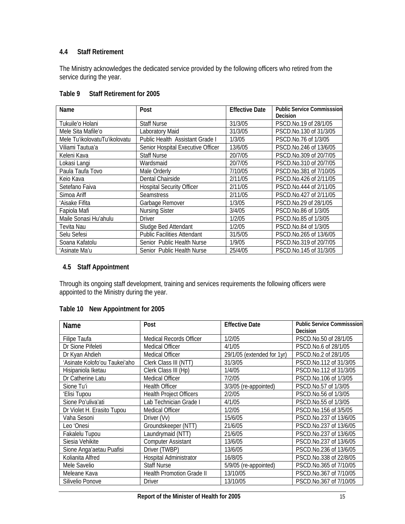## **4.4 Staff Retirement**

The Ministry acknowledges the dedicated service provided by the following officers who retired from the service during the year.

| Name                          | Post                               | <b>Effective Date</b> | <b>Public Service Commisssion</b> |
|-------------------------------|------------------------------------|-----------------------|-----------------------------------|
|                               |                                    |                       | Decision                          |
| Tukuile'o Holani              | <b>Staff Nurse</b>                 | 31/3/05               | PSCD.No.19 of 28/1/05             |
| Mele Sita Mafile'o            | Laboratory Maid                    | 31/3/05               | PSCD.No.130 of 31/3/05            |
| Mele Tu'ikolovatuTu'ikolovatu | Public Health Assistant Grade I    | 1/3/05                | PSCD.No.76 of 1/3/05              |
| Viliami Tautua'a              | Senior Hospital Executive Officer  | 13/6/05               | PSCD.No.246 of 13/6/05            |
| Keleni Kava                   | <b>Staff Nurse</b>                 | 20/7/05               | PSCD.No.309 of 20/7/05            |
| Lokasi Langi                  | Wardsmaid                          | 20/7/05               | PSCD.No.310 of 20/7/05            |
| Paula Taufa Tovo              | Male Orderly                       | 7/10/05               | PSCD.No.381 of 7/10/05            |
| Keio Kava                     | Dental Chairside                   | 2/11/05               | PSCD.No.426 of 2/11/05            |
| Setefano Faiva                | <b>Hospital Security Officer</b>   | 2/11/05               | PSCD.No.444 of 2/11/05            |
| Simoa Ariff                   | <b>Seamstress</b>                  | 2/11/05               | PSCD.No.427 of 2/11/05            |
| 'Aisake Fifita                | Garbage Remover                    | 1/3/05                | PSCD.No.29 of 28/1/05             |
| Fapiola Mafi                  | <b>Nursing Sister</b>              | 3/4/05                | PSCD.No.86 of 1/3/05              |
| Maile Sonasi Hu'ahulu         | Driver                             | 1/2/05                | PSCD.No.85 of 1/3/05              |
| Tevita Nau                    | Sludge Bed Attendant               | 1/2/05                | PSCD.No.84 of 1/3/05              |
| Selu Sefesi                   | <b>Public Facilities Attendant</b> | 31/5/05               | PSCD.No.265 of 13/6/05            |
| Soana Kafatolu                | Senior Public Health Nurse         | 1/9/05                | PSCD.No.319 of 20/7/05            |
| 'Asinate Ma'u                 | Senior Public Health Nurse         | 25/4/05               | PSCD.No.145 of 31/3/05            |

## **Table 9 Staff Retirement for 2005**

## **4.5 Staff Appointment**

Through its ongoing staff development, training and services requirements the following officers were appointed to the Ministry during the year.

## **Table 10 New Appointment for 2005**

| Name                          | Post                             | <b>Effective Date</b>      | <b>Public Service Commisssion</b> |
|-------------------------------|----------------------------------|----------------------------|-----------------------------------|
|                               |                                  |                            | Decision                          |
| Filipe Taufa                  | Medical Records Officer          | 1/2/05                     | PSCD.No.50 of 28/1/05             |
| Dr Sione Pifeleti             | <b>Medical Officer</b>           | 4/1/05                     | PSCD.No.6 of 28/1/05              |
| Dr Kyan Ahdieh                | Medical Officer                  | 29/1/05 (extended for 1yr) | PSCD.No.2 of 28/1/05              |
| 'Asinate Kolofo'ou Taukei'aho | Clerk Class III (NTT)            | 31/3/05                    | PSCD.No.112 of 31/3/05            |
| Hisipaniola Iketau            | Clerk Class III (Hp)             | 1/4/05                     | PSCD.No.112 of 31/3/05            |
| Dr Catherine Latu             | Medical Officer                  | 7/2/05                     | PSCD.No.106 of 1/3/05             |
| Sione Tu'i                    | <b>Health Officer</b>            | 3/3/05 (re-appointed)      | PSCD.No.57 of 1/3/05              |
| 'Elisi Tupou                  | <b>Health Project Officers</b>   | 2/2/05                     | PSCD.No.56 of 1/3/05              |
| Sione Po'uliva'ati            | Lab Technician Grade I           | 4/1/05                     | PSCD.No.55 of 1/3/05              |
| Dr Violet H. Erasito Tupou    | Medical Officer                  | 1/2/05                     | PSCD.No.156 of 3/5/05             |
| Vaha Sesoni                   | Driver (Vv)                      | 15/6/05                    | PSCD.No.237 of 13/6/05            |
| Leo 'Onesi                    | Groundskeeper (NTT)              | 21/6/05                    | PSCD.No.237 of 13/6/05            |
| Fakalelu Tupou                | Laundrymaid (NTT)                | 21/6/05                    | PSCD.No.237 of 13/6/05            |
| Siesia Vehikite               | <b>Computer Assistant</b>        | 13/6/05                    | PSCD.No.237 of 13/6/05            |
| Sione Anga'aetau Puafisi      | Driver (TWBP)                    | 13/6/05                    | PSCD.No.236 of 13/6/05            |
| Kolianita Alfred              | <b>Hospital Administrator</b>    | 16/8/05                    | PSCD.No.338 of 22/8/05            |
| Mele Savelio                  | <b>Staff Nurse</b>               | 5/9/05 (re-appointed)      | PSCD.No.365 of 7/10/05            |
| Meleane Kava                  | <b>Health Promotion Grade II</b> | 13/10/05                   | PSCD.No.367 of 7/10/05            |
| Silivelio Ponove              | <b>Driver</b>                    | 13/10/05                   | PSCD.No.367 of 7/10/05            |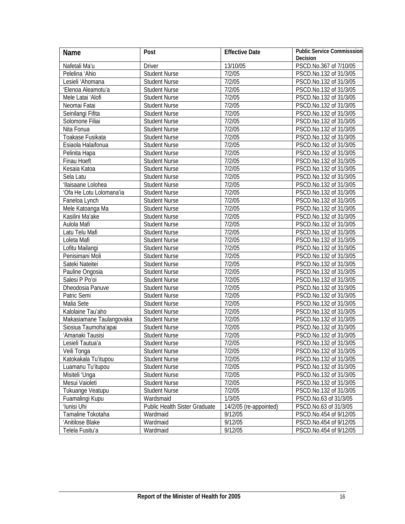| Name                     | Post                          | <b>Effective Date</b>  | <b>Public Service Commisssion</b> |
|--------------------------|-------------------------------|------------------------|-----------------------------------|
|                          |                               |                        | Decision                          |
| Nafetali Ma'u            | <b>Driver</b>                 | 13/10/05               | PSCD.No.367 of 7/10/05            |
| Pelelina 'Ahio           | <b>Student Nurse</b>          | 7/2/05                 | PSCD.No.132 of 31/3/05            |
| Lesieli 'Ahomana         | <b>Student Nurse</b>          | 7/2/05                 | PSCD.No.132 of 31/3/05            |
| 'Elenoa Aleamotu'a       | <b>Student Nurse</b>          | 7/2/05                 | PSCD.No.132 of 31/3/05            |
| Mele Latai 'Alofi        | <b>Student Nurse</b>          | 7/2/05                 | PSCD.No.132 of 31/3/05            |
| Neomai Fatai             | <b>Student Nurse</b>          | 7/2/05                 | PSCD.No.132 of 31/3/05            |
| Seinilangi Fifita        | <b>Student Nurse</b>          | 7/2/05                 | PSCD.No.132 of 31/3/05            |
| Solomone Filiai          | <b>Student Nurse</b>          | 7/2/05                 | PSCD.No.132 of 31/3/05            |
| Nita Fonua               | <b>Student Nurse</b>          | 7/2/05                 | PSCD.No.132 of 31/3/05            |
| Toakase Fusikata         | <b>Student Nurse</b>          | 7/2/05                 | PSCD.No.132 of 31/3/05            |
| Esiaola Halaifonua       | <b>Student Nurse</b>          | 7/2/05                 | PSCD.No.132 of 31/3/05            |
| Pelinita Hapa            | <b>Student Nurse</b>          | 7/2/05                 | PSCD.No.132 of 31/3/05            |
| Finau Hoeft              | <b>Student Nurse</b>          | 7/2/05                 | PSCD.No.132 of 31/3/05            |
| Kesaia Katoa             | <b>Student Nurse</b>          | 7/2/05                 | PSCD.No.132 of 31/3/05            |
| Sela Latu                | <b>Student Nurse</b>          | 7/2/05                 | PSCD.No.132 of 31/3/05            |
| 'Ilaisaane Lolohea       | <b>Student Nurse</b>          | 7/2/05                 | PSCD.No.132 of 31/3/05            |
| 'Ofa He Lotu Lolomana'ia | <b>Student Nurse</b>          | 7/2/05                 | PSCD.No.132 of 31/3/05            |
| Faneloa Lynch            | Student Nurse                 | 7/2/05                 | PSCD.No.132 of 31/3/05            |
| Mele Katoanga Ma         | Student Nurse                 | 7/2/05                 | PSCD.No.132 of 31/3/05            |
| Kasilini Ma'ake          | Student Nurse                 | 7/2/05                 | PSCD.No.132 of 31/3/05            |
| Aulola Mafi              | Student Nurse                 | 7/2/05                 | PSCD.No.132 of 31/3/05            |
| Latu Telu Mafi           | Student Nurse                 | 7/2/05                 | PSCD.No.132 of 31/3/05            |
| Loleta Mafi              | Student Nurse                 | 7/2/05                 | PSCD.No.132 of 31/3/05            |
| Lofitu Mailangi          | Student Nurse                 | 7/2/05                 | PSCD.No.132 of 31/3/05            |
| Penisimani Moli          | <b>Student Nurse</b>          | 7/2/05                 | PSCD.No.132 of 31/3/05            |
| Sateki Nateitei          | <b>Student Nurse</b>          | $\frac{1}{7}$ /2/05    | PSCD.No.132 of 31/3/05            |
| Pauline Ongosia          | <b>Student Nurse</b>          | 7/2/05                 | PSCD.No.132 of 31/3/05            |
| Salesi P Po'oi           | <b>Student Nurse</b>          | $\frac{1}{7}$ /2/05    | PSCD.No.132 of 31/3/05            |
| Dheodosia Panuve         | <b>Student Nurse</b>          | 7/2/05                 | PSCD.No.132 of 31/3/05            |
| Patric Semi              | <b>Student Nurse</b>          | 7/2/05                 | PSCD.No.132 of 31/3/05            |
| Malia Sete               | <b>Student Nurse</b>          | 7/2/05                 | PSCD.No.132 of 31/3/05            |
| Kalolaine Tau'aho        | <b>Student Nurse</b>          | 7/2/05                 | PSCD.No.132 of 31/3/05            |
| Makasiamane Taulangovaka | Student Nurse                 | 7/2/05                 | PSCD.No.132 of 31/3/05            |
| Siosiua Taumoha'apai     | Student Nurse                 | $\frac{7}{2}$ /05      | PSCD.No.132 of 31/3/05            |
| 'Amanaki Tausisi         | Student Nurse                 | 7/2/05                 | PSCD.No.132 of 31/3/05            |
| Lesieli Tautua'a         | Student Nurse                 | 7/2/05                 | PSCD.No.132 of 31/3/05            |
| Veili Tonga              | <b>Student Nurse</b>          | 7/2/05                 | PSCD.No.132 of 31/3/05            |
| Katokakala Tu'itupou     | <b>Student Nurse</b>          | 7/2/05                 | PSCD.No.132 of 31/3/05            |
| Luamanu Tu'itupou        | <b>Student Nurse</b>          | 7/2/05                 | PSCD.No.132 of 31/3/05            |
| Misiteli 'Unga           | <b>Student Nurse</b>          | 7/2/05                 | PSCD.No.132 of 31/3/05            |
| Mesui Vaioleti           | <b>Student Nurse</b>          | 7/2/05                 | PSCD.No.132 of 31/3/05            |
| Tukuange Veatupu         | <b>Student Nurse</b>          | 7/2/05                 | PSCD.No.132 of 31/3/05            |
| Fuamalingi Kupu          | Wardsmaid                     | 1/3/05                 | PSCD.No.63 of 31/3/05             |
| 'Iunisi Uhi              | Public Health Sister Graduate | 14/2/05 (re-appointed) | PSCD.No.63 of 31/3/05             |
| Tamaline Tokotaha        | Wardmaid                      | 9/12/05                | PSCD.No.454 of 9/12/05            |
| 'Anitilose Blake         | Wardmaid                      | 9/12/05                | PSCD.No.454 of 9/12/05            |
| Telela Fusitu'a          | Wardmaid                      | 9/12/05                | PSCD.No.454 of 9/12/05            |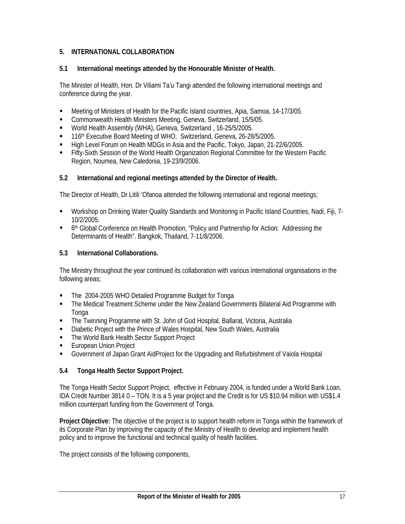## **5. INTERNATIONAL COLLABORATION**

## **5.1 International meetings attended by the Honourable Minister of Health.**

The Minister of Health, Hon. Dr Viliami Ta'u Tangi attended the following international meetings and conference during the year.

- Meeting of Ministers of Health for the Pacific Island countries, Apia, Samoa, 14-17/3/05.
- **-** Commonwealth Health Ministers Meeting, Geneva, Switzerland, 15/5/05.
- World Health Assembly (WHA), Geneva, Switzerland , 16-25/5/2005.
- 116<sup>th</sup> Executive Board Meeting of WHO, Switzerland, Geneva, 26-28/5/2005.
- High Level Forum on Health MDGs in Asia and the Pacific, Tokyo, Japan, 21-22/6/2005.
- Fifty-Sixth Session of the World Health Organization Regional Committee for the Western Pacific Region, Noumea, New Caledonia, 19-23/9/2006.

## **5.2 International and regional meetings attended by the Director of Health.**

The Director of Health, Dr Litili 'Ofanoa attended the following international and regional meetings;

- Workshop on Drinking Water Quality Standards and Monitoring in Pacific Island Countries, Nadi, Fiji, 7- 10/2/2005.
- <sup>th</sup> Global Conference on Health Promotion, "Policy and Partnership for Action: Addressing the Determinants of Health". Bangkok, Thailand, 7-11/8/2006.

## **5.3 International Collaborations.**

The Ministry throughout the year continued its collaboration with various international organisations in the following areas;

- The 2004-2005 WHO Detailed Programme Budget for Tonga
- The Medical Treatment Scheme under the New Zealand Governments Bilateral Aid Programme with Tonga
- The Twinning Programme with St. John of God Hospital, Ballarat, Victoria, Australia
- Diabetic Project with the Prince of Wales Hospital, New South Wales, Australia
- The World Bank Health Sector Support Project
- European Union Project
- Government of Japan Grant AidProject for the Upgrading and Refurbishment of Vaiola Hospital

## **5.4 Tonga Health Sector Support Project.**

The Tonga Health Sector Support Project, effective in February 2004, is funded under a World Bank Loan, IDA Credit Number 3814 0 – TON. It is a 5 year project and the Credit is for US \$10.94 million with US\$1.4 million counterpart funding from the Government of Tonga.

**Project Objective:** The objective of the project is to support health reform in Tonga within the framework of its Corporate Plan by improving the capacity of the Ministry of Health to develop and implement health policy and to improve the functional and technical quality of health facilities.

The project consists of the following components,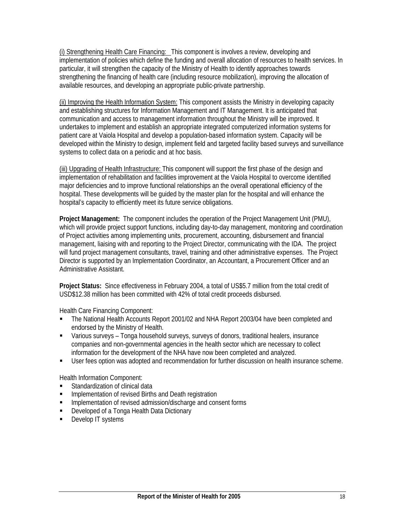(i) Strengthening Health Care Financing: This component is involves a review, developing and implementation of policies which define the funding and overall allocation of resources to health services. In particular, it will strengthen the capacity of the Ministry of Health to identify approaches towards strengthening the financing of health care (including resource mobilization), improving the allocation of available resources, and developing an appropriate public-private partnership.

(ii) Improving the Health Information System: This component assists the Ministry in developing capacity and establishing structures for Information Management and IT Management. It is anticipated that communication and access to management information throughout the Ministry will be improved. It undertakes to implement and establish an appropriate integrated computerized information systems for patient care at Vaiola Hospital and develop a population-based information system. Capacity will be developed within the Ministry to design, implement field and targeted facility based surveys and surveillance systems to collect data on a periodic and at hoc basis.

(iii) Upgrading of Health Infrastructure: This component will support the first phase of the design and implementation of rehabilitation and facilities improvement at the Vaiola Hospital to overcome identified major deficiencies and to improve functional relationships an the overall operational efficiency of the hospital. These developments will be guided by the master plan for the hospital and will enhance the hospital's capacity to efficiently meet its future service obligations.

**Project Management:** The component includes the operation of the Project Management Unit (PMU), which will provide project support functions, including day-to-day management, monitoring and coordination of Project activities among implementing units, procurement, accounting, disbursement and financial management, liaising with and reporting to the Project Director, communicating with the IDA. The project will fund project management consultants, travel, training and other administrative expenses. The Project Director is supported by an Implementation Coordinator, an Accountant, a Procurement Officer and an Administrative Assistant.

**Project Status:** Since effectiveness in February 2004, a total of US\$5.7 million from the total credit of USD\$12.38 million has been committed with 42% of total credit proceeds disbursed.

Health Care Financing Component:

- The National Health Accounts Report 2001/02 and NHA Report 2003/04 have been completed and endorsed by the Ministry of Health.
- Various surveys Tonga household surveys, surveys of donors, traditional healers, insurance companies and non-governmental agencies in the health sector which are necessary to collect information for the development of the NHA have now been completed and analyzed.
- User fees option was adopted and recommendation for further discussion on health insurance scheme.

Health Information Component:

- **Standardization of clinical data**
- Implementation of revised Births and Death registration
- **IMPLEMENTATION INTEGRATION** Implementation of revised admission/discharge and consent forms
- **Developed of a Tonga Health Data Dictionary**
- Develop IT systems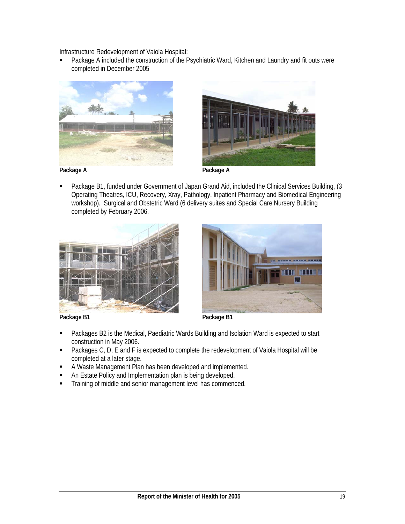Infrastructure Redevelopment of Vaiola Hospital:

 Package A included the construction of the Psychiatric Ward, Kitchen and Laundry and fit outs were completed in December 2005





 Package B1, funded under Government of Japan Grand Aid, included the Clinical Services Building, (3 Operating Theatres, ICU, Recovery, Xray, Pathology, Inpatient Pharmacy and Biomedical Engineering workshop). Surgical and Obstetric Ward (6 delivery suites and Special Care Nursery Building completed by February 2006.





Package B1 **Package B1** 

- Packages B2 is the Medical, Paediatric Wards Building and Isolation Ward is expected to start construction in May 2006.
- Packages C, D, E and F is expected to complete the redevelopment of Vaiola Hospital will be completed at a later stage.
- A Waste Management Plan has been developed and implemented.
- An Estate Policy and Implementation plan is being developed.
- Training of middle and senior management level has commenced.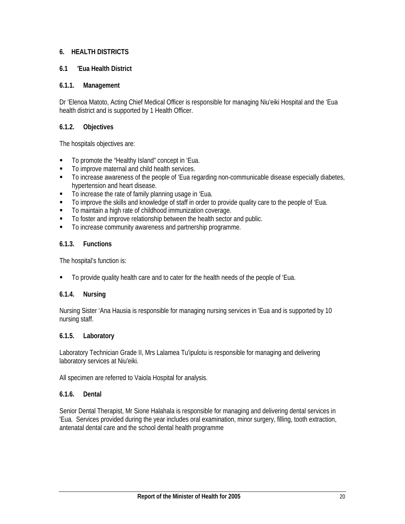## **6. HEALTH DISTRICTS**

## **6.1 'Eua Health District**

## **6.1.1. Management**

Dr 'Elenoa Matoto, Acting Chief Medical Officer is responsible for managing Niu'eiki Hospital and the 'Eua health district and is supported by 1 Health Officer.

## **6.1.2. Objectives**

The hospitals objectives are:

- To promote the "Healthy Island" concept in 'Eua.
- $\blacksquare$  To improve maternal and child health services.
- $\blacksquare$  To increase awareness of the people of 'Eua regarding non-communicable disease especially diabetes, hypertension and heart disease.
- To increase the rate of family planning usage in 'Eua.
- To improve the skills and knowledge of staff in order to provide quality care to the people of 'Eua.
- To maintain a high rate of childhood immunization coverage.
- To foster and improve relationship between the health sector and public.
- $\blacksquare$  To increase community awareness and partnership programme.

## **6.1.3. Functions**

The hospital's function is:

To provide quality health care and to cater for the health needs of the people of 'Eua.

## **6.1.4. Nursing**

Nursing Sister 'Ana Hausia is responsible for managing nursing services in 'Eua and is supported by 10 nursing staff.

## **6.1.5. Laboratory**

Laboratory Technician Grade II, Mrs Lalamea Tu'ipulotu is responsible for managing and delivering laboratory services at Niu'eiki.

All specimen are referred to Vaiola Hospital for analysis.

## **6.1.6. Dental**

Senior Dental Therapist, Mr Sione Halahala is responsible for managing and delivering dental services in 'Eua. Services provided during the year includes oral examination, minor surgery, filling, tooth extraction, antenatal dental care and the school dental health programme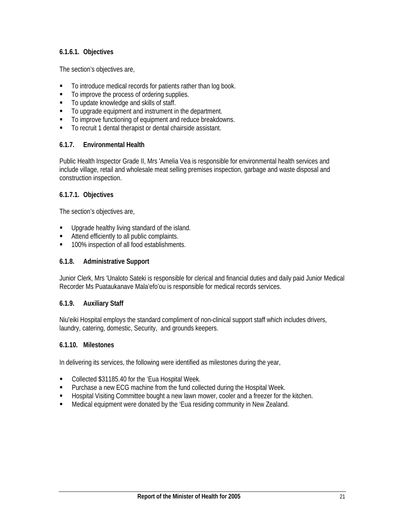## **6.1.6.1. Objectives**

The section's objectives are,

- $\blacksquare$  To introduce medical records for patients rather than log book.
- $\blacksquare$  To improve the process of ordering supplies.
- To update knowledge and skills of staff.
- To upgrade equipment and instrument in the department.
- $\blacksquare$  To improve functioning of equipment and reduce breakdowns.
- To recruit 1 dental therapist or dental chairside assistant.

#### **6.1.7. Environmental Health**

Public Health Inspector Grade II, Mrs 'Amelia Vea is responsible for environmental health services and include village, retail and wholesale meat selling premises inspection, garbage and waste disposal and construction inspection.

#### **6.1.7.1. Objectives**

The section's objectives are,

- **Upgrade healthy living standard of the island.**
- Attend efficiently to all public complaints.
- 100% inspection of all food establishments.

#### **6.1.8. Administrative Support**

Junior Clerk, Mrs 'Unaloto Sateki is responsible for clerical and financial duties and daily paid Junior Medical Recorder Ms Puataukanave Mala'efo'ou is responsible for medical records services.

#### **6.1.9. Auxiliary Staff**

Niu'eiki Hospital employs the standard compliment of non-clinical support staff which includes drivers, laundry, catering, domestic, Security, and grounds keepers.

#### **6.1.10. Milestones**

In delivering its services, the following were identified as milestones during the year,

- Collected \$31185.40 for the 'Eua Hospital Week.
- **Purchase a new ECG machine from the fund collected during the Hospital Week.**
- Hospital Visiting Committee bought a new lawn mower, cooler and a freezer for the kitchen.
- Medical equipment were donated by the 'Eua residing community in New Zealand.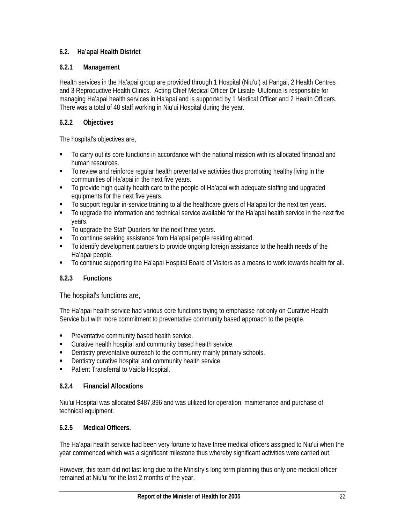## **6.2. Ha'apai Health District**

## **6.2.1 Management**

Health services in the Ha'apai group are provided through 1 Hospital (Niu'ui) at Pangai, 2 Health Centres and 3 Reproductive Health Clinics. Acting Chief Medical Officer Dr Lisiate 'Ulufonua is responsible for managing Ha'apai health services in Ha'apai and is supported by 1 Medical Officer and 2 Health Officers. There was a total of 48 staff working in Niu'ui Hospital during the year.

## **6.2.2 Objectives**

The hospital's objectives are,

- To carry out its core functions in accordance with the national mission with its allocated financial and human resources.
- To review and reinforce regular health preventative activities thus promoting healthy living in the communities of Ha'apai in the next five years.
- To provide high quality health care to the people of Ha'apai with adequate staffing and upgraded equipments for the next five years.
- To support regular in-service training to al the healthcare givers of Ha'apai for the next ten years.
- To upgrade the information and technical service available for the Ha'apai health service in the next five years.
- To upgrade the Staff Quarters for the next three years.
- To continue seeking assistance from Ha'apai people residing abroad.
- To identify development partners to provide ongoing foreign assistance to the health needs of the Ha'apai people.
- To continue supporting the Ha'apai Hospital Board of Visitors as a means to work towards health for all.

## **6.2.3 Functions**

The hospital's functions are,

The Ha'apai health service had various core functions trying to emphasise not only on Curative Health Service but with more commitment to preventative community based approach to the people.

- **Preventative community based health service.**
- Curative health hospital and community based health service.
- **•** Dentistry preventative outreach to the community mainly primary schools.
- Dentistry curative hospital and community health service.
- **•** Patient Transferral to Vaiola Hospital.

## **6.2.4 Financial Allocations**

Niu'ui Hospital was allocated \$487,896 and was utilized for operation, maintenance and purchase of technical equipment.

## **6.2.5 Medical Officers.**

The Ha'apai health service had been very fortune to have three medical officers assigned to Niu'ui when the year commenced which was a significant milestone thus whereby significant activities were carried out.

However, this team did not last long due to the Ministry's long term planning thus only one medical officer remained at Niu'ui for the last 2 months of the year.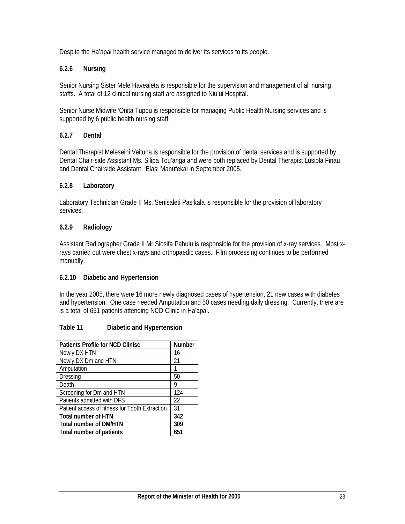Despite the Ha'apai health service managed to deliver its services to its people.

## **6.2.6 Nursing**

Senior Nursing Sister Mele Havealeta is responsible for the supervision and management of all nursing staffs. A total of 12 clinical nursing staff are assigned to Niu'ui Hospital.

Senior Nurse Midwife 'Onita Tupou is responsible for managing Public Health Nursing services and is supported by 6 public health nursing staff.

## **6.2.7 Dental**

Dental Therapist Meleseini Veituna is responsible for the provision of dental services and is supported by Dental Chair-side Assistant Ms. Silipa Tou'anga and were both replaced by Dental Therapist Lusiola Finau and Dental Chairside Assistant 'Elasi Manufekai in September 2005.

#### **6.2.8 Laboratory**

Laboratory Technician Grade II Ms. Senisaleti Pasikala is responsible for the provision of laboratory services.

#### **6.2.9 Radiology**

Assistant Radiographer Grade II Mr Siosifa Pahulu is responsible for the provision of x-ray services. Most xrays carried out were chest x-rays and orthopaedic cases. Film processing continues to be performed manually.

#### **6.2.10 Diabetic and Hypertension**

In the year 2005, there were 16 more newly diagnosed cases of hypertension, 21 new cases with diabetes and hypertension. One case needed Amputation and 50 cases needing daily dressing. Currently, there are is a total of 651 patients attending NCD Clinic in Ha'apai.

## **Table 11 Diabetic and Hypertension**

| <b>Patients Profile for NCD Clinisc</b>        | Number |
|------------------------------------------------|--------|
| Newly DX HTN                                   | 16     |
| Newly DX Dm and HTN                            | 21     |
| Amputation                                     |        |
| <b>Dressing</b>                                | 50     |
| Death                                          | g      |
| Screening for Dm and HTN                       | 124    |
| Patients admitted with DFS                     | 22     |
| Patient access of fitness for Tooth Extraction | 31     |
| <b>Total number of HTN</b>                     | 342    |
| <b>Total number of DM/HTN</b>                  | 309    |
| Total number of patients                       | 651    |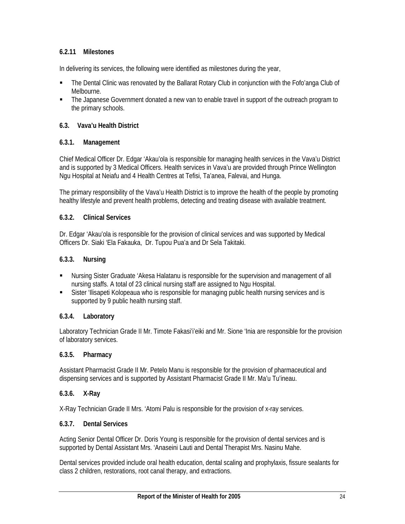## **6.2.11 Milestones**

In delivering its services, the following were identified as milestones during the year,

- The Dental Clinic was renovated by the Ballarat Rotary Club in conjunction with the Fofo'anga Club of Melbourne.
- The Japanese Government donated a new van to enable travel in support of the outreach program to the primary schools.

## **6.3. Vava'u Health District**

#### **6.3.1. Management**

Chief Medical Officer Dr. Edgar 'Akau'ola is responsible for managing health services in the Vava'u District and is supported by 3 Medical Officers. Health services in Vava'u are provided through Prince Wellington Ngu Hospital at Neiafu and 4 Health Centres at Tefisi, Ta'anea, Falevai, and Hunga.

The primary responsibility of the Vava'u Health District is to improve the health of the people by promoting healthy lifestyle and prevent health problems, detecting and treating disease with available treatment.

#### **6.3.2. Clinical Services**

Dr. Edgar 'Akau'ola is responsible for the provision of clinical services and was supported by Medical Officers Dr. Siaki 'Ela Fakauka, Dr. Tupou Pua'a and Dr Sela Takitaki.

#### **6.3.3. Nursing**

- Nursing Sister Graduate 'Akesa Halatanu is responsible for the supervision and management of all nursing staffs. A total of 23 clinical nursing staff are assigned to Ngu Hospital.
- Sister 'Ilisapeti Kolopeaua who is responsible for managing public health nursing services and is supported by 9 public health nursing staff.

## **6.3.4. Laboratory**

Laboratory Technician Grade II Mr. Timote Fakasi'i'eiki and Mr. Sione 'Inia are responsible for the provision of laboratory services.

#### **6.3.5. Pharmacy**

Assistant Pharmacist Grade II Mr. Petelo Manu is responsible for the provision of pharmaceutical and dispensing services and is supported by Assistant Pharmacist Grade II Mr. Ma'u Tu'ineau.

## **6.3.6. X-Ray**

X-Ray Technician Grade II Mrs. 'Atomi Palu is responsible for the provision of x-ray services.

#### **6.3.7. Dental Services**

Acting Senior Dental Officer Dr. Doris Young is responsible for the provision of dental services and is supported by Dental Assistant Mrs. 'Anaseini Lauti and Dental Therapist Mrs. Nasinu Mahe.

Dental services provided include oral health education, dental scaling and prophylaxis, fissure sealants for class 2 children, restorations, root canal therapy, and extractions.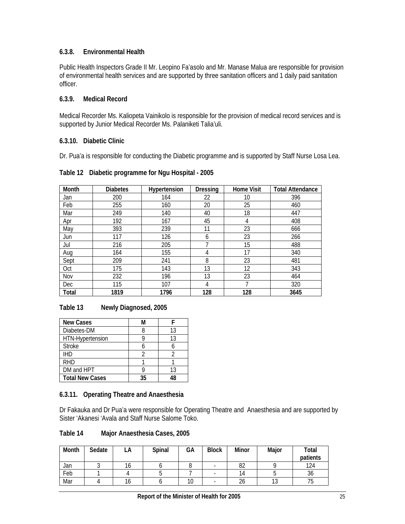## **6.3.8. Environmental Health**

Public Health Inspectors Grade II Mr. Leopino Fa'asolo and Mr. Manase Malua are responsible for provision of environmental health services and are supported by three sanitation officers and 1 daily paid sanitation officer.

## **6.3.9. Medical Record**

Medical Recorder Ms. Kaliopeta Vainikolo is responsible for the provision of medical record services and is supported by Junior Medical Recorder Ms. Palaniketi Talia'uli.

#### **6.3.10. Diabetic Clinic**

Dr. Pua'a is responsible for conducting the Diabetic programme and is supported by Staff Nurse Losa Lea.

| Month      | <b>Diabetes</b> | Hypertension | <b>Dressing</b> | <b>Home Visit</b> | <b>Total Attendance</b> |
|------------|-----------------|--------------|-----------------|-------------------|-------------------------|
| Jan        | 200             | 164          | 22              | 10                | 396                     |
| Feb        | 255             | 160          | 20              | 25                | 460                     |
| Mar        | 249             | 140          | 40              | 18                | 447                     |
| Apr        | 192             | 167          | 45              | 4                 | 408                     |
| May        | 393             | 239          | 11              | 23                | 666                     |
| Jun        | 117             | 126          | 6               | 23                | 266                     |
| Jul        | 216             | 205          |                 | 15                | 488                     |
| Aug        | 164             | 155          | 4               | 17                | 340                     |
| Sept       | 209             | 241          | 8               | 23                | 481                     |
| Oct        | 175             | 143          | 13              | 12                | 343                     |
| Nov        | 232             | 196          | 13              | 23                | 464                     |
| <b>Dec</b> | 115             | 107          | 4               |                   | 320                     |
| Total      | 1819            | 1796         | 128             | 128               | 3645                    |

#### **Table 12 Diabetic programme for Ngu Hospital - 2005**

**Table 13 Newly Diagnosed, 2005** 

| <b>New Cases</b>       | M  |    |
|------------------------|----|----|
| Diabetes-DM            |    | 13 |
| HTN-Hypertension       |    | 13 |
| <b>Stroke</b>          |    |    |
| <b>IHD</b>             |    |    |
| <b>RHD</b>             |    |    |
| DM and HPT             |    | 13 |
| <b>Total New Cases</b> | 35 |    |

## **6.3.11. Operating Theatre and Anaesthesia**

Dr Fakauka and Dr Pua'a were responsible for Operating Theatre and Anaesthesia and are supported by Sister 'Akanesi 'Avala and Staff Nurse Salome Toko.

#### **Table 14 Major Anaesthesia Cases, 2005**

| Month | Sedate | LA  | Spinal | GА | <b>Block</b> | Minor        | Major         | Total<br>patients |
|-------|--------|-----|--------|----|--------------|--------------|---------------|-------------------|
| Jan   |        | ïO. |        |    |              | 82           |               | 124               |
| Feb   |        |     |        |    |              | 14           |               | 36                |
| Mar   |        |     |        | 10 |              | $\sim$<br>20 | $\sim$<br>ט ו | 75                |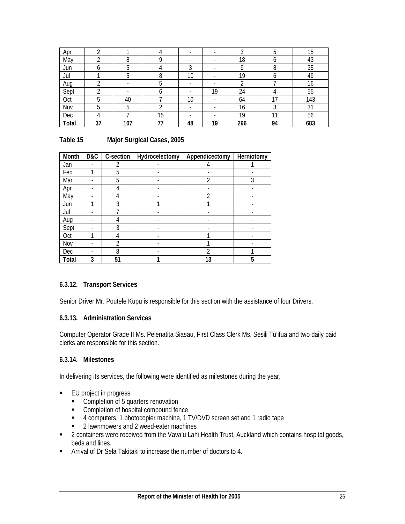| Apr   | ⌒  |     |    |            |    | ົ   |    | 15  |
|-------|----|-----|----|------------|----|-----|----|-----|
| May   |    |     |    | -          | -  | 18  |    | 43  |
| Jun   |    |     |    | $\sqrt{2}$ |    |     | ୪  | 35  |
| Jul   |    |     |    | 10         |    | 19  | o  | 49  |
| Aug   |    |     |    | -          |    |     |    | 16  |
| Sept  |    |     | o  |            | 19 | 24  |    | 55  |
| Oct   | h  | 40  |    | 10         |    | 64  | 17 | 143 |
| Nov   | b  |     |    | -          |    | 16  |    | 31  |
| Dec   |    |     | 15 |            |    | 19  | 11 | 56  |
| Total | 37 | 107 | 77 | 48         | 19 | 296 | 94 | 683 |

## **Table 15 Major Surgical Cases, 2005**

| Month      | D&C | C-section      | Hydrocelectomy | Appendicectomy | Herniotomy |
|------------|-----|----------------|----------------|----------------|------------|
| Jan        |     | 2              |                | 4              |            |
| Feb        |     | 5              |                |                |            |
| Mar        |     | 5              |                | 2              | 3          |
| Apr        |     | 4              |                |                |            |
| May        |     | 4              |                | ำ              |            |
| Jun        |     | 3              |                |                |            |
| Jul        |     |                |                |                |            |
| Aug        |     |                |                |                |            |
| Sept       |     | 3              |                |                |            |
| Oct        |     |                |                |                |            |
| Nov        |     | $\mathfrak{D}$ |                |                |            |
| <b>Dec</b> |     | 8              |                | า              |            |
| Total      | 3   | 51             |                | 13             | 5          |

## **6.3.12. Transport Services**

Senior Driver Mr. Poutele Kupu is responsible for this section with the assistance of four Drivers.

## **6.3.13. Administration Services**

Computer Operator Grade II Ms. Pelenatita Siasau, First Class Clerk Ms. Sesili Tu'ifua and two daily paid clerks are responsible for this section.

## **6.3.14. Milestones**

In delivering its services, the following were identified as milestones during the year,

- EU project in progress
	- Completion of 5 quarters renovation
	- **EXECOMPLET** Completion of hospital compound fence
	- 4 computers, 1 photocopier machine, 1 TV/DVD screen set and 1 radio tape
	- **2** lawnmowers and 2 weed-eater machines
- <sup>2</sup> 2 containers were received from the Vava'u Lahi Health Trust, Auckland which contains hospital goods, beds and lines.
- Arrival of Dr Sela Takitaki to increase the number of doctors to 4.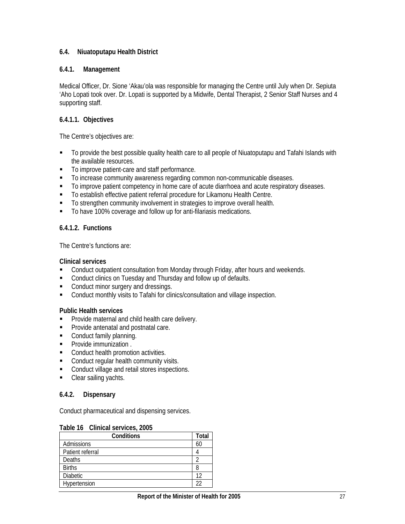## **6.4. Niuatoputapu Health District**

## **6.4.1. Management**

Medical Officer, Dr. Sione 'Akau'ola was responsible for managing the Centre until July when Dr. Sepiuta 'Aho Lopati took over. Dr. Lopati is supported by a Midwife, Dental Therapist, 2 Senior Staff Nurses and 4 supporting staff.

## **6.4.1.1. Objectives**

The Centre's objectives are:

- To provide the best possible quality health care to all people of Niuatoputapu and Tafahi Islands with the available resources.
- To improve patient-care and staff performance.
- To increase community awareness regarding common non-communicable diseases.
- To improve patient competency in home care of acute diarrhoea and acute respiratory diseases.
- To establish effective patient referral procedure for Likamonu Health Centre.
- To strengthen community involvement in strategies to improve overall health.
- To have 100% coverage and follow up for anti-filariasis medications.

## **6.4.1.2. Functions**

The Centre's functions are:

#### **Clinical services**

- **EXECONDUCT CONDUCT CONSULTATION** from Monday through Friday, after hours and weekends.
- **Conduct clinics on Tuesday and Thursday and follow up of defaults.**
- Conduct minor surgery and dressings.
- Conduct monthly visits to Tafahi for clinics/consultation and village inspection.

## **Public Health services**

- **Provide maternal and child health care delivery.**
- **Provide antenatal and postnatal care.**
- Conduct family planning.
- **•** Provide immunization .
- Conduct health promotion activities.
- **Conduct regular health community visits.**
- **Conduct village and retail stores inspections.**
- Clear sailing yachts.

## **6.4.2. Dispensary**

Conduct pharmaceutical and dispensing services.

#### **Table 16 Clinical services, 2005**

| Conditions       | Total |
|------------------|-------|
| Admissions       | 60    |
| Patient referral |       |
| Deaths           |       |
| <b>Births</b>    |       |
| <b>Diabetic</b>  |       |
| Hypertension     | າ′    |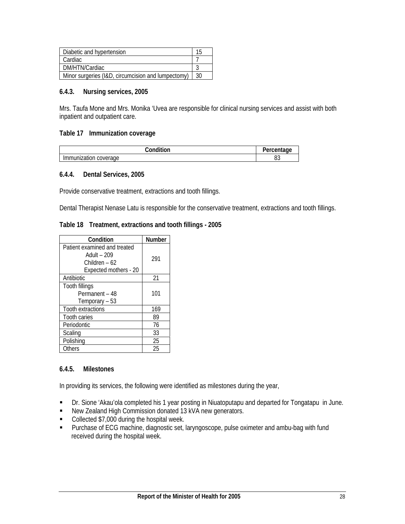| Diabetic and hypertension                          |    |
|----------------------------------------------------|----|
| Cardiac                                            |    |
| DM/HTN/Cardiac                                     |    |
| Minor surgeries (I&D, circumcision and lumpectomy) | 30 |

#### **6.4.3. Nursing services, 2005**

Mrs. Taufa Mone and Mrs. Monika 'Uvea are responsible for clinical nursing services and assist with both inpatient and outpatient care.

#### **Table 17 Immunization coverage**

| `ondition                          | ∵entage ∴<br>uu |
|------------------------------------|-----------------|
| Immun<br>coverage<br>nmunization ( | n c<br>υJ       |

#### **6.4.4. Dental Services, 2005**

Provide conservative treatment, extractions and tooth fillings.

Dental Therapist Nenase Latu is responsible for the conservative treatment, extractions and tooth fillings.

#### **Table 18 Treatment, extractions and tooth fillings - 2005**

| Condition                                                                             | Number |
|---------------------------------------------------------------------------------------|--------|
| Patient examined and treated<br>Adult - 209<br>Children – 62<br>Expected mothers - 20 | 291    |
| Antibiotic                                                                            | 21     |
| Tooth fillings<br>Permanent - 48<br>Temporary – 53                                    | 101    |
| Tooth extractions                                                                     | 169    |
| <b>Tooth caries</b>                                                                   | 89     |
| Periodontic                                                                           | 76     |
| Scaling                                                                               | 33     |
| Polishing                                                                             | 25     |
| Others                                                                                | 25     |

#### **6.4.5. Milestones**

In providing its services, the following were identified as milestones during the year,

- Dr. Sione 'Akau'ola completed his 1 year posting in Niuatoputapu and departed for Tongatapu in June.
- New Zealand High Commission donated 13 kVA new generators.
- Collected \$7,000 during the hospital week.
- **Purchase of ECG machine, diagnostic set, laryngoscope, pulse oximeter and ambu-bag with fund** received during the hospital week.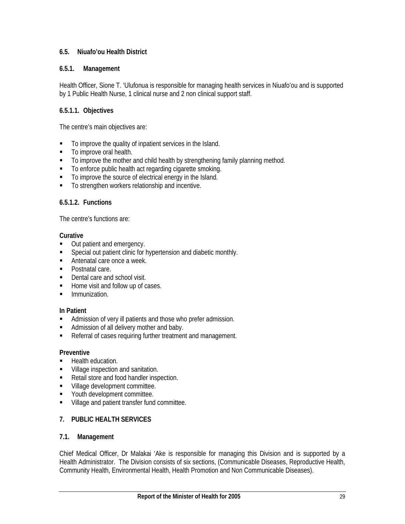## **6.5. Niuafo'ou Health District**

## **6.5.1. Management**

Health Officer, Sione T. 'Ulufonua is responsible for managing health services in Niuafo'ou and is supported by 1 Public Health Nurse, 1 clinical nurse and 2 non clinical support staff.

## **6.5.1.1. Objectives**

The centre's main objectives are:

- To improve the quality of inpatient services in the Island.
- To improve oral health.
- $\blacksquare$  To improve the mother and child health by strengthening family planning method.
- $\blacksquare$  To enforce public health act regarding cigarette smoking.
- $\blacksquare$  To improve the source of electrical energy in the Island.
- To strengthen workers relationship and incentive.

#### **6.5.1.2. Functions**

The centre's functions are:

#### **Curative**

- Out patient and emergency.
- **Special out patient clinic for hypertension and diabetic monthly.**
- **Antenatal care once a week.**
- Postnatal care.
- Dental care and school visit.
- Home visit and follow up of cases.
- **Immunization.**

## **In Patient**

- **Admission of very ill patients and those who prefer admission.**
- Admission of all delivery mother and baby.
- Referral of cases requiring further treatment and management.

#### **Preventive**

- **Health education.**
- **Village inspection and sanitation.**
- Retail store and food handler inspection.
- **Village development committee.**
- **Youth development committee.**
- **Village and patient transfer fund committee.**

## **7. PUBLIC HEALTH SERVICES**

#### **7.1. Management**

Chief Medical Officer, Dr Malakai 'Ake is responsible for managing this Division and is supported by a Health Administrator. The Division consists of six sections, (Communicable Diseases, Reproductive Health, Community Health, Environmental Health, Health Promotion and Non Communicable Diseases).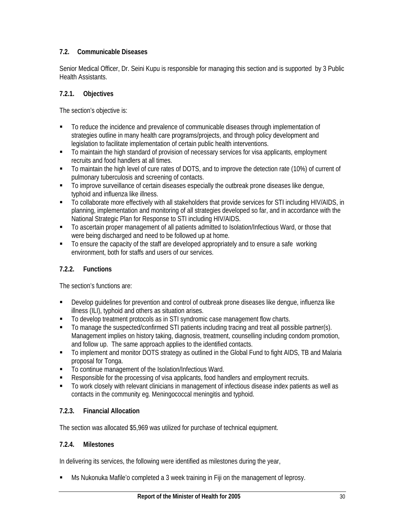## **7.2. Communicable Diseases**

Senior Medical Officer, Dr. Seini Kupu is responsible for managing this section and is supported by 3 Public Health Assistants.

## **7.2.1. Objectives**

The section's objective is:

- To reduce the incidence and prevalence of communicable diseases through implementation of strategies outline in many health care programs/projects, and through policy development and legislation to facilitate implementation of certain public health interventions.
- To maintain the high standard of provision of necessary services for visa applicants, employment recruits and food handlers at all times.
- To maintain the high level of cure rates of DOTS, and to improve the detection rate (10%) of current of pulmonary tuberculosis and screening of contacts.
- $\blacksquare$  To improve surveillance of certain diseases especially the outbreak prone diseases like dengue, typhoid and influenza like illness.
- To collaborate more effectively with all stakeholders that provide services for STI including HIV/AIDS, in planning, implementation and monitoring of all strategies developed so far, and in accordance with the National Strategic Plan for Response to STI including HIV/AIDS.
- To ascertain proper management of all patients admitted to Isolation/Infectious Ward, or those that were being discharged and need to be followed up at home.
- To ensure the capacity of the staff are developed appropriately and to ensure a safe working environment, both for staffs and users of our services.

## **7.2.2. Functions**

The section's functions are:

- Develop guidelines for prevention and control of outbreak prone diseases like dengue, influenza like illness (ILI), typhoid and others as situation arises.
- To develop treatment protocols as in STI syndromic case management flow charts.
- To manage the suspected/confirmed STI patients including tracing and treat all possible partner(s). Management implies on history taking, diagnosis, treatment, counselling including condom promotion, and follow up. The same approach applies to the identified contacts.
- To implement and monitor DOTS strategy as outlined in the Global Fund to fight AIDS, TB and Malaria proposal for Tonga.
- To continue management of the Isolation/Infectious Ward.
- **Responsible for the processing of visa applicants, food handlers and employment recruits.**
- To work closely with relevant clinicians in management of infectious disease index patients as well as contacts in the community eg. Meningococcal meningitis and typhoid.

## **7.2.3. Financial Allocation**

The section was allocated \$5,969 was utilized for purchase of technical equipment.

## **7.2.4. Milestones**

In delivering its services, the following were identified as milestones during the year,

Ms Nukonuka Mafile'o completed a 3 week training in Fiji on the management of leprosy.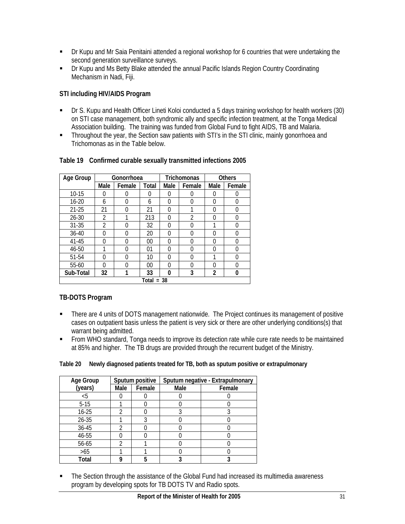- Dr Kupu and Mr Saia Penitaini attended a regional workshop for 6 countries that were undertaking the second generation surveillance surveys.
- Dr Kupu and Ms Betty Blake attended the annual Pacific Islands Region Country Coordinating Mechanism in Nadi, Fiji.

# **STI including HIV/AIDS Program**

- Dr S. Kupu and Health Officer Lineti Koloi conducted a 5 days training workshop for health workers (30) on STI case management, both syndromic ally and specific infection treatment, at the Tonga Medical Association building. The training was funded from Global Fund to fight AIDS, TB and Malaria.
- Throughout the year, the Section saw patients with STI's in the STI clinic, mainly gonorrhoea and Trichomonas as in the Table below.

| Age Group | Gonorrhoea     |          |                |                | <b>Trichomonas</b> | <b>Others</b> |        |  |
|-----------|----------------|----------|----------------|----------------|--------------------|---------------|--------|--|
|           | Male           | Female   | <b>Total</b>   | Male<br>Female |                    | Male          | Female |  |
| $10 - 15$ | 0              | 0        | 0              | 0              | 0                  | 0             |        |  |
| $16 - 20$ | 6              | $\Omega$ | 6              | O              | O                  | $\Omega$      | O      |  |
| $21 - 25$ | 21             | $\Omega$ | 21             | O              |                    | $\Omega$      | 0      |  |
| $26 - 30$ | 2              |          | 213            | O              | 2                  | $\Omega$      | 0      |  |
| $31 - 35$ | $\mathfrak{D}$ | 0        | 32             | O              | O                  |               |        |  |
| $36 - 40$ | O              | 0        | 20             | O              | O                  | $\Omega$      | U      |  |
| 41-45     | O              | $\Omega$ | $00\,$         | O              | N                  | $\Omega$      |        |  |
| 46-50     | 1              | $\Omega$ | 0 <sup>1</sup> | O              | N                  | $\Omega$      | U      |  |
| 51-54     | O              | $\Omega$ | 10             | O              | O                  |               |        |  |
| 55-60     | N              | 0        | $00\,$         | O              | O                  | $\Omega$      |        |  |
| Sub-Total | 32<br>1        |          | 33             | 0              | 3                  | 2             | 0      |  |
|           |                |          | Total<br>$=$   | -38            |                    |               |        |  |

### **Table 19 Confirmed curable sexually transmitted infections 2005**

# **TB-DOTS Program**

- There are 4 units of DOTS management nationwide. The Project continues its management of positive cases on outpatient basis unless the patient is very sick or there are other underlying conditions(s) that warrant being admitted.
- From WHO standard, Tonga needs to improve its detection rate while cure rate needs to be maintained at 85% and higher. The TB drugs are provided through the recurrent budget of the Ministry.

### **Table 20 Newly diagnosed patients treated for TB, both as sputum positive or extrapulmonary**

| Age Group |      | Sputum positive | Sputum negative - Extrapulmonary |        |  |  |
|-----------|------|-----------------|----------------------------------|--------|--|--|
| (years)   | Male | Female          | Male                             | Female |  |  |
| <5        |      |                 |                                  |        |  |  |
| $5-15$    |      |                 |                                  |        |  |  |
| $16 - 25$ |      |                 |                                  |        |  |  |
| $26 - 35$ |      |                 |                                  |        |  |  |
| 36-45     |      |                 |                                  |        |  |  |
| 46-55     |      |                 |                                  |        |  |  |
| 56-65     |      |                 |                                  |        |  |  |
| $>65$     |      |                 |                                  |        |  |  |
| Total     |      | 5               |                                  |        |  |  |

**The Section through the assistance of the Global Fund had increased its multimedia awareness** program by developing spots for TB DOTS TV and Radio spots.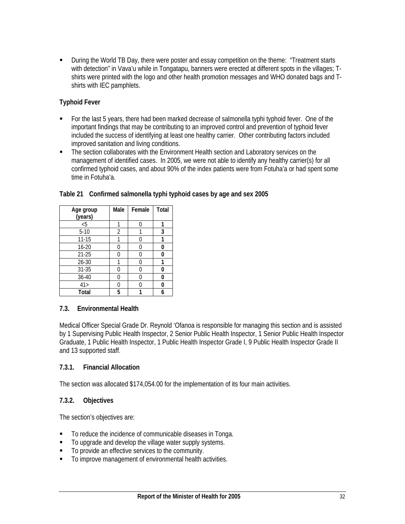During the World TB Day, there were poster and essay competition on the theme: "Treatment starts with detection" in Vava'u while in Tongatapu, banners were erected at different spots in the villages; Tshirts were printed with the logo and other health promotion messages and WHO donated bags and Tshirts with IEC pamphlets.

### **Typhoid Fever**

- For the last 5 years, there had been marked decrease of salmonella typhi typhoid fever. One of the important findings that may be contributing to an improved control and prevention of typhoid fever included the success of identifying at least one healthy carrier. Other contributing factors included improved sanitation and living conditions.
- The section collaborates with the Environment Health section and Laboratory services on the management of identified cases. In 2005, we were not able to identify any healthy carrier(s) for all confirmed typhoid cases, and about 90% of the index patients were from Fotuha'a or had spent some time in Fotuha'a.

| Age group<br>(years) | Male           | Female | <b>Total</b> |
|----------------------|----------------|--------|--------------|
|                      |                |        |              |
| $\overline{5}$       |                |        |              |
| $5-10$               | $\overline{2}$ |        | 3            |
| $11 - 15$            |                |        |              |
| $16 - 20$            | 0              |        | 0            |
| $21 - 25$            | U              |        | n            |
| 26-30                |                |        |              |
| $31 - 35$            |                |        | 0            |
| 36-40                | U              |        | O            |
| 41 >                 | U              |        | n            |
| Total                | 5              |        | 6            |

### **Table 21 Confirmed salmonella typhi typhoid cases by age and sex 2005**

### **7.3. Environmental Health**

Medical Officer Special Grade Dr. Reynold 'Ofanoa is responsible for managing this section and is assisted by 1 Supervising Public Health Inspector, 2 Senior Public Health Inspector, 1 Senior Public Health Inspector Graduate, 1 Public Health Inspector, 1 Public Health Inspector Grade I, 9 Public Health Inspector Grade II and 13 supported staff.

### **7.3.1. Financial Allocation**

The section was allocated \$174,054.00 for the implementation of its four main activities.

### **7.3.2. Objectives**

The section's objectives are:

- To reduce the incidence of communicable diseases in Tonga.
- To upgrade and develop the village water supply systems.
- $\blacksquare$  To provide an effective services to the community.
- To improve management of environmental health activities.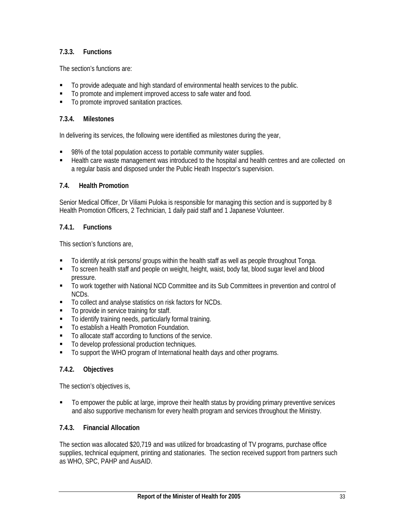# **7.3.3. Functions**

The section's functions are:

- To provide adequate and high standard of environmental health services to the public.
- To promote and implement improved access to safe water and food.
- $\blacksquare$  To promote improved sanitation practices.

### **7.3.4. Milestones**

In delivering its services, the following were identified as milestones during the year,

- 98% of the total population access to portable community water supplies.
- Health care waste management was introduced to the hospital and health centres and are collected on a regular basis and disposed under the Public Heath Inspector's supervision.

### **7.4. Health Promotion**

Senior Medical Officer, Dr Viliami Puloka is responsible for managing this section and is supported by 8 Health Promotion Officers, 2 Technician, 1 daily paid staff and 1 Japanese Volunteer.

### **7.4.1. Functions**

This section's functions are,

- To identify at risk persons/ groups within the health staff as well as people throughout Tonga.
- To screen health staff and people on weight, height, waist, body fat, blood sugar level and blood pressure.
- To work together with National NCD Committee and its Sub Committees in prevention and control of NCDs.
- To collect and analyse statistics on risk factors for NCDs.
- To provide in service training for staff.
- To identify training needs, particularly formal training.
- To establish a Health Promotion Foundation.
- To allocate staff according to functions of the service.
- $\blacksquare$  To develop professional production techniques.
- To support the WHO program of International health days and other programs.

# **7.4.2. Objectives**

The section's objectives is,

 To empower the public at large, improve their health status by providing primary preventive services and also supportive mechanism for every health program and services throughout the Ministry.

### **7.4.3. Financial Allocation**

The section was allocated \$20,719 and was utilized for broadcasting of TV programs, purchase office supplies, technical equipment, printing and stationaries. The section received support from partners such as WHO, SPC, PAHP and AusAID.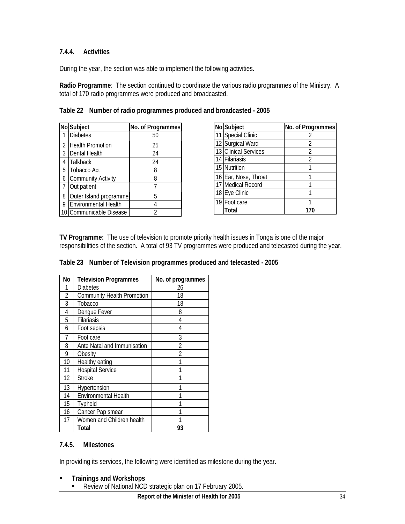# **7.4.4. Activities**

During the year, the section was able to implement the following activities.

**Radio Programme***:* The section continued to coordinate the various radio programmes of the Ministry. A total of 170 radio programmes were produced and broadcasted.

|                | No Subject                | No. of Programmes |
|----------------|---------------------------|-------------------|
|                | <b>Diabetes</b>           | 50                |
| $\overline{2}$ | <b>Health Promotion</b>   | 25                |
| 3              | Dental Health             | 24                |
| 4              | Talkback                  | 24                |
| 5              | <b>Tobacco Act</b>        | 8                 |
|                | <b>Community Activity</b> | 8                 |
| -7             | Out patient               |                   |
| 8              | Outer Island programme    | 5                 |
| 9              | Environmental Health      |                   |
|                | Communicable Disease      | 2                 |

|  |  |  |  | Table 22 Number of radio programmes produced and broadcasted - 2005 |  |
|--|--|--|--|---------------------------------------------------------------------|--|
|--|--|--|--|---------------------------------------------------------------------|--|

| No Subject           | No. of Programmes |
|----------------------|-------------------|
| 11 Special Clinic    |                   |
| 12 Surgical Ward     | 2                 |
| 13 Clinical Services | 2                 |
| 14 Filariasis        | 2                 |
| 15 Nutrition         |                   |
| 16 Ear, Nose, Throat |                   |
| 17 Medical Record    |                   |
| 18 Eye Clinic        |                   |
| 19 Foot care         |                   |
| Total                |                   |

**TV Programme:** The use of television to promote priority health issues in Tonga is one of the major responsibilities of the section. A total of 93 TV programmes were produced and telecasted during the year.

#### **Table 23 Number of Television programmes produced and telecasted - 2005**

| No             | <b>Television Programmes</b>      | No. of programmes        |
|----------------|-----------------------------------|--------------------------|
| 1              | <b>Diabetes</b>                   | 26                       |
| $\overline{2}$ | <b>Community Health Promotion</b> | 18                       |
| 3              | Tobacco                           | 18                       |
| 4              | Dengue Fever                      | 8                        |
| 5              | Filariasis                        | 4                        |
| 6              | Foot sepsis                       | 4                        |
| $\overline{7}$ | Foot care                         | 3                        |
| 8              | Ante Natal and Immunisation       | 2                        |
| 9              | Obesity                           | $\overline{\mathcal{L}}$ |
| 10             | Healthy eating                    |                          |
| 11             | <b>Hospital Service</b>           |                          |
| 12             | <b>Stroke</b>                     | 1                        |
| 13             | Hypertension                      |                          |
| 14             | Environmental Health              |                          |
| 15             | Typhoid                           |                          |
| 16             | Cancer Pap smear                  |                          |
| 17             | Women and Children health         |                          |
|                | Total                             | 93                       |

### **7.4.5. Milestones**

In providing its services, the following were identified as milestone during the year.

- **Trainings and Workshops**
	- Review of National NCD strategic plan on 17 February 2005.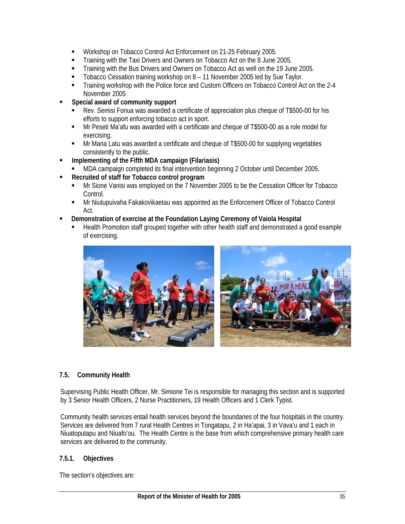- Workshop on Tobacco Control Act Enforcement on 21-25 February 2005.
- Training with the Taxi Drivers and Owners on Tobacco Act on the 8 June 2005.
- Training with the Bus Drivers and Owners on Tobacco Act as well on the 19 June 2005.
- **Tobacco Cessation training workshop on 8 11 November 2005 led by Sue Taylor.**
- Training workshop with the Police force and Custom Officers on Tobacco Control Act on the 2-4 November 2005
- **Special award of community support**
	- Rev. Semisi Fonua was awarded a certificate of appreciation plus cheque of T\$500-00 for his efforts to support enforcing tobacco act in sport.
	- Mr Peseti Ma'afu was awarded with a certificate and cheque of T\$500-00 as a role model for exercising.
	- Mr Mana Latu was awarded a certificate and cheque of T\$500-00 for supplying vegetables consistently to the public.
- **Implementing of the Fifth MDA campaign (Filariasis)** 
	- MDA campaign completed its final intervention beginning 2 October until December 2005.
- **Recruited of staff for Tobacco control program**
	- Mr Sione Vanisi was employed on the 7 November 2005 to be the Cessation Officer for Tobacco Control.
	- Mr Niutupuivaha Fakakovikaetau was appointed as the Enforcement Officer of Tobacco Control Act.
- **Demonstration of exercise at the Foundation Laying Ceremony of Vaiola Hospital**
	- Health Promotion staff grouped together with other health staff and demonstrated a good example of exercising.



### **7.5. Community Health**

Supervising Public Health Officer, Mr. Simione Tei is responsible for managing this section and is supported by 3 Senior Health Officers, 2 Nurse Practitioners, 19 Health Officers and 1 Clerk Typist.

Community health services entail health services beyond the boundaries of the four hospitals in the country. Services are delivered from 7 rural Health Centres in Tongatapu, 2 in Ha'apai, 3 in Vava'u and 1 each in Niuatoputapu and Niuafo'ou. The Health Centre is the base from which comprehensive primary health care services are delivered to the community.

### **7.5.1. Objectives**

The section's objectives are: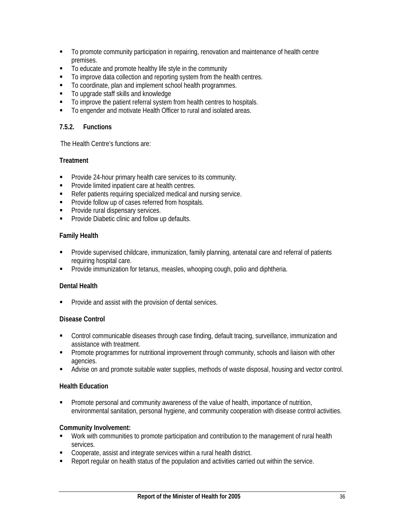- To promote community participation in repairing, renovation and maintenance of health centre premises.
- To educate and promote healthy life style in the community
- To improve data collection and reporting system from the health centres.
- To coordinate, plan and implement school health programmes.
- To upgrade staff skills and knowledge
- $\blacksquare$  To improve the patient referral system from health centres to hospitals.
- $\blacksquare$  To engender and motivate Health Officer to rural and isolated areas.

### **7.5.2. Functions**

The Health Centre's functions are:

### **Treatment**

- **Provide 24-hour primary health care services to its community.**
- **Provide limited inpatient care at health centres.**
- Refer patients requiring specialized medical and nursing service.
- **Provide follow up of cases referred from hospitals.**
- **Provide rural dispensary services.**
- **Provide Diabetic clinic and follow up defaults.**

### **Family Health**

- Provide supervised childcare, immunization, family planning, antenatal care and referral of patients requiring hospital care.
- Provide immunization for tetanus, measles, whooping cough, polio and diphtheria.

### **Dental Health**

**Provide and assist with the provision of dental services.** 

### **Disease Control**

- Control communicable diseases through case finding, default tracing, surveillance, immunization and assistance with treatment.
- **Promote programmes for nutritional improvement through community, schools and liaison with other** agencies.
- Advise on and promote suitable water supplies, methods of waste disposal, housing and vector control.

### **Health Education**

 Promote personal and community awareness of the value of health, importance of nutrition, environmental sanitation, personal hygiene, and community cooperation with disease control activities.

### **Community Involvement:**

- Work with communities to promote participation and contribution to the management of rural health services.
- Cooperate, assist and integrate services within a rural health district.
- Report regular on health status of the population and activities carried out within the service.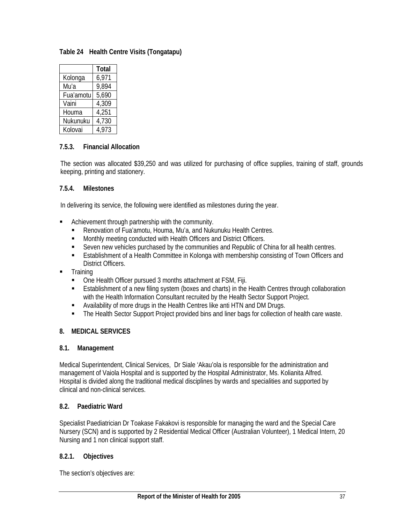**Table 24 Health Centre Visits (Tongatapu)** 

|           | Total |
|-----------|-------|
| Kolonga   | 6,971 |
| Mu'a      | 9,894 |
| Fua'amotu | 5,690 |
| Vaini     | 4,309 |
| Houma     | 4,251 |
| Nukunuku  | 4,730 |
| Kolovai   | 4,973 |

# **7.5.3. Financial Allocation**

The section was allocated \$39,250 and was utilized for purchasing of office supplies, training of staff, grounds keeping, printing and stationery.

### **7.5.4. Milestones**

In delivering its service, the following were identified as milestones during the year.

- Achievement through partnership with the community.
	- Renovation of Fua'amotu, Houma, Mu'a, and Nukunuku Health Centres.
	- **Monthly meeting conducted with Health Officers and District Officers.**
	- Seven new vehicles purchased by the communities and Republic of China for all health centres.
	- **E** Establishment of a Health Committee in Kolonga with membership consisting of Town Officers and District Officers.
- **Training** 
	- One Health Officer pursued 3 months attachment at FSM, Fiji.
	- Establishment of a new filing system (boxes and charts) in the Health Centres through collaboration with the Health Information Consultant recruited by the Health Sector Support Project.
	- Availability of more drugs in the Health Centres like anti HTN and DM Drugs.
	- The Health Sector Support Project provided bins and liner bags for collection of health care waste.

# **8. MEDICAL SERVICES**

### **8.1. Management**

Medical Superintendent, Clinical Services, Dr Siale 'Akau'ola is responsible for the administration and management of Vaiola Hospital and is supported by the Hospital Administrator, Ms. Kolianita Alfred. Hospital is divided along the traditional medical disciplines by wards and specialities and supported by clinical and non-clinical services.

### **8.2. Paediatric Ward**

Specialist Paediatrician Dr Toakase Fakakovi is responsible for managing the ward and the Special Care Nursery (SCN) and is supported by 2 Residential Medical Officer (Australian Volunteer), 1 Medical Intern, 20 Nursing and 1 non clinical support staff.

### **8.2.1. Objectives**

The section's objectives are: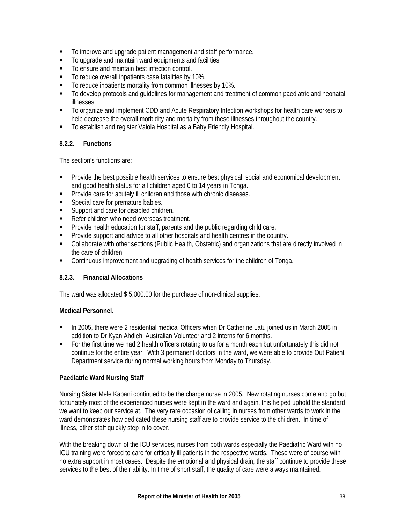- To improve and upgrade patient management and staff performance.
- $\blacksquare$  To upgrade and maintain ward equipments and facilities.
- To ensure and maintain best infection control.
- To reduce overall inpatients case fatalities by 10%.
- To reduce inpatients mortality from common illnesses by 10%.
- To develop protocols and guidelines for management and treatment of common paediatric and neonatal illnesses.
- To organize and implement CDD and Acute Respiratory Infection workshops for health care workers to help decrease the overall morbidity and mortality from these illnesses throughout the country.
- To establish and register Vaiola Hospital as a Baby Friendly Hospital.

# **8.2.2. Functions**

The section's functions are:

- **Provide the best possible health services to ensure best physical, social and economical development** and good health status for all children aged 0 to 14 years in Tonga.
- Provide care for acutely ill children and those with chronic diseases.
- **Special care for premature babies.**
- **Support and care for disabled children.**
- Refer children who need overseas treatment.
- **Provide health education for staff, parents and the public regarding child care.**
- **Provide support and advice to all other hospitals and health centres in the country.**
- Collaborate with other sections (Public Health, Obstetric) and organizations that are directly involved in the care of children.
- Continuous improvement and upgrading of health services for the children of Tonga.

# **8.2.3. Financial Allocations**

The ward was allocated \$ 5,000.00 for the purchase of non-clinical supplies.

### **Medical Personnel.**

- In 2005, there were 2 residential medical Officers when Dr Catherine Latu joined us in March 2005 in addition to Dr Kyan Ahdieh, Australian Volunteer and 2 interns for 6 months.
- For the first time we had 2 health officers rotating to us for a month each but unfortunately this did not continue for the entire year. With 3 permanent doctors in the ward, we were able to provide Out Patient Department service during normal working hours from Monday to Thursday.

### **Paediatric Ward Nursing Staff**

Nursing Sister Mele Kapani continued to be the charge nurse in 2005. New rotating nurses come and go but fortunately most of the experienced nurses were kept in the ward and again, this helped uphold the standard we want to keep our service at. The very rare occasion of calling in nurses from other wards to work in the ward demonstrates how dedicated these nursing staff are to provide service to the children. In time of illness, other staff quickly step in to cover.

With the breaking down of the ICU services, nurses from both wards especially the Paediatric Ward with no ICU training were forced to care for critically ill patients in the respective wards. These were of course with no extra support in most cases. Despite the emotional and physical drain, the staff continue to provide these services to the best of their ability. In time of short staff, the quality of care were always maintained.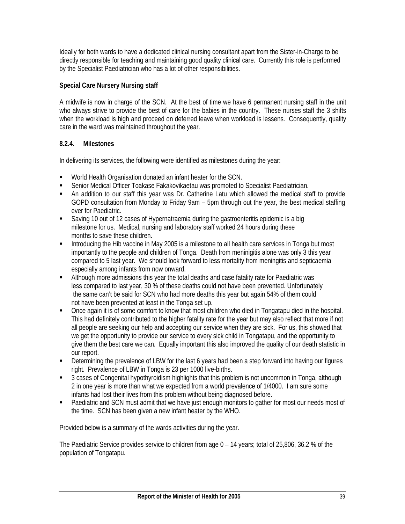Ideally for both wards to have a dedicated clinical nursing consultant apart from the Sister-in-Charge to be directly responsible for teaching and maintaining good quality clinical care. Currently this role is performed by the Specialist Paediatrician who has a lot of other responsibilities.

## **Special Care Nursery Nursing staff**

A midwife is now in charge of the SCN. At the best of time we have 6 permanent nursing staff in the unit who always strive to provide the best of care for the babies in the country. These nurses staff the 3 shifts when the workload is high and proceed on deferred leave when workload is lessens. Consequently, quality care in the ward was maintained throughout the year.

### **8.2.4. Milestones**

In delivering its services, the following were identified as milestones during the year:

- World Health Organisation donated an infant heater for the SCN.
- Senior Medical Officer Toakase Fakakovikaetau was promoted to Specialist Paediatrician.
- An addition to our staff this year was Dr. Catherine Latu which allowed the medical staff to provide GOPD consultation from Monday to Friday 9am – 5pm through out the year, the best medical staffing ever for Paediatric.
- Saving 10 out of 12 cases of Hypernatraemia during the gastroenteritis epidemic is a big milestone for us. Medical, nursing and laboratory staff worked 24 hours during these months to save these children.
- Introducing the Hib vaccine in May 2005 is a milestone to all health care services in Tonga but most importantly to the people and children of Tonga. Death from meninigitis alone was only 3 this year compared to 5 last year. We should look forward to less mortality from meningitis and septicaemia especially among infants from now onward.
- Although more admissions this year the total deaths and case fatality rate for Paediatric was less compared to last year, 30 % of these deaths could not have been prevented. Unfortunately the same can't be said for SCN who had more deaths this year but again 54% of them could not have been prevented at least in the Tonga set up.
- Once again it is of some comfort to know that most children who died in Tongatapu died in the hospital. This had definitely contributed to the higher fatality rate for the year but may also reflect that more if not all people are seeking our help and accepting our service when they are sick. For us, this showed that we get the opportunity to provide our service to every sick child in Tongatapu, and the opportunity to give them the best care we can. Equally important this also improved the quality of our death statistic in our report.
- Determining the prevalence of LBW for the last 6 years had been a step forward into having our figures right. Prevalence of LBW in Tonga is 23 per 1000 live-births.
- 3 cases of Congenital hypothyroidism highlights that this problem is not uncommon in Tonga, although 2 in one year is more than what we expected from a world prevalence of 1/4000. I am sure some infants had lost their lives from this problem without being diagnosed before.
- **Paediatric and SCN must admit that we have just enough monitors to gather for most our needs most of** the time. SCN has been given a new infant heater by the WHO.

Provided below is a summary of the wards activities during the year.

The Paediatric Service provides service to children from age 0 – 14 years; total of 25,806, 36.2 % of the population of Tongatapu.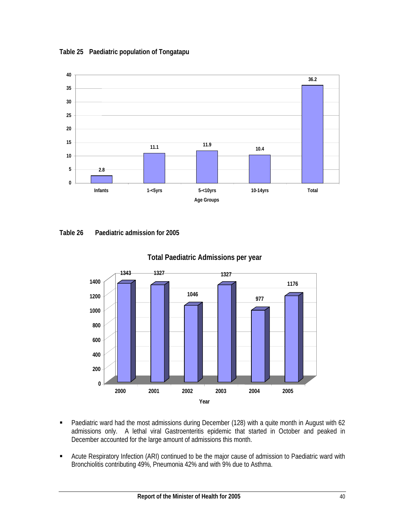**Table 25 Paediatric population of Tongatapu** 



**Table 26 Paediatric admission for 2005** 



**Total Paediatric Admissions per year**

- Paediatric ward had the most admissions during December (128) with a quite month in August with 62 admissions only. A lethal viral Gastroenteritis epidemic that started in October and peaked in December accounted for the large amount of admissions this month.
- **EXTENDITY Acute Respiratory Infection (ARI) continued to be the major cause of admission to Paediatric ward with** Bronchiolitis contributing 49%, Pneumonia 42% and with 9% due to Asthma.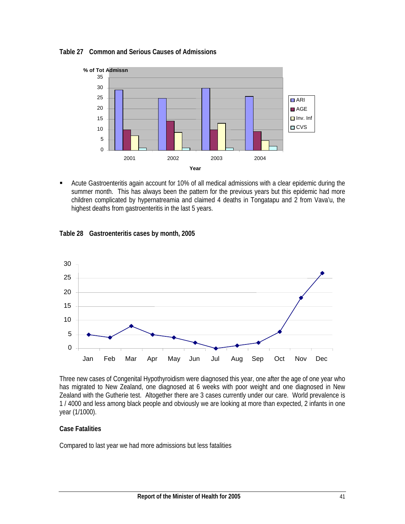



 Acute Gastroenteritis again account for 10% of all medical admissions with a clear epidemic during the summer month. This has always been the pattern for the previous years but this epidemic had more children complicated by hypernatreamia and claimed 4 deaths in Tongatapu and 2 from Vava'u, the highest deaths from gastroenteritis in the last 5 years.





Three new cases of Congenital Hypothyroidism were diagnosed this year, one after the age of one year who has migrated to New Zealand, one diagnosed at 6 weeks with poor weight and one diagnosed in New Zealand with the Gutherie test. Altogether there are 3 cases currently under our care. World prevalence is 1 / 4000 and less among black people and obviously we are looking at more than expected, 2 infants in one year (1/1000).

### **Case Fatalities**

Compared to last year we had more admissions but less fatalities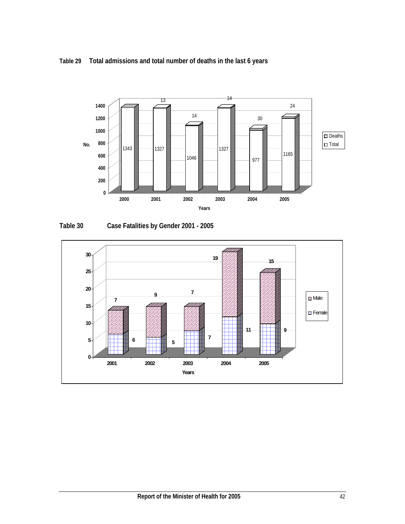**Table 29 Total admissions and total number of deaths in the last 6 years** 



**Table 30 Case Fatalities by Gender 2001 - 2005** 

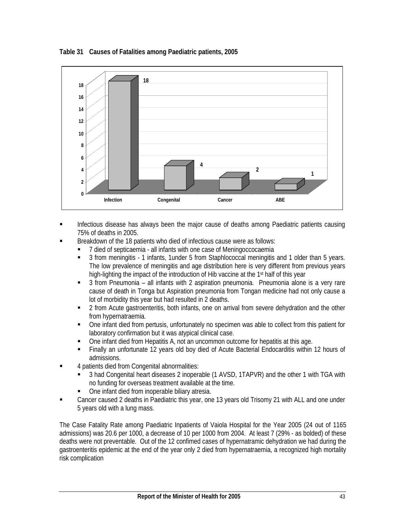**Table 31 Causes of Fatalities among Paediatric patients, 2005** 



- **Infectious disease has always been the major cause of deaths among Paediatric patients causing** 75% of deaths in 2005.
- Breakdown of the 18 patients who died of infectious cause were as follows:
	- 7 died of septicaemia all infants with one case of Meningoccocaemia
	- 3 from meningitis 1 infants, 1under 5 from Staphlococcal meningitis and 1 older than 5 years. The low prevalence of meningitis and age distribution here is very different from previous years high-lighting the impact of the introduction of Hib vaccine at the 1<sup>st</sup> half of this year
	- 3 from Pneumonia all infants with 2 aspiration pneumonia. Pneumonia alone is a very rare cause of death in Tonga but Aspiration pneumonia from Tongan medicine had not only cause a lot of morbidity this year but had resulted in 2 deaths.
	- 2 from Acute gastroenteritis, both infants, one on arrival from severe dehydration and the other from hypernatraemia.
	- One infant died from pertusis, unfortunately no specimen was able to collect from this patient for laboratory confirmation but it was atypical clinical case.
	- One infant died from Hepatitis A, not an uncommon outcome for hepatitis at this age.
	- Finally an unfortunate 12 years old boy died of Acute Bacterial Endocarditis within 12 hours of admissions.
- 4 patients died from Congenital abnormalities:
	- 3 had Congenital heart diseases 2 inoperable (1 AVSD, 1TAPVR) and the other 1 with TGA with no funding for overseas treatment available at the time.
	- One infant died from inoperable biliary atresia.
- Cancer caused 2 deaths in Paediatric this year, one 13 years old Trisomy 21 with ALL and one under 5 years old with a lung mass.

The Case Fatality Rate among Paediatric Inpatients of Vaiola Hospital for the Year 2005 (24 out of 1165 admissions) was 20.6 per 1000, a decrease of 10 per 1000 from 2004. At least 7 (29% - as bolded) of these deaths were not preventable. Out of the 12 confimed cases of hypernatramic dehydration we had during the gastroenteritis epidemic at the end of the year only 2 died from hypernatraemia, a recognized high mortality risk complication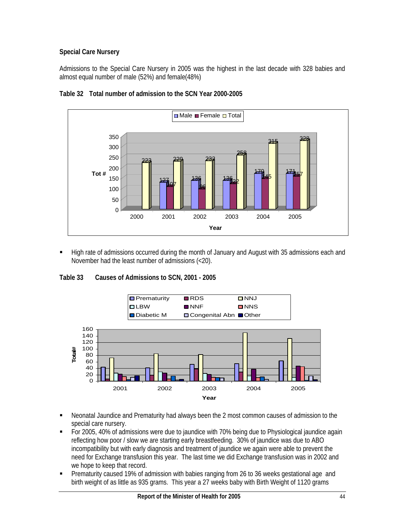# **Special Care Nursery**

Admissions to the Special Care Nursery in 2005 was the highest in the last decade with 328 babies and almost equal number of male (52%) and female(48%)



## **Table 32 Total number of admission to the SCN Year 2000-2005**

**Figh rate of admissions occurred during the month of January and August with 35 admissions each and** November had the least number of admissions (<20).

### **Table 33 Causes of Admissions to SCN, 2001 - 2005**



- Neonatal Jaundice and Prematurity had always been the 2 most common causes of admission to the special care nursery.
- For 2005, 40% of admissions were due to jaundice with 70% being due to Physiological jaundice again reflecting how poor / slow we are starting early breastfeeding. 30% of jaundice was due to ABO incompatibility but with early diagnosis and treatment of jaundice we again were able to prevent the need for Exchange transfusion this year. The last time we did Exchange transfusion was in 2002 and we hope to keep that record.
- Prematurity caused 19% of admission with babies ranging from 26 to 36 weeks gestational age and birth weight of as little as 935 grams. This year a 27 weeks baby with Birth Weight of 1120 grams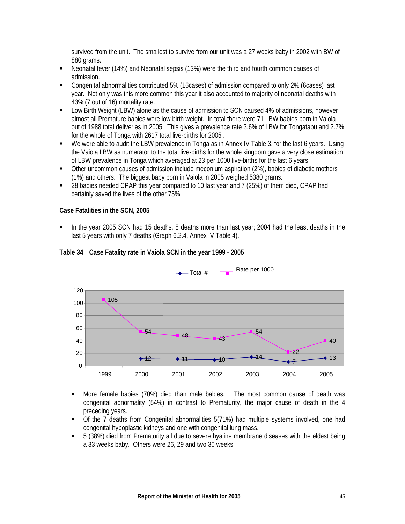survived from the unit. The smallest to survive from our unit was a 27 weeks baby in 2002 with BW of 880 grams.

- Neonatal fever (14%) and Neonatal sepsis (13%) were the third and fourth common causes of admission.
- Congenital abnormalities contributed 5% (16cases) of admission compared to only 2% (6cases) last year. Not only was this more common this year it also accounted to majority of neonatal deaths with 43% (7 out of 16) mortality rate.
- Low Birth Weight (LBW) alone as the cause of admission to SCN caused 4% of admissions, however almost all Premature babies were low birth weight. In total there were 71 LBW babies born in Vaiola out of 1988 total deliveries in 2005. This gives a prevalence rate 3.6% of LBW for Tongatapu and 2.7% for the whole of Tonga with 2617 total live-births for 2005 .
- We were able to audit the LBW prevalence in Tonga as in Annex IV Table 3, for the last 6 years. Using the Vaiola LBW as numerator to the total live-births for the whole kingdom gave a very close estimation of LBW prevalence in Tonga which averaged at 23 per 1000 live-births for the last 6 years.
- Other uncommon causes of admission include meconium aspiration (2%), babies of diabetic mothers (1%) and others. The biggest baby born in Vaiola in 2005 weighed 5380 grams.
- 28 babies needed CPAP this year compared to 10 last year and 7 (25%) of them died, CPAP had certainly saved the lives of the other 75%.

### **Case Fatalities in the SCN, 2005**

 In the year 2005 SCN had 15 deaths, 8 deaths more than last year; 2004 had the least deaths in the last 5 years with only 7 deaths (Graph 6.2.4, Annex IV Table 4).





- More female babies (70%) died than male babies. The most common cause of death was congenital abnormality (54%) in contrast to Prematurity, the major cause of death in the 4 preceding years.
- Of the 7 deaths from Congenital abnormalities 5(71%) had multiple systems involved, one had congenital hypoplastic kidneys and one with congenital lung mass.
- 5 (38%) died from Prematurity all due to severe hyaline membrane diseases with the eldest being a 33 weeks baby. Others were 26, 29 and two 30 weeks.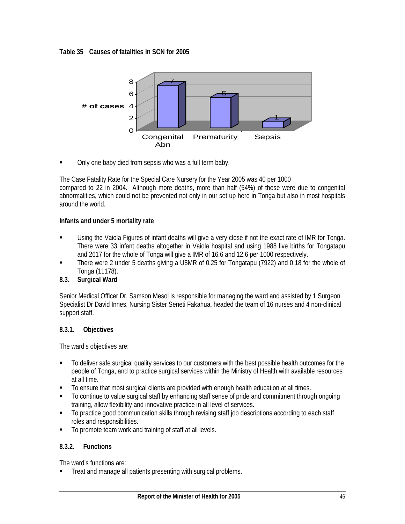**Table 35 Causes of fatalities in SCN for 2005** 



Only one baby died from sepsis who was a full term baby.

The Case Fatality Rate for the Special Care Nursery for the Year 2005 was 40 per 1000 compared to 22 in 2004. Although more deaths, more than half (54%) of these were due to congenital abnormalities, which could not be prevented not only in our set up here in Tonga but also in most hospitals around the world.

### **Infants and under 5 mortality rate**

- Using the Vaiola Figures of infant deaths will give a very close if not the exact rate of IMR for Tonga. There were 33 infant deaths altogether in Vaiola hospital and using 1988 live births for Tongatapu and 2617 for the whole of Tonga will give a IMR of 16.6 and 12.6 per 1000 respectively.
- There were 2 under 5 deaths giving a U5MR of 0.25 for Tongatapu (7922) and 0.18 for the whole of Tonga (11178).

# **8.3. Surgical Ward**

Senior Medical Officer Dr. Samson Mesol is responsible for managing the ward and assisted by 1 Surgeon Specialist Dr David Innes. Nursing Sister Seneti Fakahua, headed the team of 16 nurses and 4 non-clinical support staff.

### **8.3.1. Objectives**

The ward's objectives are:

- To deliver safe surgical quality services to our customers with the best possible health outcomes for the people of Tonga, and to practice surgical services within the Ministry of Health with available resources at all time.
- To ensure that most surgical clients are provided with enough health education at all times.
- To continue to value surgical staff by enhancing staff sense of pride and commitment through ongoing training, allow flexibility and innovative practice in all level of services.
- To practice good communication skills through revising staff job descriptions according to each staff roles and responsibilities.
- To promote team work and training of staff at all levels.

# **8.3.2. Functions**

The ward's functions are:

Treat and manage all patients presenting with surgical problems.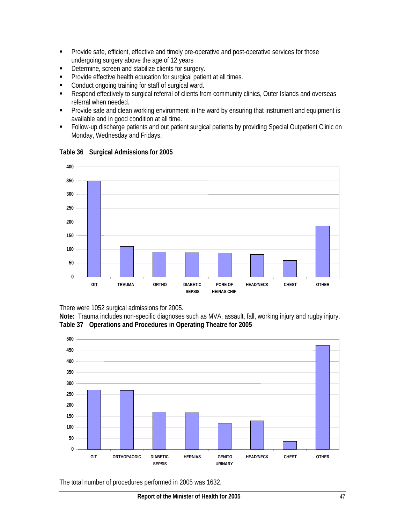- **Provide safe, efficient, effective and timely pre-operative and post-operative services for those** undergoing surgery above the age of 12 years
- Determine, screen and stabilize clients for surgery.
- **Provide effective health education for surgical patient at all times.**
- **Conduct ongoing training for staff of surgical ward.**
- Respond effectively to surgical referral of clients from community clinics, Outer Islands and overseas referral when needed.
- **Provide safe and clean working environment in the ward by ensuring that instrument and equipment is** available and in good condition at all time.
- Follow-up discharge patients and out patient surgical patients by providing Special Outpatient Clinic on Monday, Wednesday and Fridays.



### **Table 36 Surgical Admissions for 2005**

There were 1052 surgical admissions for 2005.

**Note:** Trauma includes non-specific diagnoses such as MVA, assault, fall, working injury and rugby injury. **Table 37 Operations and Procedures in Operating Theatre for 2005** 



The total number of procedures performed in 2005 was 1632.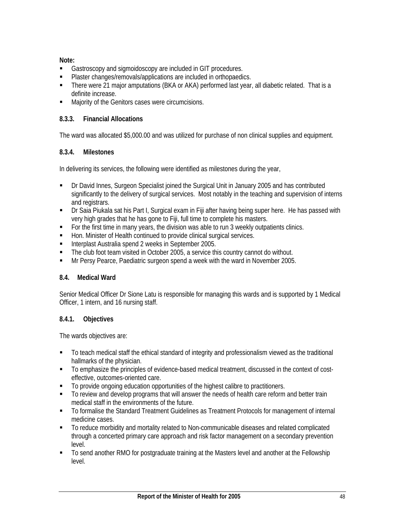**Note:** 

- Gastroscopy and sigmoidoscopy are included in GIT procedures.
- Plaster changes/removals/applications are included in orthopaedics.
- There were 21 major amputations (BKA or AKA) performed last year, all diabetic related. That is a definite increase.
- **Majority of the Genitors cases were circumcisions.**

# **8.3.3. Financial Allocations**

The ward was allocated \$5,000.00 and was utilized for purchase of non clinical supplies and equipment.

# **8.3.4. Milestones**

In delivering its services, the following were identified as milestones during the year,

- Dr David Innes, Surgeon Specialist joined the Surgical Unit in January 2005 and has contributed significantly to the delivery of surgical services. Most notably in the teaching and supervision of interns and registrars.
- Dr Saia Piukala sat his Part I, Surgical exam in Fiji after having being super here. He has passed with very high grades that he has gone to Fiji, full time to complete his masters.
- For the first time in many years, the division was able to run 3 weekly outpatients clinics.
- Hon. Minister of Health continued to provide clinical surgical services.
- Interplast Australia spend 2 weeks in September 2005.
- **The club foot team visited in October 2005, a service this country cannot do without.**
- Mr Persy Pearce, Paediatric surgeon spend a week with the ward in November 2005.

# **8.4. Medical Ward**

Senior Medical Officer Dr Sione Latu is responsible for managing this wards and is supported by 1 Medical Officer, 1 intern, and 16 nursing staff.

# **8.4.1. Objectives**

The wards objectives are:

- To teach medical staff the ethical standard of integrity and professionalism viewed as the traditional hallmarks of the physician.
- To emphasize the principles of evidence-based medical treatment, discussed in the context of costeffective, outcomes-oriented care.
- To provide ongoing education opportunities of the highest calibre to practitioners.
- To review and develop programs that will answer the needs of health care reform and better train medical staff in the environments of the future.
- To formalise the Standard Treatment Guidelines as Treatment Protocols for management of internal medicine cases.
- To reduce morbidity and mortality related to Non-communicable diseases and related complicated through a concerted primary care approach and risk factor management on a secondary prevention level.
- To send another RMO for postgraduate training at the Masters level and another at the Fellowship level.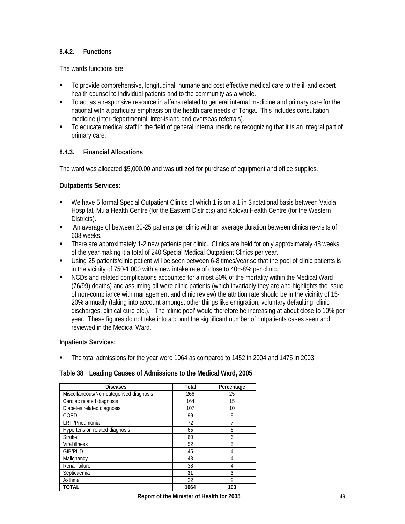### **8.4.2. Functions**

The wards functions are:

- To provide comprehensive, longitudinal, humane and cost effective medical care to the ill and expert health counsel to individual patients and to the community as a whole.
- To act as a responsive resource in affairs related to general internal medicine and primary care for the national with a particular emphasis on the health care needs of Tonga. This includes consultation medicine (inter-departmental, inter-island and overseas referrals).
- To educate medical staff in the field of general internal medicine recognizing that it is an integral part of primary care.

### **8.4.3. Financial Allocations**

The ward was allocated \$5,000.00 and was utilized for purchase of equipment and office supplies.

#### **Outpatients Services:**

- We have 5 formal Special Outpatient Clinics of which 1 is on a 1 in 3 rotational basis between Vaiola Hospital, Mu'a Health Centre (for the Eastern Districts) and Kolovai Health Centre (for the Western Districts).
- An average of between 20-25 patients per clinic with an average duration between clinics re-visits of 608 weeks.
- There are approximately 1-2 new patients per clinic. Clinics are held for only approximately 48 weeks of the year making it a total of 240 Special Medical Outpatient Clinics per year.
- Using 25 patients/clinic patient will be seen between 6-8 times/year so that the pool of clinic patients is in the vicinity of 750-1,000 with a new intake rate of close to 40=-8% per clinic.
- NCDs and related complications accounted for almost 80% of the mortality within the Medical Ward (76/99) deaths) and assuming all were clinic patients (which invariably they are and highlights the issue of non-compliance with management and clinic review) the attrition rate should be in the vicinity of 15- 20% annually (taking into account amongst other things like emigration, voluntary defaulting, clinic discharges, clinical cure etc.). The 'clinic pool' would therefore be increasing at about close to 10% per year. These figures do not take into account the significant number of outpatients cases seen and reviewed in the Medical Ward.

### **Inpatients Services:**

The total admissions for the year were 1064 as compared to 1452 in 2004 and 1475 in 2003.

#### **Table 38 Leading Causes of Admissions to the Medical Ward, 2005**

| <b>Diseases</b>                         | Total | Percentage |
|-----------------------------------------|-------|------------|
| Miscellaneous/Non-categorised diagnosis | 266   | 25         |
| Cardiac related diagnosis               | 164   | 15         |
| Diabetes related diagnosis              | 107   | 10         |
| COPD                                    | 99    | 9          |
| LRTI/Pneumonia                          | 72    |            |
| Hypertension related diagnosis          | 65    | 6          |
| <b>Stroke</b>                           | 60    | 6          |
| Viral illness                           | 52    | 5          |
| <b>GIB/PUD</b>                          | 45    |            |
| Malignancy                              | 43    | 4          |
| Renal failure                           | 38    | 4          |
| Septicaemia                             | 31    | 3          |
| Asthma                                  | 22    | 2          |
| <b>TOTAL</b>                            | 1064  | 100        |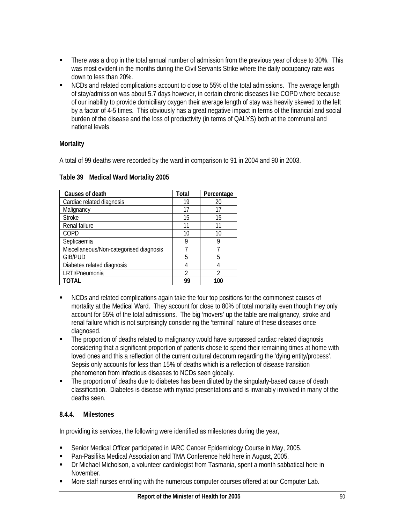- There was a drop in the total annual number of admission from the previous year of close to 30%. This was most evident in the months during the Civil Servants Strike where the daily occupancy rate was down to less than 20%.
- NCDs and related complications account to close to 55% of the total admissions. The average length of stay/admission was about 5.7 days however, in certain chronic diseases like COPD where because of our inability to provide domiciliary oxygen their average length of stay was heavily skewed to the left by a factor of 4-5 times. This obviously has a great negative impact in terms of the financial and social burden of the disease and the loss of productivity (in terms of QALYS) both at the communal and national levels.

### **Mortality**

A total of 99 deaths were recorded by the ward in comparison to 91 in 2004 and 90 in 2003.

| Causes of death                         | <b>Total</b>   | Percentage |
|-----------------------------------------|----------------|------------|
| Cardiac related diagnosis               | 19             | 20         |
| Malignancy                              | 17             | 17         |
| <b>Stroke</b>                           | 15             | 15         |
| Renal failure                           | 11             | 11         |
| COPD                                    | 10             | 10         |
| Septicaemia                             | 9              | g          |
| Miscellaneous/Non-categorised diagnosis |                |            |
| <b>GIB/PUD</b>                          | 5              | 5          |
| Diabetes related diagnosis              |                |            |
| LRTI/Pneumonia                          | $\mathfrak{D}$ | າ          |
| TOTAL                                   | 99             | 100        |

### **Table 39 Medical Ward Mortality 2005**

- **NCDs and related complications again take the four top positions for the commonest causes of** mortality at the Medical Ward. They account for close to 80% of total mortality even though they only account for 55% of the total admissions. The big 'movers' up the table are malignancy, stroke and renal failure which is not surprisingly considering the 'terminal' nature of these diseases once diagnosed.
- The proportion of deaths related to malignancy would have surpassed cardiac related diagnosis considering that a significant proportion of patients chose to spend their remaining times at home with loved ones and this a reflection of the current cultural decorum regarding the 'dying entity/process'. Sepsis only accounts for less than 15% of deaths which is a reflection of disease transition phenomenon from infectious diseases to NCDs seen globally.
- The proportion of deaths due to diabetes has been diluted by the singularly-based cause of death classification. Diabetes is disease with myriad presentations and is invariably involved in many of the deaths seen.

# **8.4.4. Milestones**

In providing its services, the following were identified as milestones during the year,

- Senior Medical Officer participated in IARC Cancer Epidemiology Course in May, 2005.
- Pan-Pasifika Medical Association and TMA Conference held here in August, 2005.
- Dr Michael Micholson, a volunteer cardiologist from Tasmania, spent a month sabbatical here in November.
- **More staff nurses enrolling with the numerous computer courses offered at our Computer Lab.**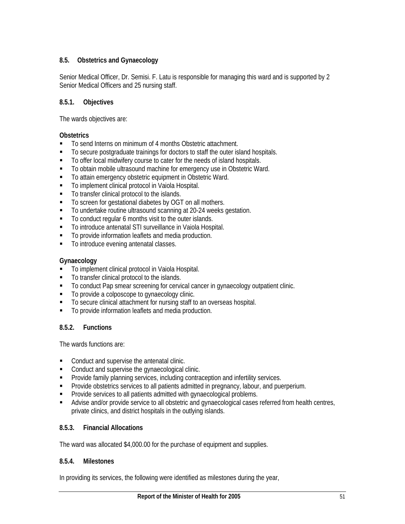# **8.5. Obstetrics and Gynaecology**

Senior Medical Officer, Dr. Semisi. F. Latu is responsible for managing this ward and is supported by 2 Senior Medical Officers and 25 nursing staff.

# **8.5.1. Objectives**

The wards objectives are:

### **Obstetrics**

- To send Interns on minimum of 4 months Obstetric attachment.
- To secure postgraduate trainings for doctors to staff the outer island hospitals.
- To offer local midwifery course to cater for the needs of island hospitals.
- To obtain mobile ultrasound machine for emergency use in Obstetric Ward.
- To attain emergency obstetric equipment in Obstetric Ward.
- To implement clinical protocol in Vaiola Hospital.
- $\blacksquare$  To transfer clinical protocol to the islands.
- To screen for gestational diabetes by OGT on all mothers.
- To undertake routine ultrasound scanning at 20-24 weeks gestation.
- To conduct regular 6 months visit to the outer islands.
- To introduce antenatal STI surveillance in Vaiola Hospital.
- $\blacksquare$  To provide information leaflets and media production.
- $\blacksquare$  To introduce evening antenatal classes.

## **Gynaecology**

- **To implement clinical protocol in Vaiola Hospital.**
- $\blacksquare$  To transfer clinical protocol to the islands.
- To conduct Pap smear screening for cervical cancer in gynaecology outpatient clinic.
- $\blacksquare$  To provide a colposcope to gynaecology clinic.
- To secure clinical attachment for nursing staff to an overseas hospital.
- $\blacksquare$  To provide information leaflets and media production.

# **8.5.2. Functions**

The wards functions are:

- Conduct and supervise the antenatal clinic.
- Conduct and supervise the gynaecological clinic.
- **Provide family planning services, including contraception and infertility services.**
- **Provide obstetrics services to all patients admitted in pregnancy, labour, and puerperium.**
- **Provide services to all patients admitted with gynaecological problems.**
- Advise and/or provide service to all obstetric and gynaecological cases referred from health centres, private clinics, and district hospitals in the outlying islands.

### **8.5.3. Financial Allocations**

The ward was allocated \$4,000.00 for the purchase of equipment and supplies.

### **8.5.4. Milestones**

In providing its services, the following were identified as milestones during the year,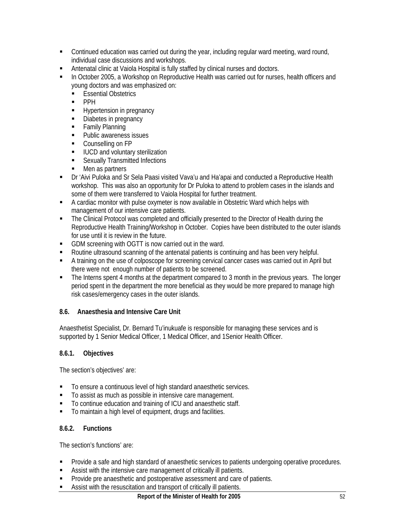- Continued education was carried out during the year, including regular ward meeting, ward round, individual case discussions and workshops.
- Antenatal clinic at Vaiola Hospital is fully staffed by clinical nurses and doctors.
- In October 2005, a Workshop on Reproductive Health was carried out for nurses, health officers and young doctors and was emphasized on:
	- **Essential Obstetrics**
	- $\blacksquare$  PPH
	- **Hypertension in pregnancy**
	- Diabetes in pregnancy
	- **Family Planning**
	- Public awareness issues
	- **Counselling on FP**
	- **IUCD and voluntary sterilization**
	- **Sexually Transmitted Infections**
	- Men as partners
- Dr 'Aivi Puloka and Sr Sela Paasi visited Vava'u and Ha'apai and conducted a Reproductive Health workshop. This was also an opportunity for Dr Puloka to attend to problem cases in the islands and some of them were transferred to Vaiola Hospital for further treatment.
- A cardiac monitor with pulse oxymeter is now available in Obstetric Ward which helps with management of our intensive care patients.
- The Clinical Protocol was completed and officially presented to the Director of Health during the Reproductive Health Training/Workshop in October. Copies have been distributed to the outer islands for use until it is review in the future.
- GDM screening with OGTT is now carried out in the ward.
- Routine ultrasound scanning of the antenatal patients is continuing and has been very helpful.
- A training on the use of colposcope for screening cervical cancer cases was carried out in April but there were not enough number of patients to be screened.
- The Interns spent 4 months at the department compared to 3 month in the previous years. The longer period spent in the department the more beneficial as they would be more prepared to manage high risk cases/emergency cases in the outer islands.

### **8.6. Anaesthesia and Intensive Care Unit**

Anaesthetist Specialist, Dr. Bernard Tu'inukuafe is responsible for managing these services and is supported by 1 Senior Medical Officer, 1 Medical Officer, and 1Senior Health Officer.

### **8.6.1. Objectives**

The section's objectives' are:

- To ensure a continuous level of high standard anaesthetic services.
- To assist as much as possible in intensive care management.
- To continue education and training of ICU and anaesthetic staff.
- To maintain a high level of equipment, drugs and facilities.

### **8.6.2. Functions**

The section's functions' are:

- **Provide a safe and high standard of anaesthetic services to patients undergoing operative procedures.**
- Assist with the intensive care management of critically ill patients.
- Provide pre anaesthetic and postoperative assessment and care of patients.
- Assist with the resuscitation and transport of critically ill patients.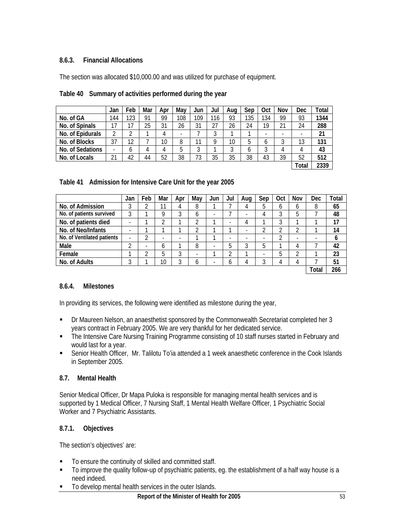## **8.6.3. Financial Allocations**

The section was allocated \$10,000.00 and was utilized for purchase of equipment.

|                  | Jan | Feb    | Mar | Apr | May | Jun | Jul    | Aug | Sep | Oct | Nov | Dec   | Total |
|------------------|-----|--------|-----|-----|-----|-----|--------|-----|-----|-----|-----|-------|-------|
| No. of GA        | 144 | 123    | 91  | 99  | 108 | 109 | 116    | 93  | 135 | 134 | 99  | 93    | 1344  |
| No. of Spinals   | 17  | 17     | 25  | 31  | 26  | 31  | 27     | 26  | 24  | 19  | 21  | 24    | 288   |
| No. of Epidurals | ኅ   | ◠<br>ے |     | 4   |     |     | ◠<br>J |     |     |     |     |       | 21    |
| No. of Blocks    | 37  | 12     |     | 10  | 8   |     | o      | 10  | 5   | b   |     | 13    | 131   |
| No. of Sedations | -   | O      | 4   | 4   | 5   | 3   |        | 3   | b   |     | 4   | 4     | 43    |
| No. of Locals    | 21  | 42     | 44  | 52  | 38  | 73  | 35     | 35  | 38  | 43  | 39  | 52    | 512   |
|                  |     |        |     |     |     |     |        |     |     |     |     | Total | 2339  |

|  | Table 41 Admission for Intensive Care Unit for the year 2005 |  |  |
|--|--------------------------------------------------------------|--|--|
|  |                                                              |  |  |

|                            | Jan                      | Feb                      | Mar | Apr | May | Jun                      | Jul | Aua | Sep                      | Oct | Nov                      | Dec   | Total |
|----------------------------|--------------------------|--------------------------|-----|-----|-----|--------------------------|-----|-----|--------------------------|-----|--------------------------|-------|-------|
| No. of Admission           | 3                        | ົ                        | 11  | 4   | 8   |                          |     |     | b                        | b   | 6                        |       | 65    |
| No. of patients survived   | 3                        |                          | Q   | 3   | 6   | $\overline{\phantom{a}}$ |     | ۰   | 4                        | 3   | 5                        |       | 48    |
| No. of patients died       | ۰                        |                          | ◠   | ◀   | າ   | ◢                        | -   | 4   |                          | 3   | ◢                        |       | 17    |
| No. of Neo/Infants         |                          |                          |     |     | า   |                          |     |     | ⌒<br>୵                   | ำ   | າ                        |       | 14    |
| No. of Ventilated patients | $\overline{\phantom{a}}$ | ◠                        | -   | -   |     |                          | -   | -   | $\overline{\phantom{0}}$ | ↷   | $\overline{\phantom{0}}$ |       | O     |
| Male                       | ↑                        | $\overline{\phantom{a}}$ | b   |     | 8   | $\overline{\phantom{0}}$ | 5   | າ   | 5                        | ◢   | 4                        |       | 42    |
| Female                     |                          | ↷                        | 5   | 3   | -   |                          |     |     | $\overline{\phantom{0}}$ | 5   | າ                        |       | 23    |
| No. of Adults              | ◠<br>J                   |                          | 10  | 3   | 6   | -                        | b   |     | Ç<br>ر .                 | 4   | 4                        |       | 51    |
|                            |                          |                          |     |     |     |                          |     |     |                          |     |                          | Total | 266   |

### **8.6.4. Milestones**

In providing its services, the following were identified as milestone during the year,

- Dr Maureen Nelson, an anaesthetist sponsored by the Commonwealth Secretariat completed her 3 years contract in February 2005. We are very thankful for her dedicated service.
- The Intensive Care Nursing Training Programme consisting of 10 staff nurses started in February and would last for a year.
- Senior Health Officer, Mr. Talilotu To'ia attended a 1 week anaesthetic conference in the Cook Islands in September 2005.

### **8.7. Mental Health**

Senior Medical Officer, Dr Mapa Puloka is responsible for managing mental health services and is supported by 1 Medical Officer, 7 Nursing Staff, 1 Mental Health Welfare Officer, 1 Psychiatric Social Worker and 7 Psychiatric Assistants.

# **8.7.1. Objectives**

The section's objectives' are:

- To ensure the continuity of skilled and committed staff.
- To improve the quality follow-up of psychiatric patients, eg. the establishment of a half way house is a need indeed.
- To develop mental health services in the outer Islands.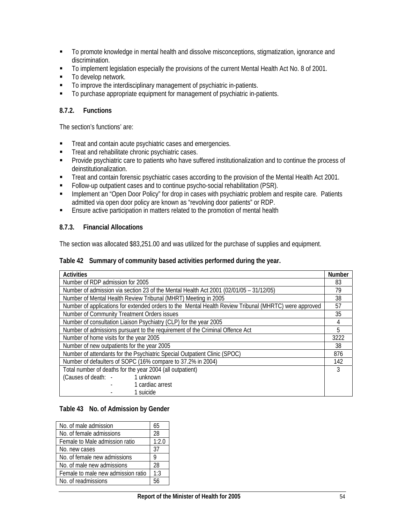- To promote knowledge in mental health and dissolve misconceptions, stigmatization, ignorance and discrimination.
- To implement legislation especially the provisions of the current Mental Health Act No. 8 of 2001.
- To develop network.
- $\blacksquare$  To improve the interdisciplinary management of psychiatric in-patients.
- To purchase appropriate equipment for management of psychiatric in-patients.

### **8.7.2. Functions**

The section's functions' are:

- **Treat and contain acute psychiatric cases and emergencies.**
- **Treat and rehabilitate chronic psychiatric cases.**
- **Provide psychiatric care to patients who have suffered institutionalization and to continue the process of** deinstitutionalization.
- **Treat and contain forensic psychiatric cases according to the provision of the Mental Health Act 2001.**
- Follow-up outpatient cases and to continue psycho-social rehabilitation (PSR).
- **Implement an "Open Door Policy" for drop in cases with psychiatric problem and respite care. Patients** admitted via open door policy are known as "revolving door patients" or RDP.
- **Ensure active participation in matters related to the promotion of mental health**

#### **8.7.3. Financial Allocations**

The section was allocated \$83,251.00 and was utilized for the purchase of supplies and equipment.

#### **Table 42 Summary of community based activities performed during the year.**

| <b>Activities</b>                                                                                     | <b>Number</b> |  |  |  |  |  |
|-------------------------------------------------------------------------------------------------------|---------------|--|--|--|--|--|
| Number of RDP admission for 2005                                                                      |               |  |  |  |  |  |
| Number of admission via section 23 of the Mental Health Act 2001 (02/01/05 - 31/12/05)                | 79            |  |  |  |  |  |
| Number of Mental Health Review Tribunal (MHRT) Meeting in 2005                                        | 38            |  |  |  |  |  |
| Number of applications for extended orders to the Mental Health Review Tribunal (MHRTC) were approved | 57            |  |  |  |  |  |
| Number of Community Treatment Orders issues                                                           | 35            |  |  |  |  |  |
| Number of consultation Liaison Psychiatry (CLP) for the year 2005                                     | 4             |  |  |  |  |  |
| Number of admissions pursuant to the requirement of the Criminal Offence Act                          |               |  |  |  |  |  |
| Number of home visits for the year 2005                                                               |               |  |  |  |  |  |
| Number of new outpatients for the year 2005                                                           | 38            |  |  |  |  |  |
| Number of attendants for the Psychiatric Special Outpatient Clinic (SPOC)                             | 876           |  |  |  |  |  |
| Number of defaulters of SOPC (16% compare to 37.2% in 2004)                                           | 142           |  |  |  |  |  |
| Total number of deaths for the year 2004 (all outpatient)                                             |               |  |  |  |  |  |
| 1 unknown<br>(Causes of death: -                                                                      |               |  |  |  |  |  |
| 1 cardiac arrest                                                                                      |               |  |  |  |  |  |
| 1 suicide                                                                                             |               |  |  |  |  |  |

#### **Table 43 No. of Admission by Gender**

| No. of male admission              | 65    |
|------------------------------------|-------|
| No. of female admissions           | 28    |
| Female to Male admission ratio     | 1:2.0 |
| No. new cases                      | 37    |
| No. of female new admissions       |       |
| No. of male new admissions         | 28    |
| Female to male new admission ratio | 1:3   |
| No. of readmissions                |       |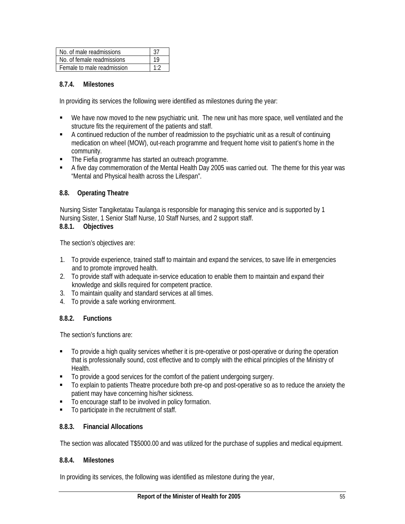| No. of male readmissions   |     |
|----------------------------|-----|
| No. of female readmissions |     |
| Female to male readmission | 1.2 |

### **8.7.4. Milestones**

In providing its services the following were identified as milestones during the year:

- We have now moved to the new psychiatric unit. The new unit has more space, well ventilated and the structure fits the requirement of the patients and staff.
- A continued reduction of the number of readmission to the psychiatric unit as a result of continuing medication on wheel (MOW), out-reach programme and frequent home visit to patient's home in the community.
- The Fiefia programme has started an outreach programme.
- A five day commemoration of the Mental Health Day 2005 was carried out. The theme for this year was "Mental and Physical health across the Lifespan".

### **8.8. Operating Theatre**

Nursing Sister Tangiketatau Taulanga is responsible for managing this service and is supported by 1 Nursing Sister, 1 Senior Staff Nurse, 10 Staff Nurses, and 2 support staff.

# **8.8.1. Objectives**

The section's objectives are:

- 1. To provide experience, trained staff to maintain and expand the services, to save life in emergencies and to promote improved health.
- 2. To provide staff with adequate in-service education to enable them to maintain and expand their knowledge and skills required for competent practice.
- 3. To maintain quality and standard services at all times.
- 4. To provide a safe working environment.

# **8.8.2. Functions**

The section's functions are:

- To provide a high quality services whether it is pre-operative or post-operative or during the operation that is professionally sound, cost effective and to comply with the ethical principles of the Ministry of Health.
- $\blacksquare$  To provide a good services for the comfort of the patient undergoing surgery.
- To explain to patients Theatre procedure both pre-op and post-operative so as to reduce the anxiety the patient may have concerning his/her sickness.
- To encourage staff to be involved in policy formation.
- To participate in the recruitment of staff.

### **8.8.3. Financial Allocations**

The section was allocated T\$5000.00 and was utilized for the purchase of supplies and medical equipment.

### **8.8.4. Milestones**

In providing its services, the following was identified as milestone during the year,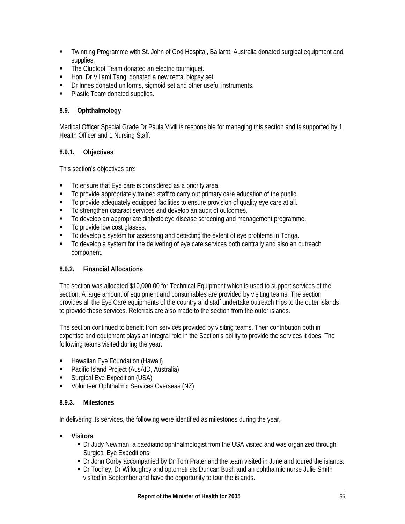- Twinning Programme with St. John of God Hospital, Ballarat, Australia donated surgical equipment and supplies.
- **The Clubfoot Team donated an electric tourniquet.**
- Hon. Dr Viliami Tangi donated a new rectal biopsy set.
- **•** Dr Innes donated uniforms, sigmoid set and other useful instruments.
- Plastic Team donated supplies.

# **8.9. Ophthalmology**

Medical Officer Special Grade Dr Paula Vivili is responsible for managing this section and is supported by 1 Health Officer and 1 Nursing Staff.

# **8.9.1. Objectives**

This section's objectives are:

- To ensure that Eye care is considered as a priority area.
- $\blacksquare$  To provide appropriately trained staff to carry out primary care education of the public.
- To provide adequately equipped facilities to ensure provision of quality eye care at all.
- $\blacksquare$  To strengthen cataract services and develop an audit of outcomes.
- $\blacksquare$  To develop an appropriate diabetic eye disease screening and management programme.
- To provide low cost glasses.
- $\blacksquare$  To develop a system for assessing and detecting the extent of eye problems in Tonga.
- $\blacksquare$  To develop a system for the delivering of eye care services both centrally and also an outreach component.

# **8.9.2. Financial Allocations**

The section was allocated \$10,000.00 for Technical Equipment which is used to support services of the section. A large amount of equipment and consumables are provided by visiting teams. The section provides all the Eye Care equipments of the country and staff undertake outreach trips to the outer islands to provide these services. Referrals are also made to the section from the outer islands.

The section continued to benefit from services provided by visiting teams. Their contribution both in expertise and equipment plays an integral role in the Section's ability to provide the services it does. The following teams visited during the year.

- **-** Hawaiian Eye Foundation (Hawaii)
- **Pacific Island Project (AusAID, Australia)**
- Surgical Eye Expedition (USA)
- **Volunteer Ophthalmic Services Overseas (NZ)**

# **8.9.3. Milestones**

In delivering its services, the following were identified as milestones during the year,

- **Visitors** 
	- Dr Judy Newman, a paediatric ophthalmologist from the USA visited and was organized through Surgical Eye Expeditions.
	- Dr John Corby accompanied by Dr Tom Prater and the team visited in June and toured the islands.
	- Dr Toohey, Dr Willoughby and optometrists Duncan Bush and an ophthalmic nurse Julie Smith visited in September and have the opportunity to tour the islands.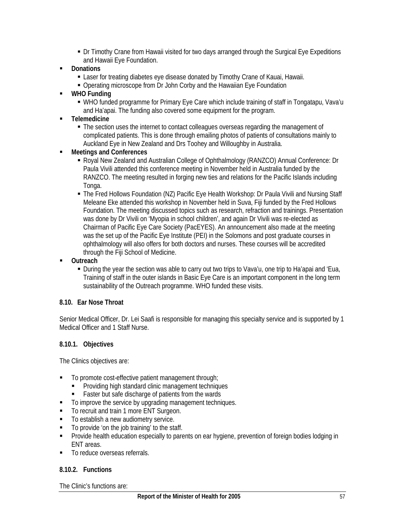- Dr Timothy Crane from Hawaii visited for two days arranged through the Surgical Eye Expeditions and Hawaii Eye Foundation.
- **Donations** 
	- Laser for treating diabetes eye disease donated by Timothy Crane of Kauai, Hawaii.
	- Operating microscope from Dr John Corby and the Hawaiian Eye Foundation
- **WHO Funding** 
	- WHO funded programme for Primary Eye Care which include training of staff in Tongatapu, Vava'u and Ha'apai. The funding also covered some equipment for the program.
- **Telemedicine** 
	- The section uses the internet to contact colleagues overseas regarding the management of complicated patients. This is done through emailing photos of patients of consultations mainly to Auckland Eye in New Zealand and Drs Toohey and Willoughby in Australia.
- **Meetings and Conferences** 
	- Royal New Zealand and Australian College of Ophthalmology (RANZCO) Annual Conference: Dr Paula Vivili attended this conference meeting in November held in Australia funded by the RANZCO. The meeting resulted in forging new ties and relations for the Pacific Islands including Tonga.
	- The Fred Hollows Foundation (NZ) Pacific Eye Health Workshop: Dr Paula Vivili and Nursing Staff Meleane Eke attended this workshop in November held in Suva, Fiji funded by the Fred Hollows Foundation. The meeting discussed topics such as research, refraction and trainings. Presentation was done by Dr Vivili on 'Myopia in school children', and again Dr Vivili was re-elected as Chairman of Pacific Eye Care Society (PacEYES). An announcement also made at the meeting was the set up of the Pacific Eye Institute (PEI) in the Solomons and post graduate courses in ophthalmology will also offers for both doctors and nurses. These courses will be accredited through the Fiji School of Medicine.
- **Outreach** 
	- During the year the section was able to carry out two trips to Vava'u, one trip to Ha'apai and 'Eua, Training of staff in the outer islands in Basic Eye Care is an important component in the long term sustainability of the Outreach programme. WHO funded these visits.

### **8.10. Ear Nose Throat**

Senior Medical Officer, Dr. Lei Saafi is responsible for managing this specialty service and is supported by 1 Medical Officer and 1 Staff Nurse.

### **8.10.1. Objectives**

The Clinics objectives are:

- To promote cost-effective patient management through;
	- Providing high standard clinic management techniques
	- Faster but safe discharge of patients from the wards
- $\blacksquare$  To improve the service by upgrading management techniques.
- To recruit and train 1 more ENT Surgeon.
- To establish a new audiometry service.
- $\blacksquare$  To provide 'on the job training' to the staff.
- **Provide health education especially to parents on ear hygiene, prevention of foreign bodies lodging in** ENT areas.
- $\blacksquare$  To reduce overseas referrals.

### **8.10.2. Functions**

The Clinic's functions are: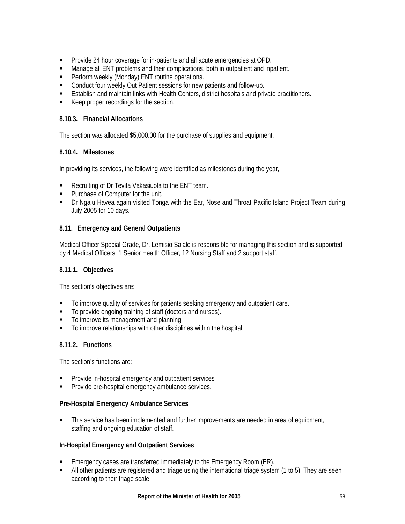- **Provide 24 hour coverage for in-patients and all acute emergencies at OPD.**
- Manage all ENT problems and their complications, both in outpatient and inpatient.
- **Perform weekly (Monday) ENT routine operations.**
- **EXECONDUCT CONDUCT FOUR PATE IN PATE IN EXECUTE:** Conduct four weekly Out Patient sessions for new patients and follow-up.
- Establish and maintain links with Health Centers, district hospitals and private practitioners.
- Keep proper recordings for the section.

### **8.10.3. Financial Allocations**

The section was allocated \$5,000.00 for the purchase of supplies and equipment.

### **8.10.4. Milestones**

In providing its services, the following were identified as milestones during the year,

- **Recruiting of Dr Tevita Vakasiuola to the ENT team.**
- Purchase of Computer for the unit.
- Dr Ngalu Havea again visited Tonga with the Ear, Nose and Throat Pacific Island Project Team during July 2005 for 10 days.

# **8.11. Emergency and General Outpatients**

Medical Officer Special Grade, Dr. Lemisio Sa'ale is responsible for managing this section and is supported by 4 Medical Officers, 1 Senior Health Officer, 12 Nursing Staff and 2 support staff.

### **8.11.1. Objectives**

The section's objectives are:

- $\blacksquare$  To improve quality of services for patients seeking emergency and outpatient care.
- $\blacksquare$  To provide ongoing training of staff (doctors and nurses).
- $\blacksquare$  To improve its management and planning.
- $\blacksquare$  To improve relationships with other disciplines within the hospital.

# **8.11.2. Functions**

The section's functions are:

- **Provide in-hospital emergency and outpatient services**
- Provide pre-hospital emergency ambulance services.

### **Pre-Hospital Emergency Ambulance Services**

 This service has been implemented and further improvements are needed in area of equipment, staffing and ongoing education of staff.

### **In-Hospital Emergency and Outpatient Services**

- Emergency cases are transferred immediately to the Emergency Room (ER).
- All other patients are registered and triage using the international triage system (1 to 5). They are seen according to their triage scale.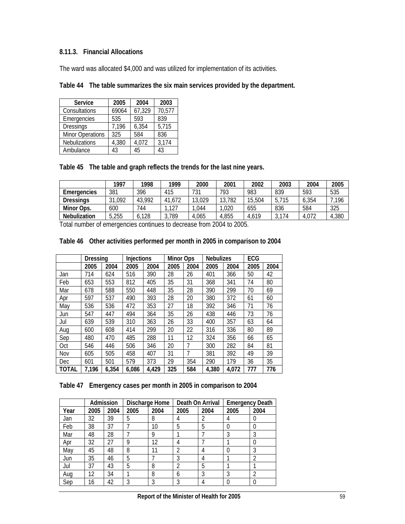# **8.11.3. Financial Allocations**

The ward was allocated \$4,000 and was utilized for implementation of its activities.

| <b>Service</b>          | 2005  | 2004   | 2003   |
|-------------------------|-------|--------|--------|
| Consultations           | 69064 | 67,329 | 70,577 |
| Emergencies             | 535   | 593    | 839    |
| <b>Dressings</b>        | 7,196 | 6,354  | 5,715  |
| <b>Minor Operations</b> | 325   | 584    | 836    |
| Nebulizations           | 4,380 | 4,072  | 3,174  |
| Ambulance               | 43    | 45     | 43     |

|  | Table 45 The table and graph reflects the trends for the last nine years. |  |
|--|---------------------------------------------------------------------------|--|
|--|---------------------------------------------------------------------------|--|

|                     | 1997   | 1998   | 1999   | 2000   | 2001   | 2002   | 2003  | 2004  | 2005  |
|---------------------|--------|--------|--------|--------|--------|--------|-------|-------|-------|
| Emergencies         | 381    | 396    | 415    | 731    | 793    | 983    | 839   | 593   | 535   |
| <b>Dressings</b>    | 31,092 | 43,992 | 41,672 | 13,029 | 13,782 | 15,504 | 5,715 | 6,354 | 196   |
| Minor Ops.          | 600    | 744    | .127   | .044   | ,020   | 655    | 836   | 584   | 325   |
| <b>Nebulization</b> | 5,255  | ,128   | 3,789  | 4.065  | 4.855  | 4,619  | 3,174 | 4,072 | 4,380 |

Total number of emergencies continues to decrease from 2004 to 2005.

### **Table 46 Other activities performed per month in 2005 in comparison to 2004**

|       | Dressing |       | <b>Injections</b> |       | <b>Minor Ops</b> |      | <b>Nebulizes</b> |       | ECG  |      |
|-------|----------|-------|-------------------|-------|------------------|------|------------------|-------|------|------|
|       | 2005     | 2004  | 2005              | 2004  | 2005             | 2004 | 2005             | 2004  | 2005 | 2004 |
| Jan   | 714      | 624   | 516               | 390   | 28               | 26   | 401              | 366   | 50   | 42   |
| Feb   | 653      | 553   | 812               | 405   | 35               | 31   | 368              | 341   | 74   | 80   |
| Mar   | 678      | 588   | 550               | 448   | 35               | 28   | 390              | 299   | 70   | 69   |
| Apr   | 597      | 537   | 490               | 393   | 28               | 20   | 380              | 372   | 61   | 60   |
| May   | 536      | 536   | 472               | 353   | 27               | 18   | 392              | 346   | 71   | 76   |
| Jun   | 547      | 447   | 494               | 364   | 35               | 26   | 438              | 446   | 73   | 76   |
| Jul   | 639      | 539   | 310               | 363   | 26               | 33   | 400              | 357   | 63   | 64   |
| Aug   | 600      | 608   | 414               | 299   | 20               | 22   | 316              | 336   | 80   | 89   |
| Sep   | 480      | 470   | 485               | 288   | 11               | 12   | 324              | 356   | 66   | 65   |
| Oct   | 546      | 446   | 506               | 346   | 20               | 7    | 300              | 282   | 84   | 81   |
| Nov   | 605      | 505   | 458               | 407   | 31               | 7    | 381              | 392   | 49   | 39   |
| Dec   | 601      | 501   | 579               | 373   | 29               | 354  | 290              | 179   | 36   | 35   |
| TOTAL | 7,196    | 6,354 | 6,086             | 4,429 | 325              | 584  | 4,380            | 4,072 | 777  | 776  |

# **Table 47 Emergency cases per month in 2005 in comparison to 2004**

|      |      | Admission |      | Discharge Home | Death On Arrival |      | <b>Emergency Death</b> |      |
|------|------|-----------|------|----------------|------------------|------|------------------------|------|
| Year | 2005 | 2004      | 2005 | 2004           | 2005             | 2004 | 2005                   | 2004 |
| Jan  | 32   | 39        | 5    | 8              |                  |      | 4                      |      |
| Feb  | 38   | 37        |      | 10             | 5                | 5    | 0                      |      |
| Mar  | 48   | 28        |      | 9              |                  |      | 3                      | 3    |
| Apr  | 32   | 27        | 9    | 12             | 4                |      |                        |      |
| May  | 45   | 48        | 8    |                |                  | 4    | 0                      |      |
| Jun  | 35   | 46        | 5    |                | 3                | 4    |                        |      |
| Jul  | 37   | 43        | 5    | 8              |                  | 5    |                        |      |
| Aug  | 12   | 34        |      | 8              | b                | 3    | 3                      |      |
| Sep  | 16   | 42        |      | 3              |                  |      |                        |      |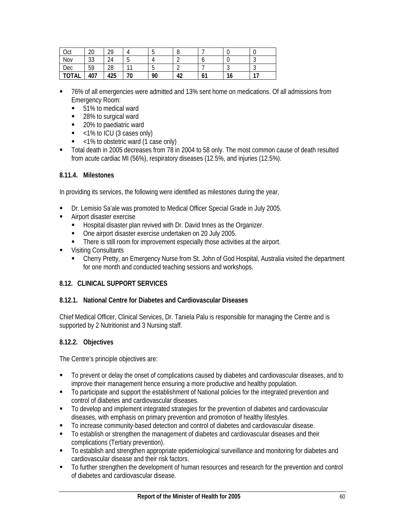| ∩rt<br>Uul | ിറ<br>∠∪ | 20           |         | $\cdot$ | ີ                  |     |    |         |
|------------|----------|--------------|---------|---------|--------------------|-----|----|---------|
| Nov        | ົດ<br>υu | $\sim$<br>24 | $\cdot$ | Д       |                    |     |    | $\cdot$ |
| Dec        | 59       | 28           | -1      | -<br>u  |                    |     |    | $\cdot$ |
| TOTAL      | 407      | 425          | 70      | 90      | $\Lambda^{\gamma}$ | 6 I | 16 | 17      |

- 76% of all emergencies were admitted and 13% sent home on medications. Of all admissions from Emergency Room:
	- 51% to medical ward
	- 28% to surgical ward
	- 20% to paediatric ward
	- $\sim$  <1% to ICU (3 cases only)
	- <1% to obstetric ward (1 case only)
- Total death in 2005 decreases from 78 in 2004 to 58 only. The most common cause of death resulted from acute cardiac MI (56%), respiratory diseases (12.5%, and injuries (12.5%).

### **8.11.4. Milestones**

In providing its services, the following were identified as milestones during the year,

- Dr. Lemisio Sa'ale was promoted to Medical Officer Special Grade in July 2005.
- Airport disaster exercise
	- Hospital disaster plan revived with Dr. David Innes as the Organizer.
	- One airport disaster exercise undertaken on 20 July 2005.
	- There is still room for improvement especially those activities at the airport.
- Visiting Consultants
	- Cherry Pretty, an Emergency Nurse from St. John of God Hospital, Australia visited the department for one month and conducted teaching sessions and workshops.

### **8.12. CLINICAL SUPPORT SERVICES**

### **8.12.1. National Centre for Diabetes and Cardiovascular Diseases**

Chief Medical Officer, Clinical Services, Dr. Taniela Palu is responsible for managing the Centre and is supported by 2 Nutritionist and 3 Nursing staff.

### **8.12.2. Objectives**

The Centre's principle objectives are:

- To prevent or delay the onset of complications caused by diabetes and cardiovascular diseases, and to improve their management hence ensuring a more productive and healthy population.
- To participate and support the establishment of National policies for the integrated prevention and control of diabetes and cardiovascular diseases.
- To develop and implement integrated strategies for the prevention of diabetes and cardiovascular diseases, with emphasis on primary prevention and promotion of healthy lifestyles.
- To increase community-based detection and control of diabetes and cardiovascular disease.
- To establish or strengthen the management of diabetes and cardiovascular diseases and their complications (Tertiary prevention).
- **TO establish and strengthen appropriate epidemiological surveillance and monitoring for diabetes and** cardiovascular disease and their risk factors.
- To further strengthen the development of human resources and research for the prevention and control of diabetes and cardiovascular disease.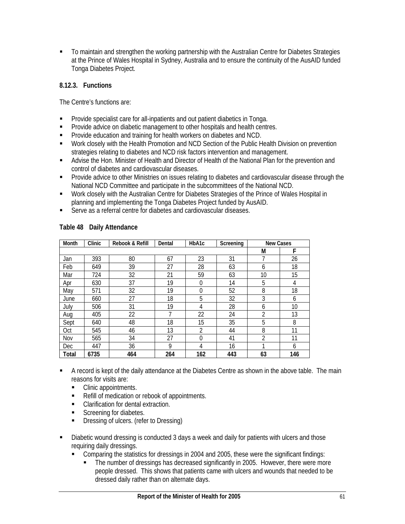To maintain and strengthen the working partnership with the Australian Centre for Diabetes Strategies at the Prince of Wales Hospital in Sydney, Australia and to ensure the continuity of the AusAID funded Tonga Diabetes Project.

## **8.12.3. Functions**

The Centre's functions are:

- **Provide specialist care for all-inpatients and out patient diabetics in Tonga.**
- **Provide advice on diabetic management to other hospitals and health centres.**
- **Provide education and training for health workers on diabetes and NCD.**
- Work closely with the Health Promotion and NCD Section of the Public Health Division on prevention strategies relating to diabetes and NCD risk factors intervention and management.
- Advise the Hon. Minister of Health and Director of Health of the National Plan for the prevention and control of diabetes and cardiovascular diseases.
- **Provide advice to other Ministries on issues relating to diabetes and cardiovascular disease through the** National NCD Committee and participate in the subcommittees of the National NCD.
- Work closely with the Australian Centre for Diabetes Strategies of the Prince of Wales Hospital in planning and implementing the Tonga Diabetes Project funded by AusAID.
- Serve as a referral centre for diabetes and cardiovascular diseases.

| Month      | Clinic | Rebook & Refill | Dental | HbA1c          | Screening | <b>New Cases</b> |     |
|------------|--------|-----------------|--------|----------------|-----------|------------------|-----|
|            |        |                 |        |                |           | М                | F   |
| Jan        | 393    | 80              | 67     | 23             | 31        |                  | 26  |
| Feb        | 649    | 39              | 27     | 28             | 63        | 6                | 18  |
| Mar        | 724    | 32              | 21     | 59             | 63        | 10 <sup>1</sup>  | 15  |
| Apr        | 630    | 37              | 19     | $\mathbf 0$    | 14        | 5                | 4   |
| May        | 571    | 32              | 19     | $\mathbf 0$    | 52        | 8                | 18  |
| June       | 660    | 27              | 18     | 5              | 32        | 3                | 6   |
| July       | 506    | 31              | 19     | 4              | 28        | 6                | 10  |
| Aug        | 405    | 22              | 7      | 22             | 24        | $\overline{2}$   | 13  |
| Sept       | 640    | 48              | 18     | 15             | 35        | 5                | 8   |
| <b>Oct</b> | 545    | 46              | 13     | $\overline{2}$ | 44        | 8                | 11  |
| Nov        | 565    | 34              | 27     | $\theta$       | 41        | $\overline{2}$   | 11  |
| <b>Dec</b> | 447    | 36              | 9      | 4              | 16        |                  | 6   |
| Total      | 6735   | 464             | 264    | 162            | 443       | 63               | 146 |

#### **Table 48 Daily Attendance**

- A record is kept of the daily attendance at the Diabetes Centre as shown in the above table. The main reasons for visits are:
	- Clinic appointments.
	- Refill of medication or rebook of appointments.
	- **Clarification for dental extraction.**
	- Screening for diabetes.
	- **Dressing of ulcers. (refer to Dressing)**
- Diabetic wound dressing is conducted 3 days a week and daily for patients with ulcers and those requiring daily dressings.
	- Comparing the statistics for dressings in 2004 and 2005, these were the significant findings:
		- The number of dressings has decreased significantly in 2005. However, there were more people dressed. This shows that patients came with ulcers and wounds that needed to be dressed daily rather than on alternate days.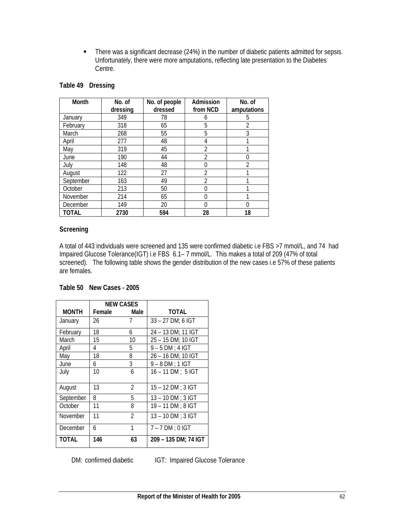• There was a significant decrease (24%) in the number of diabetic patients admitted for sepsis. Unfortunately, there were more amputations, reflecting late presentation to the Diabetes Centre.

| Month        | No. of<br>No. of people<br>dressed<br>dressing |     | Admission<br>from NCD | No. of<br>amputations |
|--------------|------------------------------------------------|-----|-----------------------|-----------------------|
| January      | 349                                            | 78  | 6                     | 5                     |
| February     | 318                                            | 65  | 5                     | 2                     |
| March        | 268                                            | 55  | 5                     | 3                     |
| April        | 277                                            | 48  | 4                     |                       |
| May          | 319                                            | 45  | $\overline{2}$        |                       |
| June         | 190                                            | 44  | $\overline{2}$        | O                     |
| July         | 148                                            | 48  | 0                     | 2                     |
| August       | 122                                            | 27  | 2                     |                       |
| September    | 163                                            | 49  | $\mathfrak{D}$        |                       |
| October      | 213                                            | 50  | 0                     |                       |
| November     | 214                                            | 65  | $\Omega$              |                       |
| December     | 149                                            | 20  | $\Omega$              | N                     |
| <b>TOTAL</b> | 2730                                           | 594 | 28                    | 18                    |

### **Table 49 Dressing**

### **Screening**

A total of 443 individuals were screened and 135 were confirmed diabetic i.e FBS >7 mmol/L, and 74 had Impaired Glucose Tolerance(IGT) i.e FBS 6.1– 7 mmol/L. This makes a total of 209 (47% of total screened). The following table shows the gender distribution of the new cases i.e 57% of these patients are females.

|              | <b>NEW CASES</b> |                |                      |
|--------------|------------------|----------------|----------------------|
| <b>MONTH</b> | Female           | Male           | TOTAL                |
| January      | 26               | 7              | 33 – 27 DM: 6 IGT    |
| February     | 18               | 6              | 24 - 13 DM: 11 IGT   |
| March        | 15               | 10             | 25 - 15 DM; 10 IGT   |
| April        | 4                | 5              | $9 - 5$ DM; 4 IGT    |
| May          | 18               | 8              | 26 - 16 DM; 10 IGT   |
| June         | 6                | 3              | $9 - 8$ DM ; 1 IGT   |
| July         | 10               | 6              | $16 - 11 DM : 5 IGT$ |
| August       | 13               | 2              | $15 - 12$ DM : 3 IGT |
| September    | 8                | 5              | $13 - 10$ DM : 3 IGT |
| October      | 11               | 8              | $19 - 11$ DM : 8 IGT |
| November     | 11               | $\mathfrak{D}$ | $13 - 10$ DM ; 3 IGT |
| December     | 6                | 1              | $7 - 7$ DM : 0 IGT   |
| TOTAL        | 146              | 63             | 209 – 135 DM: 74 IGT |

### **Table 50 New Cases - 2005**

DM: confirmed diabetic **IGT: Impaired Glucose Tolerance**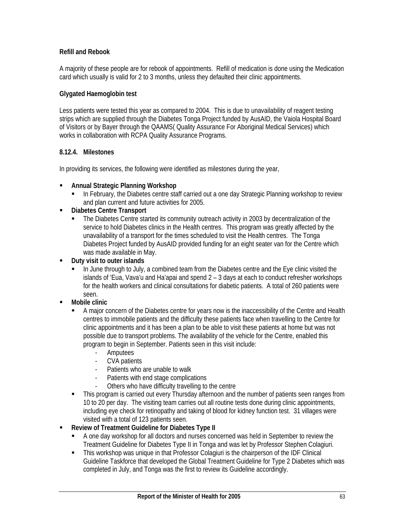## **Refill and Rebook**

A majority of these people are for rebook of appointments. Refill of medication is done using the Medication card which usually is valid for 2 to 3 months, unless they defaulted their clinic appointments.

### **Glygated Haemoglobin test**

Less patients were tested this year as compared to 2004. This is due to unavailability of reagent testing strips which are supplied through the Diabetes Tonga Project funded by AusAID, the Vaiola Hospital Board of Visitors or by Bayer through the QAAMS( Quality Assurance For Aboriginal Medical Services) which works in collaboration with RCPA Quality Assurance Programs.

### **8.12.4. Milestones**

In providing its services, the following were identified as milestones during the year,

- **Annual Strategic Planning Workshop** 
	- In February, the Diabetes centre staff carried out a one day Strategic Planning workshop to review and plan current and future activities for 2005.
- **Diabetes Centre Transport** 
	- The Diabetes Centre started its community outreach activity in 2003 by decentralization of the service to hold Diabetes clinics in the Health centres. This program was greatly affected by the unavailability of a transport for the times scheduled to visit the Health centres. The Tonga Diabetes Project funded by AusAID provided funding for an eight seater van for the Centre which was made available in May.
- **Duty visit to outer islands** 
	- In June through to July, a combined team from the Diabetes centre and the Eye clinic visited the islands of 'Eua, Vava'u and Ha'apai and spend 2 – 3 days at each to conduct refresher workshops for the health workers and clinical consultations for diabetic patients. A total of 260 patients were seen.
- **Mobile clinic** 
	- A major concern of the Diabetes centre for years now is the inaccessibility of the Centre and Health centres to immobile patients and the difficulty these patients face when travelling to the Centre for clinic appointments and it has been a plan to be able to visit these patients at home but was not possible due to transport problems. The availability of the vehicle for the Centre, enabled this program to begin in September. Patients seen in this visit include:
		- Amputees
		- CVA patients
		- Patients who are unable to walk
		- Patients with end stage complications
		- Others who have difficulty travelling to the centre
	- This program is carried out every Thursday afternoon and the number of patients seen ranges from 10 to 20 per day. The visiting team carries out all routine tests done during clinic appointments, including eye check for retinopathy and taking of blood for kidney function test. 31 villages were visited with a total of 123 patients seen.
- **Review of Treatment Guideline for Diabetes Type II** 
	- A one day workshop for all doctors and nurses concerned was held in September to review the Treatment Guideline for Diabetes Type II in Tonga and was let by Professor Stephen Colagiuri.
	- This workshop was unique in that Professor Colagiuri is the chairperson of the IDF Clinical Guideline Taskforce that developed the Global Treatment Guideline for Type 2 Diabetes which was completed in July, and Tonga was the first to review its Guideline accordingly.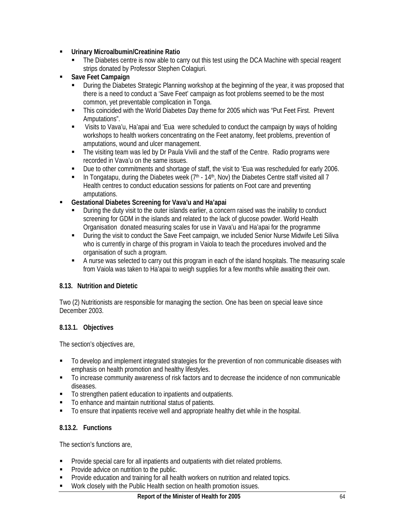- **Urinary Microalbumin/Creatinine Ratio** 
	- The Diabetes centre is now able to carry out this test using the DCA Machine with special reagent strips donated by Professor Stephen Colagiuri.
- **Save Feet Campaign** 
	- During the Diabetes Strategic Planning workshop at the beginning of the year, it was proposed that there is a need to conduct a 'Save Feet' campaign as foot problems seemed to be the most common, yet preventable complication in Tonga.
	- This coincided with the World Diabetes Day theme for 2005 which was "Put Feet First. Prevent Amputations".
	- Visits to Vava'u, Ha'apai and 'Eua were scheduled to conduct the campaign by ways of holding workshops to health workers concentrating on the Feet anatomy, feet problems, prevention of amputations, wound and ulcer management.
	- The visiting team was led by Dr Paula Vivili and the staff of the Centre. Radio programs were recorded in Vava'u on the same issues.
	- Due to other commitments and shortage of staff, the visit to 'Eua was rescheduled for early 2006.
	- In Tongatapu, during the Diabetes week  $(7<sup>th</sup> 14<sup>th</sup>)$ , Nov) the Diabetes Centre staff visited all 7 Health centres to conduct education sessions for patients on Foot care and preventing amputations.
- **Gestational Diabetes Screening for Vava'u and Ha'apai** 
	- During the duty visit to the outer islands earlier, a concern raised was the inability to conduct screening for GDM in the islands and related to the lack of glucose powder. World Health Organisation donated measuring scales for use in Vava'u and Ha'apai for the programme
	- During the visit to conduct the Save Feet campaign, we included Senior Nurse Midwife Leti Siliva who is currently in charge of this program in Vaiola to teach the procedures involved and the organisation of such a program.
	- A nurse was selected to carry out this program in each of the island hospitals. The measuring scale from Vaiola was taken to Ha'apai to weigh supplies for a few months while awaiting their own.

# **8.13. Nutrition and Dietetic**

Two (2) Nutritionists are responsible for managing the section. One has been on special leave since December 2003.

### **8.13.1. Objectives**

The section's objectives are,

- To develop and implement integrated strategies for the prevention of non communicable diseases with emphasis on health promotion and healthy lifestyles.
- To increase community awareness of risk factors and to decrease the incidence of non communicable diseases.
- To strengthen patient education to inpatients and outpatients.
- To enhance and maintain nutritional status of patients.
- To ensure that inpatients receive well and appropriate healthy diet while in the hospital.

### **8.13.2. Functions**

The section's functions are,

- **Provide special care for all inpatients and outpatients with diet related problems.**
- **Provide advice on nutrition to the public.**
- Provide education and training for all health workers on nutrition and related topics.
- Work closely with the Public Health section on health promotion issues.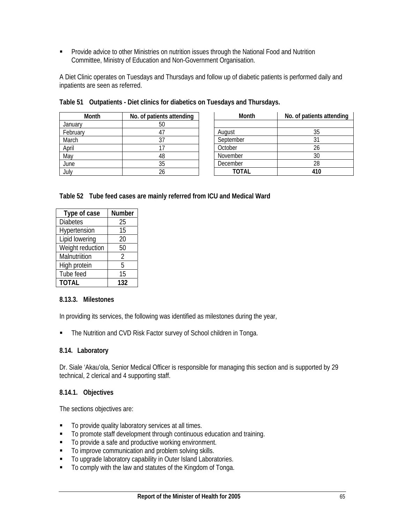**Provide advice to other Ministries on nutrition issues through the National Food and Nutrition** Committee, Ministry of Education and Non-Government Organisation.

A Diet Clinic operates on Tuesdays and Thursdays and follow up of diabetic patients is performed daily and inpatients are seen as referred.

| Month    | No. of patients attending |  |  |  |  |
|----------|---------------------------|--|--|--|--|
| January  | 50                        |  |  |  |  |
| February | 41                        |  |  |  |  |
| March    | 37                        |  |  |  |  |
| April    | 17                        |  |  |  |  |
| May      | 48                        |  |  |  |  |
| June     | 35                        |  |  |  |  |
| July     | 26                        |  |  |  |  |

| Month     | No. of patients attending |  |  |  |
|-----------|---------------------------|--|--|--|
|           |                           |  |  |  |
| August    | 35                        |  |  |  |
| September | 31                        |  |  |  |
| October   | 26                        |  |  |  |
| November  | 30                        |  |  |  |
| December  | 28                        |  |  |  |
| TOTAL     | 410                       |  |  |  |

|  | Table 51 Outpatients - Diet clinics for diabetics on Tuesdays and Thursdays. |  |  |  |  |
|--|------------------------------------------------------------------------------|--|--|--|--|
|--|------------------------------------------------------------------------------|--|--|--|--|

| Table 52 Tube feed cases are mainly referred from ICU and Medical Ward |  |  |
|------------------------------------------------------------------------|--|--|
|                                                                        |  |  |

| Type of case     | Number         |
|------------------|----------------|
| <b>Diabetes</b>  | 25             |
| Hypertension     | 15             |
| Lipid lowering   | 20             |
| Weight reduction | 50             |
| Malnutriition    | $\mathfrak{D}$ |
| High protein     | 5              |
| Tube feed        | 15             |
| <b>TOTAL</b>     | 132            |

### **8.13.3. Milestones**

In providing its services, the following was identified as milestones during the year,

• The Nutrition and CVD Risk Factor survey of School children in Tonga.

#### **8.14. Laboratory**

Dr. Siale 'Akau'ola, Senior Medical Officer is responsible for managing this section and is supported by 29 technical, 2 clerical and 4 supporting staff.

#### **8.14.1. Objectives**

The sections objectives are:

- $\blacksquare$  To provide quality laboratory services at all times.
- To promote staff development through continuous education and training.
- To provide a safe and productive working environment.
- To improve communication and problem solving skills.
- To upgrade laboratory capability in Outer Island Laboratories.
- To comply with the law and statutes of the Kingdom of Tonga.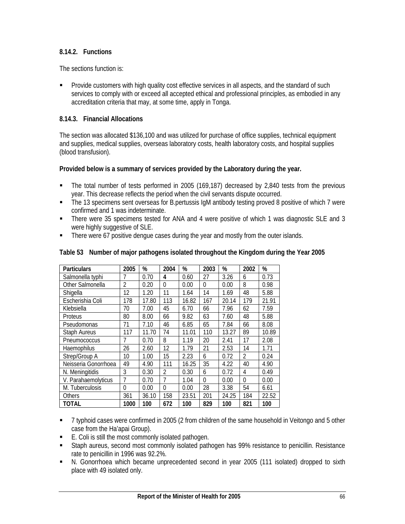### **8.14.2. Functions**

The sections function is:

**Provide customers with high quality cost effective services in all aspects, and the standard of such standard** services to comply with or exceed all accepted ethical and professional principles, as embodied in any accreditation criteria that may, at some time, apply in Tonga.

### **8.14.3. Financial Allocations**

The section was allocated \$136,100 and was utilized for purchase of office supplies, technical equipment and supplies, medical supplies, overseas laboratory costs, health laboratory costs, and hospital supplies (blood transfusion).

#### **Provided below is a summary of services provided by the Laboratory during the year.**

- The total number of tests performed in 2005 (169,187) decreased by 2,840 tests from the previous year. This decrease reflects the period when the civil servants dispute occurred.
- The 13 specimens sent overseas for B.pertussis IgM antibody testing proved 8 positive of which 7 were confirmed and 1 was indeterminate.
- There were 35 specimens tested for ANA and 4 were positive of which 1 was diagnostic SLE and 3 were highly suggestive of SLE.
- There were 67 positive dengue cases during the year and mostly from the outer islands.

| <b>Particulars</b>   | 2005     | %     | 2004           | %     | 2003     | %     | 2002     | %     |
|----------------------|----------|-------|----------------|-------|----------|-------|----------|-------|
| Salmonella typhi     |          | 0.70  | 4              | 0.60  | 27       | 3.26  | 6        | 0.73  |
| Other Salmonella     | 2        | 0.20  | $\theta$       | 0.00  | $\theta$ | 0.00  | 8        | 0.98  |
| Shigella             | 12       | 1.20  | 11             | 1.64  | 14       | 1.69  | 48       | 5.88  |
| Escherishia Coli     | 178      | 17.80 | 113            | 16.82 | 167      | 20.14 | 179      | 21.91 |
| Klebsiella           | 70       | 7.00  | 45             | 6.70  | 66       | 7.96  | 62       | 7.59  |
| Proteus              | 80       | 8.00  | 66             | 9.82  | 63       | 7.60  | 48       | 5.88  |
| Pseudomonas          | 71       | 7.10  | 46             | 6.85  | 65       | 7.84  | 66       | 8.08  |
| <b>Staph Aureus</b>  | 117      | 11.70 | 74             | 11.01 | 110      | 13.27 | 89       | 10.89 |
| Pneumococcus         | 7        | 0.70  | 8              | 1.19  | 20       | 2.41  | 17       | 2.08  |
| Haemophilus          | 26       | 2.60  | 12             | 1.79  | 21       | 2.53  | 14       | 1.71  |
| Strep/Group A        | 10       | 1.00  | 15             | 2.23  | 6        | 0.72  | 2        | 0.24  |
| Neisseria Gonorrhoea | 49       | 4.90  | 111            | 16.25 | 35       | 4.22  | 40       | 4.90  |
| N. Meningitidis      | 3        | 0.30  | $\mathfrak{D}$ | 0.30  | 6        | 0.72  | 4        | 0.49  |
| V. Parahaemolyticus  | 7        | 0.70  | 7              | 1.04  | 0        | 0.00  | $\Omega$ | 0.00  |
| M. Tuberculosis      | $\Omega$ | 0.00  | $\theta$       | 0.00  | 28       | 3.38  | 54       | 6.61  |
| Others               | 361      | 36.10 | 158            | 23.51 | 201      | 24.25 | 184      | 22.52 |
| TOTAL                | 1000     | 100   | 672            | 100   | 829      | 100   | 821      | 100   |

#### **Table 53 Number of major pathogens isolated throughout the Kingdom during the Year 2005**

- 7 typhoid cases were confirmed in 2005 (2 from children of the same household in Veitongo and 5 other case from the Ha'apai Group).
- E. Coli is still the most commonly isolated pathogen.
- Staph aureus, second most commonly isolated pathogen has 99% resistance to penicillin. Resistance rate to penicillin in 1996 was 92.2%.
- N. Gonorrhoea which became unprecedented second in year 2005 (111 isolated) dropped to sixth place with 49 isolated only.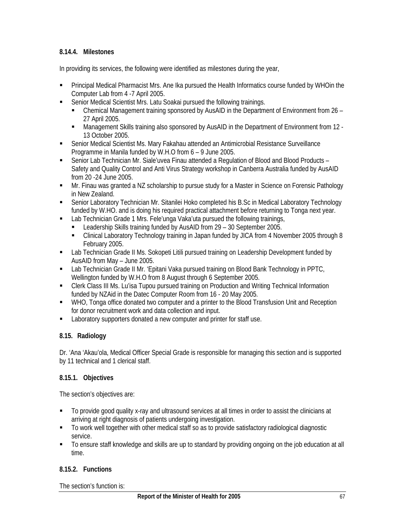### **8.14.4. Milestones**

In providing its services, the following were identified as milestones during the year,

- Principal Medical Pharmacist Mrs. Ane Ika pursued the Health Informatics course funded by WHOin the Computer Lab from 4 -7 April 2005.
- Senior Medical Scientist Mrs. Latu Soakai pursued the following trainings.
	- Chemical Management training sponsored by AusAID in the Department of Environment from 26 27 April 2005.
	- Management Skills training also sponsored by AusAID in the Department of Environment from 12 -13 October 2005.
- Senior Medical Scientist Ms. Mary Fakahau attended an Antimicrobial Resistance Surveillance Programme in Manila funded by W.H.O from 6 – 9 June 2005.
- Senior Lab Technician Mr. Siale'uvea Finau attended a Regulation of Blood and Blood Products Safety and Quality Control and Anti Virus Strategy workshop in Canberra Australia funded by AusAID from 20 -24 June 2005.
- Mr. Finau was granted a NZ scholarship to pursue study for a Master in Science on Forensic Pathology in New Zealand.
- Senior Laboratory Technician Mr. Sitanilei Hoko completed his B.Sc in Medical Laboratory Technology funded by W.HO. and is doing his required practical attachment before returning to Tonga next year.
- Lab Technician Grade 1 Mrs. Fele'unga Vaka'uta pursued the following trainings,
	- Leadership Skills training funded by AusAID from 29 30 September 2005.
	- Clinical Laboratory Technology training in Japan funded by JICA from 4 November 2005 through 8 February 2005.
- **EXECT AD Technician Grade II Ms. Sokopeti Litili pursued training on Leadership Development funded by** AusAID from May – June 2005.
- Lab Technician Grade II Mr. 'Epitani Vaka pursued training on Blood Bank Technology in PPTC, Wellington funded by W.H.O from 8 August through 6 September 2005.
- Clerk Class III Ms. Lu'isa Tupou pursued training on Production and Writing Technical Information funded by NZAid in the Datec Computer Room from 16 - 20 May 2005.
- WHO, Tonga office donated two computer and a printer to the Blood Transfusion Unit and Reception for donor recruitment work and data collection and input.
- **EXECUTE:** Laboratory supporters donated a new computer and printer for staff use.

### **8.15. Radiology**

Dr. 'Ana 'Akau'ola, Medical Officer Special Grade is responsible for managing this section and is supported by 11 technical and 1 clerical staff.

### **8.15.1. Objectives**

The section's objectives are:

- To provide good quality x-ray and ultrasound services at all times in order to assist the clinicians at arriving at right diagnosis of patients undergoing investigation.
- To work well together with other medical staff so as to provide satisfactory radiological diagnostic service.
- To ensure staff knowledge and skills are up to standard by providing ongoing on the job education at all time.

### **8.15.2. Functions**

The section's function is: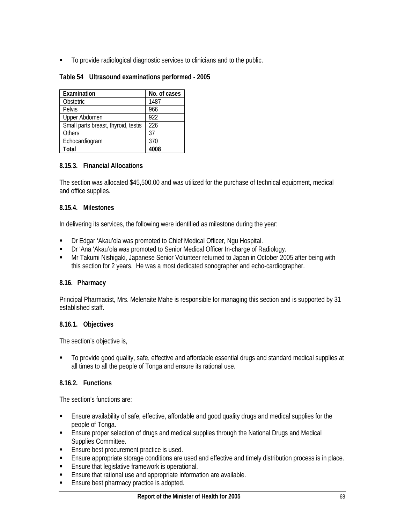To provide radiological diagnostic services to clinicians and to the public.

|  | Table 54 Ultrasound examinations performed - 2005 |
|--|---------------------------------------------------|
|--|---------------------------------------------------|

| Examination                         | No. of cases |
|-------------------------------------|--------------|
| Obstetric                           | 1487         |
| Pelvis                              | 966          |
| Upper Abdomen                       | 922          |
| Small parts breast, thyroid, testis | 226          |
| <b>Others</b>                       | 37           |
| Echocardiogram                      | 370          |
| Total                               | 4008         |

#### **8.15.3. Financial Allocations**

The section was allocated \$45,500.00 and was utilized for the purchase of technical equipment, medical and office supplies.

#### **8.15.4. Milestones**

In delivering its services, the following were identified as milestone during the year:

- Dr Edgar 'Akau'ola was promoted to Chief Medical Officer, Ngu Hospital.
- **Dr** 'Ana 'Akau'ola was promoted to Senior Medical Officer In-charge of Radiology.
- Mr Takumi Nishigaki, Japanese Senior Volunteer returned to Japan in October 2005 after being with this section for 2 years. He was a most dedicated sonographer and echo-cardiographer.

### **8.16. Pharmacy**

Principal Pharmacist, Mrs. Melenaite Mahe is responsible for managing this section and is supported by 31 established staff.

#### **8.16.1. Objectives**

The section's objective is,

 To provide good quality, safe, effective and affordable essential drugs and standard medical supplies at all times to all the people of Tonga and ensure its rational use.

### **8.16.2. Functions**

The section's functions are:

- Ensure availability of safe, effective, affordable and good quality drugs and medical supplies for the people of Tonga.
- **Ensure proper selection of drugs and medical supplies through the National Drugs and Medical** Supplies Committee.
- **Ensure best procurement practice is used.**
- Ensure appropriate storage conditions are used and effective and timely distribution process is in place.
- **Ensure that legislative framework is operational.**
- **Ensure that rational use and appropriate information are available.**
- **Ensure best pharmacy practice is adopted.**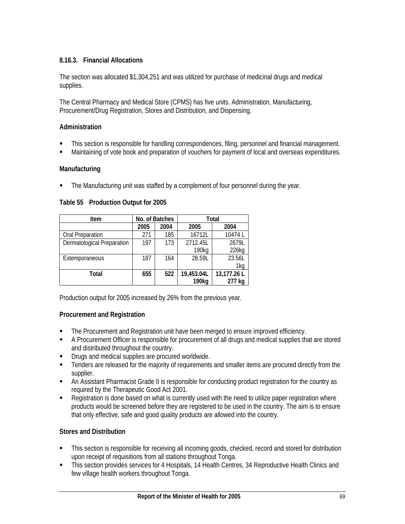## **8.16.3. Financial Allocations**

The section was allocated \$1,304,251 and was utilized for purchase of medicinal drugs and medical supplies.

The Central Pharmacy and Medical Store (CPMS) has five units. Administration, Manufacturing, Procurement/Drug Registration, Stores and Distribution, and Dispensing.

### **Administration**

- This section is responsible for handling correspondences, filing, personnel and financial management.
- Maintaining of vote book and preparation of vouchers for payment of local and overseas expenditures.

### **Manufacturing**

The Manufacturing unit was staffed by a complement of four personnel during the year.

### **Table 55 Production Output for 2005**

| Item                       |      | No. of Batches | Total      |             |  |
|----------------------------|------|----------------|------------|-------------|--|
|                            | 2005 | 2004           | 2005       | 2004        |  |
| <b>Oral Preparation</b>    | 271  | 185            | 16712L     | 10474L      |  |
| Dermatological Preparation | 197  | 173            | 2712.45L   | 2679L       |  |
|                            |      |                | 190kg      | 226kg       |  |
| Extemporaneous             | 187  | 164            | 28.59L     | 23.56L      |  |
|                            |      |                |            | 1kg         |  |
| Total                      | 655  | 522            | 19,453.04L | 13,177.26 L |  |
|                            |      |                | 190kg      | 277 kg      |  |

Production output for 2005 increased by 26% from the previous year.

### **Procurement and Registration**

- The Procurement and Registration unit have been merged to ensure improved efficiency.
- A Procurement Officer is responsible for procurement of all drugs and medical supplies that are stored and distributed throughout the country.
- **•** Drugs and medical supplies are procured worldwide.
- **Tenders are released for the majority of requirements and smaller items are procured directly from the** supplier.
- An Assistant Pharmacist Grade II is responsible for conducting product registration for the country as required by the Therapeutic Good Act 2001.
- Registration is done based on what is currently used with the need to utilize paper registration where products would be screened before they are registered to be used in the country. The aim is to ensure that only effective, safe and good quality products are allowed into the country.

### **Stores and Distribution**

- This section is responsible for receiving all incoming goods, checked, record and stored for distribution upon receipt of requisitions from all stations throughout Tonga.
- This section provides services for 4 Hospitals, 14 Health Centres, 34 Reproductive Health Clinics and few village health workers throughout Tonga.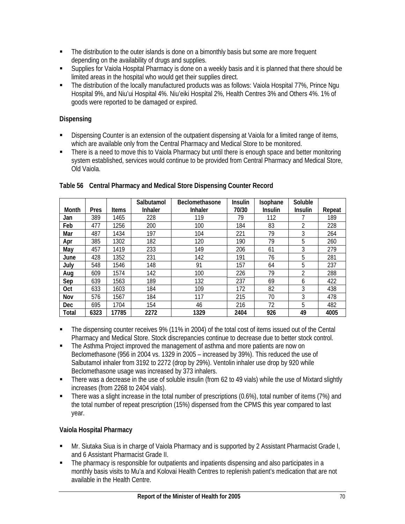- **The distribution to the outer islands is done on a bimonthly basis but some are more frequent** depending on the availability of drugs and supplies.
- Supplies for Vaiola Hospital Pharmacy is done on a weekly basis and it is planned that there should be limited areas in the hospital who would get their supplies direct.
- The distribution of the locally manufactured products was as follows: Vaiola Hospital 77%, Prince Ngu Hospital 9%, and Niu'ui Hospital 4%. Niu'eiki Hospital 2%, Health Centres 3% and Others 4%. 1% of goods were reported to be damaged or expired.

## **Dispensing**

- Dispensing Counter is an extension of the outpatient dispensing at Vaiola for a limited range of items, which are available only from the Central Pharmacy and Medical Store to be monitored.
- There is a need to move this to Vaiola Pharmacy but until there is enough space and better monitoring system established, services would continue to be provided from Central Pharmacy and Medical Store, Old Vaiola.

|            |      |              | Salbutamol     | <b>Beclomethasone</b> | <b>Insulin</b> | Isophane       | Soluble        |        |
|------------|------|--------------|----------------|-----------------------|----------------|----------------|----------------|--------|
| Month      | Pres | <b>Items</b> | <b>Inhaler</b> | <b>Inhaler</b>        | 70/30          | <b>Insulin</b> | <b>Insulin</b> | Repeat |
| Jan        | 389  | 1465         | 228            | 119                   | 79             | 112            |                | 189    |
| Feb        | 477  | 1256         | 200            | 100                   | 184            | 83             | 2              | 228    |
| Mar        | 487  | 1434         | 197            | 104                   | 221            | 79             | 3              | 264    |
| Apr        | 385  | 1302         | 182            | 120                   | 190            | 79             | 5              | 260    |
| May        | 457  | 1419         | 233            | 149                   | 206            | 61             | 3              | 279    |
| June       | 428  | 1352         | 231            | 142                   | 191            | 76             | 5              | 281    |
| Julv       | 548  | 1546         | 148            | 91                    | 157            | 64             | 5              | 237    |
| Aug        | 609  | 1574         | 142            | 100                   | 226            | 79             | 2              | 288    |
| Sep        | 639  | 1563         | 189            | 132                   | 237            | 69             | 6              | 422    |
| 0ct        | 633  | 1603         | 184            | 109                   | 172            | 82             | 3              | 438    |
| Nov        | 576  | 1567         | 184            | 117                   | 215            | 70             | 3              | 478    |
| <b>Dec</b> | 695  | 1704         | 154            | 46                    | 216            | 72             | 5              | 482    |
| Total      | 6323 | 17785        | 2272           | 1329                  | 2404           | 926            | 49             | 4005   |

## **Table 56 Central Pharmacy and Medical Store Dispensing Counter Record**

- The dispensing counter receives 9% (11% in 2004) of the total cost of items issued out of the Cental Pharmacy and Medical Store. Stock discrepancies continue to decrease due to better stock control.
- The Asthma Project improved the management of asthma and more patients are now on Beclomethasone (956 in 2004 vs. 1329 in 2005 – increased by 39%). This reduced the use of Salbutamol inhaler from 3192 to 2272 (drop by 29%). Ventolin inhaler use drop by 920 while Beclomethasone usage was increased by 373 inhalers.
- There was a decrease in the use of soluble insulin (from 62 to 49 vials) while the use of Mixtard slightly increases (from 2268 to 2404 vials).
- There was a slight increase in the total number of prescriptions (0.6%), total number of items (7%) and the total number of repeat prescription (15%) dispensed from the CPMS this year compared to last year.

## **Vaiola Hospital Pharmacy**

- Mr. Siutaka Siua is in charge of Vaiola Pharmacy and is supported by 2 Assistant Pharmacist Grade I, and 6 Assistant Pharmacist Grade II.
- The pharmacy is responsible for outpatients and inpatients dispensing and also participates in a monthly basis visits to Mu'a and Kolovai Health Centres to replenish patient's medication that are not available in the Health Centre.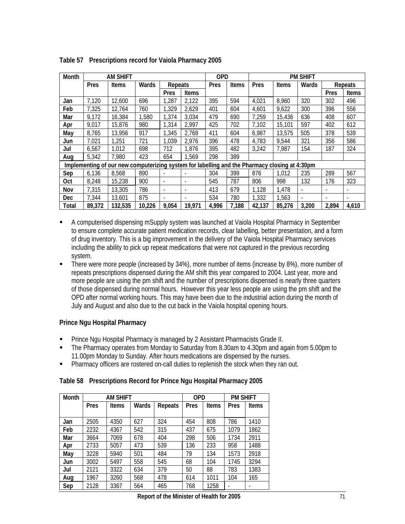| Month      |        | <b>AM SHIFT</b>                                                                               |        |         |                          | <b>OPD</b> |              | <b>PM SHIFT</b> |              |                          |       |                          |
|------------|--------|-----------------------------------------------------------------------------------------------|--------|---------|--------------------------|------------|--------------|-----------------|--------------|--------------------------|-------|--------------------------|
|            | Pres   | <b>Items</b>                                                                                  | Wards  | Repeats |                          | Pres       | <b>Items</b> | Pres            | <b>Items</b> | Wards                    |       | Repeats                  |
|            |        |                                                                                               |        | Pres    | Items                    |            |              |                 |              |                          | Pres  | Items                    |
| Jan        | 7,120  | 12,600                                                                                        | 696    | 1,287   | 2,122                    | 395        | 594          | 4,021           | 8,960        | 320                      | 302   | 496                      |
| Feb        | 7,325  | 12,764                                                                                        | 760    | 1,329   | 2,629                    | 401        | 604          | 4,601           | 9,622        | 300                      | 396   | 556                      |
| Mar        | 9,172  | 16,384                                                                                        | 1,580  | 1,374   | 3,034                    | 479        | 690          | 7,259           | 15,436       | 636                      | 408   | 607                      |
| Apr        | 9,017  | 15,876                                                                                        | 980    | 1,314   | 2,997                    | 425        | 702          | 7,102           | 15,101       | 597                      | 402   | 612                      |
| May        | 8,765  | 13,956                                                                                        | 917    | 1,345   | 2,768                    | 411        | 604          | 6,987           | 13,575       | 505                      | 378   | 539                      |
| Jun        | 7,021  | 1,251                                                                                         | 721    | 1,039   | 2,976                    | 396        | 478          | 4,783           | 9,544        | 321                      | 356   | 586                      |
| Jul        | 6,567  | 1,012                                                                                         | 698    | 712     | 1,876                    | 395        | 482          | 3,242           | 7,987        | 154                      | 187   | 324                      |
| Aug        | 5,342  | 7,980                                                                                         | 423    | 654     | 1,569                    | 298        | 389          |                 |              |                          |       |                          |
|            |        | Implementing of our new computerizing system for labelling and the Pharmacy closing at 4:30pm |        |         |                          |            |              |                 |              |                          |       |                          |
| Sep        | 6,136  | 8,568                                                                                         | 890    |         |                          | 304        | 399          | 876             | 1,012        | 235                      | 289   | 567                      |
| Oct        | 8,248  | 15,238                                                                                        | 900    |         | $\overline{\phantom{a}}$ | 545        | 787          | 806             | 998          | 132                      | 176   | 323                      |
| Nov        | 7,315  | 13,305                                                                                        | 786    |         |                          | 413        | 679          | 1,128           | 1,478        |                          |       |                          |
| <b>Dec</b> | 7,344  | 13,601                                                                                        | 875    |         | $\overline{\phantom{a}}$ | 534        | 780          | 1,332           | 1,563        | $\overline{\phantom{a}}$ |       | $\overline{\phantom{a}}$ |
| Total      | 89,372 | 132,535                                                                                       | 10,226 | 9,054   | 19,971                   | 4,996      | 7,188        | 42,137          | 85,276       | 3,200                    | 2,894 | 4,610                    |

**Table 57 Prescriptions record for Vaiola Pharmacy 2005** 

- A computerised dispensing mSupply system was launched at Vaiola Hospital Pharmacy in September to ensure complete accurate patient medication records, clear labelling, better presentation, and a form of drug inventory. This is a big improvement in the delivery of the Vaiola Hospital Pharmacy services including the ability to pick up repeat medications that were not captured in the previous recording system.
- There were more people (increased by 34%), more number of items (increase by 8%), more number of repeats prescriptions dispensed during the AM shift this year compared to 2004. Last year, more and more people are using the pm shift and the number of prescriptions dispensed is nearly three quarters of those dispensed during normal hours. However this year less people are using the pm shift and the OPD after normal working hours. This may have been due to the industrial action during the month of July and August and also due to the cut back in the Vaiola hospital opening hours.

### **Prince Ngu Hospital Pharmacy**

- Prince Ngu Hospital Pharmacy is managed by 2 Assistant Pharmacists Grade II.
- The Pharmacy operates from Monday to Saturday from 8.30am to 4.30pm and again from 5.00pm to 11.00pm Monday to Sunday. After hours medications are dispensed by the nurses.
- Pharmacy officers are rostered on-call duties to replenish the stock when they ran out.

#### **Table 58 Prescriptions Record for Prince Ngu Hospital Pharmacy 2005**

| Month |             | <b>AM SHIFT</b> |       |         | <b>OPD</b> |              | <b>PM SHIFT</b> |              |
|-------|-------------|-----------------|-------|---------|------------|--------------|-----------------|--------------|
|       | <b>Pres</b> | <b>Items</b>    | Wards | Repeats | Pres       | <b>Items</b> | Pres            | <b>Items</b> |
|       |             |                 |       |         |            |              |                 |              |
| Jan   | 2505        | 4350            | 627   | 324     | 454        | 808          | 786             | 1410         |
| Feb   | 2232        | 4367            | 542   | 315     | 437        | 675          | 1079            | 1862         |
| Mar   | 3664        | 7069            | 678   | 404     | 298        | 506          | 1734            | 2911         |
| Apr   | 2733        | 5057            | 473   | 539     | 136        | 233          | 958             | 1488         |
| May   | 3228        | 5940            | 501   | 484     | 79         | 134          | 1573            | 2918         |
| Jun   | 3002        | 5497            | 558   | 545     | 68         | 104          | 1745            | 3294         |
| Jul   | 2121        | 3322            | 634   | 379     | 50         | 88           | 783             | 1383         |
| Aug   | 1967        | 3260            | 568   | 478     | 614        | 1011         | 104             | 165          |
| Sep   | 2128        | 3367            | 564   | 465     | 768        | 1258         |                 |              |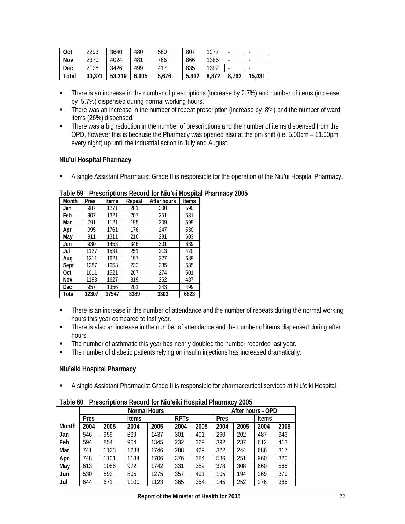| Oct          | 2293   | 3640   | 480   | 560      | 807   | 1277  | ۰     |        |
|--------------|--------|--------|-------|----------|-------|-------|-------|--------|
| Nov          | 2370   | 4024   | 481   | 766      | 866   | 1386  | ۰     |        |
| Dec          | 2128   | 3426   | 499   | $41^{-}$ | 835   | 1392  |       | -      |
| <b>Total</b> | 30.371 | 53,319 | 6.605 | 5.676    | 5.412 | 8.872 | 8.762 | 15,431 |

- There is an increase in the number of prescriptions (increase by 2.7%) and number of items (increase by 5.7%) dispensed during normal working hours.
- There was an increase in the number of repeat prescription (increase by 8%) and the number of ward items (26%) dispensed.
- **There was a big reduction in the number of prescriptions and the number of items dispensed from the** OPD, however this is because the Pharmacy was opened also at the pm shift (i.e. 5.00pm – 11.00pm every night) up until the industrial action in July and August.

### **Niu'ui Hospital Pharmacy**

A single Assistant Pharmacist Grade II is responsible for the operation of the Niu'ui Hospital Pharmacy.

| Month      | Pres  | <b>Items</b> | Repeat | After hours | <b>Items</b> |
|------------|-------|--------------|--------|-------------|--------------|
| Jan        | 987   | 1271         | 281    | 300         | 590          |
| Feb        | 907   | 1321         | 207    | 251         | 531          |
| Mar        | 791   | 1121         | 195    | 309         | 599          |
| Apr        | 995   | 1761         | 176    | 247         | 530          |
| May        | 911   | 1311         | 216    | 291         | 603          |
| Jun        | 930   | 1453         | 346    | 301         | 639          |
| Jul        | 1127  | 1531         | 251    | 213         | 420          |
| Aug        | 1211  | 1621         | 197    | 327         | 689          |
| Sept       | 1287  | 1653         | 233    | 285         | 535          |
| 0ct        | 1011  | 1521         | 267    | 274         | 501          |
| Nov        | 1193  | 1627         | 819    | 262         | 487          |
| <b>Dec</b> | 957   | 1356         | 201    | 243         | 499          |
| Total      | 12307 | 17547        | 3389   | 3303        | 6623         |

### **Table 59 Prescriptions Record for Niu'ui Hospital Pharmacy 2005**

- There is an increase in the number of attendance and the number of repeats during the normal working hours this year compared to last year.
- There is also an increase in the number of attendance and the number of items dispensed during after hours.
- The number of asthmatic this year has nearly doubled the number recorded last year.
- The number of diabetic patients relying on insulin injections has increased dramatically.

## **Niu'eiki Hospital Pharmacy**

A single Assistant Pharmacist Grade II is responsible for pharmaceutical services at Niu'eiki Hospital.

|       | <b>Normal Hours</b> |      |              |      |                        |      |      | After hours - OPD |              |      |  |
|-------|---------------------|------|--------------|------|------------------------|------|------|-------------------|--------------|------|--|
|       | Pres                |      | <b>Items</b> |      | <b>RPT<sub>S</sub></b> |      | Pres |                   | <b>Items</b> |      |  |
| Month | 2004                | 2005 | 2004         | 2005 | 2004                   | 2005 | 2004 | 2005              | 2004         | 2005 |  |
| Jan   | 546                 | 959  | 839          | 1437 | 301                    | 401  | 260  | 202               | 487          | 343  |  |
| Feb   | 594                 | 854  | 904          | 1345 | 232                    | 369  | 392  | 237               | 612          | 413  |  |
| Mar   | 741                 | 1123 | 1284         | 1746 | 288                    | 429  | 322  | 244               | 686          | 317  |  |
| Apr   | 748                 | 1101 | 1134         | 1706 | 376                    | 384  | 586  | 251               | 960          | 320  |  |
| May   | 613                 | 1086 | 972          | 1742 | 331                    | 382  | 378  | 308               | 660          | 565  |  |
| Jun   | 530                 | 892  | 895          | 1275 | 357                    | 491  | 105  | 194               | 269          | 379  |  |
| Jul   | 644                 | 671  | 1100         | 1123 | 365                    | 354  | 145  | 252               | 276          | 385  |  |

**Table 60 Prescriptions Record for Niu'eiki Hospital Pharmacy 2005**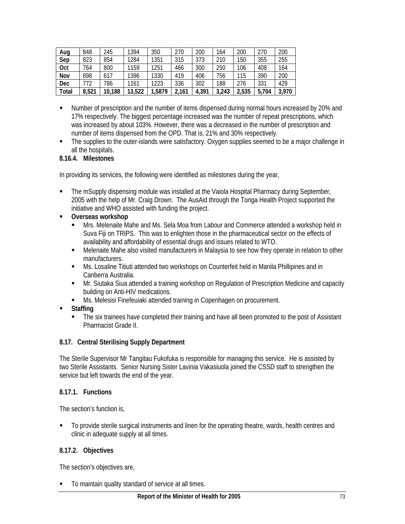| Aug        | 848   | 245    | 1394   | 350   | 270   | 200   | 164   | 200   | 270   | 200   |
|------------|-------|--------|--------|-------|-------|-------|-------|-------|-------|-------|
| Sep        | 823   | 854    | 1284   | 1351  | 315   | 373   | 210   | 150   | 355   | 255   |
| Oct        | 764   | 800    | 1159   | 1251  | 466   | 300   | 250   | 106   | 408   | 164   |
| Nov        | 898   | 617    | 1396   | 1330  | 419   | 406   | 756   | 115   | 390   | 200   |
| <b>Dec</b> | 772   | 786    | 1161   | 1223  | 336   | 302   | 188   | 276   | 331   | 429   |
| Total      | 8,521 | 10,188 | 13,522 | ,5879 | 2,161 | 4,391 | 3,243 | 2,535 | 5,704 | 3,970 |

- Number of prescription and the number of items dispensed during normal hours increased by 20% and 17% respectively. The biggest percentage increased was the number of repeat prescriptions, which was increased by about 103%. However, there was a decreased in the number of prescription and number of items dispensed from the OPD. That is, 21% and 30% respectively.
- The supplies to the outer-islands were satisfactory. Oxygen supplies seemed to be a major challenge in all the hospitals.

### **8.16.4. Milestones**

In providing its services, the following were identified as milestones during the year,

- **The mSupply dispensing module was installed at the Vaiola Hospital Pharmacy during September,** 2005 with the help of Mr. Craig Drown. The AusAid through the Tonga Health Project supported the initiative and WHO assisted with funding the project.
- **Overseas workshop** 
	- **Mrs. Melenaite Mahe and Ms. Sela Moa from Labour and Commerce attended a workshop held in** Suva Fiji on TRIPS. This was to enlighten those in the pharmaceutical sector on the effects of availability and affordability of essential drugs and issues related to WTO.
	- Melenaite Mahe also visited manufacturers in Malaysia to see how they operate in relation to other manufacturers.
	- Ms. Losaline Titiuti attended two workshops on Counterfeit held in Manila Phillipines and in Canberra Australia.
	- **Mr.** Siutaka Siua attended a training workshop on Regulation of Prescription Medicine and capacity building on Anti-HIV medications.
	- Ms. Melesisi Finefeuiaki attended training in Copenhagen on procurement.
- **Staffing** 
	- The six trainees have completed their training and have all been promoted to the post of Assistant Pharmacist Grade II.

### **8.17. Central Sterilising Supply Department**

The Sterile Supervisor Mr Tangitau Fukofuka is responsible for managing this service. He is assisted by two Sterile Assistants. Senior Nursing Sister Lavinia Vakasiuola joined the CSSD staff to strengthen the service but left towards the end of the year.

### **8.17.1. Functions**

The section's function is,

To provide sterile surgical instruments and linen for the operating theatre, wards, health centres and clinic in adequate supply at all times.

### **8.17.2. Objectives**

The section's objectives are,

To maintain quality standard of service at all times.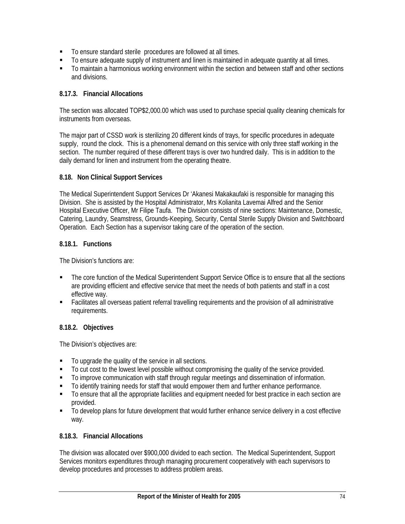- To ensure standard sterile procedures are followed at all times.
- To ensure adequate supply of instrument and linen is maintained in adequate quantity at all times.
- To maintain a harmonious working environment within the section and between staff and other sections and divisions.

### **8.17.3. Financial Allocations**

The section was allocated TOP\$2,000.00 which was used to purchase special quality cleaning chemicals for instruments from overseas.

The major part of CSSD work is sterilizing 20 different kinds of trays, for specific procedures in adequate supply, round the clock. This is a phenomenal demand on this service with only three staff working in the section. The number required of these different trays is over two hundred daily. This is in addition to the daily demand for linen and instrument from the operating theatre.

### **8.18. Non Clinical Support Services**

The Medical Superintendent Support Services Dr 'Akanesi Makakaufaki is responsible for managing this Division. She is assisted by the Hospital Administrator, Mrs Kolianita Lavemai Alfred and the Senior Hospital Executive Officer, Mr Filipe Taufa. The Division consists of nine sections: Maintenance, Domestic, Catering, Laundry, Seamstress, Grounds-Keeping, Security, Cental Sterile Supply Division and Switchboard Operation. Each Section has a supervisor taking care of the operation of the section.

### **8.18.1. Functions**

The Division's functions are:

- The core function of the Medical Superintendent Support Service Office is to ensure that all the sections are providing efficient and effective service that meet the needs of both patients and staff in a cost effective way.
- Facilitates all overseas patient referral travelling requirements and the provision of all administrative requirements.

### **8.18.2. Objectives**

The Division's objectives are:

- $\blacksquare$  To upgrade the quality of the service in all sections.
- To cut cost to the lowest level possible without compromising the quality of the service provided.
- To improve communication with staff through regular meetings and dissemination of information.
- To identify training needs for staff that would empower them and further enhance performance.
- To ensure that all the appropriate facilities and equipment needed for best practice in each section are provided.
- $\blacksquare$  To develop plans for future development that would further enhance service delivery in a cost effective way.

## **8.18.3. Financial Allocations**

The division was allocated over \$900,000 divided to each section. The Medical Superintendent, Support Services monitors expenditures through managing procurement cooperatively with each supervisors to develop procedures and processes to address problem areas.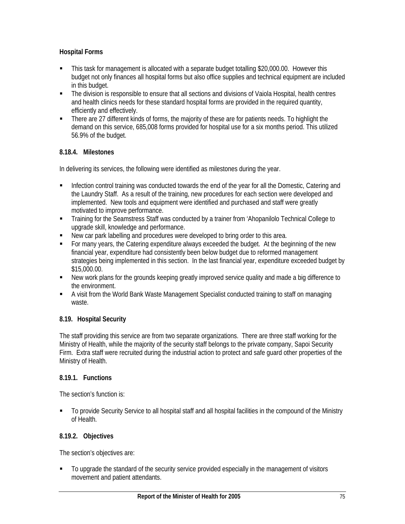## **Hospital Forms**

- This task for management is allocated with a separate budget totalling \$20,000.00. However this budget not only finances all hospital forms but also office supplies and technical equipment are included in this budget.
- The division is responsible to ensure that all sections and divisions of Vaiola Hospital, health centres and health clinics needs for these standard hospital forms are provided in the required quantity, efficiently and effectively.
- There are 27 different kinds of forms, the majority of these are for patients needs. To highlight the demand on this service, 685,008 forms provided for hospital use for a six months period. This utilized 56.9% of the budget.

## **8.18.4. Milestones**

In delivering its services, the following were identified as milestones during the year.

- Infection control training was conducted towards the end of the year for all the Domestic, Catering and the Laundry Staff. As a result of the training, new procedures for each section were developed and implemented. New tools and equipment were identified and purchased and staff were greatly motivated to improve performance.
- Training for the Seamstress Staff was conducted by a trainer from 'Ahopanilolo Technical College to upgrade skill, knowledge and performance.
- New car park labelling and procedures were developed to bring order to this area.
- For many years, the Catering expenditure always exceeded the budget. At the beginning of the new financial year, expenditure had consistently been below budget due to reformed management strategies being implemented in this section. In the last financial year, expenditure exceeded budget by \$15,000.00.
- New work plans for the grounds keeping greatly improved service quality and made a big difference to the environment.
- A visit from the World Bank Waste Management Specialist conducted training to staff on managing waste.

## **8.19. Hospital Security**

The staff providing this service are from two separate organizations. There are three staff working for the Ministry of Health, while the majority of the security staff belongs to the private company, Sapoi Security Firm. Extra staff were recruited during the industrial action to protect and safe guard other properties of the Ministry of Health.

## **8.19.1. Functions**

The section's function is:

 To provide Security Service to all hospital staff and all hospital facilities in the compound of the Ministry of Health.

## **8.19.2. Objectives**

The section's objectives are:

 $\blacksquare$  To upgrade the standard of the security service provided especially in the management of visitors movement and patient attendants.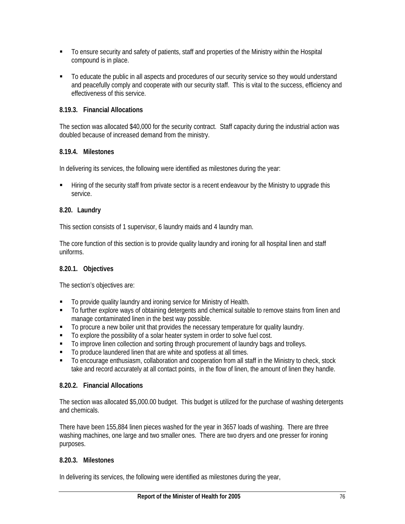- To ensure security and safety of patients, staff and properties of the Ministry within the Hospital compound is in place.
- To educate the public in all aspects and procedures of our security service so they would understand and peacefully comply and cooperate with our security staff. This is vital to the success, efficiency and effectiveness of this service.

### **8.19.3. Financial Allocations**

The section was allocated \$40,000 for the security contract. Staff capacity during the industrial action was doubled because of increased demand from the ministry.

### **8.19.4. Milestones**

In delivering its services, the following were identified as milestones during the year:

**Filtum** of the security staff from private sector is a recent endeavour by the Ministry to upgrade this service.

### **8.20. Laundry**

This section consists of 1 supervisor, 6 laundry maids and 4 laundry man.

The core function of this section is to provide quality laundry and ironing for all hospital linen and staff uniforms.

### **8.20.1. Objectives**

The section's objectives are:

- $\blacksquare$  To provide quality laundry and ironing service for Ministry of Health.
- To further explore ways of obtaining detergents and chemical suitable to remove stains from linen and manage contaminated linen in the best way possible.
- $\blacksquare$  To procure a new boiler unit that provides the necessary temperature for quality laundry.
- To explore the possibility of a solar heater system in order to solve fuel cost.
- To improve linen collection and sorting through procurement of laundry bags and trolleys.
- To produce laundered linen that are white and spotless at all times.
- To encourage enthusiasm, collaboration and cooperation from all staff in the Ministry to check, stock take and record accurately at all contact points, in the flow of linen, the amount of linen they handle.

### **8.20.2. Financial Allocations**

The section was allocated \$5,000.00 budget. This budget is utilized for the purchase of washing detergents and chemicals.

There have been 155,884 linen pieces washed for the year in 3657 loads of washing. There are three washing machines, one large and two smaller ones. There are two dryers and one presser for ironing purposes.

### **8.20.3. Milestones**

In delivering its services, the following were identified as milestones during the year,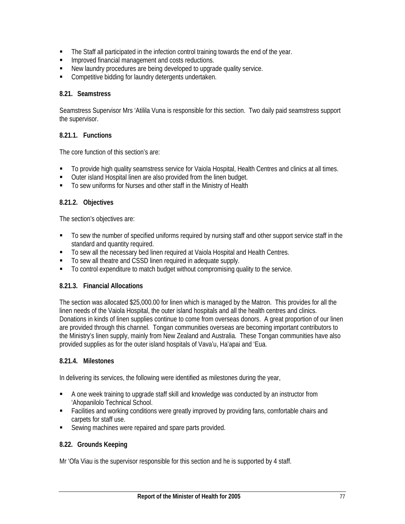- The Staff all participated in the infection control training towards the end of the year.
- **IMPROVED FINANCIST MANAGEMENT AND THE IMPROVED FINANCIS**.
- New laundry procedures are being developed to upgrade quality service.
- **Competitive bidding for laundry detergents undertaken.**

### **8.21. Seamstress**

Seamstress Supervisor Mrs 'Atilila Vuna is responsible for this section. Two daily paid seamstress support the supervisor.

### **8.21.1. Functions**

The core function of this section's are:

- To provide high quality seamstress service for Vaiola Hospital, Health Centres and clinics at all times.
- Outer island Hospital linen are also provided from the linen budget.
- To sew uniforms for Nurses and other staff in the Ministry of Health

#### **8.21.2. Objectives**

The section's objectives are:

- To sew the number of specified uniforms required by nursing staff and other support service staff in the standard and quantity required.
- To sew all the necessary bed linen required at Vaiola Hospital and Health Centres.
- To sew all theatre and CSSD linen required in adequate supply.
- To control expenditure to match budget without compromising quality to the service.

### **8.21.3. Financial Allocations**

The section was allocated \$25,000.00 for linen which is managed by the Matron. This provides for all the linen needs of the Vaiola Hospital, the outer island hospitals and all the health centres and clinics. Donations in kinds of linen supplies continue to come from overseas donors. A great proportion of our linen are provided through this channel.Tongan communities overseas are becoming important contributors to the Ministry's linen supply, mainly from New Zealand and Australia. These Tongan communities have also provided supplies as for the outer island hospitals of Vava'u, Ha'apai and 'Eua.

### **8.21.4. Milestones**

In delivering its services, the following were identified as milestones during the year,

- A one week training to upgrade staff skill and knowledge was conducted by an instructor from 'Ahopanilolo Technical School.
- Facilities and working conditions were greatly improved by providing fans, comfortable chairs and carpets for staff use.
- Sewing machines were repaired and spare parts provided.

### **8.22. Grounds Keeping**

Mr 'Ofa Viau is the supervisor responsible for this section and he is supported by 4 staff.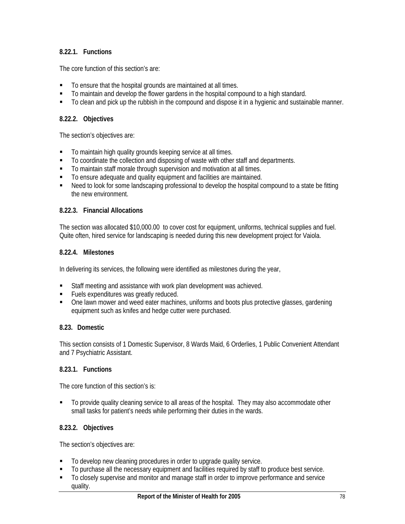### **8.22.1. Functions**

The core function of this section's are:

- To ensure that the hospital grounds are maintained at all times.
- To maintain and develop the flower gardens in the hospital compound to a high standard.
- To clean and pick up the rubbish in the compound and dispose it in a hygienic and sustainable manner.

#### **8.22.2. Objectives**

The section's objectives are:

- **To maintain high quality grounds keeping service at all times.**
- To coordinate the collection and disposing of waste with other staff and departments.
- To maintain staff morale through supervision and motivation at all times.
- $\blacksquare$  To ensure adequate and quality equipment and facilities are maintained.
- Need to look for some landscaping professional to develop the hospital compound to a state be fitting the new environment.

#### **8.22.3. Financial Allocations**

The section was allocated \$10,000.00 to cover cost for equipment, uniforms, technical supplies and fuel. Quite often, hired service for landscaping is needed during this new development project for Vaiola.

#### **8.22.4. Milestones**

In delivering its services, the following were identified as milestones during the year,

- Staff meeting and assistance with work plan development was achieved.
- **Fuels expenditures was greatly reduced.**
- One lawn mower and weed eater machines, uniforms and boots plus protective glasses, gardening equipment such as knifes and hedge cutter were purchased.

#### **8.23. Domestic**

This section consists of 1 Domestic Supervisor, 8 Wards Maid, 6 Orderlies, 1 Public Convenient Attendant and 7 Psychiatric Assistant.

#### **8.23.1. Functions**

The core function of this section's is:

 To provide quality cleaning service to all areas of the hospital. They may also accommodate other small tasks for patient's needs while performing their duties in the wards.

### **8.23.2. Objectives**

The section's objectives are:

- $\blacksquare$  To develop new cleaning procedures in order to upgrade quality service.
- To purchase all the necessary equipment and facilities required by staff to produce best service.
- To closely supervise and monitor and manage staff in order to improve performance and service quality.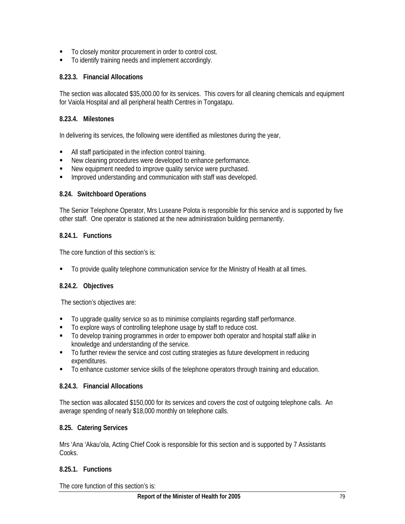- To closely monitor procurement in order to control cost.
- To identify training needs and implement accordingly.

### **8.23.3. Financial Allocations**

The section was allocated \$35,000.00 for its services. This covers for all cleaning chemicals and equipment for Vaiola Hospital and all peripheral health Centres in Tongatapu.

### **8.23.4. Milestones**

In delivering its services, the following were identified as milestones during the year,

- All staff participated in the infection control training.
- New cleaning procedures were developed to enhance performance.
- New equipment needed to improve quality service were purchased.
- **IMPROVED UNDERSTANDING AND COMMUNICATION WITH STAFF WAS developed.**

#### **8.24. Switchboard Operations**

The Senior Telephone Operator, Mrs Luseane Polota is responsible for this service and is supported by five other staff. One operator is stationed at the new administration building permanently.

### **8.24.1. Functions**

The core function of this section's is:

To provide quality telephone communication service for the Ministry of Health at all times.

### **8.24.2. Objectives**

The section's objectives are:

- To upgrade quality service so as to minimise complaints regarding staff performance.
- To explore ways of controlling telephone usage by staff to reduce cost.
- To develop training programmes in order to empower both operator and hospital staff alike in knowledge and understanding of the service.
- To further review the service and cost cutting strategies as future development in reducing expenditures.
- To enhance customer service skills of the telephone operators through training and education.

### **8.24.3. Financial Allocations**

The section was allocated \$150,000 for its services and covers the cost of outgoing telephone calls. An average spending of nearly \$18,000 monthly on telephone calls.

### **8.25. Catering Services**

Mrs 'Ana 'Akau'ola, Acting Chief Cook is responsible for this section and is supported by 7 Assistants Cooks.

### **8.25.1. Functions**

The core function of this section's is: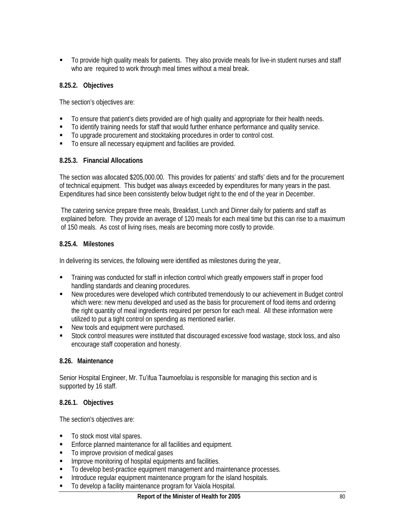To provide high quality meals for patients. They also provide meals for live-in student nurses and staff who are required to work through meal times without a meal break.

### **8.25.2. Objectives**

The section's objectives are:

- To ensure that patient's diets provided are of high quality and appropriate for their health needs.
- To identify training needs for staff that would further enhance performance and quality service.
- To upgrade procurement and stocktaking procedures in order to control cost.
- To ensure all necessary equipment and facilities are provided.

### **8.25.3. Financial Allocations**

The section was allocated \$205,000.00. This provides for patients' and staffs' diets and for the procurement of technical equipment. This budget was always exceeded by expenditures for many years in the past. Expenditures had since been consistently below budget right to the end of the year in December.

The catering service prepare three meals, Breakfast, Lunch and Dinner daily for patients and staff as explained before. They provide an average of 120 meals for each meal time but this can rise to a maximum of 150 meals. As cost of living rises, meals are becoming more costly to provide.

### **8.25.4. Milestones**

In delivering its services, the following were identified as milestones during the year,

- **Training was conducted for staff in infection control which greatly empowers staff in proper food** handling standards and cleaning procedures.
- New procedures were developed which contributed tremendously to our achievement in Budget control which were: new menu developed and used as the basis for procurement of food items and ordering the right quantity of meal ingredients required per person for each meal. All these information were utilized to put a tight control on spending as mentioned earlier.
- New tools and equipment were purchased.
- Stock control measures were instituted that discouraged excessive food wastage, stock loss, and also encourage staff cooperation and honesty.

### **8.26. Maintenance**

Senior Hospital Engineer, Mr. Tu'ifua Taumoefolau is responsible for managing this section and is supported by 16 staff.

### **8.26.1. Objectives**

The section's objectives are:

- To stock most vital spares.
- **Enforce planned maintenance for all facilities and equipment.**
- $\blacksquare$  To improve provision of medical gases
- **IMPROVE MONITORY IN A LOCAL EXAM** equipments and facilities.
- To develop best-practice equipment management and maintenance processes.
- Introduce regular equipment maintenance program for the island hospitals.
- To develop a facility maintenance program for Vaiola Hospital.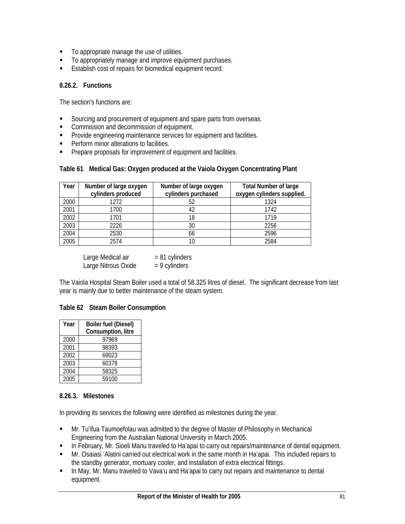- $\blacksquare$  To appropriate manage the use of utilities.
- $\blacksquare$  To appropriately manage and improve equipment purchases.
- Establish cost of repairs for biomedical equipment record.

### **8.26.2. Functions**

The section's functions are:

- Sourcing and procurement of equipment and spare parts from overseas.
- **Commission and decommission of equipment.**
- **Provide engineering maintenance services for equipment and facilities.**
- **Perform minor alterations to facilities.**
- **Prepare proposals for improvement of equipment and facilities.**

| Year | Number of large oxygen<br>cylinders produced | Number of large oxygen<br>cylinders purchased | <b>Total Number of large</b><br>oxygen cylinders supplied. |
|------|----------------------------------------------|-----------------------------------------------|------------------------------------------------------------|
| 2000 | 1272                                         | 52                                            | 1324                                                       |
| 2001 | 1700                                         |                                               | 1742                                                       |
| 2002 | 1701                                         | 18                                            | 1719                                                       |
| 2003 | 2226                                         | 30                                            | 2256                                                       |
| 2004 | 2530                                         | 66                                            | 2596                                                       |
| 2005 | 2574                                         |                                               | 2584                                                       |

#### **Table 61 Medical Gas: Oxygen produced at the Vaiola Oxygen Concentrating Plant**

Large Medical air  $= 81$  cylinders Large Nitrous Oxide  $= 9$  cylinders

The Vaiola Hospital Steam Boiler used a total of 58,325 litres of diesel. The significant decrease from last year is mainly due to better maintenance of the steam system.

### **Table 62 Steam Boiler Consumption**

| Year | <b>Boiler fuel (Diesel)</b> |
|------|-----------------------------|
|      | Consumption, litre          |
| 2000 | 97969                       |
| 2001 | 98393                       |
| 2002 | 69023                       |
| 2003 | 60378                       |
| 2004 | 58325                       |
| 2005 | 59100                       |

### **8.26.3. Milestones**

In providing its services the following were identified as milestones during the year.

- Mr. Tu'ifua Taumoefolau was admitted to the degree of Master of Philosophy in Mechanical Engineering from the Australian National University in March 2005.
- **In February, Mr. Sioeli Manu traveled to Ha'apai to carry out repairs/maintenance of dental equipment.**
- Mr. Osaiasi 'Alatini carried out electrical work in the same month in Ha'apai. This included repairs to the standby generator, mortuary cooler, and installation of extra electrical fittings.
- In May, Mr. Manu traveled to Vava'u and Ha'apai to carry out repairs and maintenance to dental equipment.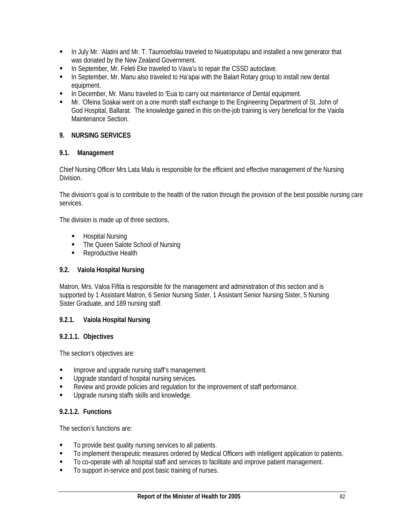- **In July Mr. 'Alatini and Mr. T. Taumoefolau traveled to Niuatoputapu and installed a new generator that** was donated by the New Zealand Government.
- **In September, Mr. Feleti Eke traveled to Vava'u to repair the CSSD autoclave.**
- In September, Mr. Manu also traveled to Ha'apai with the Balart Rotary group to install new dental equipment.
- **In December, Mr. Manu traveled to 'Eua to carry out maintenance of Dental equipment.**
- Mr. 'Ofeina Soakai went on a one month staff exchange to the Engineering Department of St. John of God Hospital, Ballarat. The knowledge gained in this on-the-job training is very beneficial for the Vaiola Maintenance Section.

### **9. NURSING SERVICES**

### **9.1. Management**

Chief Nursing Officer Mrs Lata Malu is responsible for the efficient and effective management of the Nursing Division.

The division's goal is to contribute to the health of the nation through the provision of the best possible nursing care services.

The division is made up of three sections,

- **-** Hospital Nursing
- The Queen Salote School of Nursing
- Reproductive Health

### **9.2. Vaiola Hospital Nursing**

Matron, Mrs. Valoa Fifita is responsible for the management and administration of this section and is supported by 1 Assistant Matron, 6 Senior Nursing Sister, 1 Assistant Senior Nursing Sister, 5 Nursing Sister Graduate, and 189 nursing staff.

### **9.2.1. Vaiola Hospital Nursing**

#### **9.2.1.1. Objectives**

The section's objectives are:

- **IMPROVE and upgrade nursing staff's management.**
- **Upgrade standard of hospital nursing services.**
- Review and provide policies and regulation for the improvement of staff performance.
- Upgrade nursing staffs skills and knowledge.

### **9.2.1.2. Functions**

The section's functions are:

- To provide best quality nursing services to all patients.
- To implement therapeutic measures ordered by Medical Officers with intelligent application to patients.
- $\blacksquare$  To co-operate with all hospital staff and services to facilitate and improve patient management.
- To support in-service and post basic training of nurses.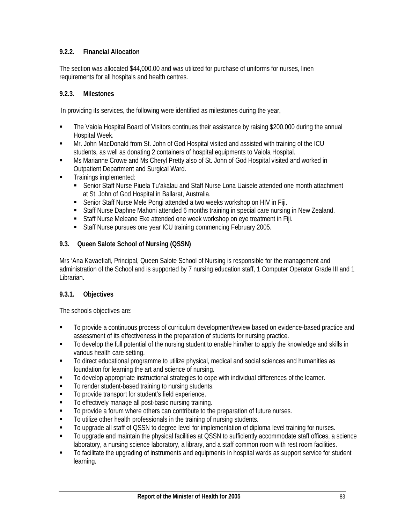## **9.2.2. Financial Allocation**

The section was allocated \$44,000.00 and was utilized for purchase of uniforms for nurses, linen requirements for all hospitals and health centres.

### **9.2.3. Milestones**

In providing its services, the following were identified as milestones during the year,

- The Vaiola Hospital Board of Visitors continues their assistance by raising \$200,000 during the annual Hospital Week.
- Mr. John MacDonald from St. John of God Hospital visited and assisted with training of the ICU students, as well as donating 2 containers of hospital equipments to Vaiola Hospital.
- Ms Marianne Crowe and Ms Cheryl Pretty also of St. John of God Hospital visited and worked in Outpatient Department and Surgical Ward.
- **Trainings implemented:** 
	- Senior Staff Nurse Piuela Tu'akalau and Staff Nurse Lona Uaisele attended one month attachment at St. John of God Hospital in Ballarat, Australia.
	- Senior Staff Nurse Mele Pongi attended a two weeks workshop on HIV in Fiji.
	- Staff Nurse Daphne Mahoni attended 6 months training in special care nursing in New Zealand.
	- Staff Nurse Meleane Eke attended one week workshop on eye treatment in Fiji.
	- Staff Nurse pursues one year ICU training commencing February 2005.

### **9.3. Queen Salote School of Nursing (QSSN)**

Mrs 'Ana Kavaefiafi, Principal, Queen Salote School of Nursing is responsible for the management and administration of the School and is supported by 7 nursing education staff, 1 Computer Operator Grade III and 1 Librarian.

## **9.3.1. Objectives**

The schools objectives are:

- **To provide a continuous process of curriculum development/review based on evidence-based practice and** assessment of its effectiveness in the preparation of students for nursing practice.
- To develop the full potential of the nursing student to enable him/her to apply the knowledge and skills in various health care setting.
- To direct educational programme to utilize physical, medical and social sciences and humanities as foundation for learning the art and science of nursing.
- To develop appropriate instructional strategies to cope with individual differences of the learner.
- To render student-based training to nursing students.
- To provide transport for student's field experience.
- To effectively manage all post-basic nursing training.
- To provide a forum where others can contribute to the preparation of future nurses.
- $\blacksquare$  To utilize other health professionals in the training of nursing students.
- To upgrade all staff of QSSN to degree level for implementation of diploma level training for nurses.
- To upgrade and maintain the physical facilities at QSSN to sufficiently accommodate staff offices, a science laboratory, a nursing science laboratory, a library, and a staff common room with rest room facilities.
- To facilitate the upgrading of instruments and equipments in hospital wards as support service for student learning.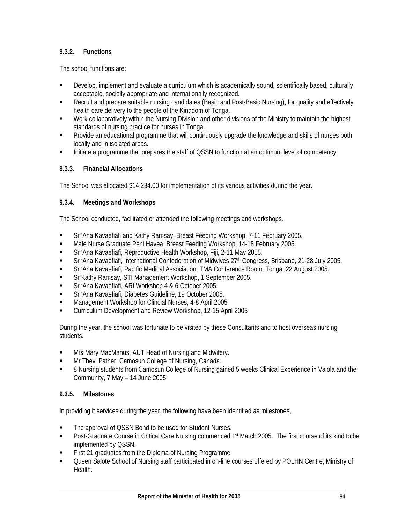## **9.3.2. Functions**

The school functions are:

- Develop, implement and evaluate a curriculum which is academically sound, scientifically based, culturally acceptable, socially appropriate and internationally recognized.
- Recruit and prepare suitable nursing candidates (Basic and Post-Basic Nursing), for quality and effectively health care delivery to the people of the Kingdom of Tonga.
- Work collaboratively within the Nursing Division and other divisions of the Ministry to maintain the highest standards of nursing practice for nurses in Tonga.
- **Provide an educational programme that will continuously upgrade the knowledge and skills of nurses both** locally and in isolated areas.
- Initiate a programme that prepares the staff of QSSN to function at an optimum level of competency.

## **9.3.3. Financial Allocations**

The School was allocated \$14,234.00 for implementation of its various activities during the year.

## **9.3.4. Meetings and Workshops**

The School conducted, facilitated or attended the following meetings and workshops.

- Sr 'Ana Kavaefiafi and Kathy Ramsay, Breast Feeding Workshop, 7-11 February 2005.
- Male Nurse Graduate Peni Havea, Breast Feeding Workshop, 14-18 February 2005.
- Sr 'Ana Kavaefiafi, Reproductive Health Workshop, Fiji, 2-11 May 2005.
- Sr 'Ana Kavaefiafi, International Confederation of Midwives 27<sup>th</sup> Congress, Brisbane, 21-28 July 2005.
- Sr 'Ana Kavaefiafi, Pacific Medical Association, TMA Conference Room, Tonga, 22 August 2005.
- Sr Kathy Ramsay, STI Management Workshop, 1 September 2005.
- Sr 'Ana Kavaefiafi, ARI Workshop 4 & 6 October 2005.
- Sr 'Ana Kavaefiafi, Diabetes Guideline, 19 October 2005.
- Management Workshop for Clincial Nurses, 4-8 April 2005
- Curriculum Development and Review Workshop, 12-15 April 2005

During the year, the school was fortunate to be visited by these Consultants and to host overseas nursing students.

- Mrs Mary MacManus, AUT Head of Nursing and Midwifery.
- **Mr Thevi Pather, Camosun College of Nursing, Canada.**
- 8 Nursing students from Camosun College of Nursing gained 5 weeks Clinical Experience in Vaiola and the Community, 7 May – 14 June 2005

## **9.3.5. Milestones**

In providing it services during the year, the following have been identified as milestones,

- The approval of QSSN Bond to be used for Student Nurses.
- **Post-Graduate Course in Critical Care Nursing commenced 1st March 2005. The first course of its kind to be** implemented by QSSN.
- **First 21 graduates from the Diploma of Nursing Programme.**
- Queen Salote School of Nursing staff participated in on-line courses offered by POLHN Centre, Ministry of Health.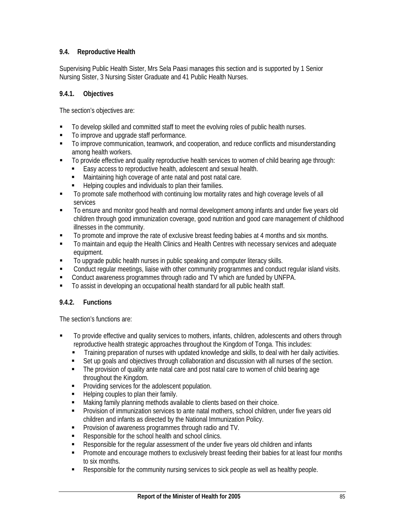## **9.4. Reproductive Health**

Supervising Public Health Sister, Mrs Sela Paasi manages this section and is supported by 1 Senior Nursing Sister, 3 Nursing Sister Graduate and 41 Public Health Nurses.

#### **9.4.1. Objectives**

The section's objectives are:

- $\blacksquare$  To develop skilled and committed staff to meet the evolving roles of public health nurses.
- $\blacksquare$  To improve and upgrade staff performance.
- To improve communication, teamwork, and cooperation, and reduce conflicts and misunderstanding among health workers.
- To provide effective and quality reproductive health services to women of child bearing age through:
	- Easy access to reproductive health, adolescent and sexual health.
	- Maintaining high coverage of ante natal and post natal care.
	- Helping couples and individuals to plan their families.
- To promote safe motherhood with continuing low mortality rates and high coverage levels of all services
- To ensure and monitor good health and normal development among infants and under five years old children through good immunization coverage, good nutrition and good care management of childhood illnesses in the community.
- To promote and improve the rate of exclusive breast feeding babies at 4 months and six months.
- To maintain and equip the Health Clinics and Health Centres with necessary services and adequate equipment.
- To upgrade public health nurses in public speaking and computer literacy skills.
- Conduct regular meetings, liaise with other community programmes and conduct regular island visits.
- Conduct awareness programmes through radio and TV which are funded by UNFPA.
- To assist in developing an occupational health standard for all public health staff.

### **9.4.2. Functions**

The section's functions are:

- To provide effective and quality services to mothers, infants, children, adolescents and others through reproductive health strategic approaches throughout the Kingdom of Tonga. This includes:
	- Training preparation of nurses with updated knowledge and skills, to deal with her daily activities.
	- Set up goals and objectives through collaboration and discussion with all nurses of the section.
	- The provision of quality ante natal care and post natal care to women of child bearing age throughout the Kingdom.
	- **Providing services for the adolescent population.**
	- Helping couples to plan their family.
	- Making family planning methods available to clients based on their choice.
	- **Provision of immunization services to ante natal mothers, school children, under five years old** children and infants as directed by the National Immunization Policy.
	- **Provision of awareness programmes through radio and TV.**
	- Responsible for the school health and school clinics.
	- Responsible for the regular assessment of the under five years old children and infants
	- **Promote and encourage mothers to exclusively breast feeding their babies for at least four months** to six months.
	- Responsible for the community nursing services to sick people as well as healthy people.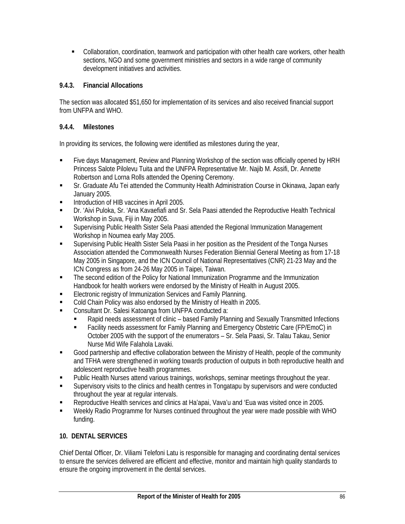Collaboration, coordination, teamwork and participation with other health care workers, other health sections, NGO and some government ministries and sectors in a wide range of community development initiatives and activities.

## **9.4.3. Financial Allocations**

The section was allocated \$51,650 for implementation of its services and also received financial support from UNFPA and WHO.

## **9.4.4. Milestones**

In providing its services, the following were identified as milestones during the year,

- Five days Management, Review and Planning Workshop of the section was officially opened by HRH Princess Salote Pilolevu Tuita and the UNFPA Representative Mr. Najib M. Assifi, Dr. Annette Robertson and Lorna Rolls attended the Opening Ceremony.
- Sr. Graduate Afu Tei attended the Community Health Administration Course in Okinawa, Japan early January 2005.
- **Introduction of HIB vaccines in April 2005.**
- Dr. 'Aivi Puloka, Sr. 'Ana Kavaefiafi and Sr. Sela Paasi attended the Reproductive Health Technical Workshop in Suva, Fiji in May 2005.
- Supervising Public Health Sister Sela Paasi attended the Regional Immunization Management Workshop in Noumea early May 2005.
- Supervising Public Health Sister Sela Paasi in her position as the President of the Tonga Nurses Association attended the Commonwealth Nurses Federation Biennial General Meeting as from 17-18 May 2005 in Singapore, and the ICN Council of National Representatives (CNR) 21-23 May and the ICN Congress as from 24-26 May 2005 in Taipei, Taiwan.
- The second edition of the Policy for National Immunization Programme and the Immunization Handbook for health workers were endorsed by the Ministry of Health in August 2005.
- **Electronic registry of Immunization Services and Family Planning.**
- Cold Chain Policy was also endorsed by the Ministry of Health in 2005.
- Consultant Dr. Salesi Katoanga from UNFPA conducted a:
	- Rapid needs assessment of clinic based Family Planning and Sexually Transmitted Infections
	- Facility needs assessment for Family Planning and Emergency Obstetric Care (FP/EmoC) in October 2005 with the support of the enumerators – Sr. Sela Paasi, Sr. Talau Takau, Senior Nurse Mid Wife Falahola Lavaki.
- Good partnership and effective collaboration between the Ministry of Health, people of the community and TFHA were strengthened in working towards production of outputs in both reproductive health and adolescent reproductive health programmes.
- **Public Health Nurses attend various trainings, workshops, seminar meetings throughout the year.**
- Supervisory visits to the clinics and health centres in Tongatapu by supervisors and were conducted throughout the year at regular intervals.
- Reproductive Health services and clinics at Ha'apai, Vava'u and 'Eua was visited once in 2005.
- Weekly Radio Programme for Nurses continued throughout the year were made possible with WHO funding.

## **10. DENTAL SERVICES**

Chief Dental Officer, Dr. Viliami Telefoni Latu is responsible for managing and coordinating dental services to ensure the services delivered are efficient and effective, monitor and maintain high quality standards to ensure the ongoing improvement in the dental services.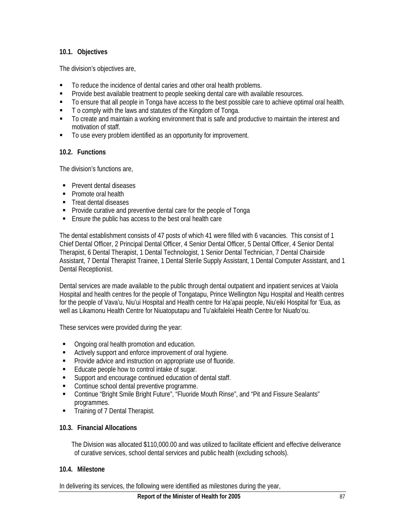### **10.1. Objectives**

The division's objectives are,

- To reduce the incidence of dental caries and other oral health problems.
- **Provide best available treatment to people seeking dental care with available resources.**
- To ensure that all people in Tonga have access to the best possible care to achieve optimal oral health.
- $\blacksquare$  T o comply with the laws and statutes of the Kingdom of Tonga.
- To create and maintain a working environment that is safe and productive to maintain the interest and motivation of staff.
- $\blacksquare$  To use every problem identified as an opportunity for improvement.

### **10.2. Functions**

The division's functions are,

- **Prevent dental diseases**
- Promote oral health
- **Treat dental diseases**
- **Provide curative and preventive dental care for the people of Tonga**
- Ensure the public has access to the best oral health care

The dental establishment consists of 47 posts of which 41 were filled with 6 vacancies. This consist of 1 Chief Dental Officer, 2 Principal Dental Officer, 4 Senior Dental Officer, 5 Dental Officer, 4 Senior Dental Therapist, 6 Dental Therapist, 1 Dental Technologist, 1 Senior Dental Technician, 7 Dental Chairside Assistant, 7 Dental Therapist Trainee, 1 Dental Sterile Supply Assistant, 1 Dental Computer Assistant, and 1 Dental Receptionist.

Dental services are made available to the public through dental outpatient and inpatient services at Vaiola Hospital and health centres for the people of Tongatapu, Prince Wellington Ngu Hospital and Health centres for the people of Vava'u, Niu'ui Hospital and Health centre for Ha'apai people, Niu'eiki Hospital for 'Eua, as well as Likamonu Health Centre for Niuatoputapu and Tu'akifalelei Health Centre for Niuafo'ou.

These services were provided during the year:

- Ongoing oral health promotion and education.
- Actively support and enforce improvement of oral hygiene.
- **Provide advice and instruction on appropriate use of fluoride.**
- Educate people how to control intake of sugar.
- Support and encourage continued education of dental staff.
- **EXECONTINUE SCHOOL dental preventive programme.**
- Continue "Bright Smile Bright Future", "Fluoride Mouth Rinse", and "Pit and Fissure Sealants" programmes.
- Training of 7 Dental Therapist.

### **10.3. Financial Allocations**

The Division was allocated \$110,000.00 and was utilized to facilitate efficient and effective deliverance of curative services, school dental services and public health (excluding schools).

### **10.4. Milestone**

In delivering its services, the following were identified as milestones during the year,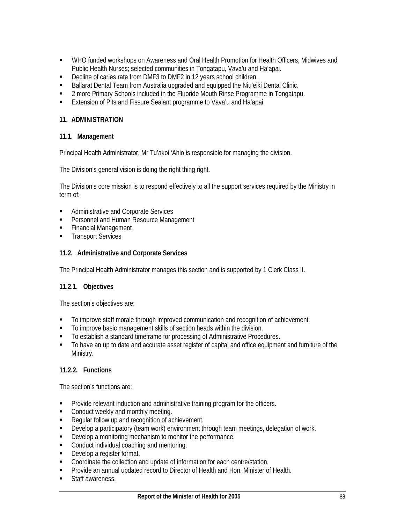- WHO funded workshops on Awareness and Oral Health Promotion for Health Officers, Midwives and Public Health Nurses; selected communities in Tongatapu, Vava'u and Ha'apai.
- Decline of caries rate from DMF3 to DMF2 in 12 years school children.
- **Ballarat Dental Team from Australia upgraded and equipped the Niu'eiki Dental Clinic.**
- **2** more Primary Schools included in the Fluoride Mouth Rinse Programme in Tongatapu.
- **Extension of Pits and Fissure Sealant programme to Vava'u and Ha'apai.**

### **11. ADMINISTRATION**

### **11.1. Management**

Principal Health Administrator, Mr Tu'akoi 'Ahio is responsible for managing the division.

The Division's general vision is doing the right thing right.

The Division's core mission is to respond effectively to all the support services required by the Ministry in term of:

- **Administrative and Corporate Services**
- **Personnel and Human Resource Management**
- **Financial Management**
- **Transport Services**

#### **11.2. Administrative and Corporate Services**

The Principal Health Administrator manages this section and is supported by 1 Clerk Class II.

#### **11.2.1. Objectives**

The section's objectives are:

- To improve staff morale through improved communication and recognition of achievement.
- To improve basic management skills of section heads within the division.
- To establish a standard timeframe for processing of Administrative Procedures.
- $\blacksquare$  To have an up to date and accurate asset register of capital and office equipment and furniture of the Ministry.

### **11.2.2. Functions**

The section's functions are:

- **Provide relevant induction and administrative training program for the officers.**
- Conduct weekly and monthly meeting.
- Regular follow up and recognition of achievement.
- Develop a participatory (team work) environment through team meetings, delegation of work.
- **Develop a monitoring mechanism to monitor the performance.**
- **Conduct individual coaching and mentoring.**
- **Develop a register format.**
- Coordinate the collection and update of information for each centre/station.
- **Provide an annual updated record to Director of Health and Hon. Minister of Health.**
- **Staff awareness.**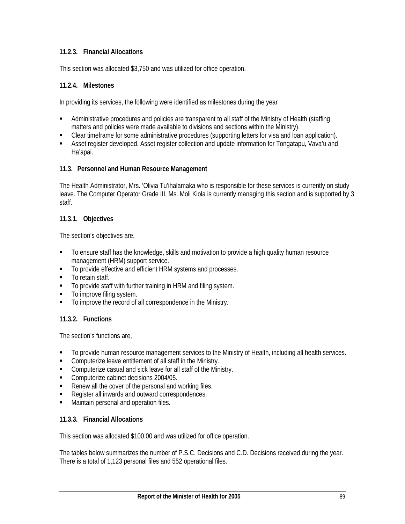### **11.2.3. Financial Allocations**

This section was allocated \$3,750 and was utilized for office operation.

### **11.2.4. Milestones**

In providing its services, the following were identified as milestones during the year

- Administrative procedures and policies are transparent to all staff of the Ministry of Health (staffing matters and policies were made available to divisions and sections within the Ministry).
- Clear timeframe for some administrative procedures (supporting letters for visa and loan application).
- Asset register developed. Asset register collection and update information for Tongatapu, Vava'u and Ha'apai.

#### **11.3. Personnel and Human Resource Management**

The Health Administrator, Mrs. 'Olivia Tu'ihalamaka who is responsible for these services is currently on study leave. The Computer Operator Grade III, Ms. Moli Kiola is currently managing this section and is supported by 3 staff.

#### **11.3.1. Objectives**

The section's objectives are,

- To ensure staff has the knowledge, skills and motivation to provide a high quality human resource management (HRM) support service.
- To provide effective and efficient HRM systems and processes.
- **To retain staff.**
- To provide staff with further training in HRM and filing system.
- To improve filing system.
- $\blacksquare$  To improve the record of all correspondence in the Ministry.

### **11.3.2. Functions**

The section's functions are,

- To provide human resource management services to the Ministry of Health, including all health services.
- **Computerize leave entitlement of all staff in the Ministry.**
- **Computerize casual and sick leave for all staff of the Ministry.**
- **Computerize cabinet decisions 2004/05.**
- Renew all the cover of the personal and working files.
- Register all inwards and outward correspondences.
- **Maintain personal and operation files.**

#### **11.3.3. Financial Allocations**

This section was allocated \$100.00 and was utilized for office operation.

The tables below summarizes the number of P.S.C. Decisions and C.D. Decisions received during the year. There is a total of 1,123 personal files and 552 operational files.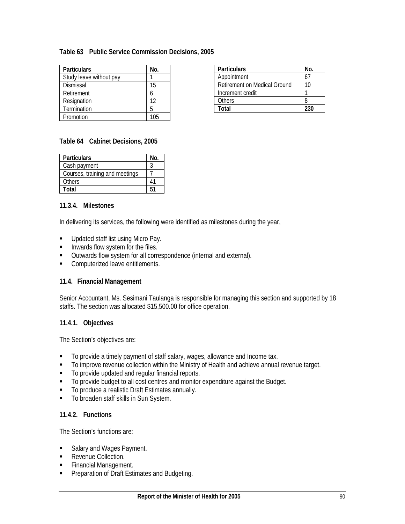### **Table 63 Public Service Commission Decisions, 2005**

| <b>Particulars</b>      | No. |
|-------------------------|-----|
| Study leave without pay |     |
| Dismissal               | 15  |
| Retirement              |     |
| Resignation             | 12  |
| Termination             |     |
| Promotion               | 1በ5 |

| <b>Particulars</b>                  | No. |
|-------------------------------------|-----|
| Appointment                         |     |
| <b>Retirement on Medical Ground</b> | 10  |
| Increment credit                    |     |
| Others                              |     |
| Total                               | 230 |

#### **Table 64 Cabinet Decisions, 2005**

| <b>Particulars</b>             | No. |
|--------------------------------|-----|
| Cash payment                   |     |
| Courses, training and meetings |     |
| Others                         |     |
| Total                          |     |

### **11.3.4. Milestones**

In delivering its services, the following were identified as milestones during the year,

- **Updated staff list using Micro Pay.**
- **Inwards flow system for the files.**
- **ULT CULT COUT COUTF** Outwards flow system for all correspondence (internal and external).
- **Computerized leave entitlements.**

#### **11.4. Financial Management**

Senior Accountant, Ms. Sesimani Taulanga is responsible for managing this section and supported by 18 staffs. The section was allocated \$15,500.00 for office operation.

#### **11.4.1. Objectives**

The Section's objectives are:

- To provide a timely payment of staff salary, wages, allowance and Income tax.
- To improve revenue collection within the Ministry of Health and achieve annual revenue target.
- To provide updated and regular financial reports.
- $\blacksquare$  To provide budget to all cost centres and monitor expenditure against the Budget.
- To produce a realistic Draft Estimates annually.
- **To broaden staff skills in Sun System.**

#### **11.4.2. Functions**

The Section's functions are:

- Salary and Wages Payment.
- **Revenue Collection.**
- **Financial Management.**
- **Preparation of Draft Estimates and Budgeting.**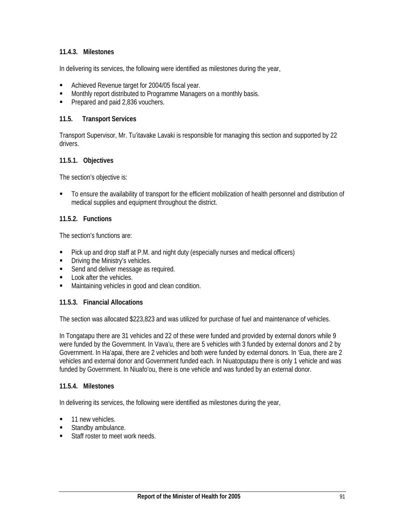### **11.4.3. Milestones**

In delivering its services, the following were identified as milestones during the year,

- **Achieved Revenue target for 2004/05 fiscal year.**
- Monthly report distributed to Programme Managers on a monthly basis.
- Prepared and paid 2,836 vouchers.

#### **11.5. Transport Services**

Transport Supervisor, Mr. Tu'itavake Lavaki is responsible for managing this section and supported by 22 drivers.

### **11.5.1. Objectives**

The section's objective is:

 To ensure the availability of transport for the efficient mobilization of health personnel and distribution of medical supplies and equipment throughout the district.

#### **11.5.2. Functions**

The section's functions are:

- Pick up and drop staff at P.M. and night duty (especially nurses and medical officers)
- Driving the Ministry's vehicles.
- Send and deliver message as required.
- **Look after the vehicles.**
- **Maintaining vehicles in good and clean condition.**

#### **11.5.3. Financial Allocations**

The section was allocated \$223,823 and was utilized for purchase of fuel and maintenance of vehicles.

In Tongatapu there are 31 vehicles and 22 of these were funded and provided by external donors while 9 were funded by the Government. In Vava'u, there are 5 vehicles with 3 funded by external donors and 2 by Government. In Ha'apai, there are 2 vehicles and both were funded by external donors. In 'Eua, there are 2 vehicles and external donor and Government funded each. In Niuatoputapu there is only 1 vehicle and was funded by Government. In Niuafo'ou, there is one vehicle and was funded by an external donor.

#### **11.5.4. Milestones**

In delivering its services, the following were identified as milestones during the year,

- 11 new vehicles.
- Standby ambulance.
- Staff roster to meet work needs.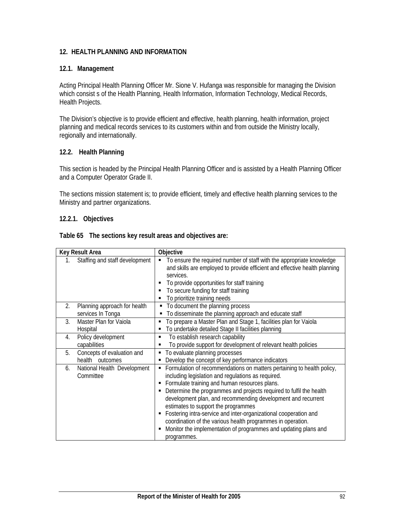### **12. HEALTH PLANNING AND INFORMATION**

#### **12.1. Management**

Acting Principal Health Planning Officer Mr. Sione V. Hufanga was responsible for managing the Division which consist s of the Health Planning, Health Information, Information Technology, Medical Records, Health Projects.

The Division's objective is to provide efficient and effective, health planning, health information, project planning and medical records services to its customers within and from outside the Ministry locally, regionally and internationally.

### **12.2. Health Planning**

This section is headed by the Principal Health Planning Officer and is assisted by a Health Planning Officer and a Computer Operator Grade II.

The sections mission statement is; to provide efficient, timely and effective health planning services to the Ministry and partner organizations.

#### **12.2.1. Objectives**

|  | Table 65 The sections key result areas and objectives are: |
|--|------------------------------------------------------------|
|  |                                                            |

| Key Result Area                                         | Objective                                                                                                                                                                                                                                                                                                                                                                                                                                                                                                                                                                              |
|---------------------------------------------------------|----------------------------------------------------------------------------------------------------------------------------------------------------------------------------------------------------------------------------------------------------------------------------------------------------------------------------------------------------------------------------------------------------------------------------------------------------------------------------------------------------------------------------------------------------------------------------------------|
| Staffing and staff development<br>1.                    | To ensure the required number of staff with the appropriate knowledge<br>and skills are employed to provide efficient and effective health planning<br>services.<br>To provide opportunities for staff training<br>To secure funding for staff training<br>To prioritize training needs                                                                                                                                                                                                                                                                                                |
| 2.<br>Planning approach for health<br>services In Tonga | To document the planning process<br>٠<br>To disseminate the planning approach and educate staff                                                                                                                                                                                                                                                                                                                                                                                                                                                                                        |
| Master Plan for Vaiola<br>3.<br>Hospital                | To prepare a Master Plan and Stage 1, facilities plan for Vaiola<br>To undertake detailed Stage II facilities planning                                                                                                                                                                                                                                                                                                                                                                                                                                                                 |
| Policy development<br>4.<br>capabilities                | To establish research capability<br>٠<br>To provide support for development of relevant health policies<br>٠                                                                                                                                                                                                                                                                                                                                                                                                                                                                           |
| 5.<br>Concepts of evaluation and<br>health outcomes     | • To evaluate planning processes<br>Develop the concept of key performance indicators<br>٠                                                                                                                                                                                                                                                                                                                                                                                                                                                                                             |
| National Health Development<br>6.<br>Committee          | Formulation of recommendations on matters pertaining to health policy,<br>п.<br>including legislation and regulations as required.<br>Formulate training and human resources plans.<br>Determine the programmes and projects required to fulfil the health<br>development plan, and recommending development and recurrent<br>estimates to support the programmes<br>Fostering intra-service and inter-organizational cooperation and<br>coordination of the various health programmes in operation.<br>Monitor the implementation of programmes and updating plans and<br>programmes. |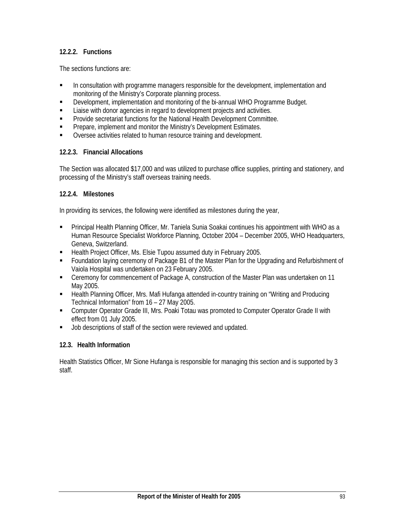### **12.2.2. Functions**

The sections functions are:

- In consultation with programme managers responsible for the development, implementation and monitoring of the Ministry's Corporate planning process.
- Development, implementation and monitoring of the bi-annual WHO Programme Budget.
- **EXECT** Liaise with donor agencies in regard to development projects and activities.
- **Provide secretariat functions for the National Health Development Committee.**
- **Prepare, implement and monitor the Ministry's Development Estimates.**
- Oversee activities related to human resource training and development.

### **12.2.3. Financial Allocations**

The Section was allocated \$17,000 and was utilized to purchase office supplies, printing and stationery, and processing of the Ministry's staff overseas training needs.

### **12.2.4. Milestones**

In providing its services, the following were identified as milestones during the year,

- Principal Health Planning Officer, Mr. Taniela Sunia Soakai continues his appointment with WHO as a Human Resource Specialist Workforce Planning, October 2004 – December 2005, WHO Headquarters, Geneva, Switzerland.
- **Health Project Officer, Ms. Elsie Tupou assumed duty in February 2005.**
- Foundation laying ceremony of Package B1 of the Master Plan for the Upgrading and Refurbishment of Vaiola Hospital was undertaken on 23 February 2005.
- Ceremony for commencement of Package A, construction of the Master Plan was undertaken on 11 May 2005.
- **EXTHEAlth Planning Officer, Mrs. Mafi Hufanga attended in-country training on "Writing and Producing 4** Technical Information" from 16 – 27 May 2005.
- Computer Operator Grade III, Mrs. Poaki Totau was promoted to Computer Operator Grade II with effect from 01 July 2005.
- **Job descriptions of staff of the section were reviewed and updated.**

### **12.3. Health Information**

Health Statistics Officer, Mr Sione Hufanga is responsible for managing this section and is supported by 3 staff.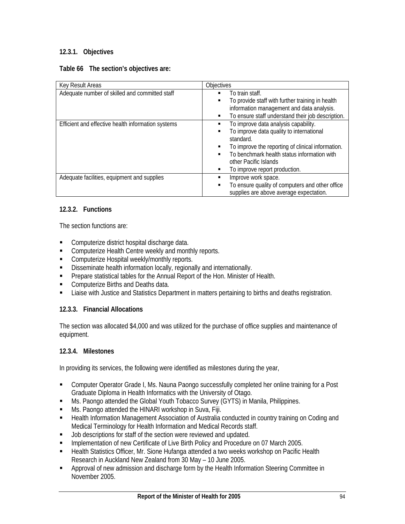## **12.3.1. Objectives**

#### **Table 66 The section's objectives are:**

| Key Result Areas                                   | Objectives                                                                                      |
|----------------------------------------------------|-------------------------------------------------------------------------------------------------|
| Adequate number of skilled and committed staff     | To train staff.<br>г                                                                            |
|                                                    | To provide staff with further training in health<br>п                                           |
|                                                    | information management and data analysis.                                                       |
|                                                    | To ensure staff understand their job description.<br>п                                          |
| Efficient and effective health information systems | To improve data analysis capability.                                                            |
|                                                    | To improve data quality to international                                                        |
|                                                    | standard.                                                                                       |
|                                                    | To improve the reporting of clinical information.                                               |
|                                                    | To benchmark health status information with<br>п                                                |
|                                                    | other Pacific Islands                                                                           |
|                                                    | To improve report production.                                                                   |
| Adequate facilities, equipment and supplies        | Improve work space.                                                                             |
|                                                    | To ensure quality of computers and other office<br>п<br>supplies are above average expectation. |

### **12.3.2. Functions**

The section functions are:

- **EXECOMPUTER COMPUTER COMPUTER** COMPUTER **COMPUTER** COMPUTER **CONST**
- **EXECOMPUTER CHEALTE COMPUTER 1** Computerize Health Centre weekly and monthly reports.
- Computerize Hospital weekly/monthly reports.
- **Disseminate health information locally, regionally and internationally.**
- **Prepare statistical tables for the Annual Report of the Hon. Minister of Health.**
- **Computerize Births and Deaths data.**
- Liaise with Justice and Statistics Department in matters pertaining to births and deaths registration.

## **12.3.3. Financial Allocations**

The section was allocated \$4,000 and was utilized for the purchase of office supplies and maintenance of equipment.

### **12.3.4. Milestones**

In providing its services, the following were identified as milestones during the year,

- Computer Operator Grade I, Ms. Nauna Paongo successfully completed her online training for a Post Graduate Diploma in Health Informatics with the University of Otago.
- Ms. Paongo attended the Global Youth Tobacco Survey (GYTS) in Manila, Philippines.
- **Ms. Paongo attended the HINARI workshop in Suva, Fiji.**
- **EXECT IN** Health Information Management Association of Australia conducted in country training on Coding and Medical Terminology for Health Information and Medical Records staff.
- **Job descriptions for staff of the section were reviewed and updated.**
- **Implementation of new Certificate of Live Birth Policy and Procedure on 07 March 2005.**
- **EXECT** Health Statistics Officer, Mr. Sione Hufanga attended a two weeks workshop on Pacific Health Research in Auckland New Zealand from 30 May – 10 June 2005.
- Approval of new admission and discharge form by the Health Information Steering Committee in November 2005.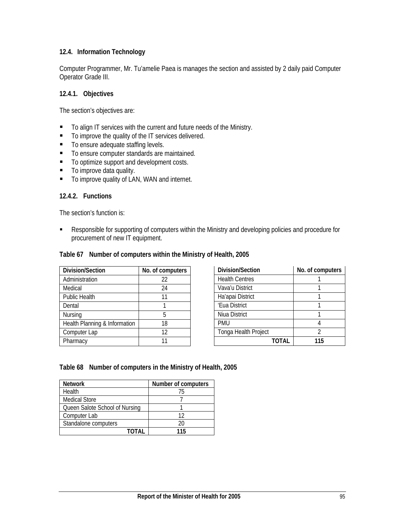### **12.4. Information Technology**

Computer Programmer, Mr. Tu'amelie Paea is manages the section and assisted by 2 daily paid Computer Operator Grade III.

#### **12.4.1. Objectives**

The section's objectives are:

- To align IT services with the current and future needs of the Ministry.
- To improve the quality of the IT services delivered.
- To ensure adequate staffing levels.
- To ensure computer standards are maintained.
- To optimize support and development costs.
- To improve data quality.
- To improve quality of LAN, WAN and internet.

### **12.4.2. Functions**

The section's function is:

**Responsible for supporting of computers within the Ministry and developing policies and procedure for** procurement of new IT equipment.

#### **Table 67 Number of computers within the Ministry of Health, 2005**

| Division/Section              | No. of computers |
|-------------------------------|------------------|
| Administration                | 22               |
| Medical                       | 24               |
| <b>Public Health</b>          | 11               |
| Dental                        |                  |
| Nursing                       | 5                |
| Health Planning & Information | 18               |
| Computer Lap                  | 12               |
| Pharmacy                      |                  |

| Division/Section      | No. of computers |
|-----------------------|------------------|
| <b>Health Centres</b> |                  |
| Vava'u District       |                  |
| Ha'apai District      |                  |
| 'Eua District         |                  |
| Niua District         |                  |
| <b>PMU</b>            |                  |
| Tonga Health Project  | 2                |
| TOTAL                 | 115              |

#### **Table 68 Number of computers in the Ministry of Health, 2005**

| <b>Network</b>                 | Number of computers |
|--------------------------------|---------------------|
| Health                         | 75                  |
| <b>Medical Store</b>           |                     |
| Queen Salote School of Nursing |                     |
| Computer Lab                   | 17                  |
| Standalone computers           | 20                  |
| ΤΩΤΔΙ                          | 115                 |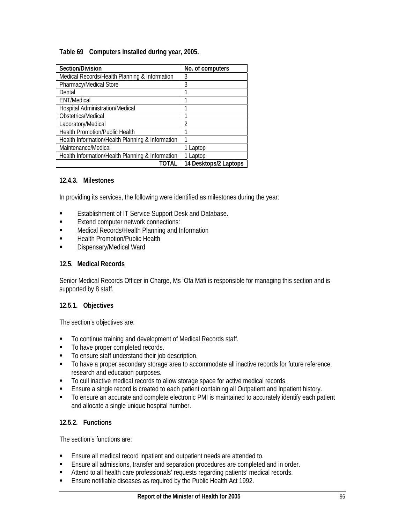### **Table 69 Computers installed during year, 2005.**

| Section/Division                                 | No. of computers      |
|--------------------------------------------------|-----------------------|
| Medical Records/Health Planning & Information    | 3                     |
| Pharmacy/Medical Store                           | 3                     |
| Dental                                           |                       |
| <b>ENT/Medical</b>                               |                       |
| Hospital Administration/Medical                  |                       |
| Obstetrics/Medical                               |                       |
| Laboratory/Medical                               | 2                     |
| <b>Health Promotion/Public Health</b>            |                       |
| Health Information/Health Planning & Information |                       |
| Maintenance/Medical                              | 1 Laptop              |
| Health Information/Health Planning & Information | 1 Laptop              |
| TOTAL                                            | 14 Desktops/2 Laptops |

### **12.4.3. Milestones**

In providing its services, the following were identified as milestones during the year:

- **Example 1 Establishment of IT Service Support Desk and Database.**
- **Extend computer network connections:**
- **EXECO Medical Records/Health Planning and Information**
- **Example 21 Health Promotion/Public Health**
- **Dispensary/Medical Ward**

#### **12.5. Medical Records**

Senior Medical Records Officer in Charge, Ms 'Ofa Mafi is responsible for managing this section and is supported by 8 staff.

### **12.5.1. Objectives**

The section's objectives are:

- To continue training and development of Medical Records staff.
- $\blacksquare$  To have proper completed records.
- To ensure staff understand their job description.
- $\blacksquare$  To have a proper secondary storage area to accommodate all inactive records for future reference, research and education purposes.
- $\blacksquare$  To cull inactive medical records to allow storage space for active medical records.
- Ensure a single record is created to each patient containing all Outpatient and Inpatient history.
- To ensure an accurate and complete electronic PMI is maintained to accurately identify each patient and allocate a single unique hospital number.

### **12.5.2. Functions**

The section's functions are:

- Ensure all medical record inpatient and outpatient needs are attended to.
- Ensure all admissions, transfer and separation procedures are completed and in order.
- **Attend to all health care professionals' requests regarding patients' medical records.**
- **Ensure notifiable diseases as required by the Public Health Act 1992.**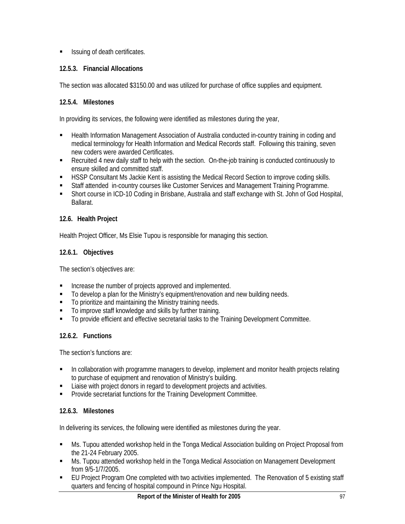**ISSUING OF death certificates.** 

## **12.5.3. Financial Allocations**

The section was allocated \$3150.00 and was utilized for purchase of office supplies and equipment.

## **12.5.4. Milestones**

In providing its services, the following were identified as milestones during the year,

- **EXECT** Health Information Management Association of Australia conducted in-country training in coding and medical terminology for Health Information and Medical Records staff. Following this training, seven new coders were awarded Certificates.
- Recruited 4 new daily staff to help with the section. On-the-job training is conducted continuously to ensure skilled and committed staff.
- **EXECT ASSP Consultant Ms Jackie Kent is assisting the Medical Record Section to improve coding skills.**
- **Staff attended in-country courses like Customer Services and Management Training Programme.**
- Short course in ICD-10 Coding in Brisbane, Australia and staff exchange with St. John of God Hospital, Ballarat.

## **12.6. Health Project**

Health Project Officer, Ms Elsie Tupou is responsible for managing this section.

## **12.6.1. Objectives**

The section's objectives are:

- **Increase the number of projects approved and implemented.**
- To develop a plan for the Ministry's equipment/renovation and new building needs.
- To prioritize and maintaining the Ministry training needs.
- To improve staff knowledge and skills by further training.
- To provide efficient and effective secretarial tasks to the Training Development Committee.

## **12.6.2. Functions**

The section's functions are:

- **In collaboration with programme managers to develop, implement and monitor health projects relating** to purchase of equipment and renovation of Ministry's building.
- Liaise with project donors in regard to development projects and activities.
- **Provide secretariat functions for the Training Development Committee.**

## **12.6.3. Milestones**

In delivering its services, the following were identified as milestones during the year.

- Ms. Tupou attended workshop held in the Tonga Medical Association building on Project Proposal from the 21-24 February 2005.
- Ms. Tupou attended workshop held in the Tonga Medical Association on Management Development from 9/5-1/7/2005.
- EU Project Program One completed with two activities implemented. The Renovation of 5 existing staff quarters and fencing of hospital compound in Prince Ngu Hospital.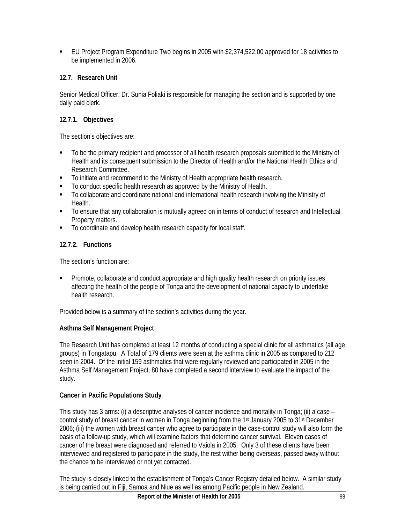EU Project Program Expenditure Two begins in 2005 with \$2,374,522.00 approved for 18 activities to be implemented in 2006.

## **12.7. Research Unit**

Senior Medical Officer, Dr. Sunia Foliaki is responsible for managing the section and is supported by one daily paid clerk.

## **12.7.1. Objectives**

The section's objectives are:

- $\blacksquare$  To be the primary recipient and processor of all health research proposals submitted to the Ministry of Health and its consequent submission to the Director of Health and/or the National Health Ethics and Research Committee.
- To initiate and recommend to the Ministry of Health appropriate health research.
- To conduct specific health research as approved by the Ministry of Health.
- To collaborate and coordinate national and international health research involving the Ministry of Health.
- To ensure that any collaboration is mutually agreed on in terms of conduct of research and Intellectual Property matters.
- $\blacksquare$  To coordinate and develop health research capacity for local staff.

## **12.7.2. Functions**

The section's function are:

**Promote, collaborate and conduct appropriate and high quality health research on priority issues** affecting the health of the people of Tonga and the development of national capacity to undertake health research.

Provided below is a summary of the section's activities during the year.

## **Asthma Self Management Project**

The Research Unit has completed at least 12 months of conducting a special clinic for all asthmatics (all age groups) in Tongatapu. A Total of 179 clients were seen at the asthma clinic in 2005 as compared to 212 seen in 2004. Of the initial 159 asthmatics that were regularly reviewed and participated in 2005 in the Asthma Self Management Project, 80 have completed a second interview to evaluate the impact of the study.

## **Cancer in Pacific Populations Study**

This study has 3 arms: (i) a descriptive analyses of cancer incidence and mortality in Tonga; (ii) a case – control study of breast cancer in women in Tonga beginning from the 1<sup>st</sup> January 2005 to 31<sup>st</sup> December 2006; (iii) the women with breast cancer who agree to participate in the case-control study will also form the basis of a follow-up study, which will examine factors that determine cancer survival. Eleven cases of cancer of the breast were diagnosed and referred to Vaiola in 2005. Only 3 of these clients have been interviewed and registered to participate in the study, the rest wither being overseas, passed away without the chance to be interviewed or not yet contacted.

The study is closely linked to the establishment of Tonga's Cancer Registry detailed below. A similar study is being carried out in Fiji, Samoa and Niue as well as among Pacific people in New Zealand.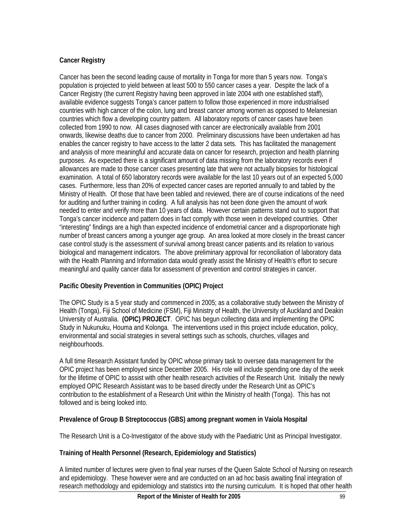## **Cancer Registry**

Cancer has been the second leading cause of mortality in Tonga for more than 5 years now. Tonga's population is projected to yield between at least 500 to 550 cancer cases a year. Despite the lack of a Cancer Registry (the current Registry having been approved in late 2004 with one established staff), available evidence suggests Tonga's cancer pattern to follow those experienced in more industrialised countries with high cancer of the colon, lung and breast cancer among women as opposed to Melanesian countries which flow a developing country pattern. All laboratory reports of cancer cases have been collected from 1990 to now. All cases diagnosed with cancer are electronically available from 2001 onwards, likewise deaths due to cancer from 2000. Preliminary discussions have been undertaken ad has enables the cancer registry to have access to the latter 2 data sets. This has facilitated the management and analysis of more meaningful and accurate data on cancer for research, projection and health planning purposes. As expected there is a significant amount of data missing from the laboratory records even if allowances are made to those cancer cases presenting late that were not actually biopsies for histological examination. A total of 650 laboratory records were available for the last 10 years out of an expected 5,000 cases. Furthermore, less than 20% of expected cancer cases are reported annually to and tabled by the Ministry of Health. Of those that have been tabled and reviewed, there are of course indications of the need for auditing and further training in coding. A full analysis has not been done given the amount of work needed to enter and verify more than 10 years of data. However certain patterns stand out to support that Tonga's cancer incidence and pattern does in fact comply with those ween in developed countries. Other "interesting" findings are a high than expected incidence of endometrial cancer and a disproportionate high number of breast cancers among a younger age group. An area looked at more closely in the breast cancer case control study is the assessment of survival among breast cancer patients and its relation to various biological and management indicators. The above preliminary approval for reconciliation of laboratory data with the Health Planning and Information data would greatly assist the Ministry of Health's effort to secure meaningful and quality cancer data for assessment of prevention and control strategies in cancer.

## **Pacific Obesity Prevention in Communities (OPIC) Project**

The OPIC Study is a 5 year study and commenced in 2005; as a collaborative study between the Ministry of Health (Tonga), Fiji School of Medicine (FSM), Fiji Ministry of Health, the University of Auckland and Deakin University of Australia. **(OPIC) PROJECT**. OPIC has begun collecting data and implementing the OPIC Study in Nukunuku, Houma and Kolonga. The interventions used in this project include education, policy, environmental and social strategies in several settings such as schools, churches, villages and neighbourhoods.

A full time Research Assistant funded by OPIC whose primary task to oversee data management for the OPIC project has been employed since December 2005. His role will include spending one day of the week for the lifetime of OPIC to assist with other health research activities of the Research Unit. Initially the newly employed OPIC Research Assistant was to be based directly under the Research Unit as OPIC's contribution to the establishment of a Research Unit within the Ministry of health (Tonga). This has not followed and is being looked into.

## **Prevalence of Group B Streptococcus (GBS) among pregnant women in Vaiola Hospital**

The Research Unit is a Co-Investigator of the above study with the Paediatric Unit as Principal Investigator.

## **Training of Health Personnel (Research, Epidemiology and Statistics)**

A limited number of lectures were given to final year nurses of the Queen Salote School of Nursing on research and epidemiology. These however were and are conducted on an ad hoc basis awaiting final integration of research methodology and epidemiology and statistics into the nursing curriculum. It is hoped that other health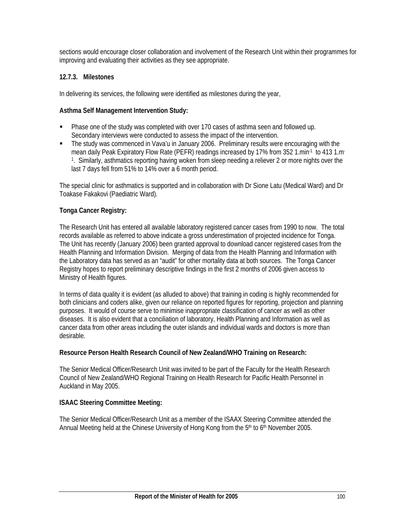sections would encourage closer collaboration and involvement of the Research Unit within their programmes for improving and evaluating their activities as they see appropriate.

### **12.7.3. Milestones**

In delivering its services, the following were identified as milestones during the year,

#### **Asthma Self Management Intervention Study:**

- Phase one of the study was completed with over 170 cases of asthma seen and followed up. Secondary interviews were conducted to assess the impact of the intervention.
- The study was commenced in Vava'u in January 2006. Preliminary results were encouraging with the mean daily Peak Expiratory Flow Rate (PEFR) readings increased by 17% from 352 1.min<sup>-1</sup> to 413 1.m<sup>-</sup> 1. Similarly, asthmatics reporting having woken from sleep needing a reliever 2 or more nights over the last 7 days fell from 51% to 14% over a 6 month period.

The special clinic for asthmatics is supported and in collaboration with Dr Sione Latu (Medical Ward) and Dr Toakase Fakakovi (Paediatric Ward).

### **Tonga Cancer Registry:**

The Research Unit has entered all available laboratory registered cancer cases from 1990 to now. The total records available as referred to above indicate a gross underestimation of projected incidence for Tonga. The Unit has recently (January 2006) been granted approval to download cancer registered cases from the Health Planning and Information Division. Merging of data from the Health Planning and Information with the Laboratory data has served as an "audit" for other mortality data at both sources. The Tonga Cancer Registry hopes to report preliminary descriptive findings in the first 2 months of 2006 given access to Ministry of Health figures.

In terms of data quality it is evident (as alluded to above) that training in coding is highly recommended for both clinicians and coders alike, given our reliance on reported figures for reporting, projection and planning purposes. It would of course serve to minimise inappropriate classification of cancer as well as other diseases. It is also evident that a conciliation of laboratory, Health Planning and Information as well as cancer data from other areas including the outer islands and individual wards and doctors is more than desirable.

### **Resource Person Health Research Council of New Zealand/WHO Training on Research:**

The Senior Medical Officer/Research Unit was invited to be part of the Faculty for the Health Research Council of New Zealand/WHO Regional Training on Health Research for Pacific Health Personnel in Auckland in May 2005.

### **ISAAC Steering Committee Meeting:**

The Senior Medical Officer/Research Unit as a member of the ISAAX Steering Committee attended the Annual Meeting held at the Chinese University of Hong Kong from the  $5<sup>th</sup>$  to  $6<sup>th</sup>$  November 2005.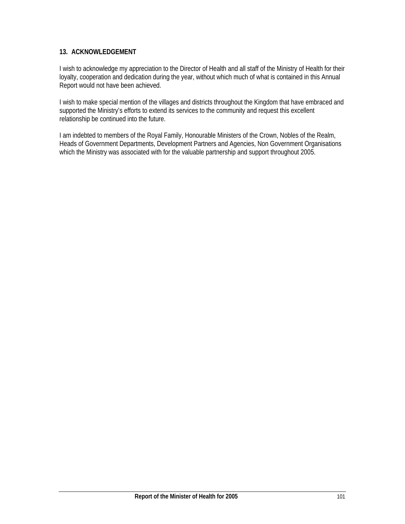### **13. ACKNOWLEDGEMENT**

I wish to acknowledge my appreciation to the Director of Health and all staff of the Ministry of Health for their loyalty, cooperation and dedication during the year, without which much of what is contained in this Annual Report would not have been achieved.

I wish to make special mention of the villages and districts throughout the Kingdom that have embraced and supported the Ministry's efforts to extend its services to the community and request this excellent relationship be continued into the future.

I am indebted to members of the Royal Family, Honourable Ministers of the Crown, Nobles of the Realm, Heads of Government Departments, Development Partners and Agencies, Non Government Organisations which the Ministry was associated with for the valuable partnership and support throughout 2005.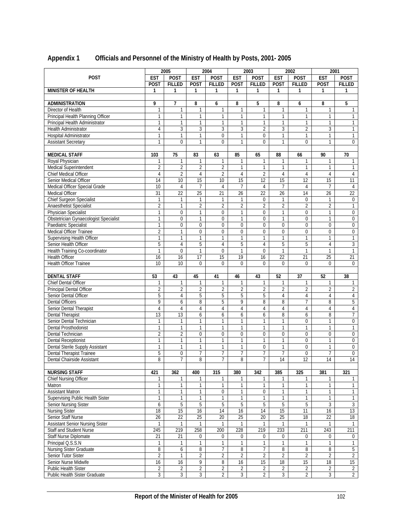|                                                       | 2005                |                     |                                  | 2004                             | 2003                             |                                  | 2002                             |                                  | 2001                             |                                  |
|-------------------------------------------------------|---------------------|---------------------|----------------------------------|----------------------------------|----------------------------------|----------------------------------|----------------------------------|----------------------------------|----------------------------------|----------------------------------|
| <b>POST</b>                                           | <b>EST</b>          | <b>POST</b>         | <b>EST</b>                       | <b>POST</b>                      | <b>EST</b>                       | <b>POST</b>                      | <b>EST</b>                       | <b>POST</b>                      | <b>EST</b>                       | <b>POST</b>                      |
|                                                       | <b>POST</b>         | <b>FILLED</b>       | <b>POST</b>                      | <b>FILLED</b>                    | <b>POST</b>                      | <b>FILLED</b>                    | <b>POST</b>                      | <b>FILLED</b>                    | <b>POST</b>                      | <b>FILLED</b>                    |
| <b>MINISTER OF HEALTH</b>                             | 1                   | 1                   | 1                                | 1                                | 1                                | 1                                | 1                                | 1                                | 1                                | 1                                |
|                                                       |                     |                     |                                  |                                  |                                  |                                  |                                  |                                  |                                  |                                  |
| <b>ADMINISTRATION</b>                                 | 9                   | 7                   | 8                                | 6                                | 8                                | 5                                | 8                                | 6                                | 8                                | 5                                |
| Director of Health                                    | 1                   | $\mathbf{1}$        | 1                                | 1                                | 1                                | 1                                |                                  | $\mathbf{1}$                     | 1                                | 1                                |
| Principal Health Planning Officer                     | 1                   | 1                   | 1                                | 1                                | 1                                | 1                                | 1                                | 1                                | 1                                |                                  |
| Principal Health Administrator                        | 1                   | 1                   | 1                                | 1                                | 1                                | $\mathbf{1}$                     | 1                                | $\mathbf{1}$                     | 1                                | 1                                |
| Health Administrator                                  | 4                   | 3                   | 3                                | 3                                | 3                                | $\overline{2}$                   | 3                                | $\overline{2}$                   | 3                                | $\mathbf{1}$                     |
|                                                       |                     |                     |                                  |                                  |                                  |                                  |                                  |                                  |                                  |                                  |
| Hospital Administrator                                | 1                   | 1                   | 1                                | 0                                | $\mathbf{1}$                     | 0                                | 1                                | $\mathbf{1}$                     | $\mathbf{1}$                     | 1                                |
| <b>Assistant Secretary</b>                            | 1                   | $\Omega$            | $\mathbf{1}$                     | $\theta$                         | 1                                | $\theta$                         | $\mathbf{1}$                     | $\Omega$                         | $\mathbf{1}$                     | $\Omega$                         |
|                                                       |                     |                     |                                  |                                  |                                  |                                  |                                  |                                  |                                  |                                  |
| <b>MEDICAL STAFF</b>                                  | 103                 | 75                  | 83                               | 63                               | 85                               | 65                               | 88                               | 66                               | 90                               | 70                               |
| Royal Physician                                       | 1                   | 1                   | 1                                | $\mathbf{1}$                     | $\mathbf{1}$                     | 1                                | 1                                | 1                                | 1                                | 1                                |
| Medical Superintendent                                | 2                   | $\overline{2}$      | $\overline{2}$                   | $\overline{2}$                   | $\mathbf{1}$                     | $\mathbf{1}$                     | 1                                | $\mathbf{1}$                     | $\mathbf{1}$                     | $\mathbf{1}$                     |
| Chief Medical Officer                                 | 4                   | $\overline{2}$      | 4                                | $\overline{2}$                   | 4                                | $\overline{2}$                   | $\overline{4}$                   | $\overline{4}$                   | 4                                | 4                                |
| Senior Medical Officer                                | 14                  | 10                  | 15                               | 10                               | 15                               | 12                               | 15                               | 12                               | 15                               | 11                               |
| Medical Officer Special Grade                         | 10                  | 4                   | 7                                | 4                                | $\overline{7}$                   | 4                                | $\overline{7}$                   | 4                                | 7                                | 4                                |
| Medical Officer                                       | $\overline{31}$     | 22                  | $\overline{25}$                  | 21                               | $\overline{26}$                  | $\overline{22}$                  | 26                               | 14                               | $\overline{26}$                  | $\overline{22}$                  |
| Chief Surgeon Specialist                              | 1                   | 1                   | 1                                | $\mathbf{1}$                     |                                  | 0                                | 1                                | $\bf{0}$                         | 1                                | $\mathbf 0$                      |
| Anaesthetist Specialist                               | $\overline{2}$      | $\mathbf{1}$        | $\overline{2}$                   | $\overline{2}$                   | $\overline{2}$                   | $\overline{2}$                   | $\overline{2}$                   | $\overline{2}$                   | $\overline{2}$                   | $\mathbf{1}$                     |
| Physician Specialist                                  | 1                   | $\mathbf 0$         | $\mathbf{1}$                     | $\mathbf 0$                      | 1                                | $\mathbf 0$                      | 1                                | $\mathbf{0}$                     | $\mathbf{1}$                     | 0                                |
| <b>Obstetrician Gynaecologist Specialist</b>          | 1                   | $\mathbf 0$         | 1                                | $\mathbf 0$                      | 1                                | $\mathbf{0}$                     | $\mathbf{1}$                     | $\mathbf{0}$                     | 1                                | 0                                |
| Paediatric Specialist                                 | $\mathbf{1}$        | $\Omega$            | $\theta$                         | $\mathbf 0$                      | $\overline{0}$                   | $\theta$                         | $\theta$                         | $\Omega$                         | $\Omega$                         | $\mathbf 0$                      |
| Medical Officer Trainee                               | $\overline{2}$      | 1                   | 0                                | $\boldsymbol{0}$                 | $\overline{0}$                   | $\boldsymbol{0}$                 | $\overline{0}$                   | $\overline{0}$                   | $\overline{0}$                   | 0                                |
| Supervising Health Officer                            | 1                   | $\mathbf{1}$        | $\mathbf{1}$                     | $\mathbf{1}$                     | 1                                | $\mathbf{1}$                     | $\mathbf{1}$                     | $\mathbf{1}$                     | $\mathbf{1}$                     | 1                                |
| Senior Health Officer                                 | 5                   | $\overline{4}$      | 5                                | $\overline{4}$                   | 5                                | $\overline{4}$                   | 5                                | 5                                | 4                                | 3                                |
| Health Training Co-coordinator                        | 1                   | $\theta$            | 1                                | 0                                | $\mathbf{1}$                     | $\mathbf 0$                      | 1                                | $\mathbf{1}$                     | $\mathbf{1}$                     | $\mathbf{1}$                     |
| <b>Health Officer</b>                                 | 16                  | 16                  | 17                               | $\overline{15}$                  | 19                               | 16                               | $\overline{22}$                  | 21                               | $\overline{25}$                  | 21                               |
| Health Officer Trainee                                | 10 <sup>1</sup>     | 10                  | $\overline{0}$                   | $\Omega$                         | $\overline{0}$                   | $\Omega$                         | $\overline{0}$                   | $\Omega$                         | $\Omega$                         | $\Omega$                         |
|                                                       |                     |                     |                                  |                                  |                                  |                                  |                                  |                                  |                                  |                                  |
|                                                       | 53                  | 43                  | 45                               | 41                               | 46                               | 43                               | 52                               | $\overline{37}$                  | 52                               | 38                               |
|                                                       |                     |                     |                                  |                                  |                                  |                                  |                                  |                                  |                                  |                                  |
| <b>DENTAL STAFF</b>                                   | 1                   | 1                   | 1                                | 1                                | 1                                | $\mathbf{1}$                     | 1                                | $\mathbf{1}$                     | 1                                | $\mathbf{1}$                     |
| Chief Dental Officer                                  |                     |                     |                                  |                                  |                                  |                                  |                                  |                                  |                                  |                                  |
| Principal Dental Officer                              | $\overline{2}$      | $\overline{2}$      | $\overline{2}$                   | $\sqrt{2}$                       | $\overline{2}$                   | $\overline{2}$                   | $\overline{2}$                   | $\overline{2}$                   | $\overline{2}$                   | $\overline{2}$                   |
| Senior Dental Officer                                 | 5                   | 4                   | 5                                | 5                                | 5                                | 5                                | $\overline{4}$                   | 4                                | 4                                | 4                                |
| <b>Dental Officers</b>                                | 9                   | 6                   | 8                                | 5                                | 9                                | 8                                | 8                                | $\overline{7}$                   | 8                                | 5                                |
| Senior Dental Therapist                               | $\overline{4}$      | $\overline{4}$      | 4                                | $\overline{4}$                   | $\overline{4}$                   | $\overline{4}$                   | 4                                | 4                                | $\overline{4}$                   | 4                                |
| Dental Therapist                                      | 13                  | 13                  | 6                                | 6                                | 6                                | 6                                | 8                                | 6                                | 8                                | 7                                |
| Senior Dental Technician                              | 1                   | $\mathbf{1}$        | 1                                | $\mathbf{1}$                     | $\mathbf{1}$                     | $\mathbf{1}$                     | 1                                | $\mathbf 0$                      | 1                                | 0                                |
| Dental Prosthodonist                                  | 1                   | 1                   | $\mathbf{1}$                     | $\mathbf{1}$                     | $\mathbf{1}$                     | $\mathbf{1}$                     | 1                                | $\mathbf{1}$                     | $\mathbf{1}$                     | $\mathbf{1}$                     |
| Dental Technician                                     | $\overline{2}$      | $\overline{2}$      | 0                                | 0                                | 0                                | $\mathbf 0$                      | 0                                | 0                                | 0                                | $\mathbf 0$                      |
| <b>Dental Receptionist</b>                            | $\mathbf{1}$        | $\mathbf{1}$        | $\mathbf{1}$                     | $\mathbf{1}$                     | $\mathbf{1}$                     | $\mathbf{1}$                     | $\mathbf{1}$                     | $\mathbf 0$                      | $\mathbf{1}$                     | $\mathbf 0$                      |
| Dental Sterile Supply Assistant                       | 1                   | $\mathbf{1}$        | $\mathbf{1}$                     | 1                                | 1                                | $\overline{0}$                   | 1                                | $\overline{0}$                   | 1                                | 0                                |
| Dental Therapist Trainee                              | 5                   | $\mathbf 0$         | $\overline{7}$                   | 7                                | $\overline{7}$                   | 7                                | 7                                | $\mathbf{0}$                     | 7                                | $\pmb{0}$                        |
| Dental Chairside Assistant                            | 8                   | 7                   | 8                                | $\overline{7}$                   | 8                                | $\overline{7}$                   | 14                               | $\overline{12}$                  | 14                               | $\overline{14}$                  |
|                                                       |                     |                     |                                  |                                  |                                  |                                  |                                  |                                  |                                  |                                  |
| <b>NURSING STAFF</b>                                  | 421                 | 362                 | 400                              | 315                              | 380                              | 342                              | 385                              | 325                              | 381                              | 321                              |
| Chief Nursing Officer                                 | 1                   | 1                   | 1                                | $\mathbf{1}$                     | 1                                | $\mathbf{1}$                     | 1                                | 1                                | $\mathbf{1}$                     | $\mathbf{1}$                     |
| Matron                                                | 1                   | 1                   | 1                                | 1                                | 1                                | 1                                | 1                                | 1                                | 1                                | 1                                |
| <b>Assistant Matron</b>                               | 1                   | $\mathbf{1}$        | $\mathbf{1}$                     | $\mathbf 0$                      | $\mathbf{1}$                     | $\mathbf 0$                      | 1                                | $\mathbf{1}$                     | $\mathbf{1}$                     | $\mathbf{1}$                     |
| Supervising Public Health Sister                      | 1                   | 1                   | 1                                | 1                                | 1                                | 1                                | 1                                | 1                                | 1                                | 1                                |
| Senior Nursing Sister                                 | 6                   | 5                   | 5                                | 5                                | 5                                | 5                                | 5                                | 5                                | 3                                | $\overline{3}$                   |
| <b>Nursing Sister</b>                                 | 18                  | 15                  | 16                               | 14                               | 16                               | 14                               | 15                               | 11                               | 16                               | 13                               |
| Senior Staff Nurse                                    | 26                  | 22                  | 25                               | 20                               | 25                               | 20                               | 25                               | 18                               | 22                               | 18                               |
| <b>Assistant Senior Nursing Sister</b>                | $\mathbf{1}$        | $\mathbf{1}$        | $\mathbf{1}$                     | $\mathbf{1}$                     | $\mathbf{1}$                     | $\mathbf{1}$                     | $\mathbf{1}$                     | $\mathbf{1}$                     | $\mathbf{1}$                     | $\mathbf{1}$                     |
| Staff and Student Nurse                               | 245                 | 219                 | 258                              | 200                              | 228                              | 219                              | 233                              | 211                              | 243                              | 211                              |
| Staff Nurse Diplomate                                 | 21                  | 21                  | 0                                | 0                                | 0                                | 0                                | 0                                | 0                                | $\pmb{0}$                        | 0                                |
| Principal Q.S.S.N                                     | 1                   | 1                   | $\mathbf{1}$                     | $\mathbf{1}$                     | $\mathbf{1}$                     | $\mathbf{1}$                     | $\mathbf{1}$                     | $\mathbf{1}$                     | $\mathbf{1}$                     | $\mathbf{1}$                     |
| Nursing Sister Graduate                               | 8                   | 6                   | 8                                | 7                                | 8                                | 7                                | 8                                | 8                                | 8                                | 5                                |
| Senior Tutor Sister                                   | $\overline{2}$      | $\mathbf{1}$        | $\overline{2}$                   | $\overline{2}$                   | $\overline{2}$                   | $\overline{2}$                   | $\overline{2}$                   | $\overline{2}$                   | $\overline{2}$                   | $\overline{2}$                   |
| Senior Nurse Midwife                                  | 16                  | 16                  | 9                                | 8                                | 16                               | 15                               | 18                               | 15                               | 18                               | 15                               |
| Public Health Sister<br>Public Health Sister Graduate | 2<br>$\overline{3}$ | 2<br>$\overline{3}$ | $\overline{c}$<br>$\overline{3}$ | $\overline{2}$<br>$\overline{2}$ | $\overline{2}$<br>$\overline{3}$ | $\overline{2}$<br>$\overline{2}$ | $\overline{c}$<br>$\overline{3}$ | $\overline{2}$<br>$\overline{2}$ | $\overline{c}$<br>$\overline{3}$ | $\overline{2}$<br>$\overline{2}$ |

# **Appendix 1 Officials and Personnel of the Ministry of Health by Posts, 2001- 2005**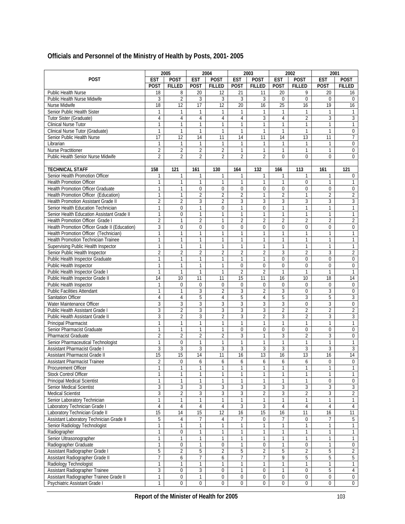# **Officials and Personnel of the Ministry of Health by Posts, 2001- 2005**

|                                               |                | 2005             |                | 2004             |                 | 2003             |                 | 2002           | 2001           |                 |
|-----------------------------------------------|----------------|------------------|----------------|------------------|-----------------|------------------|-----------------|----------------|----------------|-----------------|
| <b>POST</b>                                   | <b>EST</b>     | <b>POST</b>      | <b>EST</b>     | <b>POST</b>      | <b>EST</b>      | <b>POST</b>      | <b>EST</b>      | <b>POST</b>    | <b>EST</b>     | <b>POST</b>     |
|                                               | <b>POST</b>    | <b>FILLED</b>    | <b>POST</b>    | <b>FILLED</b>    | <b>POST</b>     | <b>FILLED</b>    | <b>POST</b>     | <b>FILLED</b>  | <b>POST</b>    | <b>FILLED</b>   |
| Public Health Nurse                           | 18             | 8                | 20             | 12               | 21              | 11               | 20              | 9              | 20             | 16              |
| Public Health Nurse Midwife                   | 3              | $\overline{2}$   | 3              | 3                | 3               | 3                | $\theta$        | $\Omega$       | $\theta$       | $\Omega$        |
| Nurse Midwife                                 | 18             | 12               | 17             | 12               | 20              | 16               | $\overline{25}$ | 16             | 19             | 16              |
| Senior Public Health Sister                   | 1              | 1                | 1              | $\mathbf{1}$     | 1               | 1                | 1               | 1              | 1              | 1               |
| Tutor Sister (Graduate)                       | 4              | $\overline{4}$   | 4              | $\overline{4}$   | 4               | 3                | $\overline{4}$  | $\overline{2}$ | 3              | 3               |
| Clinical Nurse Tutor                          | 1              | $\mathbf{1}$     | 1              | 1                | 1               | 1                | 1               | 1              | 1              | 1               |
| Clinical Nurse Tutor (Graduate)               | 1              | $\mathbf{1}$     | 1              | $\mathbf{1}$     | 1               | $\mathbf{1}$     | $\mathbf{1}$    | $\mathbf{1}$   | 1              | 0               |
| Senior Public Health Nurse                    | 17             | 12               | 14             | 11               | 14              | 11               | 14              | 13             | 11             | $\overline{7}$  |
| Librarian                                     | 1              | 1                | 1              | 1                |                 | 1                |                 | 1              | 1              | 0               |
| Nurse Practitioner                            | $\overline{2}$ | $\overline{2}$   | 2              | $\overline{2}$   | $\mathbf{1}$    | $\mathbf{1}$     | $\mathbf{1}$    | $\mathbf{1}$   | 1              | $\overline{0}$  |
| <b>Public Health Senior Nurse Midwife</b>     | $\overline{2}$ | 2                | $\overline{2}$ | $\overline{2}$   | $\overline{2}$  | $\overline{2}$   | $\mathbf 0$     | $\mathbf 0$    | $\mathbf 0$    | $\mathbf 0$     |
|                                               |                |                  |                |                  |                 |                  |                 |                |                |                 |
| <b>TECHNICAL STAFF</b>                        | 158            | 121              | 161            | 130              | 164             | 132              | 166             | 113            | 161            | 121             |
| Senior Health Promotion Officer               | 1              | 1                | 1              | 1                | 1               | 1                | 1               | 1              |                | 0               |
| <b>Health Promotion Officer</b>               | 1              | 1                | 1              | $\mathbf{1}$     | 1               | $\mathbf{1}$     | 1               | $\overline{0}$ | 1              | $\mathbf{1}$    |
| <b>Health Promotion Officer Graduate</b>      | $\mathbf{1}$   | 1                | $\mathbf 0$    | $\mathbf 0$      | 0               | $\mathbf 0$      | $\mathbf 0$     | $\mathbf 0$    | 0              | $\overline{0}$  |
| Health Promotion Officer (Education)          | $\mathbf{1}$   | $\mathbf{1}$     | $\overline{2}$ | $\overline{2}$   | $\overline{2}$  | $\mathbf{1}$     | $\overline{2}$  | $\mathbf{1}$   | $\overline{2}$ | $\overline{2}$  |
| Health Promotion Assistant Grade II           | $\overline{2}$ | $\overline{2}$   | 3              | $\overline{2}$   | 3               | 3                | 3               | 3              | 3              | 3               |
| Senior Health Education Technician            | $\mathbf{1}$   | $\mathbf 0$      | $\mathbf{1}$   | 0                | 1               | $\boldsymbol{0}$ | 1               | 1              | 1              | 1               |
| Senior Health Education Assistant Grade II    | $\mathbf{1}$   | $\overline{0}$   | 1              | 1                | $\mathbf{1}$    | $\mathbf{1}$     | $\mathbf{1}$    | $\mathbf{1}$   | 1              | 1               |
| Health Promotion Officer Grade I              | $\overline{2}$ | 1                | $\overline{2}$ | 1                | $\overline{2}$  | 2                | 2               | $\overline{2}$ | $\overline{2}$ | $\overline{2}$  |
| Health Promotion Officer Grade II (Education) | 3              | $\mathbf 0$      | 0              | 0                | $\overline{0}$  | $\overline{0}$   | 0               | 0              | 0              | 0               |
| Health Promotion Officer (Technician)         | $\mathbf{1}$   | 1                | 1              | $\mathbf{1}$     | 1               | $\mathbf{1}$     | 1               | 1              | 1              | 1               |
| Health Promotion Technician Trainee           | 1              | 1                | 1              | 1                | 1               | 1                | 1               | 1              | 1              | 1               |
| Supervising Public Health Inspector           | $\mathbf{1}$   | 1                | 1              | $\mathbf{1}$     | $\mathbf{1}$    | $\mathbf{1}$     | 1               | $\mathbf{1}$   | 1              | $\mathbf{1}$    |
| Senior Public Health Inspector                | $\overline{2}$ | 2                | 2              | $\overline{2}$   | $\overline{2}$  | $\overline{2}$   | 3               | $\overline{2}$ | 3              | $\overline{2}$  |
| <b>Public Health Inspector Graduate</b>       | $\mathbf{1}$   | $\mathbf{1}$     | 1              | $\mathbf{1}$     | 1               | 1                | 0               | $\mathbf 0$    | 0              | $\overline{0}$  |
| Public Health Inspector                       | $\mathbf{1}$   | $\mathbf{1}$     | 1              | $\mathbf{1}$     | $\overline{0}$  | $\mathbf 0$      | $\Omega$        | $\mathbf 0$    | 0              | $\overline{0}$  |
| Public Health Inspector Grade I               | 1              | 1                | 1              | 1                | $\overline{2}$  | $\overline{2}$   | 1               | $\mathbf{1}$   | 1              | $\mathbf{1}$    |
| Public Health Inspector Grade II              | 14             | 10               | 11             | $\overline{11}$  | $\overline{15}$ | $\overline{11}$  | 16              | 10             | 18             | $\overline{14}$ |
| Public Health Inspector                       | 1              | $\mathbf 0$      | $\mathbf 0$    | 0                | 0               | $\pmb{0}$        | 0               | 0              | 0              | 0               |
| <b>Public Facilities Attendant</b>            | $\mathbf{1}$   | $\mathbf{1}$     | 3              | $\overline{2}$   | 3               | $\overline{2}$   | 3               | $\mathbf 0$    | 3              | $\mathbf 0$     |
| <b>Sanitation Officer</b>                     | 4              | 4                | 5              | 4                | 5               | 4                | 5               | 3              | 5              | 3               |
| Water Maintenance Officer                     | 3              | 3                | 3              | 3                | 3               | 3                | 3               | 0              | 3              | 0               |
| Public Health Assistant Grade I               | 3              | $\overline{2}$   | 3              | 3                | $\overline{3}$  | 3                | $\overline{2}$  | $\overline{2}$ | $\overline{2}$ | $\overline{2}$  |
| Public Health Assistant Grade II              | 3              | $\overline{2}$   | 3              | $\overline{2}$   | 3               | $\overline{2}$   | 3               | $\overline{2}$ | 3              | 3               |
| <b>Principal Pharmacist</b>                   | $\mathbf{1}$   | $\mathbf{1}$     | $\mathbf{1}$   | $\mathbf{1}$     | $\mathbf{1}$    | $\mathbf{1}$     | 1               | $\mathbf{1}$   | $\mathbf{1}$   | 1               |
| Senior Pharmacist Graduate                    | $\mathbf{1}$   | 1                | 1              | $\mathbf{1}$     | 0               | $\mathbf 0$      | $\overline{0}$  | $\mathbf 0$    | $\overline{0}$ | $\mathbf 0$     |
| Pharmacist Graduate                           | $\overline{2}$ | $\overline{2}$   | $\overline{2}$ | $\overline{2}$   | 3               | $\mathbf{1}$     | 3               | $\overline{2}$ | 3              | $\mathbf 0$     |
| Senior Pharmaceutical Technologist            | 1              | $\mathbf 0$      | 1              | 1                | 1               | 1                | 1               | $\mathbf{1}$   | 1              | $\mathbf{1}$    |
| <b>Assistant Pharmacist Grade I</b>           | 3              | 3                | 3              | 3                | 3               | 3                | 3               | 3              | 3              | 3               |
| Assistant Pharmacist Grade II                 | 15             | 15               | 14             | 11               | 16              | 13               | 16              | 13             | 16             | $\overline{14}$ |
| <b>Assistant Pharmacist Trainee</b>           | $\overline{2}$ | $\Omega$         | 6              | 6                | 6               | 6                | 6               | 6              | $\Omega$       | $\overline{0}$  |
| Procurement Officer                           | 1              | 1                | 1              | 1                | 1               | 1                | 1               | 1              | 1              | 1               |
| Stock Control Officer                         | $\mathbf{1}$   | $\mathbf{1}$     | $\mathbf{1}$   | 1                | $\mathbf{1}$    | 1                | 1               | 1              | 1              | $\mathbf{1}$    |
| <b>Principal Medical Scientist</b>            | 1              | 1                | $\mathbf{1}$   | 1                | $\mathbf{1}$    | 1                | 1               | 1              | 0              | $\mathbf 0$     |
| <b>Senior Medical Scientist</b>               | 3              | 3                | 3              | 3                | 3               | 3                | 3               | 3              | 3              | $\overline{3}$  |
| Medical Scientist                             | $\overline{3}$ | $\overline{2}$   | $\overline{3}$ | $\overline{3}$   | $\overline{3}$  | $\overline{2}$   | $\overline{3}$  | $\overline{2}$ | 3              | $\overline{2}$  |
| Senior Laboratory Technician                  | $\mathbf{1}$   | $\mathbf{1}$     | 1              | 1                | 1               | $\mathbf{1}$     | 1               | 1              | $\mathbf{1}$   | 1               |
| Laboratory Technician Grade I                 | $\overline{4}$ | 4                | $\overline{4}$ | $\overline{4}$   | 3               | 3                | $\overline{4}$  | 4              | 4              | $\overline{4}$  |
| Laboratory Technician Grade II                | 15             | 14               | 15             | $\overline{12}$  | 16              | 15               | 16              | 11             | 16             | $\overline{11}$ |
| Assistant Laboratory Technician Grade II      | 5              | 4                | 7              | 4                | 7               | 0                | 7               | 0              | 7              | 5               |
| Senior Radiology Technologist                 | $\mathbf{1}$   | 1                | $\mathbf{1}$   | 1                | 1               | 1                | 1               | 1              | $\mathbf{1}$   | 1               |
| Radiographer                                  | 1              | $\mathbf 0$      | $\mathbf{1}$   | 1                | $\mathbf{1}$    | 1                | 1               | 1              | 1              | $\mathbf{1}$    |
| Senior Ultrasonographer                       | 1              | 1                | $\mathbf{1}$   | 1                | 1               | 1                | 1               | 1              | 1              | 1               |
| Radiographer Graduate                         | $\mathbf{1}$   | $\mathbf 0$      | 1              | 0                | $\mathbf{1}$    | $\pmb{0}$        | 1               | 0              | $\mathbf{1}$   | 0               |
| Assistant Radiographer Grade I                | 5              | $\overline{2}$   | 5              | 2                | 5               | 2                | 5               | 2              | 5              | $\overline{2}$  |
| Assistant Radiographer Grade II               | $\overline{7}$ | $\boldsymbol{6}$ | 7              | 6                | 7               | 7                | 9               | 5              | 5              | $\overline{5}$  |
| Radiology Technologist                        | $\mathbf{1}$   | $\mathbf{1}$     | $\mathbf{1}$   | $\mathbf{1}$     | 1               | $\mathbf{1}$     | $\mathbf{1}$    | $\mathbf{1}$   | 1              | 1               |
| Assistant Radiographer Trainee                | 3              | $\pmb{0}$        | 3              | $\pmb{0}$        | 1               | 0                | 1               | 0              | 5              | $\overline{4}$  |
| Assistant Radiographer Trainee Grade II       | $\mathbf{1}$   | $\mathbf 0$      | $\mathbf{1}$   | $\boldsymbol{0}$ | 0               | $\pmb{0}$        | $\mathbf 0$     | $\overline{0}$ | 0              | $\mathbf 0$     |
| Psychiatric Assistant Grade I                 | $\mathbf{1}$   | 0                | 0              | $\mathbf 0$      | 0               | $\mathbf 0$      | 0               | 0              | $\overline{0}$ | $\mathbf 0$     |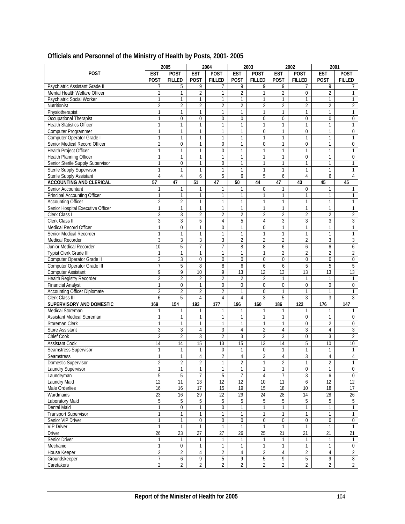|                                     |                | 2005             |                  | 2004             |                 | 2003            |                 | 2002            |                 | 2001            |
|-------------------------------------|----------------|------------------|------------------|------------------|-----------------|-----------------|-----------------|-----------------|-----------------|-----------------|
| <b>POST</b>                         | <b>EST</b>     | <b>POST</b>      | <b>EST</b>       | <b>POST</b>      | <b>EST</b>      | POST            | <b>EST</b>      | <b>POST</b>     | <b>EST</b>      | POST            |
|                                     |                |                  |                  |                  |                 |                 |                 |                 |                 |                 |
|                                     | <b>POST</b>    | <b>FILLED</b>    | <b>POST</b>      | <b>FILLED</b>    | <b>POST</b>     | <b>FILLED</b>   | <b>POST</b>     | <b>FILLED</b>   | <b>POST</b>     | <b>FILLED</b>   |
| Psychiatric Assistant Grade II      | 7              | 5                | 9                | 7                | 9               | 9               | 9               | 7               | 9               |                 |
| Mental Health Welfare Officer       | $\overline{2}$ | $\mathbf{1}$     | $\overline{2}$   | $\mathbf{1}$     | $\overline{2}$  | $\mathbf{1}$    | $\overline{2}$  | $\mathbf 0$     | $\overline{2}$  | $\mathbf{1}$    |
| Psychiatric Social Worker           | $\mathbf{1}$   | $\mathbf{1}$     | 1                | $\mathbf{1}$     | 1               | 1               | 1               | $\mathbf{1}$    | $\mathbf{1}$    | $\mathbf{1}$    |
| Nutritionist                        | $\overline{2}$ | $\overline{2}$   | $\overline{2}$   | $\overline{2}$   | $\overline{2}$  | $\overline{2}$  | $\overline{2}$  | $\overline{2}$  | $\overline{2}$  | $\overline{2}$  |
| Physiotherapist                     | $\mathbf{1}$   | 1                | 1                | $\mathbf{1}$     | $\mathbf{1}$    | 1               | 1               | $\mathbf{1}$    | $\mathbf{1}$    | $\mathbf{1}$    |
| Occupational Therapist              | 1              | $\mathbf 0$      | 0                | $\mathbf 0$      | $\overline{0}$  | 0               | $\mathbf 0$     | $\overline{0}$  | $\mathbf 0$     | $\mathbf 0$     |
| <b>Health Statistics Officer</b>    | $\mathbf{1}$   | $\mathbf{1}$     | 1                | $\mathbf{1}$     | $\mathbf{1}$    | $\mathbf{1}$    | 1               | $\mathbf{1}$    | $\mathbf{1}$    | 1               |
| Computer Programmer                 | $\mathbf{1}$   | 1                | 1                | $\mathbf{1}$     | $\mathbf{1}$    | 0               | $\mathbf{1}$    | 0               | 1               | 0               |
| Computer Operator Grade I           | 1              | 1                | 1                | 1                | $\mathbf{1}$    | 1               | 1               | $\mathbf{1}$    | $\mathbf{1}$    | 1               |
| Senior Medical Record Officer       | $\overline{2}$ | $\Omega$         | 1                | $\mathbf 0$      | $\mathbf{1}$    | 0               | 1               | $\mathbf 0$     | $\mathbf{1}$    | $\mathbf 0$     |
|                                     |                | 1                |                  |                  |                 |                 | 1               | $\mathbf{1}$    | $\mathbf{1}$    |                 |
| Health Project Officer              | 1              |                  | 1                | $\mathbf 0$      | 1               | $\mathbf{1}$    |                 |                 |                 | 1               |
| Health Planning Officer             | 1              | $\mathbf{1}$     | 1                | $\mathbf{1}$     | $\mathbf{1}$    | $\mathbf{1}$    | 1               | $\mathbf 0$     | $\mathbf{1}$    | 0               |
| Senior Sterile Supply Supervisor    | 1              | $\mathbf 0$      | $\mathbf{1}$     | $\overline{0}$   | $\mathbf{1}$    | $\mathbf{1}$    | $\mathbf{1}$    | $\mathbf{1}$    | $\mathbf{1}$    | 1               |
| Sterile Supply Supervisor           | $\mathbf{1}$   | $\mathbf{1}$     | 1                | 1                | $\mathbf{1}$    | $\mathbf{1}$    | $\mathbf{1}$    | $\mathbf{1}$    | $\mathbf{1}$    | $\mathbf{1}$    |
| Sterile Supply Assistant            | 4              | 4                | 6                | 5                | 6               | 5               | 6               | $\overline{4}$  | 6               | $\overline{4}$  |
| <b>ACCOUNTING AND CLERICAL</b>      | 57             | 47               | 51               | 47               | 50              | 44              | 47              | 43              | 45              | 45              |
| Senior Accountant                   | 1              | 1                | 1                | 1                | 1               | 0               | 1               | $\mathbf 0$     | 1               | 1               |
| Principal Accounting Officer        | 1              | 1                | 1                | $\mathbf{1}$     | $\mathbf{1}$    | 1               | 1               | $\mathbf{1}$    | 1               | $\mathbf{1}$    |
| <b>Accounting Officer</b>           | $\overline{2}$ | $\overline{2}$   | 1                | 1                | $\mathbf{1}$    | 1               | 1               | $\mathbf{1}$    | 1               | 1               |
| Senior Hospital Executive Officer   | 1              | $\mathbf{1}$     | 1                | $\mathbf{1}$     | $\mathbf{1}$    | $\mathbf{1}$    | $\mathbf{1}$    | $\mathbf{1}$    | $\mathbf{1}$    | 1               |
| Clerk Class I                       | 3              | 3                | 2                | $\overline{2}$   | $\overline{2}$  | $\overline{2}$  | $\overline{2}$  | $\overline{2}$  | $\overline{2}$  | $\overline{2}$  |
| Clerk Class II                      | 3              | 3                | 5                | 4                | 5               | $\overline{4}$  | 3               | 3               | 3               | 3               |
| <b>Medical Record Officer</b>       | $\mathbf{1}$   | $\Omega$         | 1                | $\mathbf 0$      | $\mathbf{1}$    | 0               | 1               | $\mathbf{1}$    | $\mathbf{1}$    | 1               |
| Senior Medical Recorder             | 1              | 1                | 1                | 1                | $\mathbf{1}$    | 1               | 1               | $\mathbf{1}$    | $\mathbf{1}$    | $\mathbf{1}$    |
| <b>Medical Recorder</b>             | 3              | 3                | 3                | 3                | $\overline{2}$  | $\overline{2}$  | $\overline{2}$  | $\overline{2}$  | 3               | 3               |
| Junior Medical Recorder             | 10             | 5                | 7                | 7                | 8               | 8               | 6               | 6               | 6               | 6               |
|                                     |                |                  |                  |                  |                 |                 |                 |                 |                 |                 |
| Typist Clerk Grade III              | 1              | $\mathbf{1}$     | 1                | 1                | $\mathbf{1}$    | 1               | $\overline{2}$  | $\overline{2}$  | $\overline{2}$  | $\overline{2}$  |
| Computer Operator Grade II          | 3              | 3                | $\Omega$         | $\mathbf 0$      | $\overline{0}$  | $\mathbf 0$     | $\overline{0}$  | $\mathbf 0$     | $\overline{0}$  | $\overline{0}$  |
| Computer Operator Grade III         | 7              | 5                | 8                | 8                | 6               | 6               | 6               | 5               | 5               | 5               |
| <b>Computer Assistant</b>           | 9              | 9                | 10 <sup>10</sup> | 9                | $\overline{13}$ | 12              | $\overline{13}$ | $\overline{13}$ | $\overline{13}$ | 13              |
| Health Registry Recorder            | $\overline{2}$ | $\overline{2}$   | $\overline{2}$   | $\overline{2}$   | $\overline{2}$  | $\overline{2}$  | 1               | 1               | 1               | $\mathbf{1}$    |
| <b>Financial Analyst</b>            | 1              | $\mathbf 0$      | 1                | 0                | 0               | 0               | $\mathbf 0$     | $\mathbf 0$     | $\mathbf 0$     | 0               |
| <b>Accounting Officer Diplomate</b> | $\overline{2}$ | $\overline{2}$   | $\overline{2}$   | $\overline{2}$   | $\mathbf{1}$    | 0               | 1               | $\mathbf{1}$    | 1               | $\mathbf{1}$    |
| Clerk Class III                     | 6              | 5                | 4                | 4                | $\overline{4}$  | 3               | 5               | 3               | 3               | 3               |
| SUPERVISORY AND DOMESTIC            | 169            | 154              | 193              | 177              | 196             | 160             | 186             | 122             | 176             | 147             |
| Medical Storeman                    | 1              | 1                | 1                | 1                | 1               | 1               | 1               | $\mathbf{1}$    | 1               | $\mathbf{1}$    |
| <b>Assistant Medical Storeman</b>   | 1              | 1                | 1                | 1                | 1               | 1               | 1               | $\overline{0}$  | 1               | $\mathbf 0$     |
| Storeman Clerk                      | $\mathbf{1}$   | $\mathbf{1}$     | $\mathbf{1}$     | $\mathbf{1}$     | $\mathbf{1}$    | $\mathbf{1}$    | $\mathbf{1}$    | $\theta$        | $\overline{2}$  | $\mathbf 0$     |
| <b>Store Assistant</b>              | 3              | 3                | $\overline{4}$   | 3                | $\overline{4}$  | $\overline{2}$  | $\overline{4}$  | 3               | $\overline{4}$  | 3               |
| Chief Cook                          | $\overline{2}$ | $\overline{2}$   | 3                | $\overline{2}$   | 3               | $\overline{2}$  | 3               | $\mathbf 0$     | 3               | $\overline{2}$  |
| <b>Assistant Cook</b>               | 14             | 14               | 15               | $\overline{13}$  | 15              | $\overline{13}$ | 14              | 5               | 10              | 10              |
| Seamstress Supervisor               | 1              | 1                | 1                | 0                | $\mathbf{1}$    | 0               | 1               | $\mathbf{1}$    | $\mathbf{1}$    | $\mathbf{1}$    |
| <b>Seamstress</b>                   | $\mathbf{1}$   | $\mathbf{1}$     | $\overline{4}$   | $\overline{2}$   | $\overline{4}$  | 3               | $\overline{4}$  | 3               | $\overline{4}$  | $\overline{4}$  |
| Domestic Supervisor                 | $\overline{2}$ | $\overline{2}$   | 2                | $\mathbf{1}$     | $\overline{2}$  | 1               | $\overline{2}$  | $\mathbf{1}$    | $\overline{2}$  | 1               |
| Laundry Supervisor                  | $\mathbf{1}$   | $\mathbf{1}$     | 1                | $\mathbf{1}$     | $\mathbf{1}$    | 1               | 1               | $\overline{0}$  | $\mathbf{1}$    | $\overline{0}$  |
| Laundryman                          | 5              | $\overline{5}$   | $\overline{7}$   | 5                | $\overline{7}$  | 4               | 7               | $\mathbf{3}$    | 6               | $\overline{0}$  |
| Laundry Maid                        | 12             | 11               | 13               | 12               | 12              | $10$            | 11              | 6               | 12              | 12              |
| Male Orderlies                      |                |                  | $\overline{17}$  |                  | $\overline{19}$ |                 |                 |                 | 18              |                 |
|                                     | 16             | 16               | 29               | 15               | 29              | 15              | 18<br>28        | 10              | 28              | 17              |
| Wardmaids                           | 23             | 16               |                  | 22               |                 | $\overline{24}$ |                 | $\overline{14}$ |                 | $\overline{26}$ |
| Laboratory Maid                     | 5              | 5                | 5                | 5                | 5               | 5               | 5               | 5               | 5               | 5               |
| <b>Dental Maid</b>                  | 1              | $\boldsymbol{0}$ | 1                | $\boldsymbol{0}$ | $\mathbf{1}$    | 1               | 1               | $\mathbf{1}$    | 1               | $\mathbf{1}$    |
| <b>Transport Supervisor</b>         | 1              | 1                | 1                | $\mathbf{1}$     | 1               | 1               | 1               | $\mathbf{1}$    | 1               | 1               |
| Senior VIP Driver                   | 1              | 1                | 0                | 0                | 0               | 0               | 0               | $\pmb{0}$       | 0               | $\mathbf 0$     |
| <b>VIP Driver</b>                   | $\mathbf{1}$   | $\mathbf{1}$     | $\mathbf{1}$     | $\mathbf{1}$     | $\mathbf{1}$    | $\mathbf{1}$    | $\mathbf{1}$    | $\mathbf{1}$    | $\mathbf{1}$    | $\mathbf{1}$    |
| <b>Driver</b>                       | 26             | 23               | $\overline{27}$  | 27               | 26              | 25              | $\overline{21}$ | 21              | 21              | 21              |
| Senior Driver                       | 1              | 1                | 1                | $\mathbf{1}$     | 1               | 1               | 1               | $\mathbf{1}$    | $\mathbf{1}$    | $\mathbf{1}$    |
| Mechanic                            | $\mathbf{1}$   | $\mathbf 0$      | 1                | $\mathbf{1}$     | $\mathbf{1}$    | 1               | $\mathbf{1}$    | $\mathbf{1}$    | $\mathbf{1}$    | $\mathbf 0$     |
| House Keeper                        | 2              | $\overline{2}$   | 4                | 2                | 4               | $\overline{2}$  | 4               | 2               | 4               | $\overline{2}$  |
| Groundskeeper                       | $\overline{7}$ | 6                | 9                | 5                | 9               | 5               | 9               | 5               | 9               | 8               |
| Caretakers                          | $\overline{2}$ | $\overline{2}$   | $\overline{c}$   | $\overline{2}$   | $\overline{2}$  | $\overline{2}$  | $\overline{2}$  | $\overline{2}$  | $\overline{2}$  | $\overline{2}$  |

# **Officials and Personnel of the Ministry of Health by Posts, 2001- 2005**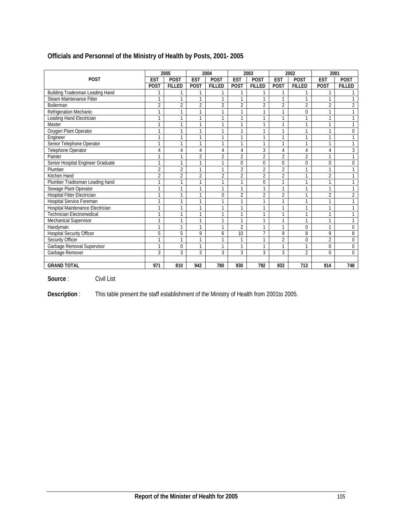|                                   |                | 2005           |                | 2004           |                | 2003           |                | 2002           |                | 2001           |
|-----------------------------------|----------------|----------------|----------------|----------------|----------------|----------------|----------------|----------------|----------------|----------------|
| <b>POST</b>                       | <b>EST</b>     | <b>POST</b>    | <b>EST</b>     | <b>POST</b>    | <b>EST</b>     | <b>POST</b>    | <b>EST</b>     | <b>POST</b>    | <b>EST</b>     | <b>POST</b>    |
|                                   | <b>POST</b>    | <b>FILLED</b>  | POST           | <b>FILLED</b>  | <b>POST</b>    | <b>FILLED</b>  | POST           | <b>FILLED</b>  | <b>POST</b>    | <b>FILLED</b>  |
| Building Tradesman Leading Hand   |                |                | 1              |                |                |                |                |                | 1              |                |
| Steam Maintenance Fitter          |                | 1              | 1              | 1              |                | $\mathbf{1}$   |                |                | 1              |                |
| <b>Boilerman</b>                  | $\overline{2}$ | $\overline{2}$ | $\overline{2}$ | $\overline{2}$ | $\overline{2}$ | $\overline{2}$ | $\overline{2}$ | $\overline{2}$ | 2              | $\overline{2}$ |
| Refrigeration Mechanic            |                | 1              | 1              | 1              | 1              | $\mathbf{1}$   | 1              | 0              | 1              | 1              |
| Leading Hand Electrician          |                | 1              | 1              | 1              | 1              | $\mathbf{1}$   | 1              | 1              | 1              | 1              |
| Master                            |                | 1              | 1              | 1              | 1              | $\mathbf{1}$   | 1              | $\overline{1}$ | 1              | 1              |
| Oxygen Plant Operator             |                | 1              | 1              | 1              | 1              | $\mathbf{1}$   |                | 1              | 1              | 0              |
| Engineer                          |                | 1              | 1              | 1              | 1              | $\mathbf{1}$   | 1              | 1              | 1              | $\mathbf{1}$   |
| Senior Telephone Operator         |                | 1              | 1              | 1              | 1              | $\mathbf{1}$   | 1              | 1              | 1              | 1              |
| Telephone Operator                | 4              | 4              | 4              | 4              | 4              | 3              | 4              | 4              | 4              | 3              |
| Painter                           |                | 1              | $\overline{2}$ | 2              | $\overline{2}$ | $\overline{2}$ | $\overline{2}$ | $\overline{2}$ | 1              | 1              |
| Senior Hospital Engineer Graduate |                | 1              | 1              | 1              | 0              | $\mathbf 0$    | 0              | $\mathbf 0$    | 0              | 0              |
| Plumber                           | $\overline{2}$ | $\overline{2}$ | 1              | 1              | $\overline{2}$ | $\overline{2}$ | $\overline{2}$ |                | 1              | 1              |
| Kitchen Hand                      | $\overline{2}$ | $\overline{2}$ | $\overline{2}$ | $\overline{2}$ | $\overline{2}$ | $\overline{2}$ | $\overline{2}$ | 1              | $\overline{2}$ | 1              |
| Plumber Tradesman Leading hand    |                | 1              | 1              | 1              | 1              | $\theta$       |                | 1              | 1              | 1              |
| Sewage Plant Operator             | 1              | 1              | 1              | $\mathbf{1}$   | $\mathbf{1}$   | $\mathbf{1}$   | $\mathbf{1}$   | 1              | 1              | $\mathbf{1}$   |
| Hospital Fitter Electrician       |                | 1              | 1              | 0              | $\overline{2}$ | $\overline{2}$ | $\overline{2}$ | 1              | 2              | 2              |
| Hospital Service Foreman          | 1              | $\overline{1}$ | 1              | 1              | 1              | $\mathbf{1}$   | 1              | 1              | 1              | $\mathbf{1}$   |
| Hospital Maintenance Electrician  | 1              | $\mathbf{1}$   | 1              | 1              | 1              | $\mathbf{1}$   | <sub>1</sub>   | 1              | 1              | 1              |
| <b>Technician Electromedical</b>  |                | 1              | 1              | 1              |                | $\mathbf{1}$   |                | и              | 1              |                |
| Mechanical Supervisor             | 1              | $\mathbf{1}$   | 1              | 1              | 1              | $\mathbf{1}$   | 1              | 1              | 1              | 1              |
| Handyman                          | 1              | $\mathbf{1}$   | 1              | 1              | $\overline{2}$ | $\mathbf{1}$   | 1              | 0              | 1              | 0              |
| <b>Hospital Security Officer</b>  | 5              | 5              | 9              | 6              | 10             | $\overline{7}$ | 9              | 8              | 9              | 8              |
| Security Officer                  |                | 1              | 1              | 1              | 1              | $\mathbf{1}$   | $\overline{2}$ | $\theta$       | $\overline{2}$ | $\Omega$       |
| Garbage Removal Supervisor        | 1              | $\Omega$       | 1              | 1              | 1              | $\mathbf{1}$   | 1              | 1              | 0              | 0              |
| Garbage Remover                   | 3              | 3              | 3              | 3              | 3              | 3              | 3              | $\overline{2}$ | 0              | 0              |
|                                   |                |                |                |                |                |                |                |                |                |                |
| <b>GRAND TOTAL</b>                | 971            | 810            | 942            | 780            | 930            | 792            | 933            | 713            | 914            | 748            |

# **Officials and Personnel of the Ministry of Health by Posts, 2001- 2005**

**Source** : Civil List

**Description** : This table present the staff establishment of the Ministry of Health from 2001to 2005.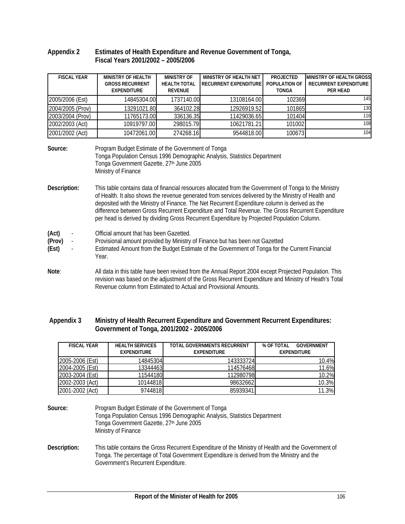#### **Appendix 2 Estimates of Health Expenditure and Revenue Government of Tonga, Fiscal Years 2001/2002 – 2005/2006**

| <b>FISCAL YEAR</b>       | <b>MINISTRY OF HEALTH</b>                                                                                                                                                                                                                                                                                                                                                                                                                                                                                            | <b>MINISTRY OF</b>                                                                                                                                                         | MINISTRY OF HEALTH NET       | <b>PROJECTED</b> | <b>MINISTRY OF HEALTH GROSS</b> |  |  |  |  |  |
|--------------------------|----------------------------------------------------------------------------------------------------------------------------------------------------------------------------------------------------------------------------------------------------------------------------------------------------------------------------------------------------------------------------------------------------------------------------------------------------------------------------------------------------------------------|----------------------------------------------------------------------------------------------------------------------------------------------------------------------------|------------------------------|------------------|---------------------------------|--|--|--|--|--|
|                          | <b>GROSS RECURRENT</b>                                                                                                                                                                                                                                                                                                                                                                                                                                                                                               | <b>HEALTH TOTAL</b>                                                                                                                                                        | <b>RECURRENT EXPENDITURE</b> | POPULATION OF    | <b>RECURRENT EXPENDITURE</b>    |  |  |  |  |  |
|                          | <b>EXPENDITURE</b>                                                                                                                                                                                                                                                                                                                                                                                                                                                                                                   | <b>REVENUE</b>                                                                                                                                                             |                              | <b>TONGA</b>     | PER HEAD                        |  |  |  |  |  |
| 2005/2006 (Est)          | 14845304.00                                                                                                                                                                                                                                                                                                                                                                                                                                                                                                          | 1737140.00                                                                                                                                                                 | 13108164.00                  | 102369           | 145                             |  |  |  |  |  |
| 2004/2005 (Prov)         | 13291021.80                                                                                                                                                                                                                                                                                                                                                                                                                                                                                                          | 364102.28                                                                                                                                                                  | 12926919.52                  | 101865           | 130                             |  |  |  |  |  |
| 2003/2004 (Prov)         | 11765173.00                                                                                                                                                                                                                                                                                                                                                                                                                                                                                                          | 336136.35                                                                                                                                                                  | 11429036.65                  | 101404           | 116                             |  |  |  |  |  |
| 2002/2003 (Act)          | 10919797.00                                                                                                                                                                                                                                                                                                                                                                                                                                                                                                          | 298015.79                                                                                                                                                                  | 10621781.21                  | 101002           | 108                             |  |  |  |  |  |
| 2001/2002 (Act)          | 10472061.00                                                                                                                                                                                                                                                                                                                                                                                                                                                                                                          | 274268.16                                                                                                                                                                  | 9544818.00                   | 100673           | 104                             |  |  |  |  |  |
| Source:                  | Ministry of Finance                                                                                                                                                                                                                                                                                                                                                                                                                                                                                                  | Program Budget Estimate of the Government of Tonga<br>Tonga Population Census 1996 Demographic Analysis, Statistics Department<br>Tonga Government Gazette, 27th June 2005 |                              |                  |                                 |  |  |  |  |  |
| Description:             | This table contains data of financial resources allocated from the Government of Tonga to the Ministry<br>of Health. It also shows the revenue generated from services delivered by the Ministry of Health and<br>deposited with the Ministry of Finance. The Net Recurrent Expenditure column is derived as the<br>difference between Gross Recurrent Expenditure and Total Revenue. The Gross Recurrent Expenditure<br>per head is derived by dividing Gross Recurrent Expenditure by Projected Population Column. |                                                                                                                                                                            |                              |                  |                                 |  |  |  |  |  |
| (Act)<br>(Prov)<br>(Est) | Official amount that has been Gazetted.<br>Provisional amount provided by Ministry of Finance but has been not Gazetted<br>Estimated Amount from the Budget Estimate of the Government of Tonga for the Current Financial<br>Year.                                                                                                                                                                                                                                                                                   |                                                                                                                                                                            |                              |                  |                                 |  |  |  |  |  |
| Note:                    | All data in this table have been revised from the Annual Report 2004 except Projected Population. This<br>revision was based on the adjustment of the Gross Recurrent Expenditure and Ministry of Heath's Total<br>Revenue column from Estimated to Actual and Provisional Amounts.                                                                                                                                                                                                                                  |                                                                                                                                                                            |                              |                  |                                 |  |  |  |  |  |

#### **Appendix 3 Ministry of Health Recurrent Expenditure and Government Recurrent Expenditures: Government of Tonga, 2001/2002 - 2005/2006**

| <b>FISCAL YEAR</b> | <b>HEALTH SERVICES</b> | <b>TOTAL GOVERNMENTS RECURRENT</b><br>% OF TOTAL |                    |  |
|--------------------|------------------------|--------------------------------------------------|--------------------|--|
|                    | <b>EXPENDITURE</b>     | <b>EXPENDITURE</b>                               | <b>EXPENDITURE</b> |  |
| 2005-2006 (Est)    | 14845304               | 143333724                                        | 10.4%              |  |
| 2004-2005 (Est)    | 13344463               | 114576468                                        | 11.6%              |  |
| 2003-2004 (Est)    | 11544180               | 112980798                                        | 10.2%              |  |
| 2002-2003 (Act)    | 10144818               | 98632662                                         | 10.3%              |  |
| 2001-2002 (Act)    | 9744818                | 85939341                                         | 11.3%              |  |

| Source:      | Program Budget Estimate of the Government of Tonga<br>Tonga Population Census 1996 Demographic Analysis, Statistics Department<br>Tonga Government Gazette, 27th June 2005<br>Ministry of Finance                                        |
|--------------|------------------------------------------------------------------------------------------------------------------------------------------------------------------------------------------------------------------------------------------|
| Description: | This table contains the Gross Recurrent Expenditure of the Ministry of Health and the Government of<br>Tonga. The percentage of Total Government Expenditure is derived from the Ministry and the<br>Government's Recurrent Expenditure. |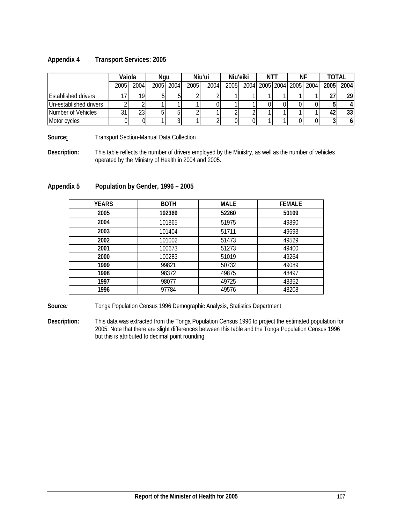#### **Appendix 4 Transport Services: 2005**

|                            | Vaiola     |      | Ngu |           |      | Niu'ui | Niu'eiki | NT I | NF |                          | TOTAL |      |
|----------------------------|------------|------|-----|-----------|------|--------|----------|------|----|--------------------------|-------|------|
|                            | 2005       | 2004 |     | 2005 2004 | 2005 | 2004   | 2005     |      |    | 2004 2005 2004 2005 2004 | 2005  | 2004 |
| <b>Established drivers</b> |            | 19.  |     |           |      |        |          |      |    |                          |       | 291  |
| Un-established drivers     |            |      |     |           |      |        |          |      |    |                          |       | 4    |
| Number of Vehicles         | $^{\circ}$ | 23   |     |           |      |        |          |      |    |                          |       | 33   |
| Motor cycles               |            |      |     |           |      |        |          |      |    |                          |       | 61   |

**Source: Transport Section-Manual Data Collection** 

**Description:** This table reflects the number of drivers employed by the Ministry, as well as the number of vehicles operated by the Ministry of Health in 2004 and 2005.

### **Appendix 5 Population by Gender, 1996 – 2005**

| <b>YEARS</b> | <b>BOTH</b> | <b>MALE</b> | <b>FEMALE</b> |
|--------------|-------------|-------------|---------------|
| 2005         | 102369      | 52260       | 50109         |
| 2004         | 101865      | 51975       | 49890         |
| 2003         | 101404      | 51711       | 49693         |
| 2002         | 101002      | 51473       | 49529         |
| 2001         | 100673      | 51273       | 49400         |
| 2000         | 100283      | 51019       | 49264         |
| 1999         | 99821       | 50732       | 49089         |
| 1998         | 98372       | 49875       | 48497         |
| 1997         | 98077       | 49725       | 48352         |
| 1996         | 97784       | 49576       | 48208         |

**Source***:* Tonga Population Census 1996 Demographic Analysis, Statistics Department

**Description:** This data was extracted from the Tonga Population Census 1996 to project the estimated population for 2005. Note that there are slight differences between this table and the Tonga Population Census 1996 but this is attributed to decimal point rounding.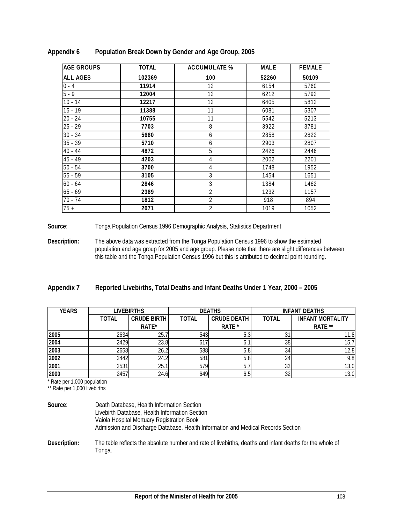| <b>AGE GROUPS</b> | <b>TOTAL</b> | <b>ACCUMULATE %</b> | <b>MALE</b> | <b>FEMALE</b> |
|-------------------|--------------|---------------------|-------------|---------------|
| ALL AGES          | 102369       | 100                 | 52260       | 50109         |
| $0 - 4$           | 11914        | $12 \overline{ }$   | 6154        | 5760          |
| $5 - 9$           | 12004        | 12                  | 6212        | 5792          |
| $10 - 14$         | 12217        | 12                  | 6405        | 5812          |
| $15 - 19$         | 11388        | 11                  | 6081        | 5307          |
| $20 - 24$         | 10755        | 11                  | 5542        | 5213          |
| $25 - 29$         | 7703         | 8                   | 3922        | 3781          |
| $30 - 34$         | 5680         | 6                   | 2858        | 2822          |
| $35 - 39$         | 5710         | 6                   | 2903        | 2807          |
| $40 - 44$         | 4872         | 5                   | 2426        | 2446          |
| $45 - 49$         | 4203         | 4                   | 2002        | 2201          |
| $50 - 54$         | 3700         | 4                   | 1748        | 1952          |
| $55 - 59$         | 3105         | 3                   | 1454        | 1651          |
| $60 - 64$         | 2846         | 3                   | 1384        | 1462          |
| $65 - 69$         | 2389         | $\overline{2}$      | 1232        | 1157          |
| 70 - 74           | 1812         | 2                   | 918         | 894           |
| $75 +$            | 2071         | 2                   | 1019        | 1052          |

**Appendix 6 Population Break Down by Gender and Age Group, 2005** 

**Source**: Tonga Population Census 1996 Demographic Analysis, Statistics Department

**Description:** The above data was extracted from the Tonga Population Census 1996 to show the estimated population and age group for 2005 and age group. Please note that there are slight differences between this table and the Tonga Population Census 1996 but this is attributed to decimal point rounding.

| Appendix 7 | Reported Livebirths, Total Deaths and Infant Deaths Under 1 Year, 2000 - 2005 |  |  |  |
|------------|-------------------------------------------------------------------------------|--|--|--|
|------------|-------------------------------------------------------------------------------|--|--|--|

| <b>YEARS</b> |              | LIVEBIRTHS         |       | <b>DEATHS</b>      | <b>INFANT DEATHS</b> |                         |  |
|--------------|--------------|--------------------|-------|--------------------|----------------------|-------------------------|--|
|              | <b>TOTAL</b> | <b>CRUDE BIRTH</b> | TOTAL | <b>CRUDE DEATH</b> | <b>TOTAL</b>         | <b>INFANT MORTALITY</b> |  |
|              |              | RATE*              |       | RATE *             |                      | RATE **                 |  |
| 2005         | 2634         | 25.                | 543   | 5.0                |                      | 11.8                    |  |
| 2004         | 2429         | 23.8               | 617   | ο.                 | 38                   | 15.1                    |  |
| 2003         | 2658         | 26.2               | 588   | ს.ბ                | 34                   | 12.8                    |  |
| 2002         | 2442         | 24.2               | 581   | 5.8                | 24                   | 9.8                     |  |
| 2001         | 2531         | 25.7               | 579   | 5.                 | აა                   | 13.0                    |  |
| 2000         | 2457         | 24.6               | 649   | 6.5                | 32                   | 13.0                    |  |

\* Rate per 1,000 population

\*\* Rate per 1,000 livebirths

| Source:      | Death Database, Health Information Section<br>Livebirth Database, Health Information Section<br>Vaiola Hospital Mortuary Registration Book<br>Admission and Discharge Database, Health Information and Medical Records Section |
|--------------|--------------------------------------------------------------------------------------------------------------------------------------------------------------------------------------------------------------------------------|
| Description: | The table reflects the absolute number and rate of livebirths, deaths and infant deaths for the whole of<br>Tonga.                                                                                                             |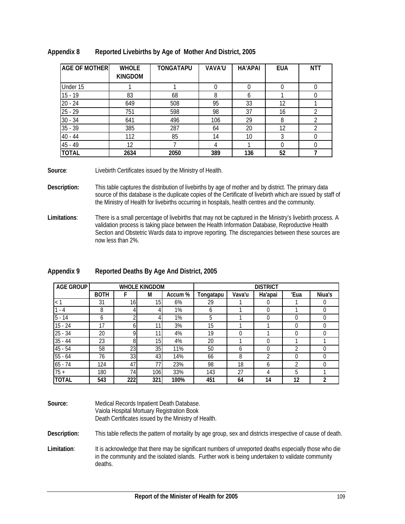| <b>AGE OF MOTHER</b> | <b>WHOLE</b><br><b>KINGDOM</b> | TONGATAPU | <b>VAVA'U</b> | <b>HA'APAI</b> | <b>EUA</b> | <b>NTT</b>     |
|----------------------|--------------------------------|-----------|---------------|----------------|------------|----------------|
| Under 15             |                                |           |               | 0              |            |                |
| $15 - 19$            | 83                             | 68        | 8             | b              |            |                |
| $20 - 24$            | 649                            | 508       | 95            | 33             | 12         |                |
| $25 - 29$            | 751                            | 598       | 98            | 37             | 16         | $\mathfrak{D}$ |
| $30 - 34$            | 641                            | 496       | 106           | 29             | 8          |                |
| $35 - 39$            | 385                            | 287       | 64            | 20             | 12         |                |
| $40 - 44$            | 112                            | 85        | 14            | 10             |            |                |
| 45 - 49              | 12                             |           |               |                |            |                |
| <b>TOTAL</b>         | 2634                           | 2050      | 389           | 136            | 52         |                |

#### **Appendix 8 Reported Livebirths by Age of Mother And District, 2005**

**Source**: Livebirth Certificates issued by the Ministry of Health.

- **Description:** This table captures the distribution of livebirths by age of mother and by district. The primary data source of this database is the duplicate copies of the Certificate of livebirth which are issued by staff of the Ministry of Health for livebirths occurring in hospitals, health centres and the community.
- **Limitations**: There is a small percentage of livebirths that may not be captured in the Ministry's livebirth process. A validation process is taking place between the Health Information Database, Reproductive Health Section and Obstetric Wards data to improve reporting. The discrepancies between these sources are now less than 2%.

| <b>AGE GROUP</b> |             |                 | <b>WHOLE KINGDOM</b> |         |           |        | <b>DISTRICT</b> |                |        |
|------------------|-------------|-----------------|----------------------|---------|-----------|--------|-----------------|----------------|--------|
|                  | <b>BOTH</b> |                 | M                    | Accum % | Tongatapu | Vava'u | Ha'apai         | 'Eua           | Niua's |
|                  | 31          | 16 <sub>1</sub> | 15 <sub>l</sub>      | 6%      | 29        |        | 0               |                |        |
| - 4              | 8           |                 |                      | 1%      | b         |        | 0               |                |        |
| $5 - 14$         | 6           | ⌒               | 4                    | 1%      | 5         |        | $\Omega$        | $\Omega$       |        |
| $15 - 24$        | 17          |                 | 11                   | 3%      | 15        |        |                 | 0              |        |
| $25 - 34$        | 20          | 0               | 11                   | 4%      | 19        |        |                 | 0              |        |
| $35 - 44$        | 23          | 8               | 15                   | 4%      | 20        |        | 0               |                |        |
| 45 - 54          | 58          | 23              | 35                   | 11%     | 50        | b      | 0               | ↑              |        |
| $55 - 64$        | 76          | 33              | 43                   | 14%     | 66        | 8      | 2               | $\Omega$       |        |
| $65 - 74$        | 124         | 47              | 77                   | 23%     | 98        | 18     | b               | $\mathfrak{D}$ |        |
| $75 +$           | 180         | 74              | 106                  | 33%     | 143       | 27     | 4               | 5              |        |
| <b>TOTAL</b>     | 543         | 222             | 321                  | 100%    | 451       | 64     | 14              | 12             | າ      |

### **Appendix 9 Reported Deaths By Age And District, 2005**

| Source: | Medical Records Inpatient Death Database.            |
|---------|------------------------------------------------------|
|         | Vaiola Hospital Mortuary Registration Book           |
|         | Death Certificates issued by the Ministry of Health. |

**Description:** This table reflects the pattern of mortality by age group, sex and districts irrespective of cause of death.

Limitation: It is acknowledge that there may be significant numbers of unreported deaths especially those who die in the community and the isolated islands. Further work is being undertaken to validate community deaths.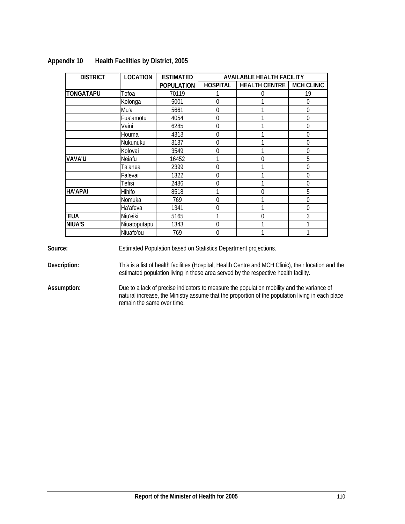| <b>DISTRICT</b> | <b>LOCATION</b> | <b>ESTIMATED</b>  |                                                                                                                        | <b>AVAILABLE HEALTH FACILITY</b> |                   |
|-----------------|-----------------|-------------------|------------------------------------------------------------------------------------------------------------------------|----------------------------------|-------------------|
|                 |                 | <b>POPULATION</b> | <b>HOSPITAL</b><br>0<br>$\Omega$<br>0<br>0<br>0<br>0<br>0<br>0<br>0<br>$\Omega$<br>$\Omega$<br>0<br>1<br>0<br>$\theta$ | <b>HEALTH CENTRE</b>             | <b>MCH CLINIC</b> |
| TONGATAPU       | Tofoa           | 70119             |                                                                                                                        | 0                                | 19                |
|                 | Kolonga         | 5001              |                                                                                                                        |                                  | $\Omega$          |
|                 | Mu'a            | 5661              |                                                                                                                        | 1                                | $\Omega$          |
|                 | Fua'amotu       | 4054              |                                                                                                                        |                                  | 0                 |
|                 | Vaini           | 6285              |                                                                                                                        | 1                                | $\Omega$          |
|                 | Houma           | 4313              |                                                                                                                        |                                  | $\Omega$          |
|                 | Nukunuku        | 3137              |                                                                                                                        |                                  | $\Omega$          |
|                 | Kolovai         | 3549              |                                                                                                                        |                                  | $\Omega$          |
| VAVA'U          | Neiafu          | 16452             |                                                                                                                        | $\Omega$                         | 5                 |
|                 | Ta'anea         | 2399              |                                                                                                                        | 1                                | 0                 |
|                 | Falevai         | 1322              |                                                                                                                        |                                  | $\mathbf 0$       |
|                 | <b>Tefisi</b>   | 2486              |                                                                                                                        | 1                                | $\Omega$          |
| <b>HA'APAI</b>  | Hihifo          | 8518              |                                                                                                                        | 0                                | 5                 |
|                 | Nomuka          | 769               |                                                                                                                        | 1                                | $\overline{0}$    |
|                 | Ha'afeva        | 1341              |                                                                                                                        | 1                                | $\Omega$          |
| 'EUA            | Niu'eiki        | 5165              |                                                                                                                        | $\Omega$                         | 3                 |
| <b>NIUA'S</b>   | Niuatoputapu    | 1343              |                                                                                                                        | 1                                |                   |
|                 | Niuafo'ou       | 769               |                                                                                                                        | 1                                |                   |

### **Appendix 10 Health Facilities by District, 2005**

**Source:** Estimated Population based on Statistics Department projections.

**Description:** This is a list of health facilities (Hospital, Health Centre and MCH Clinic), their location and the estimated population living in these area served by the respective health facility.

**Assumption**: Due to a lack of precise indicators to measure the population mobility and the variance of natural increase, the Ministry assume that the proportion of the population living in each place remain the same over time.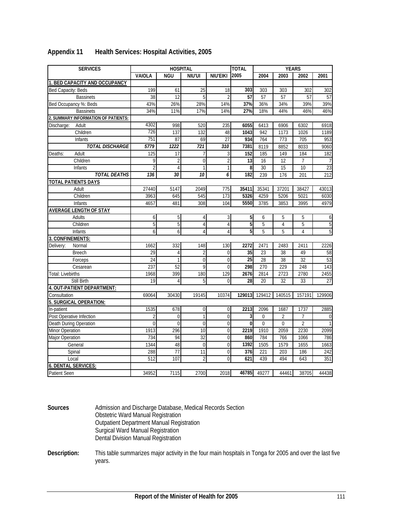| <b>SERVICES</b>                     |                  | <b>HOSPITAL</b> |                 |                | <b>TOTAL</b>     |                 | <b>YEARS</b>   |                |                  |
|-------------------------------------|------------------|-----------------|-----------------|----------------|------------------|-----------------|----------------|----------------|------------------|
|                                     | <b>VAIOLA</b>    | <b>NGU</b>      | NIU'UI          | NIU'EIKI       | 2005             | 2004            | 2003           | 2002           | 2001             |
| 1. BED CAPACITY AND OCCUPANCY       |                  |                 |                 |                |                  |                 |                |                |                  |
| Bed Capacity: Beds                  | 199              | 61              | $\overline{25}$ | 18             | 303              | 303             | 303            | 302            | 302              |
| <b>Bassinets</b>                    | 38               | $\overline{12}$ | 5               | $\overline{2}$ | $\overline{57}$  | 57              | 57             | 57             | 57               |
| Bed Occupancy %: Beds               | 43%              | 26%             | 28%             | 14%            | 37%              | 36%             | 34%            | 39%            | 39%              |
| <b>Bassinets</b>                    | 34%              | 11%             | 17%             | 14%            | 27%              | 18%             | 44%            | 46%            | 46%              |
| 2. SUMMARY INFORMATION OF PATIENTS: |                  |                 |                 |                |                  |                 |                |                |                  |
| Adult<br>Discharge:                 | 4302             | 998             | 520             | 235            | 6055             | 6413            | 6906           | 6302           | 6918             |
| Children                            | 726              | 137             | 132             | 48             | 1043             | 942             | 1173           | 1026           | 1189             |
| <b>Infants</b>                      | 751              | 87              | 69              | 27             | 934              | 764             | 773            | 705            | 953              |
| <b>TOTAL DISCHARGE</b>              | 5779             | 1222            | 721             | 310            | 7381             | 8119            | 8852           | 8033           | 9060             |
| Adult<br>Deaths:                    | 125              | $\overline{17}$ | 7               | 3              | 152              | 185             | 149            | 184            | 182              |
| Children                            | 9                | $\overline{2}$  | $\mathbf 0$     | 2              | 13               | 16              | 12             | 7              |                  |
| Infants                             | $\overline{2}$   | $\overline{4}$  | $\mathbf{1}$    | 1              | $\boldsymbol{8}$ | 30              | 15             | 10             | 23               |
| <b>TOTAL DEATHS</b>                 | 136              | 30              | 10              | 6              | 182              | 239             | 176            | 201            | 212              |
| <b>TOTAL PATIENTS DAYS</b>          |                  |                 |                 |                |                  |                 |                |                |                  |
| Adult                               | 27440            | 5147            | 2049            | 775            | 35411            | 35341           | 37201          | 38427          | 43013            |
| Children                            | 3963             | 645             | 545             | 173            | 5326             | 4259            | 5206           | 5021           | 6030             |
| Infants                             | 4657             | 481             | 308             | 104            | 5550             | 3785            | 3853           | 3995           | 4979             |
| <b>AVERAGE LENGTH OF STAY</b>       |                  |                 |                 |                |                  |                 |                |                |                  |
| Adults                              | 6                | 5               | 4               | 3              | 5                | 6               | 5              | 5              | 6                |
| Children                            | 5                | 5               | $\overline{4}$  | $\overline{4}$ | 5                | 5               | $\overline{4}$ | 5              | 5                |
| Infants                             | $\overline{6}$   | $6 \mid$        | 4               | 4              | 5 <sup>1</sup>   | 5               | 5              | 4              | $\overline{5}$   |
| 3. CONFINEMENTS:                    |                  |                 |                 |                |                  |                 |                |                |                  |
| Normal<br>Delivery:                 | 1662             | 332             | 148             | 130            | 2272             | 2471            | 2483           | 2411           | 2226             |
| <b>Breech</b>                       | 29               | $\overline{4}$  | $\overline{2}$  | $\mathbf{0}$   | 35               | 23              | 38             | 49             | 58               |
| Forceps                             | $\overline{24}$  |                 | $\overline{0}$  | $\overline{0}$ | $\overline{25}$  | $\overline{28}$ | 38             | 32             | 53               |
| Cesarean                            | 237              | 52              | 9               | $\mathbf 0$    | 298              | 270             | 229            | 248            | $\overline{143}$ |
| <b>Total: Livebirths</b>            | 1968             | 399             | 180             | 129            | 2676             | 2814            | 2723           | 2780           | 2455             |
| Still Birth                         | $\overline{19}$  | 4               | 5               | $\mathbf 0$    | 28               | 20              | 32             | 33             | 27               |
| 4. OUT-PATIENT DEPARTMENT:          |                  |                 |                 |                |                  |                 |                |                |                  |
| Consultation                        | 69064            | 30430           | 19145           | 10374          | 129013           | 129412          | 140515         | 157191         | 129906           |
| 5. SURGICAL OPERATION:              |                  |                 |                 |                |                  |                 |                |                |                  |
| In-patient                          | 1535             | 678             | $\mathbf 0$     | $\mathbf{0}$   | 2213             | 2096            | 1687           | 1737           | 2885             |
| Post Operative Infection            | $\overline{2}$   | $\Omega$        | 1               | $\Omega$       | $\overline{3}$   | $\mathbf 0$     | $\overline{2}$ | $\overline{7}$ | $\overline{0}$   |
| Death During Operation              | $\mathbf{0}$     | $\overline{0}$  | $\mathbf 0$     | $\mathbf 0$    | $\overline{0}$   | $\mathbf{0}$    | $\mathbf{0}$   | $\overline{2}$ | 1                |
| Minor Operation                     | 1913             | 296             | $\overline{10}$ | $\overline{0}$ | 2219             | 1910            | 2059           | 2230           | 2099             |
| <b>Major Operation</b>              | 734              | 94              | 32              | $\overline{0}$ | 860              | 784             | 766            | 1066           | 786              |
| General                             | 1344             | 48              | $\overline{0}$  | $\mathbf{0}$   | 1392             | 1505            | 1579           | 1655           | 1663             |
| Spinal                              | 288              | $\overline{77}$ | 11              | $\mathbf 0$    | 376              | 221             | 203            | 186            | 242              |
| Local                               | $\overline{512}$ | 107             | $\overline{2}$  | $\Omega$       | 621              | 439             | 494            | 643            | 351              |
| 6. DENTAL SERVICES:                 |                  |                 |                 |                |                  |                 |                |                |                  |
| Patient Seen                        | 34952            | 7115            | 2700            | 2018           | 46785            | 49277           | 44461          | 38705          | 44438            |

### **Appendix 11 Health Services: Hospital Activities, 2005**

**Sources** Admission and Discharge Database, Medical Records Section Obstetric Ward Manual Registration Outpatient Department Manual Registration Surgical Ward Manual Registration Dental Division Manual Registration

**Description:** This table summarizes major activity in the four main hospitals in Tonga for 2005 and over the last five years.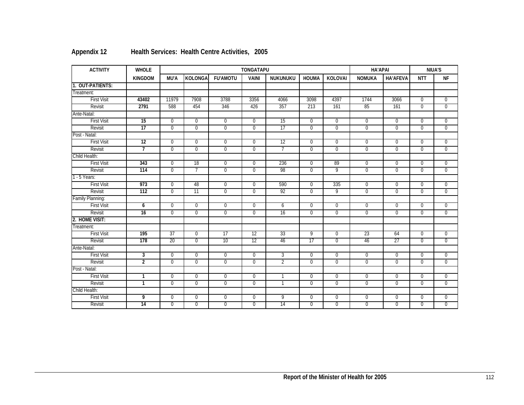| <b>ACTIVITY</b>    | <b>WHOLE</b>    |                |                |                 | <b>TONGATAPU</b> |                | <b>HA'APAI</b> |                |                | NIUA'S          |                |                |
|--------------------|-----------------|----------------|----------------|-----------------|------------------|----------------|----------------|----------------|----------------|-----------------|----------------|----------------|
|                    | <b>KINGDOM</b>  | MU'A           | <b>KOLONGA</b> | <b>FU'AMOTU</b> | <b>VAINI</b>     | NUKUNUKU       | <b>HOUMA</b>   | <b>KOLOVAI</b> | <b>NOMUKA</b>  | <b>HA'AFEVA</b> | <b>NTT</b>     | <b>NF</b>      |
| 1. OUT-PATIENTS:   |                 |                |                |                 |                  |                |                |                |                |                 |                |                |
| Treatment:         |                 |                |                |                 |                  |                |                |                |                |                 |                |                |
| <b>First Visit</b> | 43402           | 11979          | 7908           | 3788            | 3356             | 4066           | 3098           | 4397           | 1744           | 3066            | $\overline{0}$ | $\overline{0}$ |
| Revisit            | 2791            | 588            | 454            | 346             | 426              | 357            | 213            | 161            | 85             | 161             | $\overline{0}$ | $\overline{0}$ |
| Ante-Natal:        |                 |                |                |                 |                  |                |                |                |                |                 |                |                |
| <b>First Visit</b> | $\overline{15}$ | $\mathbf{0}$   | $\mathbf 0$    | $\overline{0}$  | $\mathbf{0}$     | 15             | $\mathbf 0$    | $\mathbf 0$    | $\mathbf 0$    | $\overline{0}$  | $\mathbf 0$    | $\mathbf{0}$   |
| Revisit            | 17              | $\overline{0}$ | $\overline{0}$ | $\overline{0}$  | $\overline{0}$   | 17             | $\overline{0}$ | $\overline{0}$ | $\overline{0}$ | $\overline{0}$  | $\overline{0}$ | $\overline{0}$ |
| Post - Natal:      |                 |                |                |                 |                  |                |                |                |                |                 |                |                |
| <b>First Visit</b> | 12              | $\overline{0}$ | $\overline{0}$ | $\overline{0}$  | $\overline{0}$   | 12             | $\overline{0}$ | $\overline{0}$ | $\overline{0}$ | $\overline{0}$  | $\mathbf 0$    | $\overline{0}$ |
| Revisit            | 7               | $\overline{0}$ | $\overline{0}$ | $\overline{0}$  | $\overline{0}$   | 7              | $\overline{0}$ | $\overline{0}$ | $\overline{0}$ | $\overline{0}$  | $\overline{0}$ | $\overline{0}$ |
| Child Health:      |                 |                |                |                 |                  |                |                |                |                |                 |                |                |
| <b>First Visit</b> | 343             | $\overline{0}$ | 18             | $\overline{0}$  | $\overline{0}$   | 236            | $\overline{0}$ | 89             | $\overline{0}$ | $\overline{0}$  | $\overline{0}$ | $\overline{0}$ |
| Revisit            | 114             | $\overline{0}$ | $\overline{7}$ | $\overline{0}$  | $\overline{0}$   | 98             | $\overline{0}$ | 9              | $\overline{0}$ | $\overline{0}$  | $\overline{0}$ | $\overline{0}$ |
| $1 - 5$ Years:     |                 |                |                |                 |                  |                |                |                |                |                 |                |                |
| <b>First Visit</b> | 973             | $\overline{0}$ | 48             | $\overline{0}$  | $\mathbf{0}$     | 590            | $\overline{0}$ | 335            | $\overline{0}$ | $\overline{0}$  | $\overline{0}$ | $\overline{0}$ |
| Revisit            | 112             | $\overline{0}$ | 11             | $\overline{0}$  | $\overline{0}$   | 92             | $\overline{0}$ | $\overline{9}$ | $\overline{0}$ | $\overline{0}$  | $\overline{0}$ | $\overline{0}$ |
| Family Planning:   |                 |                |                |                 |                  |                |                |                |                |                 |                |                |
| <b>First Visit</b> | $\overline{6}$  | $\overline{0}$ | $\overline{0}$ | $\overline{0}$  | $\overline{0}$   | 6              | $\overline{0}$ | $\overline{0}$ | $\overline{0}$ | $\overline{0}$  | $\overline{0}$ | $\overline{0}$ |
| Revisit            | 16              | $\overline{0}$ | $\overline{0}$ | $\overline{0}$  | $\overline{0}$   | 16             | $\Omega$       | $\overline{0}$ | $\overline{0}$ | $\Omega$        | $\mathbf{0}$   | $\Omega$       |
| 2. HOME VISIT:     |                 |                |                |                 |                  |                |                |                |                |                 |                |                |
| Treatment:         |                 |                |                |                 |                  |                |                |                |                |                 |                |                |
| <b>First Visit</b> | 195             | 37             | $\overline{0}$ | 17              | 12               | 33             | $\overline{9}$ | $\overline{0}$ | 23             | 64              | $\mathbf 0$    | $\overline{0}$ |
| Revisit            | 178             | 20             | $\overline{0}$ | 10              | 12               | 46             | 17             | $\overline{0}$ | 46             | 27              | $\mathbf 0$    | $\overline{0}$ |
| Ante-Natal:        |                 |                |                |                 |                  |                |                |                |                |                 |                |                |
| <b>First Visit</b> | $\overline{3}$  | $\overline{0}$ | $\overline{0}$ | $\overline{0}$  | $\overline{0}$   | $\overline{3}$ | $\overline{0}$ | $\overline{0}$ | $\overline{0}$ | $\overline{0}$  | $\overline{0}$ | $\mathbf 0$    |
| Revisit            | $\overline{2}$  | $\overline{0}$ | $\overline{0}$ | $\overline{0}$  | $\overline{0}$   | $\overline{2}$ | $\overline{0}$ | $\overline{0}$ | $\overline{0}$ | $\overline{0}$  | $\overline{0}$ | $\overline{0}$ |
| Post - Natal:      |                 |                |                |                 |                  |                |                |                |                |                 |                |                |
| <b>First Visit</b> | 1               | $\overline{0}$ | $\overline{0}$ | $\overline{0}$  | $\overline{0}$   | $\mathbf{1}$   | $\overline{0}$ | $\overline{0}$ | $\overline{0}$ | $\overline{0}$  | $\overline{0}$ | $\overline{0}$ |
| Revisit            | 1               | $\overline{0}$ | $\overline{0}$ | $\overline{0}$  | $\overline{0}$   | 1              | $\overline{0}$ | $\overline{0}$ | $\overline{0}$ | $\overline{0}$  | $\overline{0}$ | $\overline{0}$ |
| Child Health:      |                 |                |                |                 |                  |                |                |                |                |                 |                |                |
| <b>First Visit</b> | 9               | $\overline{0}$ | $\overline{0}$ | $\overline{0}$  | $\overline{0}$   | 9              | $\overline{0}$ | $\overline{0}$ | $\overline{0}$ | $\mathbf 0$     | $\overline{0}$ | $\overline{0}$ |
| Revisit            | $\overline{14}$ | $\mathbf{0}$   | $\overline{0}$ | $\overline{0}$  | $\mathbf{0}$     | 14             | $\mathbf 0$    | $\mathbf 0$    | $\overline{0}$ | $\overline{0}$  | $\overline{0}$ | $\overline{0}$ |

# **Appendix 12 Health Services: Health Centre Activities, 2005**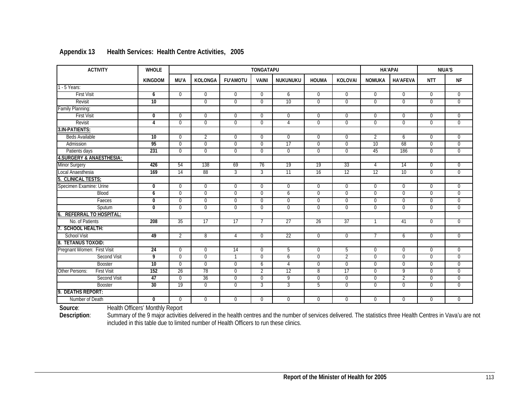| <b>ACTIVITY</b>                      | <b>WHOLE</b>     |                |                |                 | <b>TONGATAPU</b> |                |                |                | <b>HA'APAI</b> |                 |                | <b>NIUA'S</b>  |
|--------------------------------------|------------------|----------------|----------------|-----------------|------------------|----------------|----------------|----------------|----------------|-----------------|----------------|----------------|
|                                      | <b>KINGDOM</b>   | <b>MU'A</b>    | KOLONGA        | <b>FU'AMOTU</b> | <b>VAINI</b>     | NUKUNUKU       | <b>HOUMA</b>   | <b>KOLOVAI</b> | <b>NOMUKA</b>  | <b>HA'AFEVA</b> | <b>NTT</b>     | <b>NF</b>      |
| $1 - 5$ Years:                       |                  |                |                |                 |                  |                |                |                |                |                 |                |                |
| <b>First Visit</b>                   | 6                | $\overline{0}$ | $\overline{0}$ | $\overline{0}$  | $\overline{0}$   | 6              | $\overline{0}$ | $\overline{0}$ | $\overline{0}$ | $\overline{0}$  | $\overline{0}$ | $\overline{0}$ |
| Revisit                              | 10               |                | $\Omega$       | $\Omega$        | $\Omega$         | 10             | $\overline{0}$ | $\overline{0}$ | $\overline{0}$ | $\overline{0}$  | $\overline{0}$ | $\overline{0}$ |
| Family Planning:                     |                  |                |                |                 |                  |                |                |                |                |                 |                |                |
| <b>First Visit</b>                   | $\overline{0}$   | $\mathbf{0}$   | $\overline{0}$ | $\overline{0}$  | $\Omega$         | $\mathbf 0$    | $\mathbf 0$    | $\mathbf 0$    | $\mathbf{0}$   | $\mathbf 0$     | $\mathbf 0$    | $\mathbf 0$    |
| Revisit                              | $\overline{4}$   | $\mathbf{0}$   | $\overline{0}$ | $\overline{0}$  | $\Omega$         | 4              | $\overline{0}$ | $\overline{0}$ | $\overline{0}$ | $\overline{0}$  | $\overline{0}$ | $\overline{0}$ |
| 3.IN-PATIENTS:                       |                  |                |                |                 |                  |                |                |                |                |                 |                |                |
| <b>Beds Available</b>                | 10               | $\Omega$       | $\overline{2}$ | $\Omega$        | $\Omega$         | $\Omega$       | $\Omega$       | $\Omega$       | $\overline{2}$ | 6               | $\Omega$       | $\Omega$       |
| Admission                            | 95               | $\overline{0}$ | $\Omega$       | $\overline{0}$  | $\Omega$         | 17             | $\Omega$       | $\mathbf{0}$   | 10             | 68              | $\Omega$       | $\overline{0}$ |
| Patients days                        | 231              | $\overline{0}$ | $\overline{0}$ | $\overline{0}$  | $\Omega$         | $\overline{0}$ | $\overline{0}$ | $\overline{0}$ | 45             | 186             | $\overline{0}$ | $\overline{0}$ |
| <b>4.SURGERY &amp; ANAESTHESIA:</b>  |                  |                |                |                 |                  |                |                |                |                |                 |                |                |
| Minor Surgery                        | 426              | 54             | 138            | 69              | 76               | 19             | 19             | 33             | 4              | 14              | $\overline{0}$ | $\overline{0}$ |
| Local Anaesthesia                    | 169              | 14             | 88             | 3               | $\overline{3}$   | 11             | 16             | 12             | 12             | 10              | $\Omega$       | $\overline{0}$ |
| <b>CLINICAL TESTS:</b>               |                  |                |                |                 |                  |                |                |                |                |                 |                |                |
| Specimen Examine: Urine              | $\boldsymbol{0}$ | $\mathbf 0$    | $\overline{0}$ | $\overline{0}$  | 0                | $\mathbf 0$    | $\mathbf 0$    | $\overline{0}$ | $\overline{0}$ | $\mathbf 0$     | $\mathbf 0$    | $\overline{0}$ |
| <b>Blood</b>                         | 6                | $\mathbf 0$    | $\overline{0}$ | $\mathbf 0$     | $\Omega$         | 6              | $\mathbf 0$    | $\mathbf 0$    | $\mathbf{0}$   | $\mathbf 0$     | $\mathbf 0$    | $\mathbf 0$    |
| Faeces                               | $\overline{0}$   | $\overline{0}$ | $\overline{0}$ | $\overline{0}$  | $\overline{0}$   | $\overline{0}$ | $\overline{0}$ | $\overline{0}$ | $\overline{0}$ | $\overline{0}$  | $\overline{0}$ | $\overline{0}$ |
| Sputum                               | $\Omega$         | $\Omega$       | $\Omega$       | $\Omega$        | $\Omega$         | $\Omega$       | $\Omega$       | $\Omega$       | $\overline{0}$ | $\Omega$        | $\Omega$       | $\overline{0}$ |
| <b>REFERRAL TO HOSPITAL:</b><br>6    |                  |                |                |                 |                  |                |                |                |                |                 |                |                |
| No. of Patients                      | 208              | 35             | 17             | 17              | 7                | 27             | 26             | 37             |                | 41              | $\overline{0}$ | $\overline{0}$ |
| <b>SCHOOL HEALTH:</b>                |                  |                |                |                 |                  |                |                |                |                |                 |                |                |
| <b>School Visit</b>                  | 49               | $\overline{2}$ | $\overline{8}$ | 4               | $\Omega$         | 22             | $\overline{0}$ | $\overline{0}$ | $\overline{7}$ | 6               | $\overline{0}$ | $\overline{0}$ |
| <b>TETANUS TOXOID:</b><br>8.         |                  |                |                |                 |                  |                |                |                |                |                 |                |                |
| Pregnant Women: First Visit          | $\overline{24}$  | $\mathbf 0$    | $\Omega$       | $\overline{14}$ | $\Omega$         | 5              | $\Omega$       | $\overline{5}$ | $\Omega$       | $\overline{0}$  | $\Omega$       | $\mathbf 0$    |
| <b>Second Visit</b>                  | 9                | $\overline{0}$ | $\overline{0}$ | $\mathbf{1}$    | $\overline{0}$   | 6              | $\overline{0}$ | $\overline{2}$ | $\overline{0}$ | $\overline{0}$  | $\overline{0}$ | $\overline{0}$ |
| <b>Booster</b>                       | 10               | $\mathbf{0}$   | $\Omega$       | 0               | 6                | 4              | $\Omega$       | $\mathbf 0$    | $\overline{0}$ | $\overline{0}$  | $\mathbf{0}$   | $\mathbf 0$    |
| <b>First Visit</b><br>Other Persons: | $\overline{152}$ | 26             | 78             | $\overline{0}$  | $\overline{2}$   | 12             | $\overline{8}$ | 17             | $\overline{0}$ | $\overline{9}$  | $\overline{0}$ | $\overline{0}$ |
| <b>Second Visit</b>                  | 47               | $\overline{0}$ | 36             | $\overline{0}$  | $\Omega$         | 9              | $\overline{0}$ | $\overline{0}$ | $\overline{0}$ | $\overline{2}$  | $\overline{0}$ | $\overline{0}$ |
| <b>Booster</b>                       | 30               | 19             | $\overline{0}$ | $\overline{0}$  | $\overline{3}$   | 3              | $\overline{5}$ | $\overline{0}$ | $\overline{0}$ | $\overline{0}$  | $\overline{0}$ | $\overline{0}$ |
| <b>DEATHS REPORT:</b><br>9           |                  |                |                |                 |                  |                |                |                |                |                 |                |                |
| Number of Death                      | $\mathbf{0}$     | $\mathbf 0$    | $\mathbf{0}$   | 0               | $\Omega$         | $\Omega$       | $\mathbf 0$    | $\mathbf 0$    | $\mathbf{0}$   | $\mathbf 0$     | $\mathbf 0$    | $\mathbf 0$    |

### **Appendix 13 Health Services: Health Centre Activities, 2005**

**Source**: Health Officers' Monthly Report

**Description**: Summary of the 9 major activities delivered in the health centres and the number of services delivered. The statistics three Health Centres in Vava'u are not included in this table due to limited number of Health Officers to run these clinics.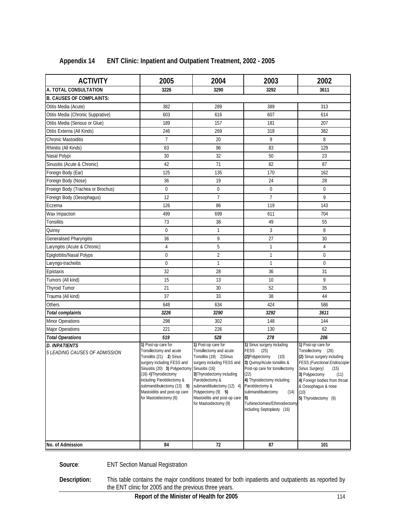| <b>ACTIVITY</b>                                       | 2005                                                                                                                                                                                                                                                                                                 | 2004                                                                                                                                                                                                                                                                  | 2003                                                                                                                                                                                                                                                                                                     | 2002                                                                                                                                                                                                                                                    |
|-------------------------------------------------------|------------------------------------------------------------------------------------------------------------------------------------------------------------------------------------------------------------------------------------------------------------------------------------------------------|-----------------------------------------------------------------------------------------------------------------------------------------------------------------------------------------------------------------------------------------------------------------------|----------------------------------------------------------------------------------------------------------------------------------------------------------------------------------------------------------------------------------------------------------------------------------------------------------|---------------------------------------------------------------------------------------------------------------------------------------------------------------------------------------------------------------------------------------------------------|
| A. TOTAL CONSULTATION                                 | 3226                                                                                                                                                                                                                                                                                                 | 3290                                                                                                                                                                                                                                                                  | 3292                                                                                                                                                                                                                                                                                                     | 3611                                                                                                                                                                                                                                                    |
| <b>B. CAUSES OF COMPLAINTS:</b>                       |                                                                                                                                                                                                                                                                                                      |                                                                                                                                                                                                                                                                       |                                                                                                                                                                                                                                                                                                          |                                                                                                                                                                                                                                                         |
| Otitis Media (Acute)                                  | 382                                                                                                                                                                                                                                                                                                  | 289                                                                                                                                                                                                                                                                   | 389                                                                                                                                                                                                                                                                                                      | 313                                                                                                                                                                                                                                                     |
| Otitis Media (Chronic Supprative)                     | 603                                                                                                                                                                                                                                                                                                  | 616                                                                                                                                                                                                                                                                   | 607                                                                                                                                                                                                                                                                                                      | 614                                                                                                                                                                                                                                                     |
| Otitis Media (Serious or Glue)                        | 189                                                                                                                                                                                                                                                                                                  | 157                                                                                                                                                                                                                                                                   | 181                                                                                                                                                                                                                                                                                                      | 207                                                                                                                                                                                                                                                     |
| Otitis Externa (All Kinds)                            | 246                                                                                                                                                                                                                                                                                                  | 269                                                                                                                                                                                                                                                                   | 318                                                                                                                                                                                                                                                                                                      | 382                                                                                                                                                                                                                                                     |
| Chronic Mastoiditis                                   | $\overline{7}$                                                                                                                                                                                                                                                                                       | 20                                                                                                                                                                                                                                                                    | 9                                                                                                                                                                                                                                                                                                        | 8                                                                                                                                                                                                                                                       |
| Rhinitis (All Kinds)                                  | 63                                                                                                                                                                                                                                                                                                   | 96                                                                                                                                                                                                                                                                    | 83                                                                                                                                                                                                                                                                                                       | 129                                                                                                                                                                                                                                                     |
| Nasal Polypi                                          | 30                                                                                                                                                                                                                                                                                                   | 32                                                                                                                                                                                                                                                                    | 50                                                                                                                                                                                                                                                                                                       | 23                                                                                                                                                                                                                                                      |
| Sinusitis (Acute & Chronic)                           | 42                                                                                                                                                                                                                                                                                                   | 71                                                                                                                                                                                                                                                                    | 82                                                                                                                                                                                                                                                                                                       | 87                                                                                                                                                                                                                                                      |
| Foreign Body (Ear)                                    | 125                                                                                                                                                                                                                                                                                                  | 135                                                                                                                                                                                                                                                                   | 170                                                                                                                                                                                                                                                                                                      | 162                                                                                                                                                                                                                                                     |
| Foreign Body (Nose)                                   | 36                                                                                                                                                                                                                                                                                                   | 19                                                                                                                                                                                                                                                                    | 24                                                                                                                                                                                                                                                                                                       | 28                                                                                                                                                                                                                                                      |
| Froeign Body (Trachea or Brochus)                     | $\mathbf 0$                                                                                                                                                                                                                                                                                          | 0                                                                                                                                                                                                                                                                     | 0                                                                                                                                                                                                                                                                                                        | $\boldsymbol{0}$                                                                                                                                                                                                                                        |
| Foreign Body (Oesophagus)                             | 12                                                                                                                                                                                                                                                                                                   | $\overline{7}$                                                                                                                                                                                                                                                        | $\overline{7}$                                                                                                                                                                                                                                                                                           | 9                                                                                                                                                                                                                                                       |
| Eczema                                                | 126                                                                                                                                                                                                                                                                                                  | 86                                                                                                                                                                                                                                                                    | 119                                                                                                                                                                                                                                                                                                      | 143                                                                                                                                                                                                                                                     |
| Wax Impaction                                         | 499                                                                                                                                                                                                                                                                                                  | 699                                                                                                                                                                                                                                                                   | 611                                                                                                                                                                                                                                                                                                      | 704                                                                                                                                                                                                                                                     |
| Tonsilitis                                            | 73                                                                                                                                                                                                                                                                                                   | 38                                                                                                                                                                                                                                                                    | 49                                                                                                                                                                                                                                                                                                       | 55                                                                                                                                                                                                                                                      |
| Quinsy                                                | $\overline{0}$                                                                                                                                                                                                                                                                                       | $\mathbf{1}$                                                                                                                                                                                                                                                          | 3                                                                                                                                                                                                                                                                                                        | 8                                                                                                                                                                                                                                                       |
| Generalised Pharyngitis                               | 36                                                                                                                                                                                                                                                                                                   | 9                                                                                                                                                                                                                                                                     | 27                                                                                                                                                                                                                                                                                                       | 30                                                                                                                                                                                                                                                      |
| Laryngitis (Acute & Chronic)                          | $\overline{4}$                                                                                                                                                                                                                                                                                       | 5                                                                                                                                                                                                                                                                     | 1                                                                                                                                                                                                                                                                                                        | 4                                                                                                                                                                                                                                                       |
| Epiglottitis/Nasal Polyps                             | $\mathbf 0$                                                                                                                                                                                                                                                                                          | $\overline{2}$                                                                                                                                                                                                                                                        | $\mathbf{1}$                                                                                                                                                                                                                                                                                             | $\pmb{0}$                                                                                                                                                                                                                                               |
| Laryngo-tracheitis                                    | $\mathbf 0$                                                                                                                                                                                                                                                                                          | $\mathbf{1}$                                                                                                                                                                                                                                                          | $\mathbf{1}$                                                                                                                                                                                                                                                                                             | $\pmb{0}$                                                                                                                                                                                                                                               |
| Epistaxis                                             | 32                                                                                                                                                                                                                                                                                                   | 28                                                                                                                                                                                                                                                                    | 36                                                                                                                                                                                                                                                                                                       | 31                                                                                                                                                                                                                                                      |
| Tumors (All kind)                                     | 15                                                                                                                                                                                                                                                                                                   | 13                                                                                                                                                                                                                                                                    | 10                                                                                                                                                                                                                                                                                                       | 9                                                                                                                                                                                                                                                       |
| <b>Thyroid Tumor</b>                                  | 21                                                                                                                                                                                                                                                                                                   | 30                                                                                                                                                                                                                                                                    | 52                                                                                                                                                                                                                                                                                                       | 35                                                                                                                                                                                                                                                      |
| Trauma (All kind)                                     | 37                                                                                                                                                                                                                                                                                                   | 33                                                                                                                                                                                                                                                                    | 38                                                                                                                                                                                                                                                                                                       | 44                                                                                                                                                                                                                                                      |
| Others                                                | 648                                                                                                                                                                                                                                                                                                  | 634                                                                                                                                                                                                                                                                   | 424                                                                                                                                                                                                                                                                                                      | 586                                                                                                                                                                                                                                                     |
| Total complaints                                      | 3226                                                                                                                                                                                                                                                                                                 | 3290                                                                                                                                                                                                                                                                  | 3292                                                                                                                                                                                                                                                                                                     | 3611                                                                                                                                                                                                                                                    |
| Minor Operations                                      | 298                                                                                                                                                                                                                                                                                                  | 302                                                                                                                                                                                                                                                                   | 148                                                                                                                                                                                                                                                                                                      | 144                                                                                                                                                                                                                                                     |
| <b>Major Operations</b>                               | 221                                                                                                                                                                                                                                                                                                  | 226                                                                                                                                                                                                                                                                   | 130                                                                                                                                                                                                                                                                                                      | 62                                                                                                                                                                                                                                                      |
| <b>Total Operations</b>                               | 519                                                                                                                                                                                                                                                                                                  | 528                                                                                                                                                                                                                                                                   | 278                                                                                                                                                                                                                                                                                                      | 206                                                                                                                                                                                                                                                     |
| <b>D. INPATIENTS</b><br>5 LEADING CAUSES OF ADMISSION | 1) Post-op care for<br>Tonsillectomy and acute<br>Tonsilitis (21) 2) Sinus<br>surgery including FESS and<br>Sinusitis (20) 3) Polypectomy Sinusitis (16)<br>(16) 4) Thyroidectomy<br>including Parotidectomy &<br>submandibulectomy (13) 5)<br>Mastoiditis and post-op care<br>for Mastoidectomy (6) | 1) Post-op care for<br>Tonsillectomy and acute<br>Tonsilitis (19) 2) Sinus<br>surgery including FESS and<br>3) Thyroidectomy including<br>Parotidectomy &<br>submandibulectomy (12) 4)<br>Polypectomy (9) 5)<br>Mastoiditis and post-op care<br>for Mastoidectomy (9) | 1) Sinus surgery including<br><b>FESS</b><br>(25)<br>(2) Polypectomy<br>(10)<br>3) Quinsy/Acute tonsilitis &<br>Post-op care for tonsillectomy<br>(22)<br>4) Thyroidectomy including<br>Parotidectomy &<br>submandibulectomy<br>(14)<br>5)<br>Turbinectomies/Ethmoidectomy<br>including Septoplasty (16) | 1) Post-op care for<br>Tonsillectomy (26)<br>(2) Sinus surgery including<br><b>FESS (Functional Endoscopie</b><br>Sinus Surgery) (15)<br>3) Polypectomy<br>(11)<br>4) Foreign bodies from throat<br>& Oesophagus & nose<br>(10)<br>5) Thyroidectomy (6) |
| No. of Admission                                      | 84                                                                                                                                                                                                                                                                                                   | 72                                                                                                                                                                                                                                                                    | 87                                                                                                                                                                                                                                                                                                       | 101                                                                                                                                                                                                                                                     |

### **Appendix 14 ENT Clinic: Inpatient and Outpatient Treatment, 2002 - 2005**

Source: **ENT Section Manual Registration** 

**Description:** This table contains the major conditions treated for both inpatients and outpatients as reported by the ENT clinic for 2005 and the previous three years.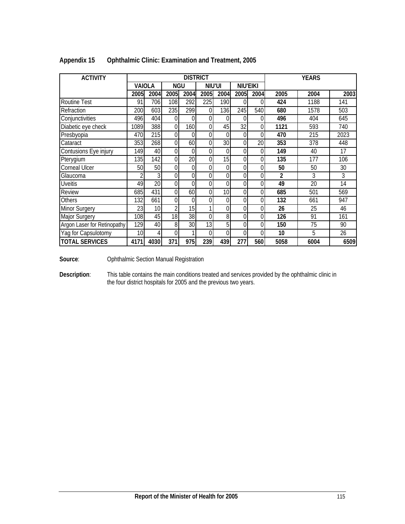| <b>ACTIVITY</b>             |      |                 |                | <b>DISTRICT</b> |      |                 |          |                 |      | <b>YEARS</b>    |      |
|-----------------------------|------|-----------------|----------------|-----------------|------|-----------------|----------|-----------------|------|-----------------|------|
|                             |      | VAIOLA          | <b>NGU</b>     |                 |      | NIU'UI          |          | <b>NIU'EIKI</b> |      |                 |      |
|                             | 2005 | 2004            | 2005           | 2004            | 2005 | 2004            | 2005     | 2004            | 2005 | 2004            | 2003 |
| Routine Test                | 91   | 706             | 108            | 292             | 225  | 190             | 0        | 0               | 424  | 1188            | 141  |
| Refraction                  | 200  | 603             | 235            | 299             | 0    | 136             | 245      | 540             | 680  | 1578            | 503  |
| Conjunctivities             | 496  | 404             | $\theta$       | 0               | 0    | $\overline{0}$  | $\Omega$ | 0               | 496  | 404             | 645  |
| Diabetic eye check          | 1089 | 388             | 0              | 160             | 0    | 45              | 32       | 0               | 1121 | 593             | 740  |
| Presbyopia                  | 470  | 215             | $\Omega$       | 0               | 0    | $\Omega$        | $\Omega$ | 0               | 470  | 215             | 2023 |
| Cataract                    | 353  | 268             | 0              | 60              | 0    | 30 <sup>1</sup> | 0        | 20              | 353  | 378             | 448  |
| Contusions Eye injury       | 149  | 40              | $\Omega$       | $\Omega$        | 0    | $\overline{0}$  | $\Omega$ | 0               | 149  | 40              | 17   |
| Pterygium                   | 135  | 142             | 0              | 20              | 0    | 15              | 0        | 0               | 135  | 177             | 106  |
| Corneal Ulcer               | 50   | 50              | $\Omega$       | 0               | 0    | $\overline{0}$  | $\Omega$ | 0               | 50   | 50              | 30   |
| Glaucoma                    |      | 3               | $\Omega$       | 0               | 0    | $\overline{0}$  | 0        | 0               | 2    | 3               | 3    |
| <b>Uveitis</b>              | 49   | $\overline{20}$ | $\Omega$       | $\overline{0}$  | 0    | $\overline{0}$  | $\Omega$ | 0               | 49   | $\overline{20}$ | 14   |
| Review                      | 685  | 431             | $\theta$       | 60              | 0    | 10 <sup>1</sup> | 0        | 0               | 685  | 501             | 569  |
| Others                      | 132  | 661             | $\Omega$       | 0               | 0    | $\Omega$        | $\Omega$ | 0               | 132  | 661             | 947  |
| Minor Surgery               | 23   | 10              | $\overline{2}$ | 15              |      | $\overline{0}$  | 0        | 0               | 26   | 25              | 46   |
| Major Surgery               | 108  | 45              | 18             | 38              | 0    | 8 <sup>1</sup>  | 0        | 0               | 126  | 91              | 161  |
| Argon Laser for Retinopathy | 129  | 40              | 8              | 30 <sub>l</sub> | 13   | 5 <sup>1</sup>  | 0        | 0               | 150  | 75              | 90   |
| Yag for Capsulotomy         | 10   | 4               | 0              |                 | 0    | $\Omega$        | $\Omega$ | 0               | 10   | 5               | 26   |
| <b>TOTAL SERVICES</b>       | 4171 | 4030            | 371            | 975             | 239  | 439             | 277      | 560             | 5058 | 6004            | 6509 |

### **Appendix 15 Ophthalmic Clinic: Examination and Treatment, 2005**

**Source**: Ophthalmic Section Manual Registration

**Description**: This table contains the main conditions treated and services provided by the ophthalmic clinic in the four district hospitals for 2005 and the previous two years.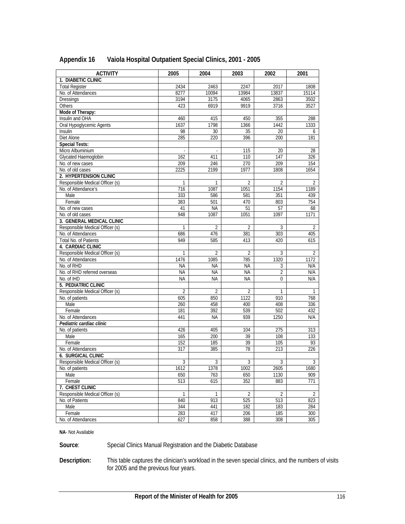| <b>ACTIVITY</b>                 | 2005           | 2004           | 2003             | 2002             | 2001            |
|---------------------------------|----------------|----------------|------------------|------------------|-----------------|
| 1. DIABETIC CLINIC              |                |                |                  |                  |                 |
| <b>Total Register</b>           | 2434           | 2463           | 2247             | 2017             | 1808            |
| No. of Attendances              | 8277           | 10094          | 13984            | 13837            | 15114           |
| Dressings                       | 3194           | 3175           | 4065             | 2863             | 3502            |
| Others                          | 423            | 6919           | 9919             | 3716             | 3527            |
| Mode of Therapy:                |                |                |                  |                  |                 |
| Insulin and OHA                 | 460            | 415            | 450              | 355              | 288             |
| Oral Hypoglycemic Agents        | 1637           | 1798           | 1366             | 1442             | 1333            |
| <b>Insulin</b>                  | 98             | 30             | 35               | 20               | 6               |
| Diet Alone                      | 285            | 220            | 396              | 200              | 181             |
| <b>Special Tests:</b>           |                |                |                  |                  |                 |
| Micro Albuminium                |                |                | $\overline{115}$ | $\overline{20}$  | $\overline{28}$ |
| Glycated Haemoglobin            | 162            | 411            | 110              | 147              | 326             |
| No. of new cases                | 209            | 246            | 270              | 209              | 154             |
| No. of old cases                | 2225           | 2199           | 1977             | 1808             | 1654            |
| 2. HYPERTENSION CLINIC          |                |                |                  |                  |                 |
| Responsible Medical Officer (s) | 1              | $\mathbf{1}$   | $\overline{2}$   | $\overline{2}$   | 2               |
| No. of Attendance's             | 716            | 1087           | 1051             | 1154             | 1189            |
| Male                            | 333            | 586            | 581              | 351              | 439             |
| Female                          | 383            | 501            | 470              | 803              | 754             |
| No. of new cases                | 41             | <b>NA</b>      | 51               | 57               | 68              |
| No. of old cases                | 948            | 1087           | 1051             | 1097             | 1171            |
| 3. GENERAL MEDICAL CLINIC       |                |                |                  |                  |                 |
| Responsible Medical Officer (s) | $\mathbf{1}$   | $\overline{2}$ | $\overline{2}$   | $\overline{3}$   | $\overline{2}$  |
| No. of Attendances              | 686            | 476            | 381              | $\overline{303}$ | 405             |
| Total No. of Patients           | 949            | 585            | 413              | 420              | 615             |
| 4. CARDIAC CLINIC               |                |                |                  |                  |                 |
| Responsible Medical Officer (s) | 1              | 2              | 2                | 3                | $\overline{2}$  |
| No. of Attendances              | 1476           | 1085           | 785              | 1320             | 1172            |
| No. of RHD                      | <b>NA</b>      | <b>NA</b>      | <b>NA</b>        | 3                | N/A             |
| No. of RHD referred overseas    | <b>NA</b>      | <b>NA</b>      | <b>NA</b>        | 2                | N/A             |
| No. of IHD                      | <b>NA</b>      | <b>NA</b>      | <b>NA</b>        | $\theta$         | N/A             |
| 5. PEDIATRIC CLINIC             |                |                |                  |                  |                 |
| Responsible Medical Officer (s) | $\overline{2}$ | $\overline{2}$ | 2                | $\mathbf{1}$     | 1               |
| No. of patients                 | 605            | 850            | 1122             | 910              | 768             |
| Male                            | 260            | 458            | 400              | 408              | 336             |
| Female                          | 181            | 392            | 539              | 502              | 432             |
| No. of Attendances              | 441            | <b>NA</b>      | 939              | 1250             | N/A             |
| Pediatric cardiac clinic        |                |                |                  |                  |                 |
| No. of patients                 | 426            | 405            | 104              | 275              | 313             |
| Male                            | 165            | 200            | 39               | 108              | 133             |
| Female                          | 152            | 185            | 39               | 105              | 93              |
| No. of Attendances              | 317            | 385            | 78               | 213              | 226             |
| <b>6. SURGICAL CLINIC</b>       |                |                |                  |                  |                 |
| Responsible Medical Officer (s) | 3              | 3              | 3                | 3                | $\overline{3}$  |
| No. of patients                 | 1612           | 1378           | 1002             | 2605             | 1680            |
| Male                            | 650            | 763            | 650              | 1130             | 909             |
| Female                          | 513            | 615            | 352              | 883              | 771             |
| 7. CHEST CLINIC                 |                |                |                  |                  |                 |
| Responsible Medical Officer (s) | 1              | 1              | $\overline{2}$   | 2                | $\overline{2}$  |
| No. of Patients                 | 840            | 913            | 525              | 513              | 823             |
| Male                            | 344            | 441            | 182              | 183              | 284             |
| Female                          | 283            | 417            | 206              | 185              | 300             |
| No. of Attendances              | 627            | 858            | 388              | 308              | 305             |

### **Appendix 16 Vaiola Hospital Outpatient Special Clinics, 2001 - 2005**

**NA**- Not Available

Source: Special Clinics Manual Registration and the Diabetic Database

**Description:** This table captures the clinician's workload in the seven special clinics, and the numbers of visits for 2005 and the previous four years.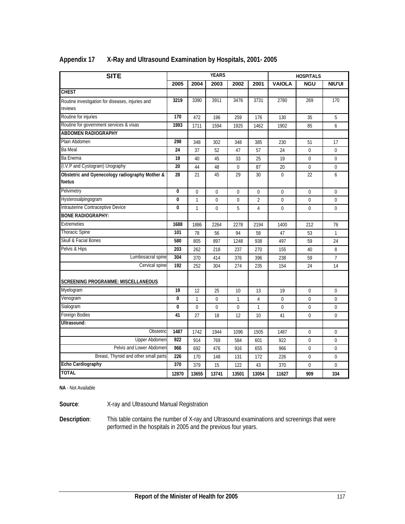| <b>SITE</b>                                                 |              |              | <b>YEARS</b> |              |                |               | <b>HOSPITALS</b> |                |
|-------------------------------------------------------------|--------------|--------------|--------------|--------------|----------------|---------------|------------------|----------------|
|                                                             | 2005         | 2004         | 2003         | 2002         | 2001           | <b>VAIOLA</b> | <b>NGU</b>       | <b>NIU'UI</b>  |
| <b>CHEST</b>                                                |              |              |              |              |                |               |                  |                |
| Routine investigation for diseases, injuries and<br>reviews | 3219         | 3390         | 3911         | 3476         | 3731           | 2780          | 269              | 170            |
| Routine for injuries                                        | 170          | 472          | 196          | 259          | 176            | 130           | 35               | 5              |
| Routine for government services & visas                     | 1993         | 1711         | 1594         | 1925         | 1462           | 1902          | 85               | 6              |
| <b>ABDOMEN RADIOGRAPHY</b>                                  |              |              |              |              |                |               |                  |                |
| Plain Abdomen                                               | 298          | 348          | 302          | 348          | 385            | 230           | 51               | 17             |
| <b>Ba Meal</b>                                              | 24           | 37           | 52           | 47           | 57             | 24            | $\overline{0}$   | $\mathbf 0$    |
| Ba Enema                                                    | 19           | 40           | 45           | 33           | 25             | 19            | $\Omega$         | $\mathbf 0$    |
| (I.V.P and Cystogram) Urography                             | 20           | 44           | 48           | $\pmb{0}$    | 87             | 20            | $\overline{0}$   | $\pmb{0}$      |
| Obstetric and Gyenecology radiography Mother &<br>foetus    | 28           | 21           | 45           | 29           | 30             | $\mathbf 0$   | 22               | 6              |
| Pelvimetry                                                  | 0            | $\theta$     | $\mathbf 0$  | $\mathbf 0$  | 0              | $\mathbf 0$   | $\overline{0}$   | $\mathbf 0$    |
| Hysterosalpingogram                                         | 0            | $\mathbf{1}$ | $\mathbf 0$  | 0            | $\overline{2}$ | $\mathbf 0$   | $\overline{0}$   | $\mathbf 0$    |
| Intrauterine Contraceptive Device                           | $\mathbf{0}$ | $\mathbf{1}$ | $\Omega$     | 5            | $\overline{4}$ | $\theta$      | $\Omega$         | $\Omega$       |
| <b>BONE RADIOGRAPHY:</b>                                    |              |              |              |              |                |               |                  |                |
| Extremeties                                                 | 1688         | 1886         | 2264         | 2278         | 2194           | 1400          | 212              | 76             |
| <b>Thoracic Spine</b>                                       | 101          | 78           | 56           | 94           | 58             | 47            | 53               | $\mathbf{1}$   |
| Skull & Facial Bones                                        | 580          | 805          | 897          | 1248         | 938            | 497           | 59               | 24             |
| Pelvis & Hips                                               | 203          | 262          | 218          | 237          | 270            | 155           | 40               | 8              |
| Lumbosacral spine                                           | 304          | 370          | 414          | 376          | 396            | 238           | 59               | $\overline{7}$ |
| Cervical spine                                              | 192          | 252          | 304          | 274          | 235            | 154           | 24               | 14             |
| <b>SCREENING PROGRAMME: MISCELLANEOUS</b>                   |              |              |              |              |                |               |                  |                |
| Myelogram                                                   | 19           | 12           | 25           | 10           | 13             | 19            | $\mathbf 0$      | $\mathbf 0$    |
| Venogram                                                    | 0            | $\mathbf{1}$ | 0            | $\mathbf{1}$ | 4              | $\Omega$      | $\Omega$         | $\Omega$       |
| Sialogram                                                   | 0            | $\mathbf 0$  | 0            | 0            | $\mathbf{1}$   | 0             | $\mathbf 0$      | $\mathbf 0$    |
| Foreign Bodies                                              | 41           | 27           | 18           | 12           | 10             | 41            | $\mathbf 0$      | $\mathbf 0$    |
| Ultrasound:                                                 |              |              |              |              |                |               |                  |                |
| Obstetric                                                   | 1487         | 1742         | 1944         | 1096         | 1505           | 1487          | $\mathbf 0$      | $\mathbf 0$    |
| Upper Abdomen                                               | 922          | 914          | 769          | 584          | 601            | 922           | $\mathbf 0$      | $\mathbf 0$    |
| Pelvis and Lower Abdomen                                    | 966          | 692          | 476          | 916          | 655            | 966           | 0                | $\Omega$       |
| Breast, Thyroid and other small parts                       | 226          | 170          | 148          | 131          | 172            | 226           | $\mathbf 0$      | $\mathbf 0$    |
| Echo Cardiography                                           | 370          | 379          | 15           | 122          | 43             | 370           | $\mathbf 0$      | $\mathbf 0$    |
| <b>TOTAL</b>                                                | 12870        | 13655        | 13741        | 13501        | 13054          | 11627         | 909              | 334            |

### **Appendix 17 X-Ray and Ultrasound Examination by Hospitals, 2001- 2005**

**NA** - Not Available

**Source**: X-ray and Ultrasound Manual Registration

**Description**: This table contains the number of X-ray and Ultrasound examinations and screenings that were performed in the hospitals in 2005 and the previous four years.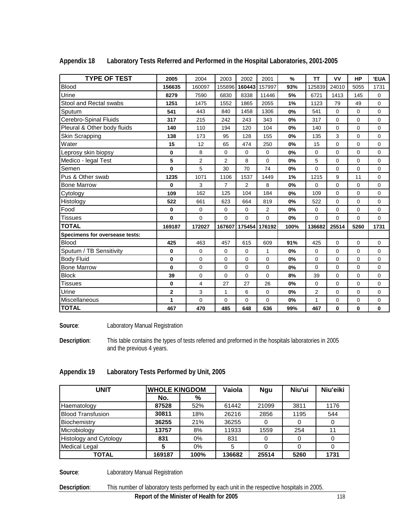| <b>TYPE OF TEST</b>            | 2005   | 2004        | 2003           | 2002           | 2001          | $\frac{0}{0}$ | <b>TT</b>      | <b>VV</b> | <b>HP</b>   | <b>'EUA</b> |
|--------------------------------|--------|-------------|----------------|----------------|---------------|---------------|----------------|-----------|-------------|-------------|
| Blood                          | 156635 | 160097      | 155896         | 160443         | 157997        | 93%           | 125839         | 24010     | 5055        | 1731        |
| Urine                          | 8279   | 7590        | 6830           | 8338           | 11446         | 5%            | 6721           | 1413      | 145         | $\mathbf 0$ |
| Stool and Rectal swabs         | 1251   | 1475        | 1552           | 1865           | 2055          | 1%            | 1123           | 79        | 49          | $\mathbf 0$ |
| Sputum                         | 541    | 443         | 840            | 1458           | 1306          | 0%            | 541            | 0         | 0           | 0           |
| Cerebro-Spinal Fluids          | 317    | 215         | 242            | 243            | 343           | 0%            | 317            | $\Omega$  | $\Omega$    | $\mathbf 0$ |
| Pleural & Other body fluids    | 140    | 110         | 194            | 120            | 104           | 0%            | 140            | $\Omega$  | $\mathbf 0$ | $\mathbf 0$ |
| Skin Scrapping                 | 138    | 173         | 95             | 128            | 155           | 0%            | 135            | 3         | $\Omega$    | $\Omega$    |
| Water                          | 15     | 12          | 65             | 474            | 250           | 0%            | 15             | $\Omega$  | $\Omega$    | 0           |
| Leprosy skin biopsy            | 0      | 8           | $\Omega$       | $\Omega$       | $\Omega$      | 0%            | $\Omega$       | $\Omega$  | $\Omega$    | $\Omega$    |
| Medico - legal Test            | 5      | 2           | $\overline{2}$ | 8              | $\mathbf 0$   | 0%            | 5              | 0         | $\Omega$    | $\mathbf 0$ |
| Semen                          | 0      | 5           | 30             | 70             | 74            | 0%            | 0              | 0         | $\mathbf 0$ | $\mathbf 0$ |
| Pus & Other swab               | 1235   | 1071        | 1106           | 1537           | 1449          | 1%            | 1215           | 9         | 11          | 0           |
| <b>Bone Marrow</b>             | 0      | 3           | $\overline{7}$ | $\overline{2}$ | 8             | 0%            | 0              | $\Omega$  | $\mathbf 0$ | $\mathbf 0$ |
| Cytology                       | 109    | 162         | 125            | 104            | 184           | 0%            | 109            | $\Omega$  | $\Omega$    | 0           |
| Histology                      | 522    | 661         | 623            | 664            | 819           | 0%            | 522            | 0         | $\mathbf 0$ | $\mathbf 0$ |
| Food                           | 0      | 0           | $\Omega$       | $\Omega$       | 2             | 0%            | $\Omega$       | $\Omega$  | $\Omega$    | $\Omega$    |
| Tissues                        | 0      | $\Omega$    | $\Omega$       | $\Omega$       | $\Omega$      | 0%            | $\Omega$       | 0         | $\Omega$    | $\Omega$    |
| <b>TOTAL</b>                   | 169187 | 172027      | 167607         |                | 175454 176192 | 100%          | 136682         | 25514     | 5260        | 1731        |
| Specimens for oversease tests: |        |             |                |                |               |               |                |           |             |             |
| <b>Blood</b>                   | 425    | 463         | 457            | 615            | 609           | 91%           | 425            | 0         | $\mathbf 0$ | 0           |
| Sputum / TB Sensitivity        | 0      | 0           | $\Omega$       | 0              | $\mathbf{1}$  | 0%            | $\mathbf 0$    | $\Omega$  | $\Omega$    | $\Omega$    |
| <b>Body Fluid</b>              | 0      | 0           | $\mathbf 0$    | 0              | $\mathbf 0$   | 0%            | $\mathbf 0$    | 0         | $\mathbf 0$ | $\mathbf 0$ |
| <b>Bone Marrow</b>             | 0      | $\Omega$    | $\Omega$       | $\Omega$       | $\Omega$      | 0%            | $\Omega$       | $\Omega$  | $\Omega$    | $\Omega$    |
| <b>Block</b>                   | 39     | $\mathbf 0$ | $\mathbf 0$    | 0              | $\mathbf 0$   | 8%            | 39             | 0         | $\mathbf 0$ | $\mathbf 0$ |
| <b>Tissues</b>                 | 0      | 4           | 27             | 27             | 26            | 0%            | $\mathbf 0$    | $\Omega$  | $\mathbf 0$ | $\mathbf 0$ |
| Urine                          | 2      | 3           | 1              | 6              | 0             | 0%            | $\overline{2}$ | 0         | 0           | 0           |
| Miscellaneous                  | 1      | 0           | $\Omega$       | 0              | $\Omega$      | 0%            | 1              | 0         | $\mathbf 0$ | 0           |
| <b>TOTAL</b>                   | 467    | 470         | 485            | 648            | 636           | 99%           | 467            | 0         | 0           | $\mathbf 0$ |

#### **Appendix 18 Laboratory Tests Referred and Performed in the Hospital Laboratories, 2001-2005**

Source: Laboratory Manual Registration

**Description**: This table contains the types of tests referred and preformed in the hospitals laboratories in 2005 and the previous 4 years.

### **Appendix 19 Laboratory Tests Performed by Unit, 2005**

| UNIT                          |        | <b>WHOLE KINGDOM</b> |        | <b>Ngu</b> | Niu'ui | Niu'eiki |  |
|-------------------------------|--------|----------------------|--------|------------|--------|----------|--|
|                               | No.    | %                    |        |            |        |          |  |
| Haematology                   | 87528  | 52%                  | 61442  | 21099      | 3811   | 1176     |  |
| <b>Blood Transfusion</b>      | 30811  | 18%                  | 26216  | 2856       | 1195   | 544      |  |
| Biochemistry                  | 36255  | 21%                  | 36255  |            | 0      | $\Omega$ |  |
| Microbiology                  | 13757  | 8%                   | 11933  | 1559       | 254    | 11       |  |
| <b>Histology and Cytology</b> | 831    | $0\%$                | 831    |            | 0      | 0        |  |
| <b>Medical Legal</b>          | 5      | $0\%$                | 5      |            | 0      |          |  |
| <b>TOTAL</b>                  | 169187 | 100%                 | 136682 | 25514      | 5260   | 1731     |  |

**Source:** Laboratory Manual Registration

**Description**: This number of laboratory tests performed by each unit in the respective hospitals in 2005.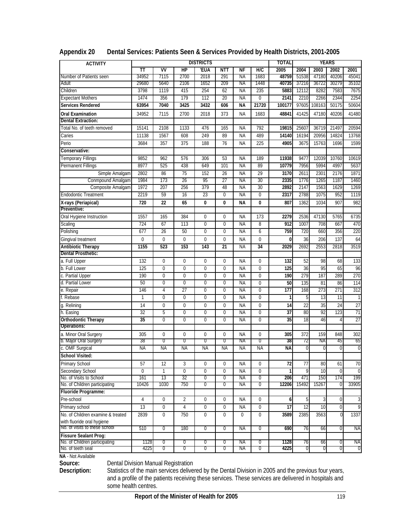| <b>ACTIVITY</b>                   |             |                  |                | <b>DISTRICTS</b> |                  |           |                | <b>TOTAL</b>    |                 |                | <b>YEARS</b>   |                 |
|-----------------------------------|-------------|------------------|----------------|------------------|------------------|-----------|----------------|-----------------|-----------------|----------------|----------------|-----------------|
|                                   | TΤ          | VV               | H <sub>P</sub> | 'EUA             | <b>NTT</b>       | <b>NF</b> | H/C            | 2005            | 2004            | 2003           | 2002           | 2001            |
| Number of Patients seen           | 34952       | 7115             | 2700           | 2018             | 291              | ΝA        | 1683           | 48759           | 51538           | 47180          | 40206          | 45041           |
| Adult                             | 29680       | 5640             | 2106           | 1652             | 209              | ΝA        | 1448           | 40735           | 37216           | 36722          | 30279          | 35102           |
| Children                          | 3798        | 1119             | 415            | 254              | 62               | NA        | 235            | 5883            | 12112           | 8282           | 7583           | 7675            |
| <b>Expectant Mothers</b>          | 1474        | 356              | 179            | 112              | 20               | <b>NA</b> | $\overline{0}$ | 2141            | 2210            | 2266           | 2344           | 2254            |
| Services Rendered                 | 63954       | 7040             | 3425           | 3432             | 606              | <b>NA</b> | 21720          | 100177          | 97605           | 108163         | 50175          | 50604           |
| Oral Examination                  | 34952       | 7115             | 2700           | 2018             | 373              | <b>NA</b> | 1683           | 48841           | 41425           | 47180          | 40206          | 41480           |
| <b>Dental Extraction:</b>         |             |                  |                |                  |                  |           |                |                 |                 |                |                |                 |
| Total No. of teeth removed        | 15141       | 2108             | 1133           | 476              | 165              | <b>NA</b> | 792            | 19815           | 2560            | 36719          | 21497          | 20594           |
| Caries                            | 11138       | 1567             | 608            | 249              | 89               | <b>NA</b> | 489            | 14140           | 16194           | 20956          | 14824          | 13768           |
| Perio                             | 3684        | 357              | 375            | 188              | 76               | <b>NA</b> | 225            | 4905            | 3675            | 15763          | 1696           | 1599            |
| Conservative:                     |             |                  |                |                  |                  |           |                |                 |                 |                |                |                 |
| Temporary Fillings                | 9852        | 962              | 576            | 306              | 53               | <b>NA</b> | 189            | 11938           | 9477            | 12039          | 10760          | 10619           |
| Permanent Fillings                | 8977        | 525              | 438            | 649              | 101              | <b>NA</b> | 89             | 10779           | 7956            | 5994           | 4997           | 5637            |
| Simple Amalgam                    | 2802        | 86               | 75             | 152              | 26               | <b>NA</b> | 29             | 3170            | 2611            | 2301           | 2176           | 1871            |
| Conmpound Amalgam                 | 1984        | 173              | 26             | 95               | 27               | NA        | 30             | 2335            | 1776            | 1265           | 1187           | 1460            |
| Composite Amalgam                 | 1972        | 207              | 256            | 379              | 48               | <b>NA</b> | 30             | 2892            | 2147            | 1563           | 1629           | 1269            |
| <b>Endodontic Treatment</b>       | 2219        | 59               | 16             | 23               | $\overline{0}$   | <b>NA</b> | $\overline{0}$ | 2317            | 2788            | 1075           | 952            | 1119            |
| X-rays (Periapical)               | 720         | 22               | 65             | 0                | 0                | <b>NA</b> | $\bf{0}$       | 807             | 1362            | 1034           | 907            | 982             |
| Preventive:                       |             |                  |                |                  |                  |           |                |                 |                 |                |                |                 |
| Oral Hygiene Instruction          | 1557        | 165              | 384            | $\mathbf 0$      | $\mathbf 0$      | <b>NA</b> | 173            | 2279            | 2536            | 47130          | 5765           | 6735            |
| Scaling                           | 724         | 67               | 113            | $\overline{0}$   | $\overline{0}$   | <b>NA</b> | 8              | 912             | 1007            | 708            | 667            | 470             |
| Polishing                         | 677         | $\overline{26}$  | 50             | 0                | $\mathbf 0$      | NA        | 6              | 759             | 720             | 660            | 356            | 220             |
| Gingival treatment                | $\mathbf 0$ | $\mathbf 0$      | $\mathbf 0$    | 0                | $\mathbf 0$      | <b>NA</b> | $\mathbf 0$    | 0               | 36              | 206            | 137            | 64              |
| <b>Antibiotic Therapy</b>         | 1155        | 523              | 153            | 143              | 21               | <b>NA</b> | 34             | 2029            | 2692            | 2553           | 2818           | 3519            |
| Dental Prosthetic:                |             |                  |                |                  |                  |           |                |                 |                 |                |                |                 |
| a. Full Upper                     | 132         | $\mathbf 0$      | 0              | 0                | $\mathbf 0$      | <b>NA</b> | $\mathbf 0$    | 132             | 52              | 98             | 68             | 133             |
| b. Full Lower                     | 125         | $\mathbf 0$      | $\mathbf 0$    | 0                | $\mathbf 0$      | <b>NA</b> | $\mathbf{0}$   | 125             | 36              | 95             | 65             | 96              |
| c. Partial Upper                  | 190         | $\overline{0}$   | $\overline{0}$ | $\overline{0}$   | $\overline{0}$   | <b>NA</b> | $\overline{0}$ | 190             | 279             | 187            | 289            | 270             |
| d. Partial Lower                  | 50          | 0                | $\mathbf 0$    | $\overline{0}$   | $\mathbf 0$      | NA        | $\overline{0}$ | 50              | 135             | 81             | 86             | 114             |
| e. Repair                         | 146         | 4                | 27             | $\overline{0}$   | $\mathbf 0$      | <b>NA</b> | $\overline{0}$ | 177             | 168             | 273            | 271            | 312             |
| f. Rebase                         | 1           | $\overline{0}$   | $\overline{0}$ | $\overline{0}$   | $\overline{0}$   | ΝA        | $\overline{0}$ | 1               | 5               | 13             | 11             |                 |
| g. Relining                       | 14          | 0                | $\mathbf 0$    | 0                | $\mathbf 0$      | <b>NA</b> | $\mathbf 0$    | 14              | 22              | 35             | 24             | $\overline{27}$ |
| h. Easing                         | 32          | 5                | $\mathbf 0$    | 0                | $\mathbf 0$      | <b>NA</b> | $\overline{0}$ | $\overline{37}$ | 80              | 92             | 123            | 71              |
| <b>Orthodontic Therapy</b>        | 35          | $\overline{0}$   | $\overline{0}$ | 0                | $\mathbf 0$      | <b>NA</b> | $\overline{0}$ | 35              | 18              | 46             | 4              | $\overline{27}$ |
| Operations:                       |             |                  |                |                  |                  |           |                |                 |                 |                |                |                 |
| a. Minor Oral Surgery             | 305         | 0                | 0              | 0                | $\mathbf{0}$     | <b>NA</b> | $\mathbf 0$    | 305             | 372             | 159            | 848            | 302             |
| b. Major Oral Surgery             | 38          | 0                | 0              | 0                | 0                | ΝA        | 0              | 38              | 72              | ΝA             | 45             | 65              |
| c. OMF Surgical                   | <b>NA</b>   | ΝA               | NA             | ΝA               | <b>NA</b>        | NA        | <b>NA</b>      | ΝA              | $\Omega$        | $\overline{0}$ | 0              | $\overline{0}$  |
| School Visited:                   |             |                  |                |                  |                  |           |                |                 |                 |                |                |                 |
| Primary School                    | 57          | 12               | 3              | 0                | $\mathbf 0$      | <b>NA</b> | $\mathbf 0$    | $\overline{72}$ | 77              | 80             | 61             | $\overline{70}$ |
| Secondary School                  | $\pmb{0}$   | 1                | $\overline{0}$ | 0                | $\mathbf{0}$     | <b>NA</b> | 0              | 1               | 9               | 10             | $\overline{0}$ | $\mathbf 0$     |
| No. of Visits to School           | 161         | 13               | 32             | 0                | $\overline{0}$   | ΝA        | 0              | 206             | 471             | 150            | 174            | 199             |
| No. of Children participating     | 10426       | 1030             | 750            | 0                | 0                | ΝA        | 0              | 12206           | 15492           | 15267          | 0              | 33905           |
| Fluoride Programme:               |             |                  |                |                  |                  |           |                |                 |                 |                |                |                 |
| Pre-school                        | 4           | $\boldsymbol{0}$ | $\overline{2}$ | 0                | $\mathbf{0}$     | ΝA        | $\mathbf 0$    | 6               | 5               | 3              | $\overline{0}$ | 3               |
| Primary school                    | 13          | $\mathbf 0$      | $\overline{4}$ | $\mathbf 0$      | $\boldsymbol{0}$ | ΝA        | 0              | $\overline{17}$ | $\overline{12}$ | 10             | $\mathbf 0$    | 9               |
| No. of Children examine & treated | 2839        | $\mathbf 0$      | 750            | $\mathbf 0$      | $\mathbf{0}$     | 0         | 0              | 3589            | 2385            | 3563           | $\Omega$       | 1337            |
| with fluoride oral hygiene        |             |                  |                |                  |                  |           |                |                 |                 |                |                |                 |
| No. of visits to these school     | 510         | 0                | 180            | 0                | 0                | ΝA        | 0              | 690             | 76              | 66             | $\overline{0}$ | ΝA              |
| <b>Fissure Sealant Prog:</b>      |             |                  |                |                  |                  |           |                |                 |                 |                |                |                 |
| No. of Children participating     | 1128        | ᠊ण               | U              | U                | U                | ΝA        | U              | 1128            | 76              | 66             | 0              | NA              |
| No. of teeth seal                 | 4225        | 0                | 0              | 0                | 0                | NА        | 0              | 4225            | 0               | 0              | 0              | 0               |

| Appendix 20 |  |  |  |  | Dental Services: Patients Seen & Services Provided by Health Districts, 2001-2005 |
|-------------|--|--|--|--|-----------------------------------------------------------------------------------|
|-------------|--|--|--|--|-----------------------------------------------------------------------------------|

**NA** - Not Available

**Source:** Dental Division Manual Registration

**Description:** Statistics of the main services delivered by the Dental Division in 2005 and the previous four years, and a profile of the patients receiving these services. These services are delivered in hospitals and some health centres.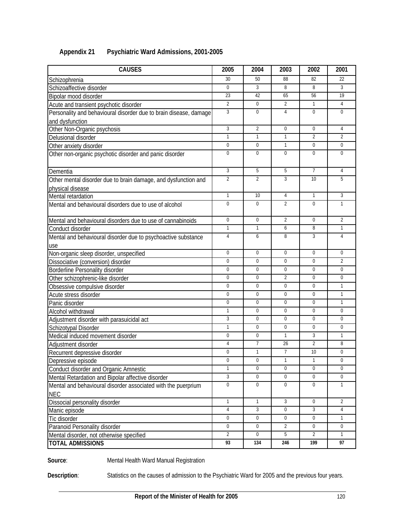| <b>CAUSES</b>                                                     | 2005             | 2004             | 2003             | 2002             | 2001             |
|-------------------------------------------------------------------|------------------|------------------|------------------|------------------|------------------|
| Schizophrenia                                                     | 30               | 50               | 88               | 82               | 22               |
| Schizoaffective disorder                                          | $\Omega$         | $\overline{3}$   | 8                | 8                | 3                |
| Bipolar mood disorder                                             | 23               | 42               | 65               | 56               | 19               |
| Acute and transient psychotic disorder                            | $\overline{2}$   | $\mathbf{0}$     | $\overline{2}$   | $\mathbf{1}$     | $\overline{4}$   |
| Personality and behavioural disorder due to brain disease, damage | 3                | $\overline{0}$   | 4                | $\mathbf 0$      | $\mathbf 0$      |
| and dysfunction                                                   |                  |                  |                  |                  |                  |
| Other Non-Organic psychosis                                       | 3                | $\overline{2}$   | $\mathbf 0$      | $\mathbf 0$      | 4                |
| Delusional disorder                                               | $\mathbf{1}$     | $\mathbf{1}$     | $\mathbf{1}$     | $\overline{2}$   | $\overline{2}$   |
| Other anxiety disorder                                            | $\mathbf 0$      | $\overline{0}$   | 1                | $\boldsymbol{0}$ | $\mathbf 0$      |
| Other non-organic psychotic disorder and panic disorder           | $\mathbf 0$      | $\Omega$         | $\Omega$         | $\mathbf 0$      | $\mathbf 0$      |
|                                                                   |                  |                  |                  |                  |                  |
| Dementia                                                          | 3                | 5                | 5                | $\overline{7}$   | $\overline{4}$   |
| Other mental disorder due to brain damage, and dysfunction and    | $\overline{2}$   | $\overline{2}$   | 3                | 10               | 5                |
| physical disease                                                  |                  |                  |                  |                  |                  |
| Mental retardation                                                | $\mathbf{1}$     | 10               | 4                | $\mathbf{1}$     | $\overline{3}$   |
| Mental and behavioural disorders due to use of alcohol            | $\Omega$         | $\mathbf 0$      | $\overline{2}$   | $\theta$         | $\mathbf{1}$     |
|                                                                   |                  |                  |                  |                  |                  |
| Mental and behavioural disorders due to use of cannabinoids       | $\mathbf 0$      | $\mathbf{0}$     | $\overline{2}$   | $\mathbf 0$      | $\overline{2}$   |
| Conduct disorder                                                  | $\mathbf{1}$     | $\mathbf{1}$     | 6                | 8                | $\mathbf{1}$     |
| Mental and behavioural disorder due to psychoactive substance     | 4                | 6                | 8                | 3                | $\overline{4}$   |
| <u>use</u>                                                        |                  |                  |                  |                  |                  |
| Non-organic sleep disorder, unspecified                           | $\Omega$         | $\Omega$         | $\Omega$         | $\mathbf 0$      | $\mathbf 0$      |
| Dissociative (conversion) disorder                                | $\Omega$         | $\Omega$         | $\Omega$         | $\theta$         | $\overline{2}$   |
| Borderline Personality disorder                                   | $\mathbf 0$      | $\Omega$         | 0                | $\mathbf 0$      | $\mathbf 0$      |
| Other schizophrenic-like disorder                                 | $\Omega$         | $\Omega$         | $\overline{2}$   | $\theta$         | $\mathbf 0$      |
| Obsessive compulsive disorder                                     | $\mathbf 0$      | $\mathbf 0$      | $\mathbf 0$      | $\mathbf 0$      | $\mathbf{1}$     |
| Acute stress disorder                                             | $\mathbf 0$      | $\mathbf{0}$     | $\mathbf 0$      | $\mathbf 0$      | $\mathbf{1}$     |
| Panic disorder                                                    | $\mathbf 0$      | $\mathbf{0}$     | $\mathbf 0$      | $\mathbf 0$      | $\mathbf{1}$     |
| Alcohol withdrawal                                                | $\mathbf{1}$     | $\mathbf{0}$     | $\mathbf 0$      | $\mathbf 0$      | $\mathbf 0$      |
| Adjustment disorder with parasuicidal act                         | 3                | $\mathbf 0$      | 0                | 0                | $\mathbf 0$      |
| Schizotypal Disorder                                              | $\mathbf{1}$     | $\overline{0}$   | $\mathbf 0$      | $\mathbf 0$      | $\Omega$         |
| Medical induced movement disorder                                 | $\mathbf 0$      | $\overline{0}$   | $\mathbf{1}$     | 3                | $\mathbf{1}$     |
| Adjustment disorder                                               | 4                | 7                | 26               | $\overline{2}$   | 8                |
| Recurrent depressive disorder                                     | $\mathbf 0$      | $\mathbf{1}$     | $\overline{7}$   | 10               | $\boldsymbol{0}$ |
| Depressive episode                                                | 0                | $\boldsymbol{0}$ | $\mathbf{1}$     | 1                | $\pmb{0}$        |
| Conduct disorder and Organic Amnestic                             | $\mathbf{1}$     | $\Omega$         | $\mathbf 0$      | $\theta$         | $\Omega$         |
| Mental Retardation and Bipolar affective disorder                 | 3                | $\overline{0}$   | 0                | $\theta$         | $\mathbf 0$      |
| Mental and behavioural disorder associated with the puerprium     | $\boldsymbol{0}$ | $\overline{0}$   | 0                | $\mathbf 0$      | $\mathbf{1}$     |
| <b>NEC</b>                                                        |                  |                  |                  |                  |                  |
| Dissocial personality disorder                                    | $\mathbf{1}$     | $\mathbf{1}$     | $\mathbf{3}$     | $\mathbf 0$      | $\overline{2}$   |
| Manic episode                                                     | 4                | 3                | $\boldsymbol{0}$ | 3                | 4                |
| Tic disorder                                                      | $\boldsymbol{0}$ | $\boldsymbol{0}$ | 0                | $\boldsymbol{0}$ | $\mathbf{1}$     |
| Paranoid Personality disorder                                     | 0                | $\boldsymbol{0}$ | $\overline{2}$   | 0                | $\mathbf 0$      |
| Mental disorder, not otherwise specified                          | $\overline{2}$   | $\mathbf 0$      | 5                | $\overline{2}$   | $\mathbf{1}$     |
| <b>TOTAL ADMISSIONS</b>                                           | 93               | 134              | 246              | 199              | 97               |

### **Appendix 21 Psychiatric Ward Admissions, 2001-2005**

**Source**: Mental Health Ward Manual Registration

**Description**: Statistics on the causes of admission to the Psychiatric Ward for 2005 and the previous four years.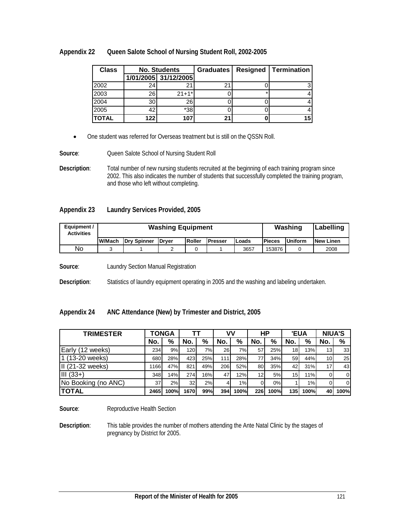| Appendix 22 | Queen Salote School of Nursing Student Roll, 2002-2005 |
|-------------|--------------------------------------------------------|
|-------------|--------------------------------------------------------|

| <b>Class</b> | <b>No. Students</b> |                      | <b>Graduates</b> | Resigned | Termination |
|--------------|---------------------|----------------------|------------------|----------|-------------|
|              |                     | 1/01/2005 31/12/2005 |                  |          |             |
| 2002         | 24                  |                      | 21               |          |             |
| 2003         | 26                  | $21+1*$              |                  |          |             |
| 2004         | 30                  | 26                   |                  |          |             |
| 2005         | 42                  | $*38$                |                  |          |             |
| <b>TOTAL</b> | 122                 | 107                  | 21               |          | 15          |

• One student was referred for Overseas treatment but is still on the QSSN Roll.

**Source:** Queen Salote School of Nursing Student Roll

**Description**: Total number of new nursing students recruited at the beginning of each training program since 2002. This also indicates the number of students that successfully completed the training program, and those who left without completing.

#### **Appendix 23 Laundry Services Provided, 2005**

| Equipment /<br><b>Activities</b> |        | <b>Washing Equipment</b> |              | Washing | Labelling       |       |               |         |                   |
|----------------------------------|--------|--------------------------|--------------|---------|-----------------|-------|---------------|---------|-------------------|
|                                  | W/Mach | <b>Drv Spinner</b>       | <b>Drver</b> | Roller  | <b>IPresser</b> | Loads | <b>Pieces</b> | Uniform | <b>INew Linen</b> |
| No                               |        |                          |              |         |                 | 3657  | 153876        |         | 2008              |

**Source**: Laundry Section Manual Registration

**Description**: Statistics of laundry equipment operating in 2005 and the washing and labeling undertaken.

### **Appendix 24 ANC Attendance (New) by Trimester and District, 2005**

| <b>TRIMESTER</b>    |      | <b>TONGA</b> |                 | тт  |           | v٧   |                 | НP   |     | <b>'EUA</b> |     | <b>NIUA'S</b>   |  |
|---------------------|------|--------------|-----------------|-----|-----------|------|-----------------|------|-----|-------------|-----|-----------------|--|
|                     | No.  | %            | No.             | %   | No.       | %    | No.             | $\%$ | No. | %           | No. | $\%$            |  |
| Early (12 weeks)    | 234  | 9%           | 120             | 7%  | <b>26</b> | 7%1  | 57              | 25%  | 18  | 13%         | 13  | 33              |  |
| 1 (13-20 weeks)     | 680  | 28%          | 423             | 25% | 111       | 28%  | 77              | 34%  | 59  | 44%         | 10  | 25 <sub>l</sub> |  |
| II (21-32 weeks)    | 1166 | 47%          | 821             | 49% | 206       | 52%  | 80              | 35%  | 42  | 31%         | 17  | 43              |  |
| $III (33+)$         | 348  | 14%          | 274             | 16% | 47        | 12%  | 12 <sub>1</sub> | 5%   | 15  | 11%         | 0   | $\overline{0}$  |  |
| No Booking (no ANC) | 37   | 2%           | 32 <sub>l</sub> | 2%  |           | 1%   | ΟI              | 0%   |     | 1%          | 0   | -01             |  |
| <b>TOTAL</b>        | 2465 | 100%         | 1670            | 99% | 394       | 100% | 226             | 100% | 135 | 100%        | 40  | 100%            |  |

**Source:** Reproductive Health Section

**Description**: This table provides the number of mothers attending the Ante Natal Clinic by the stages of pregnancy by District for 2005.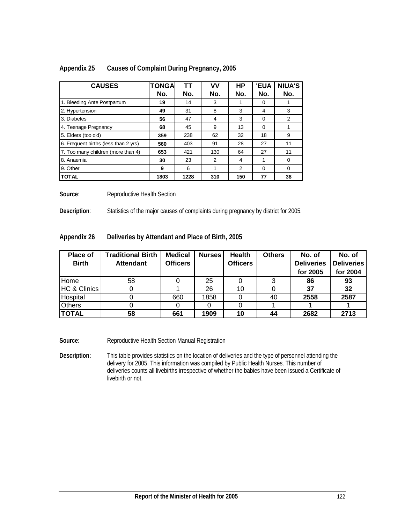| <b>CAUSES</b>                        | <b>TONGA</b> | ТT   | ۷V  | HP  | <b>'EUA</b> | <b>NIUA'S</b> |
|--------------------------------------|--------------|------|-----|-----|-------------|---------------|
|                                      | No.          | No.  | No. | No. | No.         | No.           |
| 1. Bleeding Ante Postpartum          | 19           | 14   | 3   |     | 0           |               |
| 2. Hypertension                      | 49           | 31   | 8   | 3   | 4           | 3             |
| 3. Diabetes                          | 56           | 47   | 4   | 3   | $\Omega$    | 2             |
| 4. Teenage Pregnancy                 | 68           | 45   | 9   | 13  | $\Omega$    |               |
| 5. Elders (too old)                  | 359          | 238  | 62  | 32  | 18          | 9             |
| 6. Frequent births (less than 2 yrs) | 560          | 403  | 91  | 28  | 27          | 11            |
| 7. Too many children (more than 4)   | 653          | 421  | 130 | 64  | 27          | 11            |
| 8. Anaemia                           | 30           | 23   | 2   | 4   |             | $\Omega$      |
| 9. Other                             | 9            | 6    |     | 2   | $\Omega$    | $\Omega$      |
| <b>TOTAL</b>                         | 1803         | 1228 | 310 | 150 | 77          | 38            |

### **Appendix 25 Causes of Complaint During Pregnancy, 2005**

**Source:** Reproductive Health Section

**Description**: Statistics of the major causes of complaints during pregnancy by district for 2005.

**Appendix 26 Deliveries by Attendant and Place of Birth, 2005** 

| <b>Place of</b><br><b>Birth</b> | <b>Traditional Birth</b><br><b>Attendant</b> | <b>Medical</b><br><b>Officers</b> | <b>Nurses</b> | <b>Health</b><br><b>Officers</b> | <b>Others</b> | No. of<br><b>Deliveries</b><br>for 2005 | No. of<br><b>Deliveries</b><br>for 2004 |
|---------------------------------|----------------------------------------------|-----------------------------------|---------------|----------------------------------|---------------|-----------------------------------------|-----------------------------------------|
| Home                            | 58                                           |                                   | 25            |                                  | 3             | 86                                      | 93                                      |
| <b>HC &amp; Clinics</b>         |                                              |                                   | 26            | 10                               |               | 37                                      | 32                                      |
| Hospital                        |                                              | 660                               | 1858          |                                  | 40            | 2558                                    | 2587                                    |
| <b>Others</b>                   |                                              |                                   |               |                                  |               |                                         |                                         |
| <b>TOTAL</b>                    | 58                                           | 661                               | 1909          | 10                               | 44            | 2682                                    | 2713                                    |

Source: Reproductive Health Section Manual Registration

**Description:** This table provides statistics on the location of deliveries and the type of personnel attending the delivery for 2005. This information was compiled by Public Health Nurses. This number of deliveries counts all livebirths irrespective of whether the babies have been issued a Certificate of livebirth or not.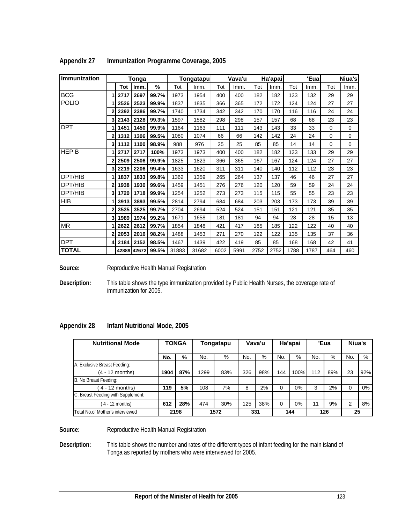| <b>Immunization</b> |              |      | Tonga       |       |       | <b>Tongatapu</b> |      | Vava'u |      | Ha'apai |      | 'Eual |          | Niua's      |
|---------------------|--------------|------|-------------|-------|-------|------------------|------|--------|------|---------|------|-------|----------|-------------|
|                     |              | Tot  | Imm.        | %     | Tot   | Imm.             | Tot  | Imm.   | Tot  | lmm     | Tot  | Imm.  | Tot      | Imm.        |
| <b>BCG</b>          |              | 2717 | 2697        | 99.7% | 1973  | 1954             | 400  | 400    | 182  | 182     | 133  | 132   | 29       | 29          |
| <b>POLIO</b>        |              | 2526 | 2523        | 99.9% | 1837  | 1835             | 366  | 365    | 172  | 172     | 124  | 124   | 27       | 27          |
|                     | 2            | 2392 | 2386        | 99.7% | 1740  | 1734             | 342  | 342    | 170  | 170     | 116  | 116   | 24       | 24          |
|                     | 3            | 2143 | 2128        | 99.3% | 1597  | 1582             | 298  | 298    | 157  | 157     | 68   | 68    | 23       | 23          |
| <b>DPT</b>          |              | 1451 | 1450        | 99.9% | 1164  | 1163             | 111  | 111    | 143  | 143     | 33   | 33    | $\Omega$ | $\mathbf 0$ |
|                     | $\mathbf{2}$ | 1312 | 1306        | 99.5% | 1080  | 1074             | 66   | 66     | 142  | 142     | 24   | 24    | $\Omega$ | $\mathbf 0$ |
|                     | 3            | 1112 | 1100        | 98.9% | 988   | 976              | 25   | 25     | 85   | 85      | 14   | 14    | 0        | 0           |
| <b>HEP B</b>        |              | 2717 | 2717        | 100%  | 1973  | 1973             | 400  | 400    | 182  | 182     | 133  | 133   | 29       | 29          |
|                     | 2            | 2509 | 2506        | 99.9% | 1825  | 1823             | 366  | 365    | 167  | 167     | 124  | 124   | 27       | 27          |
|                     | 3            | 2219 | 2206        | 99.4% | 1633  | 1620             | 311  | 311    | 140  | 140     | 112  | 112   | 23       | 23          |
| DPT/HIB             |              | 1837 | 1833        | 99.8% | 1362  | 1359             | 265  | 264    | 137  | 137     | 46   | 46    | 27       | 27          |
| DPT/HIB             | $\mathbf{2}$ | 1938 | 1930        | 99.6% | 1459  | 1451             | 276  | 276    | 120  | 120     | 59   | 59    | 24       | 24          |
| DPT/HIB             | 3            | 1720 | 1718        | 99.9% | 1254  | 1252             | 273  | 273    | 115  | 115     | 55   | 55    | 23       | 23          |
| <b>HIB</b>          |              | 3913 | 3893        | 99.5% | 2814  | 2794             | 684  | 684    | 203  | 203     | 173  | 173   | 39       | 39          |
|                     | 2            | 3535 | 3525        | 99.7% | 2704  | 2694             | 524  | 524    | 151  | 151     | 121  | 121   | 35       | 35          |
|                     | 3            | 1989 | 1974        | 99.2% | 1671  | 1658             | 181  | 181    | 94   | 94      | 28   | 28    | 15       | 13          |
| <b>MR</b>           |              | 2622 | 2612        | 99.7% | 1854  | 1848             | 421  | 417    | 185  | 185     | 122  | 122   | 40       | 40          |
|                     | 2            | 2053 | 2016        | 98.2% | 1488  | 1453             | 271  | 270    | 122  | 122     | 135  | 135   | 37       | 36          |
| <b>DPT</b>          | 4            | 2184 | 2152        | 98.5% | 1467  | 1439             | 422  | 419    | 85   | 85      | 168  | 168   | 42       | 41          |
| <b>TOTAL</b>        |              |      | 42889 42672 | 99.5% | 31883 | 31682            | 6002 | 5991   | 2752 | 2752    | 1788 | 1787  | 464      | 460         |

|  | Appendix 27 | Immunization Programme Coverage, 2005 |  |
|--|-------------|---------------------------------------|--|
|--|-------------|---------------------------------------|--|

Source: Reproductive Health Manual Registration

**Description:** This table shows the type immunization provided by Public Health Nurses, the coverage rate of immunization for 2005.

| <b>Appendix 28</b> | Infant Nutritional Mode, 2005 |
|--------------------|-------------------------------|
|--------------------|-------------------------------|

| <b>TONGA</b><br><b>Nutritional Mode</b> |      | Tongatapu |      | Vava'u |     | Ha'apai |     | 'Eua |     | Niua's |     |       |
|-----------------------------------------|------|-----------|------|--------|-----|---------|-----|------|-----|--------|-----|-------|
|                                         | No.  | %         | No.  | %      | No. | %       | No. | %    | No. | $\%$   | No. | %     |
| A. Exclusive Breast Feeding:            |      |           |      |        |     |         |     |      |     |        |     |       |
| (4 - 12 months)                         | 1904 | 87%       | 1299 | 83%    | 326 | 98%     | 144 | 100% | 112 | 89%    | 23  | 92%   |
| B. No Breast Feeding:                   |      |           |      |        |     |         |     |      |     |        |     |       |
| $4 - 12$ months)                        | 119  | 5%        | 108  | 7%     | 8   | 2%      | 0   | 0%   | 3   | 2%     | 0   | $0\%$ |
| C. Breast Feeding with Supplement:      |      |           |      |        |     |         |     |      |     |        |     |       |
| $4 - 12$ months)                        | 612  | 28%       | 474  | 30%    | 125 | 38%     | 0   | 0%   | 11  | 9%     | 2   | 8%    |
| Total No.of Mother's interviewed        |      | 2198      |      | 1572   |     | 331     |     | 144  |     | 126    | 25  |       |

**Source:** Reproductive Health Manual Registration

**Description:** This table shows the number and rates of the different types of infant feeding for the main island of Tonga as reported by mothers who were interviewed for 2005.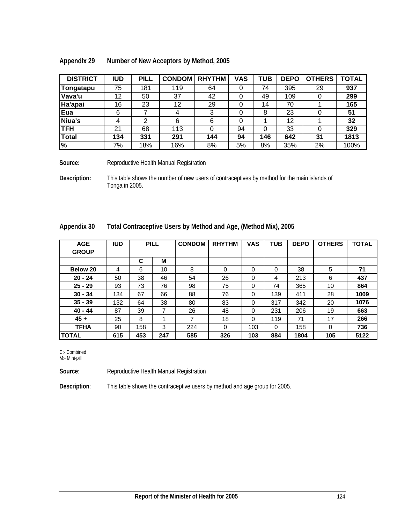| Appendix 29 | Number of New Acceptors by Method, 2005 |
|-------------|-----------------------------------------|
|             |                                         |

| <b>DISTRICT</b> | <b>IUD</b> | <b>PILL</b> | <b>CONDOM</b> | <b>RHYTHM</b> | <b>VAS</b> | TUB | <b>DEPO</b> | <b>OTHERS</b> | <b>TOTAL</b> |
|-----------------|------------|-------------|---------------|---------------|------------|-----|-------------|---------------|--------------|
| Tongatapu       | 75         | 181         | 119           | 64            | 0          | 74  | 395         | 29            | 937          |
| Vava'u          | 12         | 50          | 37            | 42            | 0          | 49  | 109         |               | 299          |
| Ha'apai         | 16         | 23          | 12            | 29            | 0          | 14  | 70          |               | 165          |
| Eua             | 6          |             |               |               | 0          | 8   | 23          |               | 51           |
| Niua's          | 4          | ⌒           | 6             | 6             | 0          |     | 12          |               | 32           |
| <b>TFH</b>      | 21         | 68          | 113           |               | 94         | 0   | 33          |               | 329          |
| <b>Total</b>    | 134        | 331         | 291           | 144           | 94         | 146 | 642         | 31            | 1813         |
| l%              | 7%         | 18%         | 16%           | 8%            | 5%         | 8%  | 35%         | 2%            | 100%         |

Source: Reproductive Health Manual Registration

**Description:** This table shows the number of new users of contraceptives by method for the main islands of Tonga in 2005.

| un vini <i>ah</i>          |            |             |    | <b>TOtal Corninaceptive OSCIS by IVICITION AND AGE, (IVICITION IVITA), 2003</b> |          |               |               |            |            |             |               |              |
|----------------------------|------------|-------------|----|---------------------------------------------------------------------------------|----------|---------------|---------------|------------|------------|-------------|---------------|--------------|
| <b>AGE</b><br><b>GROUP</b> | <b>IUD</b> | <b>PILL</b> |    |                                                                                 |          | <b>CONDOM</b> | <b>RHYTHM</b> | <b>VAS</b> | <b>TUB</b> | <b>DEPO</b> | <b>OTHERS</b> | <b>TOTAL</b> |
|                            |            | C           | м  |                                                                                 |          |               |               |            |            |             |               |              |
| Below 20                   | 4          | 6           | 10 | 8                                                                               | 0        | $\Omega$      | $\Omega$      | 38         | 5          | 71          |               |              |
| $20 - 24$                  | 50         | 38          | 46 | 54                                                                              | 26       | $\Omega$      | 4             | 213        | 6          | 437         |               |              |
| $25 - 29$                  | 93         | 73          | 76 | 98                                                                              | 75       | $\Omega$      | 74            | 365        | 10         | 864         |               |              |
| $30 - 34$                  | 134        | 67          | 66 | 88                                                                              | 76       | $\Omega$      | 139           | 411        | 28         | 1009        |               |              |
| $35 - 39$                  | 132        | 64          | 38 | 80                                                                              | 83       | $\Omega$      | 317           | 342        | 20         | 1076        |               |              |
| $40 - 44$                  | 87         | 39          | 7  | 26                                                                              | 48       | $\Omega$      | 231           | 206        | 19         | 663         |               |              |
| $45 +$                     | 25         | 8           |    | 7                                                                               | 18       | $\Omega$      | 119           | 71         | 17         | 266         |               |              |
| <b>TFHA</b>                | 90         | 158         | 3  | 224                                                                             | $\Omega$ | 103           | $\Omega$      | 158        | 0          | 736         |               |              |

**TOTAL 615 453 247 585 326 103 884 1804 105 5122**

| Appendix 30 | Total Contraceptive Users by Method and Age, (Method Mix), 2005 |
|-------------|-----------------------------------------------------------------|
|             |                                                                 |

C:- Combined

M:- Mini-pill

**Source:** Reproductive Health Manual Registration

**Description**: This table shows the contraceptive users by method and age group for 2005.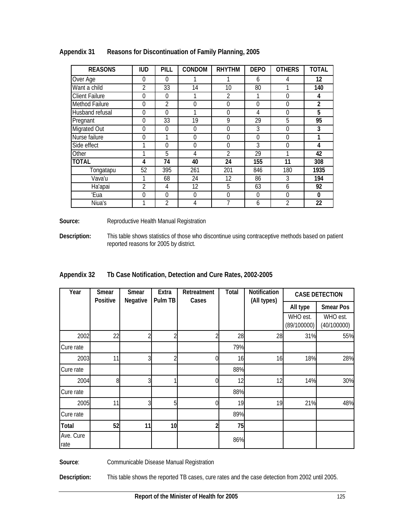| <b>REASONS</b>        | <b>IUD</b>     | <b>PILL</b>    | CONDOM   | <b>RHYTHM</b>  | <b>DEPO</b> | <b>OTHERS</b>  | <b>TOTAL</b> |
|-----------------------|----------------|----------------|----------|----------------|-------------|----------------|--------------|
| Over Age              | 0              | $\theta$       |          |                | 6           | 4              | 12           |
| Want a child          | $\mathfrak{D}$ | 33             | 14       | 10             | 80          |                | 140          |
| <b>Client Failure</b> | 0              | $\theta$       | 1        | 2              | 1           | $\Omega$       | 4            |
| Method Failure        | 0              | 2              | 0        | 0              | $\Omega$    | $\Omega$       | 2            |
| Husband refusal       | 0              | 0              |          | 0              | 4           | $\Omega$       | 5            |
| Pregnant              | 0              | 33             | 19       | 9              | 29          | 5              | 95           |
| Migrated Out          | 0              | $\theta$       | $\theta$ | $\theta$       | 3           | $\Omega$       | 3            |
| Nurse failure         | 0              | 1              | 0        | 0              | $\Omega$    | $\Omega$       | 1            |
| Side effect           | 1              | 0              | 0        | $\theta$       | 3           | $\Omega$       | 4            |
| Other                 | 1              | 5              | 4        | $\mathfrak{D}$ | 29          |                | 42           |
| <b>TOTAL</b>          | 4              | 74             | 40       | 24             | 155         | 11             | 308          |
| Tongatapu             | 52             | 395            | 261      | 201            | 846         | 180            | 1935         |
| Vava'u                |                | 68             | 24       | 12             | 86          | 3              | 194          |
| Ha'apai               | $\overline{2}$ | 4              | 12       | 5              | 63          | 6              | 92           |
| 'Eua                  | 0              | $\Omega$       | $\theta$ | $\theta$       | $\Omega$    | $\Omega$       | $\mathbf{0}$ |
| Niua's                |                | $\overline{2}$ | 4        |                | 6           | $\mathfrak{D}$ | 22           |

**Appendix 31 Reasons for Discontinuation of Family Planning, 2005** 

Source: Reproductive Health Manual Registration

**Description:** This table shows statistics of those who discontinue using contraceptive methods based on patient reported reasons for 2005 by district.

| Appendix 32 | Th Case Notification, Detection and Cure Rates, 2002-2005 |  |
|-------------|-----------------------------------------------------------|--|

| Year              | Smear<br>Positive | Smear<br>Negative | Extra<br>Pulm TB | Retreatment<br>Cases | <b>Total</b> | Notification<br>(All types) |                         | <b>CASE DETECTION</b>   |
|-------------------|-------------------|-------------------|------------------|----------------------|--------------|-----------------------------|-------------------------|-------------------------|
|                   |                   |                   |                  |                      |              |                             | All type                | <b>Smear Pos</b>        |
|                   |                   |                   |                  |                      |              |                             | WHO est.<br>(89/100000) | WHO est.<br>(40/100000) |
| 2002              | 22                |                   |                  |                      | 28           | 28                          | 31%                     | 55%                     |
| Cure rate         |                   |                   |                  |                      | 79%          |                             |                         |                         |
| 2003              | 11                | C                 | ኅ                | N                    | 16           | 16                          | 18%                     | 28%                     |
| Cure rate         |                   |                   |                  |                      | 88%          |                             |                         |                         |
| 2004              | 8                 | ς                 |                  | 0                    | 12           | 12                          | 14%                     | 30%                     |
| Cure rate         |                   |                   |                  |                      | 88%          |                             |                         |                         |
| 2005              | 11                | 3                 | 5                | 01                   | 19           | 19                          | 21%                     | 48%                     |
| Cure rate         |                   |                   |                  |                      | 89%          |                             |                         |                         |
| Total             | 52                | 11                | 10               |                      | 75           |                             |                         |                         |
| Ave. Cure<br>rate |                   |                   |                  |                      | 86%          |                             |                         |                         |

Source: Communicable Disease Manual Registration

**Description:** This table shows the reported TB cases, cure rates and the case detection from 2002 until 2005.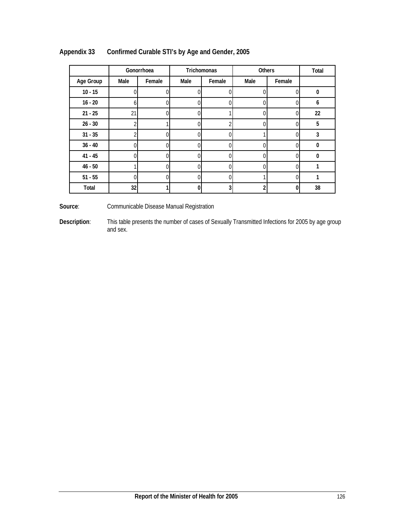|           | Gonorrhoea   |                |          | Trichomonas | Others | Total  |          |
|-----------|--------------|----------------|----------|-------------|--------|--------|----------|
| Age Group | Male         | Female         | Male     | Female      | Male   | Female |          |
| $10 - 15$ | 0            | 0              |          | 0           |        | 0      | $\bf{0}$ |
| $16 - 20$ | <sub>b</sub> | 0              |          | D           |        | 0      | 6        |
| $21 - 25$ | 21           | 0              |          |             |        | U      | 22       |
| $26 - 30$ |              |                |          |             |        |        | 5        |
| $31 - 35$ |              | 0              |          |             |        |        | 3        |
| $36 - 40$ |              | $\Omega$       |          |             |        | C      | n        |
| $41 - 45$ |              | 0              |          | በ           |        | 0      | 0        |
| $46 - 50$ |              | $\overline{0}$ |          |             |        | 0      |          |
| $51 - 55$ | 0            | 0              | $\Omega$ | 0           |        | 0      |          |
| Total     | 32           |                | 0        | 3           |        | 0      | 38       |

# **Appendix 33 Confirmed Curable STI's by Age and Gender, 2005**

Source: Communicable Disease Manual Registration

**Description**: This table presents the number of cases of Sexually Transmitted Infections for 2005 by age group and sex.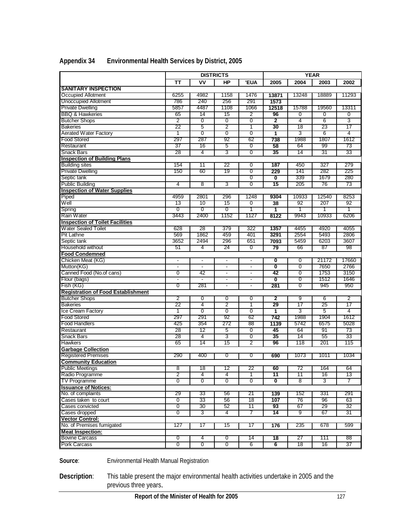|                                           |                |                | <b>DISTRICTS</b> |                           |                         |                | <b>YEAR</b> |                 |
|-------------------------------------------|----------------|----------------|------------------|---------------------------|-------------------------|----------------|-------------|-----------------|
|                                           | тт             | ٧V             | HP               | <b>'EUA</b>               | 2005                    | 2004           | 2003        | 2002            |
| <b>SANITARY INSPECTION</b>                |                |                |                  |                           |                         |                |             |                 |
| <b>Occupied Allotment</b>                 | 6255           | 4982           | 1158             | 1476                      | 13871                   | 13248          | 18889       | 11293           |
| <b>Unoccupied Allotment</b>               | 786            | 240            | 256              | 291                       | 1573                    |                |             |                 |
| <b>Private Dwelling</b>                   | 5857           | 4487           | 1108             | 1066                      | 12518                   | 15788          | 19560       | 13311           |
| <b>BBQ &amp; Hawkeries</b>                | 65             | 14             | 15               | 2                         | 96                      | 0              | 0           | 0               |
| <b>Butcher Shops</b>                      | 2              | 0              | 0                | 0                         | $\overline{2}$          | 4              | 6           | 3               |
| <b>Bakeries</b>                           | 22             | $\overline{5}$ | 2                | 1                         | 30                      | 18             | 23          | 17              |
| <b>Aerated Water Factory</b>              | 1              | 0              | 0                | 0                         | 1                       | 3              | 6           | 4               |
| <b>Food Stored</b>                        | 297            | 287            | 92               | 62                        | 738                     | 1988           | 1807        | 1612            |
| Restaurant                                | 37             | 16             | 5                | $\overline{0}$            | 58                      | 64             | 99          | 73              |
| Snack Bars                                | 28             | 4              | 3                | $\overline{0}$            | 35                      | 14             | 31          | 33              |
| <b>Inspection of Building Plans</b>       |                |                |                  |                           |                         |                |             |                 |
| <b>Building sites</b>                     | 154            | 11             | 22               | 0                         | 187                     | 450            | 327         | 279             |
| <b>Private Dwelling</b>                   | 150            | 60             | 19               | $\overline{0}$            | 229                     | 141            | 282         | 225             |
| Septic tank                               |                |                |                  | $\overline{0}$            | $\overline{\mathbf{0}}$ | 339            | 1679        | 280             |
| <b>Public Building</b>                    | 4              | 8              | 3                | 0                         | 15                      | 205            | 76          | 73              |
| <b>Inspection of Water Supplies</b>       |                |                |                  |                           |                         |                |             |                 |
| Piped                                     | 4959           | 2801           | 296              | 1248                      | 9304                    | 10933          | 12540       | 8253            |
| Well                                      | 13             | 10             | 15               | $\overline{0}$            | $\overline{38}$         | 92             | 207         | 92              |
| Spring                                    | $\overline{0}$ | $\overline{0}$ | 0                | 1                         | 1                       | 1              | 1           | 1               |
| Rain Water                                | 3443           | 2400           | 1152             | 1127                      | 8122                    | 9943           | 10933       | 6206            |
| <b>Inspection of Toilet Facilities</b>    |                |                |                  |                           |                         |                |             |                 |
| <b>Water Sealed Toilet</b>                | 628            | 28             | 379              | 322                       | 1357                    | 4455           | 4920        | 4055            |
| <b>Pit Lathne</b>                         | 569            | 1862           | 459              | 401                       | 3291                    | 2554           | 5493        | 2806            |
| Septic tank                               | 3652           | 2494           | 296              | 651                       | 7093                    | 5459           | 6203        | 3607            |
| Household without                         | 51             | 4              | 24               | $\overline{0}$            | 79                      | 66             | 87          | 98              |
| <b>Food Condemned</b>                     |                |                |                  |                           |                         |                |             |                 |
| Chicken Meat (KG)                         |                |                |                  |                           | $\overline{\mathbf{0}}$ | 0              | 21172       | 17660           |
| Mutton(KG)                                | $\blacksquare$ | $\blacksquare$ | $\blacksquare$   | $\blacksquare$            | $\overline{\mathbf{0}}$ | $\overline{0}$ | 7650        | 2766            |
| Canned Food (No.of cans)                  | 0              | 42             | $\blacksquare$   | $\overline{\phantom{a}}$  | 42                      | 0              | 1753        | 3150            |
| Flour (bags)                              | $\overline{a}$ |                | $\blacksquare$   | $\overline{a}$            | $\overline{\mathbf{0}}$ | $\overline{0}$ | 1512        | 1646            |
| Fish (KG)                                 | $\overline{0}$ | 281            | $\blacksquare$   | $\blacksquare$            | 281                     | $\overline{0}$ | 945         | 950             |
| <b>Registration of Food Establishment</b> |                |                |                  |                           |                         |                |             |                 |
| <b>Butcher Shops</b>                      | 2              | $\overline{0}$ | 0                | $\overline{0}$            | $\overline{\mathbf{2}}$ | 9              | 6           | $\overline{2}$  |
| <b>Bakeries</b>                           | 22             | 4              | 2                | 1                         | 29                      | 17             | 25          | 17              |
| Ice Cream Factory                         | 1              | $\overline{0}$ | $\overline{0}$   | $\overline{0}$            | 1                       | 3              | 5           | 4               |
| <b>Food Stored</b>                        | 297            | 291            | 92               | 62                        | 742                     | 1988           | 1904        | 1612            |
| <b>Food Handlers</b>                      | 425            | 354            | 272              | 88                        | 1139                    | 5742           | 6575        | 5028            |
| Restaurant                                | 28             | 12             | 5                | $\overline{0}$            | 45                      | 64             | 91          | 73              |
| <b>Snack Bars</b>                         | 28             | 4              | 3                | $\overline{\mathfrak{o}}$ | 35                      | 14             | 55          | 33              |
| <b>Hawkers</b>                            | 65             | 14             | 15               | $\overline{2}$            | 96                      | 118            | 201         | 115             |
| <b>Garbage Collection</b>                 |                |                |                  |                           |                         |                |             |                 |
| <b>Registered Premises</b>                | 290            | 400            | 0                | 0                         | 690                     | 1073           | 1011        | 1034            |
| <b>Community Education</b>                |                |                |                  |                           |                         |                |             |                 |
| <b>Public Meetings</b>                    | 8              | 18             | 12.              | 22                        | 60                      | 72             | 164         | 64              |
| Radio Programme                           | $\overline{2}$ | 4              | 4                | 1                         | 11                      | 11             | 16          | $\overline{13}$ |
| <b>TV Programme</b>                       | 0              | 0              | 0                | 0                         | $\overline{\mathbf{0}}$ | 8              | 3           | 7               |
| <b>Issuance of Notices:</b>               |                |                |                  |                           |                         |                |             |                 |
| No. of complaints                         | 29             | 33             | 56               | 21                        | 139                     | 152            | 331         | 291             |
| Cases taken to court                      | 0              | 33             | 56               | 18                        | 107                     | 76             | 96          | 63              |
| Cases convicted                           | $\overline{0}$ | 30             | 52               | 11                        | 93                      | 67             | 29          | 32              |
| Cases dropped                             | 0              | 3              | 4                | 7                         | 14                      | 9              | 67          | 31              |
| <b>Vector Control:</b>                    |                |                |                  |                           |                         |                |             |                 |
| No. of Premises fumigated                 | 127            | 17             | 15               | 17                        | 176                     | 235            | 678         | 599             |
| <b>Meat Inspection:</b>                   |                |                |                  |                           |                         |                |             |                 |
| <b>Bovine Carcass</b>                     | 0              | 4              | 0                | 14                        | $\overline{18}$         | 27             | 111         | 88              |
| Pork Carcass                              | 0              | 0              | 0                | 6                         | 6                       | 18             | 16          | 37              |
|                                           |                |                |                  |                           |                         |                |             |                 |

### **Appendix 34 Environmental Health Services by District, 2005**

Source: Environmental Health Manual Registration

**Description**: This table present the major environmental health activities undertake in 2005 and the previous three years.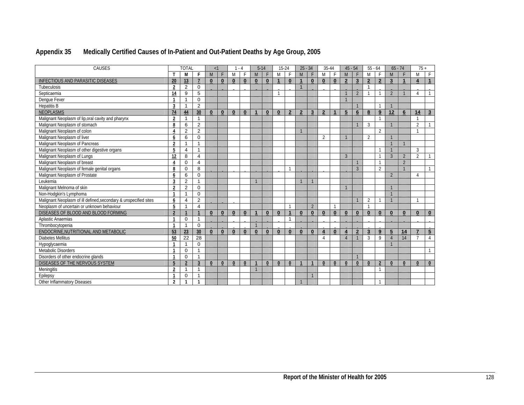| Appendix 35 | Medically Certified Causes of In-Patient and Out-Patient Deaths by Age Group, 2005 |  |
|-------------|------------------------------------------------------------------------------------|--|
|-------------|------------------------------------------------------------------------------------|--|

| CAUSES                                                           | <b>TOTAL</b>   |                |                | <1           |                 | - 4      |          | $5 - 14$     |          | $15 - 24$               |                | $25 - 34$                |                | 35-44            |                 | $45 - 54$               |                | $55 - 64$               |                          | $65 - 74$      |                | $75+$                     |                      |
|------------------------------------------------------------------|----------------|----------------|----------------|--------------|-----------------|----------|----------|--------------|----------|-------------------------|----------------|--------------------------|----------------|------------------|-----------------|-------------------------|----------------|-------------------------|--------------------------|----------------|----------------|---------------------------|----------------------|
|                                                                  |                | M              | F              | M            |                 | M        | F        | M            | F        | M                       |                | M                        |                | M                | F               | M                       | F              | M                       | F                        | M              |                | M                         | F                    |
| INFECTIOUS AND PARASITIC DISEASES                                | 20             | 13             | $\overline{7}$ | $\mathbf{0}$ | $\bf{0}$        | $\bf{0}$ | $\bf{0}$ | $\bf{0}$     | $\bf{0}$ | $\overline{\mathbf{1}}$ | $\bf{0}$       |                          | $\bf{0}$       | $\mathbf{0}$     | $\bf{0}$        | $\overline{2}$          | 3              | $\mathbf{2}$            | $\mathbf{2}$             | $\mathbf{3}$   |                | $\overline{4}$            | $\blacktriangleleft$ |
| Tubeculosis                                                      | $\overline{2}$ | $\overline{2}$ | $\Omega$       |              |                 |          |          |              |          |                         |                | $\overline{1}$           |                |                  |                 |                         |                | $\mathbf{1}$            |                          |                |                |                           |                      |
| Septicaemia                                                      | 14             | 9              | 5              |              |                 |          |          |              |          | 1                       |                |                          |                |                  |                 |                         | $\overline{2}$ | $\mathbf{1}$            |                          | $\mathfrak{D}$ |                | $\Delta$                  |                      |
| Denque Fever                                                     |                | $\overline{1}$ | $\mathbf 0$    |              |                 |          |          |              |          |                         |                |                          |                |                  |                 |                         |                |                         |                          |                |                |                           |                      |
| <b>Hepatitis B</b>                                               | 3              | $\overline{1}$ | $\overline{2}$ |              |                 |          |          |              |          |                         |                |                          |                |                  |                 |                         |                |                         |                          |                |                |                           |                      |
| <b>NEOPLASMS</b>                                                 | 74             | 44             | 30             | $\bf{0}$     | $\bf{0}$        | $\bf{0}$ | $\bf{0}$ | $\mathbf{1}$ | $\bf{0}$ | $\mathbf{0}$            | $\overline{2}$ | $\overline{\phantom{a}}$ | 3              | $\overline{2}$   | 1               | 5                       | 6              | 8                       | 9                        | 12             | 6              | 14                        | $3\phantom{.0}$      |
| Malignant Neoplasm of lip, oral cavity and pharynx               | $\overline{2}$ | $\mathbf{1}$   | $\mathbf{1}$   |              |                 |          |          |              |          |                         |                |                          |                |                  |                 |                         |                |                         |                          |                |                |                           |                      |
| Malignant Neoplasm of stomach                                    | 8              | 6              | $\overline{2}$ |              |                 |          |          |              |          |                         |                |                          |                |                  |                 |                         |                | 3                       |                          |                |                | $\overline{2}$            |                      |
| Malignant Neoplasm of colon                                      | 4              | 2              | $\overline{2}$ |              |                 |          |          |              |          |                         |                |                          |                |                  |                 |                         |                |                         | 2                        |                |                | $\overline{1}$            |                      |
| Malignant Neoplasm of liver                                      | 6              | 6              | $\Omega$       |              |                 |          |          |              |          |                         |                |                          |                | 2                |                 | $\mathbf{1}$            |                | 2                       |                          |                |                |                           |                      |
| Malignant Neoplasm of Pancreas                                   | $\overline{2}$ | $\mathbf{1}$   | 1              |              |                 |          |          |              |          |                         |                |                          |                |                  |                 |                         |                |                         |                          |                |                |                           |                      |
| Malignant Neoplasm of other digestive organs                     | 5              | $\overline{4}$ | 1              |              |                 |          |          |              |          |                         |                |                          |                |                  |                 |                         |                |                         |                          |                |                | 3                         |                      |
| Malignant Neoplasm of Lungs                                      | 12             | 8              | $\overline{4}$ |              |                 |          |          |              |          |                         |                |                          |                |                  |                 | $\overline{3}$          |                |                         | $\overline{\phantom{0}}$ | 3              | $\overline{2}$ | $\overline{2}$            |                      |
| Malignant Neoplasm of breast                                     | Δ              | $\Omega$       | 4              |              |                 |          |          |              |          |                         |                |                          |                |                  |                 |                         |                |                         |                          |                | $\overline{2}$ |                           |                      |
| Malignant Neoplasm of female genital organs                      | 8              | $\mathbf 0$    | 8              |              |                 |          |          |              |          |                         |                |                          |                |                  |                 |                         | 3              |                         | 2                        |                |                |                           | $\mathbf{1}$         |
| Malignant Neoplasm of Prostate                                   | 6              | 6              | $\Omega$       |              |                 |          |          |              |          |                         |                |                          |                |                  |                 |                         |                |                         |                          | $\overline{2}$ |                | $\boldsymbol{\varLambda}$ |                      |
| Leukemia                                                         | 3              | $\overline{2}$ | $\mathbf 1$    |              |                 |          |          |              |          |                         |                |                          | $\mathbf{1}$   |                  |                 |                         |                |                         |                          |                |                |                           |                      |
| Malignant Melnoma of skin                                        | $\overline{2}$ | 2              | $\mathbf 0$    |              |                 |          |          |              |          |                         |                |                          |                |                  |                 | $\mathbf{1}$            |                |                         |                          |                |                |                           |                      |
| Non-Hodgkin's Lymphoma                                           |                | $\overline{1}$ | $\mathbf 0$    |              |                 |          |          |              |          |                         |                |                          |                |                  |                 |                         |                |                         |                          |                |                |                           |                      |
| Malignant Neoplasm of ill defined, secondary & unspecified sites | 6              | 4              | $\overline{2}$ |              |                 |          |          |              |          |                         |                |                          |                |                  |                 |                         |                | 2                       |                          |                |                |                           |                      |
| Neoplasm of uncertain or unknown behaviour                       | 5              | $\overline{ }$ | $\overline{4}$ |              |                 |          |          |              |          |                         |                |                          | $\overline{2}$ |                  | 1               |                         |                | $\mathbf{1}$            |                          |                |                |                           |                      |
| DISEASES OF BLOOD AND BLOOD FORMING                              | $\overline{2}$ |                |                | $\bf{0}$     | $\bf{0}$        | $\bf{0}$ | $\bf{0}$ | 1            | $\bf{0}$ | $\bf{0}$                |                | $\bf{0}$                 | $\mathbf{0}$   | $\mathbf{0}$     | $\mathbf{0}$    | $\bf{0}$                | $\bf{0}$       | $\mathbf{0}$            | $\mathbf{0}$             | $\bf{0}$       | $\bf{0}$       | $\mathbf{0}$              | $\bf{0}$             |
| Aplastic Anaemias                                                |                | $\mathbf 0$    | $\mathbf{1}$   |              |                 |          |          |              |          |                         | 1              |                          |                |                  |                 |                         |                |                         |                          |                |                |                           |                      |
| Thrombocytopenia                                                 | -1             | $\mathbf{1}$   | $\Omega$       |              |                 |          |          |              |          |                         |                |                          |                |                  |                 |                         |                |                         |                          |                |                |                           |                      |
| ENDOCRINE, NUTRITIONAL AND METABOLIC                             | 53             | 23             | 30             | $\bf{0}$     | $\bf{0}$        | $\bf{0}$ | $\bf{0}$ | $\bf{0}$     | $\bf{0}$ | $\bf{0}$                | $\bf{0}$       | $\bf{0}$                 | $\bf{0}$       | $\boldsymbol{4}$ | $\bf{0}$        | $\overline{\mathbf{4}}$ | $\overline{2}$ | $\overline{\mathbf{3}}$ | 9                        | 5              | 14             | $\overline{7}$            | $5\overline{)}$      |
| <b>Diabetes Mellitus</b>                                         | 50             | 22             | 28             |              |                 |          |          |              |          |                         |                |                          |                | $\Lambda$        |                 | $\overline{A}$          | $\overline{1}$ | 3                       | 9                        |                | 14             | $\overline{7}$            | $\mathbf{A}$         |
| Hypoglycaemia                                                    |                | $\overline{1}$ | $\Omega$       |              |                 |          |          |              |          |                         |                |                          |                |                  |                 |                         |                |                         |                          |                |                |                           |                      |
| Metabolic Disorders                                              |                | $\mathbf 0$    | 1              |              |                 |          |          |              |          |                         |                |                          |                |                  |                 |                         |                |                         |                          |                |                |                           | -1                   |
| Disorders of other endocrine glands                              |                | $\Omega$       | 1              |              |                 |          |          |              |          |                         |                |                          |                |                  |                 |                         |                |                         |                          |                |                |                           |                      |
| DISEASES OF THE NERVOUS SYSTEM                                   | 5              | $\overline{2}$ | 3              | $\bf{0}$     | $\underline{0}$ | $\bf{0}$ | $\bf{0}$ |              | $\bf{0}$ | $\bf{0}$                | $\bf{0}$       |                          | $\mathbf{1}$   | $\bf{0}$         | $\underline{0}$ | $\bf{0}$                | $\bf{0}$       | $\bf{0}$                | $\overline{2}$           | $\mathbf{0}$   | $\mathbf{0}$   | $\bf{0}$                  | $\overline{0}$       |
| <b>Meningitis</b>                                                | $\overline{2}$ | $\overline{1}$ | $\mathbf{1}$   |              |                 |          |          |              |          |                         |                |                          |                |                  |                 |                         |                |                         |                          |                |                |                           |                      |
| Epilepsy                                                         |                | $\mathbf 0$    | 1              |              |                 |          |          |              |          |                         |                |                          | $\mathbf{1}$   |                  |                 |                         |                |                         |                          |                |                |                           |                      |
| Other Inflammatory Diseases                                      | $\overline{2}$ | $\mathbf{1}$   | -1             |              |                 |          |          |              |          |                         |                |                          |                |                  |                 |                         |                |                         | -1                       |                |                |                           |                      |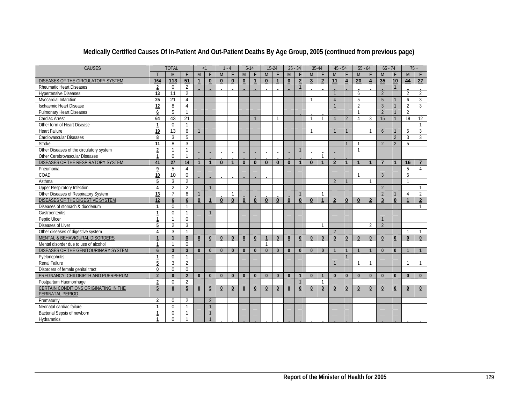| CAUSES                                       |                | <b>TOTAL</b>    |                 | $\leq$ 1       |                | $-4$         |              | $5 - 14$       |                | $15 - 24$       |              | $25 - 34$    |                | 35-44          |                | $45 - 54$      |                          | $55 - 64$      |                         | $65 - 74$                |                | $75+$          |                |
|----------------------------------------------|----------------|-----------------|-----------------|----------------|----------------|--------------|--------------|----------------|----------------|-----------------|--------------|--------------|----------------|----------------|----------------|----------------|--------------------------|----------------|-------------------------|--------------------------|----------------|----------------|----------------|
|                                              |                | M               | F               | M              | F              | M            | F            | M              | F              | M               | F            | M            | F              | M              | F              | M              | F                        | M              | F                       | M                        | E              | M              | $\mathsf{F}$   |
| DISEASES OF THE CIRCULATORY SYSTEM           | 164            | 113             | 51              | $\mathbf{1}$   | $\bf{0}$       | $\bf{0}$     | $\bf{0}$     | $\mathbf 0$    | $\mathbf{1}$   | $\bf{0}$        | $\mathbf{1}$ | $\bf{0}$     | $\overline{2}$ | 3 <sup>5</sup> | $\overline{2}$ | 11             | $\overline{\mathbf{4}}$  | 20             | $\overline{\mathbf{4}}$ | 35                       | 10             | 44             | 27             |
| <b>Rheumatic Heart Diseases</b>              | $\overline{2}$ | 0               | 2               |                |                |              |              |                |                |                 |              |              | $\mathbf{1}$   |                |                |                |                          |                |                         |                          | $\mathbf{1}$   |                |                |
| <b>Hypertensive Diseases</b>                 | 13             | 11              | $\overline{2}$  |                |                |              |              |                |                |                 |              |              |                |                |                | $\overline{1}$ |                          | 6              |                         | $\overline{2}$           |                | $\overline{2}$ | 2              |
| Myocardial Infarction                        | 25             | 21              | $\overline{4}$  |                |                |              |              |                |                |                 |              |              |                |                |                | $\overline{4}$ |                          | 5              |                         | 5                        |                | 6              | 3              |
| <b>Ischaemic Heart Disease</b>               | 12             | 8               | $\overline{4}$  |                |                |              |              |                |                |                 |              |              |                |                |                |                |                          | $\overline{2}$ |                         | $\overline{3}$           |                | $\overline{2}$ | 3              |
| <b>Pulmonary Heart Diseases</b>              | 6              | 5               | $\mathbf{1}$    |                |                |              |              |                |                |                 |              |              |                |                |                |                |                          | $\mathbf{1}$   |                         | $\overline{2}$           |                | $\overline{2}$ |                |
| Cardiac Arrest                               | 64             | 43              | $\overline{21}$ |                |                |              |              |                |                |                 | -1           |              |                | $\mathbf 1$    | 1              | $\overline{4}$ | $\overline{\phantom{a}}$ | 4              | 3                       | 15                       |                | 19             | 12             |
| Other form of Heart Disease                  | $\mathbf{1}$   | $\mathbf 0$     | $\mathbf{1}$    |                |                |              |              |                |                |                 |              |              |                |                |                |                |                          |                |                         |                          |                |                | $\mathbf{1}$   |
| <b>Heart Failure</b>                         | 19             | 13              | 6               | $\overline{1}$ |                |              |              |                |                |                 |              |              |                | $\mathbf{1}$   |                |                |                          |                | $\mathbf{1}$            | $6\overline{6}$          |                | 5              | 3              |
| Cardiovascular Diseases                      | 8              | 3               | 5               |                |                |              |              |                |                |                 |              |              |                |                |                |                |                          |                |                         |                          | 2              | 3              | $\mathbf{3}$   |
| Stroke                                       | 11             | 8               | $\overline{3}$  |                |                |              |              |                |                |                 |              |              |                |                |                |                |                          |                |                         | $\overline{2}$           | $\overline{2}$ | 5              |                |
| Other Diseases of the circulatory system     | $\overline{2}$ | $\mathbf{1}$    | $\mathbf{1}$    |                |                |              |              |                |                |                 |              |              | $\overline{1}$ |                |                |                |                          | $\overline{1}$ |                         |                          |                |                |                |
| Other Cerebrovascular Diseases               | $\mathbf{1}$   | $\Omega$        | $\mathbf{1}$    |                |                |              |              |                |                |                 |              |              |                |                | $\mathbf{1}$   |                |                          |                |                         |                          |                |                |                |
| DISEASES OF THE RESPIRATORY SYSTEM           | 41             | 27              | 14              | $\mathbf{1}$   | $\mathbf{1}$   | $\bf{0}$     | 1            | $\mathbf{0}$   | $\mathbf{0}$   | $\bf{0}$        | $\bf{0}$     | $\bf{0}$     | $\mathbf{1}$   | $\mathbf{0}$   | $\overline{1}$ | $\overline{2}$ | $\mathbf{1}$             | $\mathbf{1}$   | $\mathbf{1}$            | $\overline{7}$           | $\mathbf{1}$   | 16             | $\overline{7}$ |
| Pneumonia                                    | 9              | 5               | $\overline{4}$  |                |                |              |              |                |                |                 |              |              |                |                |                |                |                          |                |                         |                          |                | 5              | $\overline{4}$ |
| COAD                                         | 10             | 10              | $\Omega$        |                |                |              |              |                |                |                 |              |              |                |                |                |                |                          |                |                         | $\overline{3}$           |                | 6              |                |
| Asthma                                       | 5              | 3               | $\overline{2}$  |                |                |              |              |                |                |                 |              |              |                |                |                | $\overline{2}$ |                          |                | $\mathbf{1}$            |                          |                | $\overline{1}$ |                |
| Upper Respiratory Infection                  | $\overline{4}$ | $\overline{2}$  | 2               |                | $\overline{1}$ |              |              |                |                |                 |              |              |                |                |                |                |                          |                |                         | $\overline{\phantom{a}}$ |                |                | $\mathbf{1}$   |
| Other Diseases of Respiratory System         | 13             | $\overline{7}$  | 6               | $\mathbf{1}$   |                |              |              |                |                |                 |              |              | $\overline{1}$ |                | 1              |                |                          |                |                         | $\overline{2}$           |                | 4              | $\overline{2}$ |
| DISEASES OF THE DIGESTIVE SYSTEM             | 12             | $6\overline{6}$ | 6               | $\bf{0}$       |                | $\bf{0}$     | $\mathbf{0}$ | $\mathbf 0$    | $\bf{0}$       | $\bf{0}$        | $\bf{0}$     | $\bf{0}$     | $\bf{0}$       | $\mathbf{0}$   |                | $\overline{2}$ | $\bf{0}$                 | $\bf{0}$       | $\overline{2}$          | $\overline{3}$           | $\bf{0}$       | 1              | $\mathbf{2}$   |
| Diseases of stomach & duodenum               | 1              | $\Omega$        | $\mathbf{1}$    |                |                |              |              |                |                |                 |              |              |                |                |                |                |                          |                |                         |                          |                |                | $\mathbf{1}$   |
| Gastroenteritis                              | $\mathbf{1}$   | $\Omega$        | $\mathbf{1}$    |                |                |              |              |                |                |                 |              |              |                |                |                |                |                          |                |                         |                          |                |                |                |
| Peptic Ulcer                                 | $\mathbf{1}$   | $\mathbf{1}$    | $\Omega$        |                |                |              |              |                |                |                 |              |              |                |                |                |                |                          |                |                         | $\overline{1}$           |                |                |                |
| Diseases of Liver                            | 5              | 2               | 3               |                |                |              |              |                |                |                 |              |              |                |                | $\mathbf{1}$   |                |                          |                | 2                       | $\overline{2}$           |                |                |                |
| Other diseases of digestive system           | $\Delta$       | 3               | $\mathbf{1}$    |                |                |              |              |                |                |                 |              |              |                |                |                | $\overline{2}$ |                          |                |                         |                          |                | $\mathbf{1}$   | $\mathbf{1}$   |
| <b>MENTAL &amp; BEHAVIOURAL DISORDERS</b>    |                | $\mathbf{1}$    | $\mathbf{0}$    | $\mathbf{0}$   | $\bf{0}$       | $\mathbf{0}$ | $\mathbf{0}$ | $\mathbf{0}$   | $\mathbf{0}$   | $\overline{1}$  | $\mathbf{0}$ | $\mathbf{0}$ | $\Omega$       | $\mathbf{0}$   | $\mathbf{0}$   | $\mathbf{0}$   | $\mathbf{0}$             | $\mathbf{0}$   | $\mathbf{0}$            | $\mathbf{0}$             | $\mathbf{0}$   | $\mathbf{0}$   | $\mathbf{0}$   |
| Mental disorder due to use of alcohol        |                | $\mathbf{1}$    | $\Omega$        |                |                |              |              |                |                | $\mathbf{1}$    |              |              |                |                |                |                |                          |                |                         |                          |                |                |                |
| DISEASES OF THE GENITOURINARY SYSTEM         | 6              | $\overline{3}$  | $\overline{3}$  | $\mathbf{0}$   | $\mathbf{0}$   | $\mathbf{0}$ | $\mathbf{0}$ | $\mathbf{0}$   | $\bf{0}$       | $\mathbf{0}$    | $\mathbf{0}$ | $\mathbf{0}$ | $\mathbf{0}$   | $\mathbf{0}$   | $\mathbf{0}$   |                |                          |                |                         | $\Omega$                 | $\mathbf{0}$   |                |                |
| Pyelonephritis                               | $\mathbf 1$    | $\Omega$        | $\mathbf{1}$    |                |                |              |              |                |                |                 |              |              |                |                |                |                |                          |                |                         |                          |                |                |                |
| Renal Failure                                | 5              | 3               | $\overline{2}$  |                |                |              |              |                |                |                 |              |              |                |                |                |                |                          | $\mathbf{1}$   | $\mathbf{1}$            |                          |                | $\mathbf{1}$   | $\overline{1}$ |
| Disorders of female genital tract            | 0              | $\Omega$        | $\mathbf 0$     |                |                |              |              |                |                |                 |              |              |                |                |                |                |                          |                |                         |                          |                |                |                |
| PREGNANCY, CHILDBIRTH AND PUERPERUM          | $\overline{2}$ | $\mathbf{0}$    | $\overline{2}$  | $\mathbf{0}$   | $\mathbf{0}$   | $\mathbf{0}$ | $\mathbf{0}$ | $\mathbf{0}$   | $\mathbf{0}$   | $\mathbf{0}$    | $\mathbf{0}$ | $\mathbf{0}$ |                | $\mathbf{0}$   |                | $\mathbf{0}$   | $\mathbf{0}$             | $\mathbf{0}$   | $\mathbf{0}$            | $\mathbf{0}$             | $\mathbf{0}$   | $\mathbf{0}$   | $\mathbf{0}$   |
| Postpartum Haemorrhage                       | $\overline{2}$ | $\mathbf 0$     | 2               |                |                |              |              |                |                |                 |              |              | $\overline{1}$ |                | $\mathbf{1}$   |                |                          |                |                         |                          |                |                |                |
| <b>CERTAIN CONDITIONS ORIGINATING IN THE</b> | 5              | $\bf{0}$        | $\overline{5}$  | $\bf{0}$       | $\overline{5}$ | $\pmb{0}$    | $\pmb{0}$    | $\overline{0}$ | $\overline{0}$ | $\underline{0}$ | $\bf{0}$     | $\bf{0}$     | $\bf{0}$       | $\bf{0}$       | $\pmb{0}$      | $\bf{0}$       | $\bf{0}$                 | $\bf{0}$       | $\pmb{0}$               | $\bf{0}$                 | $\bf{0}$       | $\bf{0}$       | $\bf{0}$       |
| PERINATAL PERIOD                             |                |                 |                 |                |                |              |              |                |                |                 |              |              |                |                |                |                |                          |                |                         |                          |                |                |                |
| Prematurity                                  | $\overline{2}$ | $\Omega$        | $\overline{2}$  |                | $\overline{2}$ |              |              |                |                |                 |              |              |                |                |                |                |                          |                |                         |                          |                |                |                |
| Neonatal cardiac failure                     |                | $\Omega$        | $\mathbf{1}$    |                | $\overline{1}$ |              |              |                |                |                 |              |              |                |                |                |                |                          |                |                         |                          |                |                |                |
| Bacterial Sepsis of newborn                  |                | $\Omega$        | $\mathbf{1}$    |                |                |              |              |                |                |                 |              |              |                |                |                |                |                          |                |                         |                          |                |                |                |
| Hydramnios                                   |                | $\Omega$        | $\mathbf{1}$    |                |                |              |              |                |                |                 |              |              |                |                |                |                |                          |                |                         |                          |                |                |                |
|                                              |                |                 |                 |                |                |              |              |                |                |                 |              |              |                |                |                |                |                          |                |                         |                          |                |                |                |

# **Medically Certified Causes Of In-Patient And Out-Patient Deaths By Age Group, 2005 (continued from previous page)**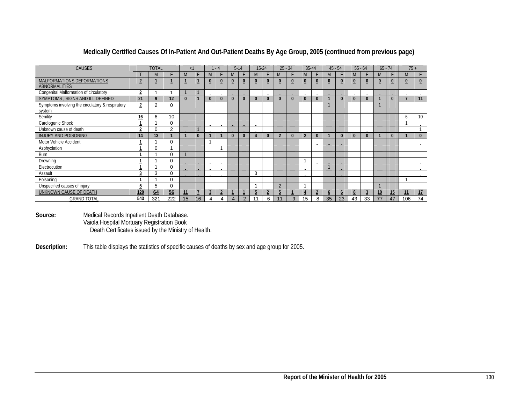| <b>CAUSES</b>                                              |                | <b>TOTAL</b> |          | $\leq$ 1 |              |                | $-4$ |   | $5-14$                  | $15-24$        |                |                | $25 - 34$      | $35 - 44$ |                |                | $45 - 54$      |                | $55 - 64$      |          | $65 - 74$ | $75+$          |                |
|------------------------------------------------------------|----------------|--------------|----------|----------|--------------|----------------|------|---|-------------------------|----------------|----------------|----------------|----------------|-----------|----------------|----------------|----------------|----------------|----------------|----------|-----------|----------------|----------------|
|                                                            |                | M            | F        | M        | F.           | M              |      | M |                         | M              |                | M              | F              | M         |                | M              |                | M              | F              | M        |           | M              |                |
| MALFORMATIONS, DEFORMATIONS<br><b>ABNORMALITIES</b>        | $\overline{2}$ |              |          |          |              | $\overline{0}$ |      |   | $\overline{\mathbf{0}}$ | $\overline{0}$ | $\overline{0}$ |                | $\overline{0}$ | $\bf{0}$  | $\overline{0}$ | $\overline{0}$ | $\overline{0}$ | $\overline{0}$ | $\overline{0}$ | $\bf{0}$ |           | $\overline{0}$ | $\overline{0}$ |
| Congenital Malformation of circulatory                     | $\overline{2}$ |              |          |          |              |                |      |   |                         |                |                |                |                |           |                |                |                |                |                |          |           |                |                |
| SYMPTOMS, SIGNS AND ILL DEFINED                            | 21             | 9            | 12       |          |              | $\overline{0}$ |      |   | $\bf{0}$                | $\bf{0}$       | $\overline{0}$ |                | $\bf{0}$       | 0         | $\overline{0}$ |                | $\bf{0}$       |                | $\bf{0}$       |          |           |                | 11             |
| Symptoms involving the circulatory & respiratory<br>system | $\overline{2}$ | 2            | $\Omega$ |          |              |                |      |   |                         |                |                |                |                |           |                |                |                |                |                |          |           |                |                |
| Senility                                                   | 16             | 6            | 10       |          |              |                |      |   |                         |                |                |                |                |           |                |                |                |                |                |          |           | 6              | 10             |
| Cardiogenic Shock                                          |                |              | 0        |          |              |                |      |   |                         |                |                |                |                |           |                |                |                |                |                |          |           |                |                |
| Unknown cause of death                                     | $\overline{2}$ | 0            | 2        |          |              |                |      |   |                         |                |                |                |                |           |                |                |                |                |                |          |           |                |                |
| <b>INJURY AND POISONING</b>                                | 14             | 13           |          |          | $\mathbf{0}$ |                |      |   |                         |                | $\mathbf{0}$   | $\overline{ }$ | $\bf{0}$       |           |                |                | $\Omega$       |                | $\mathbf{0}$   |          |           |                |                |
| Motor Vehicle Accident                                     |                |              | $\Omega$ |          |              |                |      |   |                         |                |                |                |                |           |                |                |                |                |                |          |           |                |                |
| Asphyxiation                                               |                | $\Omega$     |          |          |              |                |      |   |                         |                |                |                |                |           |                |                |                |                |                |          |           |                |                |
| Burn                                                       |                |              | 0        |          |              |                |      |   |                         |                |                |                |                |           |                |                |                |                |                |          |           |                |                |
| Drowning                                                   |                |              | 0        |          |              |                |      |   |                         |                |                |                |                |           |                |                |                |                |                |          |           |                |                |
| Electrocution                                              |                |              | 0        |          |              |                |      |   |                         |                |                |                |                |           |                |                |                |                |                |          |           |                |                |
| Assault                                                    | 3              | 3            | 0        |          |              |                |      |   |                         | 3              |                |                |                |           |                |                |                |                |                |          |           |                |                |
| Poisoning                                                  |                |              | 0        |          |              |                |      |   |                         |                |                |                |                |           |                |                |                |                |                |          |           |                |                |
| Unspecified causes of injury                               | 5              | 5            | 0        |          |              |                |      |   |                         |                |                | $\Omega$       |                |           |                |                |                |                |                |          |           |                |                |
| UNKNOWN CAUSE OF DEATH                                     | 120            | 64           | 56       | 11       |              | 3              |      |   |                         | 5              | 2              |                |                |           |                | $\mathbf b$    | b              | 8              | 3              | 10       | 15        | 11             | 17             |
| <b>GRAND TOTAL</b>                                         | 543            | 321          | 222      | 15       | 16           | 4              | 4    | 4 | 2                       |                | 6              | 11             | 9              | 15        | 8              | 35             | 23             | 43             | 33             | 77       | 47        | 106            | 74             |

### **Medically Certified Causes Of In-Patient And Out-Patient Deaths By Age Group, 2005 (continued from previous page)**

**Source:** Medical Records Inpatient Death Database. Vaiola Hospital Mortuary Registration Book Death Certificates issued by the Ministry of Health.

**Description:** This table displays the statistics of specific causes of deaths by sex and age group for 2005.